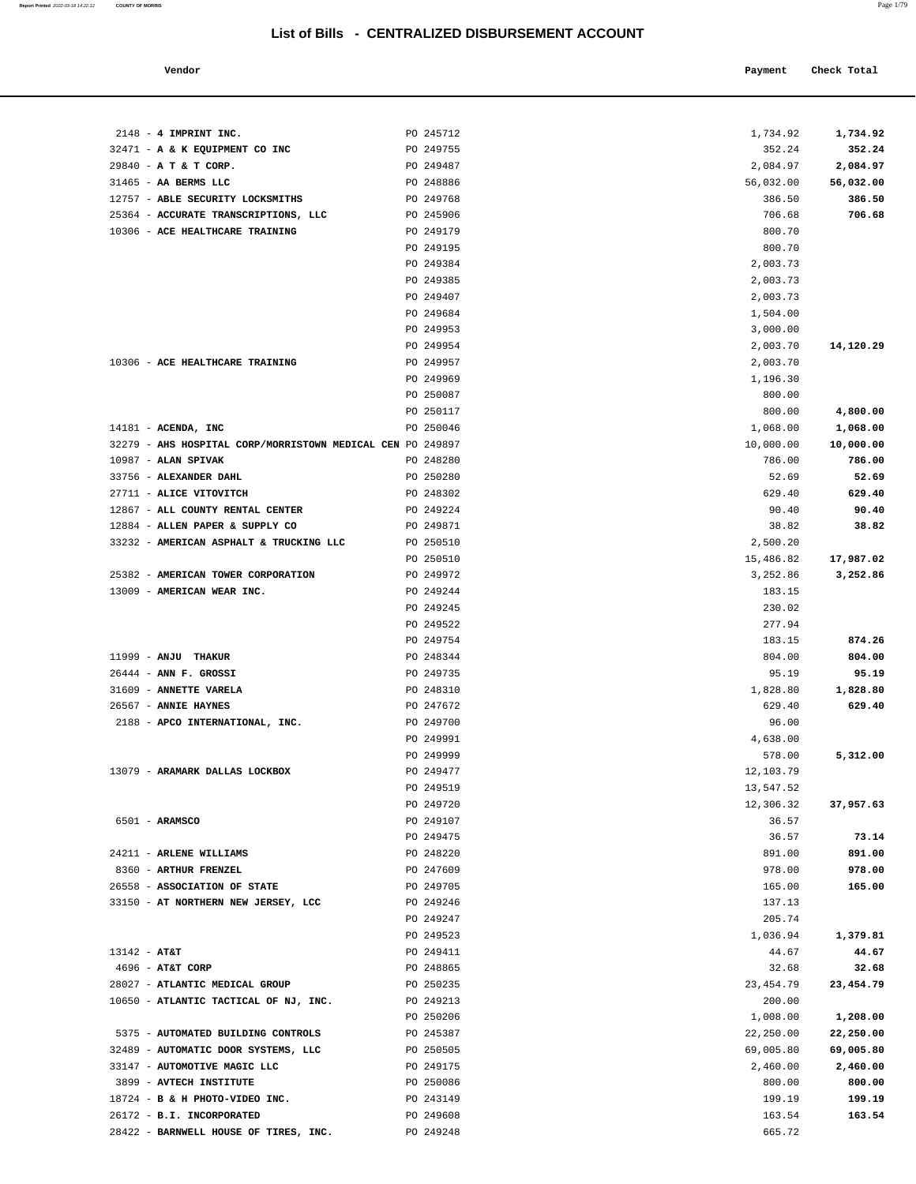#### **Vendor Check Total Payment Check Total**

| $2148$ - 4 IMPRINT INC.                                    | PO 245712 | 1,734.92   | 1,734.92  |
|------------------------------------------------------------|-----------|------------|-----------|
| 32471 - A & K EQUIPMENT CO INC                             | PO 249755 | 352.24     | 352.24    |
| 29840 - A T & T CORP.                                      | PO 249487 | 2,084.97   | 2,084.97  |
| 31465 - AA BERMS LLC                                       | PO 248886 | 56,032.00  | 56,032.00 |
| 12757 - ABLE SECURITY LOCKSMITHS                           | PO 249768 | 386.50     | 386.50    |
| 25364 - ACCURATE TRANSCRIPTIONS, LLC                       | PO 245906 | 706.68     | 706.68    |
| 10306 - ACE HEALTHCARE TRAINING                            | PO 249179 | 800.70     |           |
|                                                            | PO 249195 | 800.70     |           |
|                                                            | PO 249384 | 2,003.73   |           |
|                                                            | PO 249385 | 2,003.73   |           |
|                                                            | PO 249407 | 2,003.73   |           |
|                                                            | PO 249684 | 1,504.00   |           |
|                                                            | PO 249953 | 3,000.00   |           |
|                                                            | PO 249954 | 2,003.70   | 14,120.29 |
| 10306 - ACE HEALTHCARE TRAINING                            | PO 249957 | 2,003.70   |           |
|                                                            | PO 249969 | 1,196.30   |           |
|                                                            | PO 250087 | 800.00     |           |
|                                                            | PO 250117 | 800.00     | 4,800.00  |
| $14181$ - ACENDA, INC                                      | PO 250046 | 1,068.00   | 1,068.00  |
| 32279 - AHS HOSPITAL CORP/MORRISTOWN MEDICAL CEN PO 249897 |           | 10,000.00  | 10,000.00 |
| 10987 - ALAN SPIVAK                                        | PO 248280 | 786.00     | 786.00    |
| 33756 - ALEXANDER DAHL                                     | PO 250280 | 52.69      | 52.69     |
| 27711 - ALICE VITOVITCH                                    | PO 248302 | 629.40     | 629.40    |
| 12867 - ALL COUNTY RENTAL CENTER                           | PO 249224 | 90.40      | 90.40     |
| 12884 - ALLEN PAPER & SUPPLY CO                            | PO 249871 | 38.82      | 38.82     |
| 33232 - AMERICAN ASPHALT & TRUCKING LLC                    | PO 250510 | 2,500.20   |           |
|                                                            | PO 250510 | 15,486.82  | 17,987.02 |
| 25382 - AMERICAN TOWER CORPORATION                         | PO 249972 | 3,252.86   | 3,252.86  |
| 13009 - AMERICAN WEAR INC.                                 | PO 249244 | 183.15     |           |
|                                                            | PO 249245 | 230.02     |           |
|                                                            | PO 249522 | 277.94     |           |
|                                                            | PO 249754 | 183.15     | 874.26    |
| 11999 - ANJU THAKUR                                        | PO 248344 | 804.00     | 804.00    |
| $26444$ - ANN F. GROSSI                                    | PO 249735 | 95.19      | 95.19     |
| 31609 - ANNETTE VARELA                                     | PO 248310 | 1,828.80   | 1,828.80  |
| 26567 - ANNIE HAYNES                                       | PO 247672 | 629.40     | 629.40    |
| 2188 - APCO INTERNATIONAL, INC.                            | PO 249700 | 96.00      |           |
|                                                            | PO 249991 | 4,638.00   |           |
|                                                            | PO 249999 | 578.00     | 5,312.00  |
| 13079 - ARAMARK DALLAS LOCKBOX                             | PO 249477 | 12,103.79  |           |
|                                                            | PO 249519 | 13,547.52  |           |
|                                                            | PO 249720 | 12,306.32  | 37,957.63 |
| $6501 - ARAMSCO$                                           | PO 249107 | 36.57      |           |
|                                                            | PO 249475 | 36.57      | 73.14     |
| 24211 - ARLENE WILLIAMS                                    | PO 248220 | 891.00     | 891.00    |
| 8360 - ARTHUR FRENZEL                                      | PO 247609 | 978.00     | 978.00    |
| 26558 - ASSOCIATION OF STATE                               | PO 249705 | 165.00     | 165.00    |
| 33150 - AT NORTHERN NEW JERSEY, LCC                        | PO 249246 | 137.13     |           |
|                                                            | PO 249247 | 205.74     |           |
|                                                            | PO 249523 | 1,036.94   | 1,379.81  |
| $13142 - AT&T$                                             | PO 249411 | 44.67      | 44.67     |
| $4696$ - AT&T CORP                                         | PO 248865 | 32.68      | 32.68     |
| 28027 - ATLANTIC MEDICAL GROUP                             | PO 250235 | 23, 454.79 | 23,454.79 |
| 10650 - ATLANTIC TACTICAL OF NJ, INC.                      | PO 249213 | 200.00     |           |
|                                                            | PO 250206 | 1,008.00   | 1,208.00  |
| 5375 - AUTOMATED BUILDING CONTROLS                         | PO 245387 | 22,250.00  | 22,250.00 |
| 32489 - AUTOMATIC DOOR SYSTEMS, LLC                        | PO 250505 | 69,005.80  | 69,005.80 |
| 33147 - AUTOMOTIVE MAGIC LLC                               | PO 249175 | 2,460.00   | 2,460.00  |
| 3899 - AVTECH INSTITUTE                                    | PO 250086 | 800.00     | 800.00    |
| 18724 - B & H PHOTO-VIDEO INC.                             | PO 243149 | 199.19     | 199.19    |
| 26172 - B.I. INCORPORATED                                  | PO 249608 | 163.54     | 163.54    |
| 28422 - BARNWELL HOUSE OF TIRES, INC.                      | PO 249248 | 665.72     |           |

**Report Printed** 2022-03-18 14:22:12 **COUNTY OF MORRIS** Page 1/79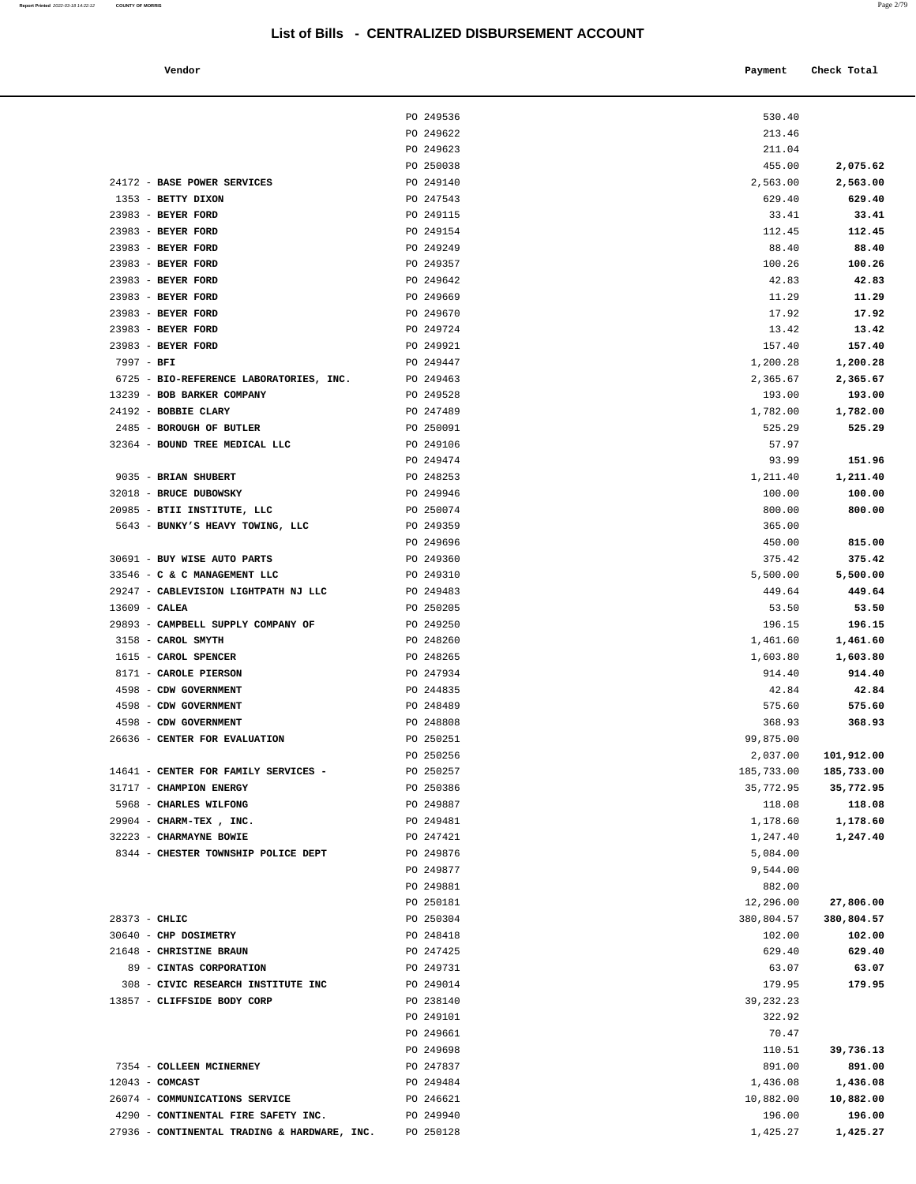**Report Printed** 2022-03-18 14:22:12 **COUNTY OF MORRIS** 

| ыэгы ынэ                         | <b>E OLIVITALIZLU DIODOROLMENT ACCOONT</b> |            |             |
|----------------------------------|--------------------------------------------|------------|-------------|
| Vendor                           |                                            | Payment    | Check Total |
|                                  |                                            |            |             |
|                                  | PO 249536                                  | 530.40     |             |
|                                  | PO 249622                                  | 213.46     |             |
|                                  | PO 249623                                  | 211.04     |             |
|                                  | PO 250038                                  | 455.00     | 2,075.62    |
| <b>BASE POWER SERVICES</b>       | PO 249140                                  | 2,563.00   | 2,563.00    |
| <b>BETTY DIXON</b>               | PO 247543                                  | 629.40     | 629.40      |
| <b>BEYER FORD</b>                | PO 249115                                  | 33.41      | 33.41       |
| <b>BEYER FORD</b>                | PO 249154                                  | 112.45     | 112.45      |
| <b>BEYER FORD</b>                | PO 249249                                  | 88.40      | 88.40       |
| <b>BEYER FORD</b>                | PO 249357                                  | 100.26     | 100.26      |
| <b>BEYER FORD</b>                | PO 249642                                  | 42.83      | 42.83       |
| <b>BEYER FORD</b>                | PO 249669                                  | 11.29      | 11.29       |
| <b>BEYER FORD</b>                | PO 249670                                  | 17.92      | 17.92       |
| <b>BEYER FORD</b>                | PO 249724                                  | 13.42      | 13.42       |
| <b>BEYER FORD</b>                | PO 249921                                  | 157.40     | 157.40      |
| BFI                              | PO 249447                                  | 1,200.28   | 1,200.28    |
| BIO-REFERENCE LABORATORIES, INC. | PO 249463                                  | 2,365.67   | 2,365.67    |
| <b>BOB BARKER COMPANY</b>        | PO 249528                                  | 193.00     | 193.00      |
| <b>BOBBIE CLARY</b>              | PO 247489                                  | 1,782.00   | 1,782.00    |
| <b>BOROUGH OF BUTLER</b>         | PO 250091                                  | 525.29     | 525.29      |
| BOUND TREE MEDICAL LLC           | PO 249106                                  | 57.97      |             |
|                                  | PO 249474                                  | 93.99      | 151.96      |
| <b>BRIAN SHUBERT</b>             | PO 248253                                  | 1,211.40   | 1,211.40    |
| <b>BRUCE DUBOWSKY</b>            | PO 249946                                  | 100.00     | 100.00      |
| BTII INSTITUTE, LLC              | PO 250074                                  | 800.00     | 800.00      |
| BUNKY'S HEAVY TOWING, LLC        | PO 249359                                  | 365.00     |             |
|                                  | PO 249696                                  | 450.00     | 815.00      |
| <b>BUY WISE AUTO PARTS</b>       | PO 249360                                  | 375.42     | 375.42      |
| C & C MANAGEMENT LLC             | PO 249310                                  | 5,500.00   | 5,500.00    |
| CABLEVISION LIGHTPATH NJ LLC     | PO 249483                                  | 449.64     | 449.64      |
| CALEA                            | PO 250205                                  | 53.50      | 53.50       |
| CAMPBELL SUPPLY COMPANY OF       | PO 249250                                  | 196.15     | 196.15      |
| CAROL SMYTH                      | PO 248260                                  | 1,461.60   | 1,461.60    |
| <b>CAROL SPENCER</b>             | PO 248265                                  | 1,603.80   | 1,603.80    |
| CAROLE PIERSON                   | PO 247934                                  | 914.40     | 914.40      |
| CDW GOVERNMENT                   | PO 244835                                  | 42.84      | 42.84       |
| CDW GOVERNMENT                   | PO 248489                                  | 575.60     | 575.60      |
| CDW GOVERNMENT                   | PO 248808                                  | 368.93     | 368.93      |
| CENTER FOR EVALUATION            | PO 250251                                  | 99,875.00  |             |
|                                  | PO 250256                                  | 2,037.00   | 101,912.00  |
| CENTER FOR FAMILY SERVICES -     | PO 250257                                  | 185,733.00 | 185,733.00  |
| <b>CHAMPION ENERGY</b>           | PO 250386                                  | 35,772.95  | 35,772.95   |
| <b>CHARLES WILFONG</b>           | PO 249887                                  | 118.08     | 118.08      |
| CHARM-TEX, INC.                  | PO 249481                                  | 1,178.60   | 1,178.60    |
| CHARMAYNE BOWIE                  | PO 247421                                  | 1,247.40   | 1,247.40    |
|                                  |                                            |            |             |
| CHESTER TOWNSHIP POLICE DEPT     | PO 249876                                  | 5,084.00   |             |
|                                  | PO 249877                                  | 9,544.00   |             |
|                                  | PO 249881                                  | 882.00     |             |
|                                  | PO 250181                                  | 12,296.00  | 27,806.00   |
| CHLIC                            | PO 250304                                  | 380,804.57 | 380,804.57  |

|                                              | PO 249623 | 211.04     |            |
|----------------------------------------------|-----------|------------|------------|
|                                              | PO 250038 | 455.00     | 2,075.62   |
| 24172 - BASE POWER SERVICES                  | PO 249140 | 2,563.00   | 2,563.00   |
| 1353 - BETTY DIXON                           | PO 247543 | 629.40     | 629.40     |
| 23983 - BEYER FORD                           | PO 249115 | 33.41      | 33.41      |
| 23983 - BEYER FORD                           | PO 249154 | 112.45     | 112.45     |
| 23983 - BEYER FORD                           | PO 249249 | 88.40      | 88.40      |
| 23983 - BEYER FORD                           | PO 249357 | 100.26     | 100.26     |
| 23983 - BEYER FORD                           | PO 249642 | 42.83      | 42.83      |
| 23983 - BEYER FORD                           | PO 249669 | 11.29      | 11.29      |
| 23983 - BEYER FORD                           | PO 249670 | 17.92      | 17.92      |
| 23983 - BEYER FORD                           | PO 249724 | 13.42      | 13.42      |
| 23983 - BEYER FORD                           | PO 249921 | 157.40     | 157.40     |
| $7997 - BFI$                                 | PO 249447 | 1,200.28   | 1,200.28   |
| 6725 - BIO-REFERENCE LABORATORIES, INC.      | PO 249463 | 2,365.67   | 2,365.67   |
| 13239 - BOB BARKER COMPANY                   | PO 249528 | 193.00     | 193.00     |
| 24192 - BOBBIE CLARY                         | PO 247489 | 1,782.00   | 1,782.00   |
| 2485 - BOROUGH OF BUTLER                     | PO 250091 | 525.29     | 525.29     |
| 32364 - BOUND TREE MEDICAL LLC               | PO 249106 | 57.97      |            |
|                                              | PO 249474 | 93.99      | 151.96     |
| 9035 - BRIAN SHUBERT                         | PO 248253 | 1,211.40   | 1,211.40   |
| 32018 - BRUCE DUBOWSKY                       | PO 249946 | 100.00     | 100.00     |
| 20985 - BTII INSTITUTE, LLC                  | PO 250074 | 800.00     | 800.00     |
| 5643 - BUNKY'S HEAVY TOWING, LLC             | PO 249359 | 365.00     |            |
|                                              | PO 249696 | 450.00     | 815.00     |
| 30691 - BUY WISE AUTO PARTS                  | PO 249360 | 375.42     | 375.42     |
| 33546 - C & C MANAGEMENT LLC                 | PO 249310 | 5,500.00   | 5,500.00   |
| 29247 - CABLEVISION LIGHTPATH NJ LLC         | PO 249483 | 449.64     | 449.64     |
| $13609$ - CALEA                              | PO 250205 | 53.50      | 53.50      |
| 29893 - CAMPBELL SUPPLY COMPANY OF           | PO 249250 | 196.15     | 196.15     |
| 3158 - CAROL SMYTH                           | PO 248260 | 1,461.60   | 1,461.60   |
| 1615 - CAROL SPENCER                         | PO 248265 | 1,603.80   | 1,603.80   |
| 8171 - CAROLE PIERSON                        | PO 247934 | 914.40     | 914.40     |
| 4598 - CDW GOVERNMENT                        | PO 244835 | 42.84      | 42.84      |
| 4598 - CDW GOVERNMENT                        | PO 248489 | 575.60     | 575.60     |
| 4598 - CDW GOVERNMENT                        | PO 248808 | 368.93     | 368.93     |
| 26636 - CENTER FOR EVALUATION                | PO 250251 | 99,875.00  |            |
|                                              | PO 250256 | 2,037.00   | 101,912.00 |
| 14641 - CENTER FOR FAMILY SERVICES -         | PO 250257 | 185,733.00 | 185,733.00 |
| 31717 - CHAMPION ENERGY                      | PO 250386 | 35,772.95  | 35,772.95  |
| 5968 - CHARLES WILFONG                       | PO 249887 | 118.08     | 118.08     |
| 29904 - CHARM-TEX, INC.                      | PO 249481 | 1,178.60   | 1,178.60   |
| 32223 - CHARMAYNE BOWIE                      | PO 247421 | 1,247.40   | 1,247.40   |
| 8344 - CHESTER TOWNSHIP POLICE DEPT          | PO 249876 | 5,084.00   |            |
|                                              | PO 249877 | 9,544.00   |            |
|                                              | PO 249881 | 882.00     |            |
|                                              | PO 250181 | 12,296.00  | 27,806.00  |
| 28373 - CHLIC                                | PO 250304 | 380,804.57 | 380,804.57 |
| 30640 - CHP DOSIMETRY                        | PO 248418 | 102.00     | 102.00     |
| 21648 - CHRISTINE BRAUN                      | PO 247425 | 629.40     | 629.40     |
| 89 - CINTAS CORPORATION                      | PO 249731 | 63.07      | 63.07      |
| 308 - CIVIC RESEARCH INSTITUTE INC           | PO 249014 | 179.95     | 179.95     |
| 13857 - CLIFFSIDE BODY CORP                  | PO 238140 | 39,232.23  |            |
|                                              | PO 249101 | 322.92     |            |
|                                              | PO 249661 | 70.47      |            |
|                                              | PO 249698 | 110.51     | 39,736.13  |
| 7354 - COLLEEN MCINERNEY                     | PO 247837 | 891.00     | 891.00     |
| $12043$ - COMCAST                            | PO 249484 | 1,436.08   | 1,436.08   |
| 26074 - COMMUNICATIONS SERVICE               | PO 246621 | 10,882.00  | 10,882.00  |
| 4290 - CONTINENTAL FIRE SAFETY INC.          | PO 249940 | 196.00     | 196.00     |
| 27936 - CONTINENTAL TRADING & HARDWARE, INC. | PO 250128 | 1,425.27   | 1,425.27   |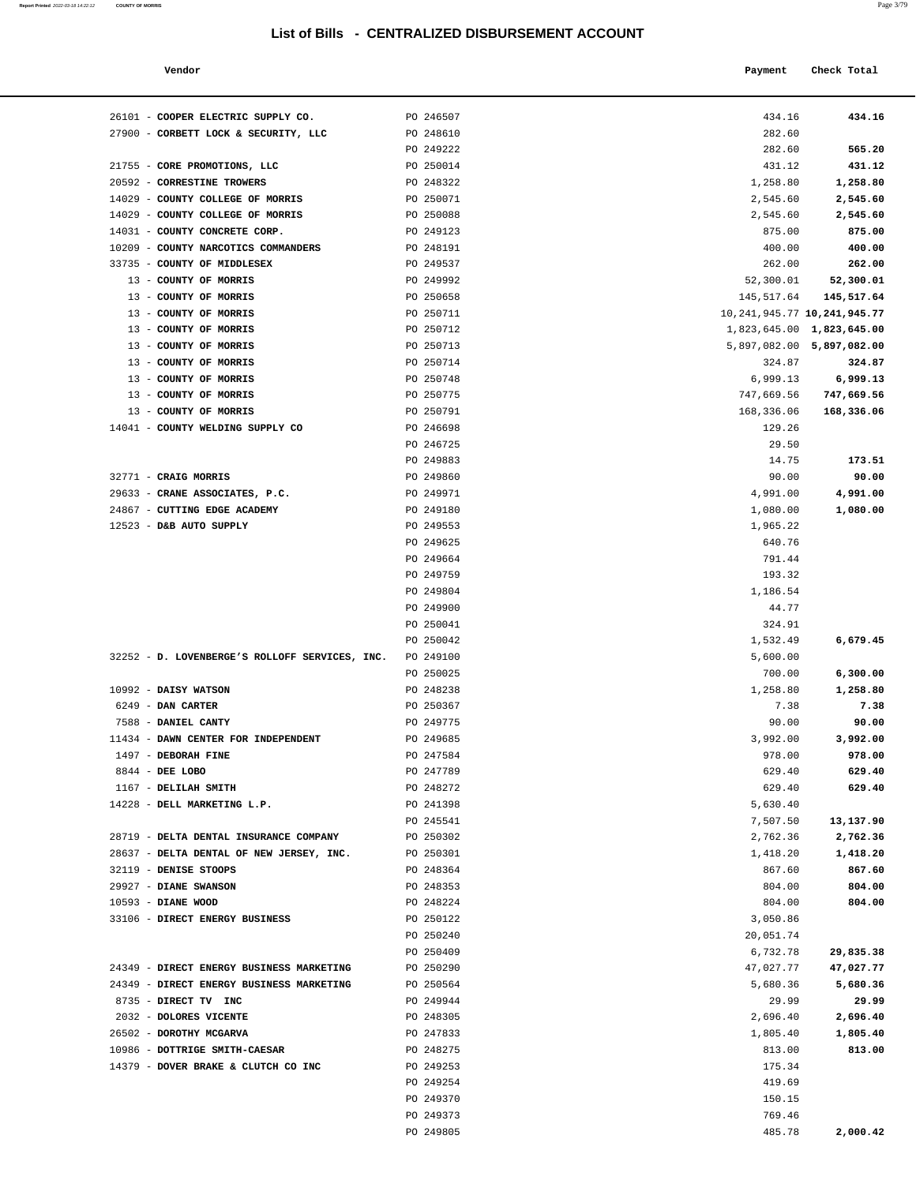| Vendor |  |  | Payment Check Total |
|--------|--|--|---------------------|
|        |  |  |                     |

| 26101 - COOPER ELECTRIC SUPPLY CO.                                                   | PO 246507              | 434.16                            | 434.16                |
|--------------------------------------------------------------------------------------|------------------------|-----------------------------------|-----------------------|
| 27900 - CORBETT LOCK & SECURITY, LLC                                                 | PO 248610              | 282.60                            |                       |
|                                                                                      | PO 249222              | 282.60                            | 565.20                |
| 21755 - CORE PROMOTIONS, LLC                                                         | PO 250014              | 431.12                            | 431.12                |
| 20592 - CORRESTINE TROWERS                                                           | PO 248322              | 1,258.80                          | 1,258.80              |
| 14029 - COUNTY COLLEGE OF MORRIS                                                     | PO 250071              | 2,545.60                          | 2,545.60              |
| 14029 - COUNTY COLLEGE OF MORRIS                                                     | PO 250088              | 2,545.60                          | 2,545.60              |
| 14031 - COUNTY CONCRETE CORP.                                                        | PO 249123              | 875.00                            | 875.00                |
| 10209 - COUNTY NARCOTICS COMMANDERS<br>33735 - COUNTY OF MIDDLESEX                   | PO 248191              | 400.00                            | 400.00                |
| 13 - COUNTY OF MORRIS                                                                | PO 249537<br>PO 249992 | 262.00<br>52,300.01               | 262.00<br>52,300.01   |
| 13 - COUNTY OF MORRIS                                                                | PO 250658              | 145,517.64                        | 145,517.64            |
| 13 - COUNTY OF MORRIS                                                                | PO 250711              | 10, 241, 945. 77 10, 241, 945. 77 |                       |
| 13 - COUNTY OF MORRIS                                                                | PO 250712              | 1,823,645.00 1,823,645.00         |                       |
| 13 - COUNTY OF MORRIS                                                                | PO 250713              | 5,897,082.00 5,897,082.00         |                       |
| 13 - COUNTY OF MORRIS                                                                | PO 250714              | 324.87                            | 324.87                |
| 13 - COUNTY OF MORRIS                                                                | PO 250748              | 6,999.13                          | 6,999.13              |
| 13 - COUNTY OF MORRIS                                                                | PO 250775              | 747,669.56                        | 747,669.56            |
| 13 - COUNTY OF MORRIS                                                                | PO 250791              | 168,336.06                        | 168,336.06            |
| 14041 - COUNTY WELDING SUPPLY CO                                                     | PO 246698              | 129.26                            |                       |
|                                                                                      | PO 246725              | 29.50                             |                       |
|                                                                                      | PO 249883              | 14.75                             | 173.51                |
| 32771 - CRAIG MORRIS                                                                 | PO 249860              | 90.00                             | 90.00                 |
| 29633 - CRANE ASSOCIATES, P.C.<br>24867 - CUTTING EDGE ACADEMY                       | PO 249971              | 4,991.00                          | 4,991.00              |
| 12523 - D&B AUTO SUPPLY                                                              | PO 249180<br>PO 249553 | 1,080.00<br>1,965.22              | 1,080.00              |
|                                                                                      | PO 249625              | 640.76                            |                       |
|                                                                                      | PO 249664              | 791.44                            |                       |
|                                                                                      | PO 249759              | 193.32                            |                       |
|                                                                                      | PO 249804              | 1,186.54                          |                       |
|                                                                                      | PO 249900              | 44.77                             |                       |
|                                                                                      | PO 250041              | 324.91                            |                       |
|                                                                                      | PO 250042              | 1,532.49                          | 6,679.45              |
| 32252 - D. LOVENBERGE'S ROLLOFF SERVICES, INC.                                       | PO 249100              | 5,600.00                          |                       |
|                                                                                      | PO 250025              | 700.00                            | 6,300.00              |
| 10992 - DAISY WATSON                                                                 | PO 248238              | 1,258.80                          | 1,258.80              |
| 6249 - DAN CARTER                                                                    | PO 250367              | 7.38                              | 7.38                  |
| 7588 - DANIEL CANTY                                                                  | PO 249775              | 90.00                             | 90.00                 |
| 11434 - DAWN CENTER FOR INDEPENDENT<br>1497 - DEBORAH FINE                           | PO 249685<br>PO 247584 | 3,992.00<br>978.00                | 3,992.00<br>978.00    |
| 8844 - DEE LOBO                                                                      | PO 247789              | 629.40                            | 629.40                |
| 1167 - DELILAH SMITH                                                                 | PO 248272              | 629.40                            | 629.40                |
| 14228 - DELL MARKETING L.P.                                                          | PO 241398              | 5,630.40                          |                       |
|                                                                                      | PO 245541              | 7,507.50                          | 13,137.90             |
| 28719 - DELTA DENTAL INSURANCE COMPANY                                               | PO 250302              | 2,762.36                          | 2,762.36              |
| 28637 - DELTA DENTAL OF NEW JERSEY, INC.                                             | PO 250301              | 1,418.20                          | 1,418.20              |
| 32119 - DENISE STOOPS                                                                | PO 248364              | 867.60                            | 867.60                |
| 29927 - DIANE SWANSON                                                                | PO 248353              | 804.00                            | 804.00                |
| 10593 - DIANE WOOD                                                                   | PO 248224              | 804.00                            | 804.00                |
| 33106 - DIRECT ENERGY BUSINESS                                                       | PO 250122              | 3,050.86                          |                       |
|                                                                                      | PO 250240              | 20,051.74                         |                       |
|                                                                                      | PO 250409              | 6,732.78                          | 29,835.38             |
| 24349 - DIRECT ENERGY BUSINESS MARKETING<br>24349 - DIRECT ENERGY BUSINESS MARKETING | PO 250290<br>PO 250564 | 47,027.77<br>5,680.36             | 47,027.77<br>5,680.36 |
| 8735 - DIRECT TV INC                                                                 | PO 249944              | 29.99                             | 29.99                 |
| 2032 - DOLORES VICENTE                                                               | PO 248305              | 2,696.40                          | 2,696.40              |
| 26502 - DOROTHY MCGARVA                                                              | PO 247833              | 1,805.40                          | 1,805.40              |
| 10986 - DOTTRIGE SMITH-CAESAR                                                        | PO 248275              | 813.00                            | 813.00                |
| 14379 - DOVER BRAKE & CLUTCH CO INC                                                  | PO 249253              | 175.34                            |                       |
|                                                                                      | PO 249254              | 419.69                            |                       |
|                                                                                      | PO 249370              | 150.15                            |                       |
|                                                                                      | PO 249373              | 769.46                            |                       |
|                                                                                      | PO 249805              | 485.78                            | 2,000.42              |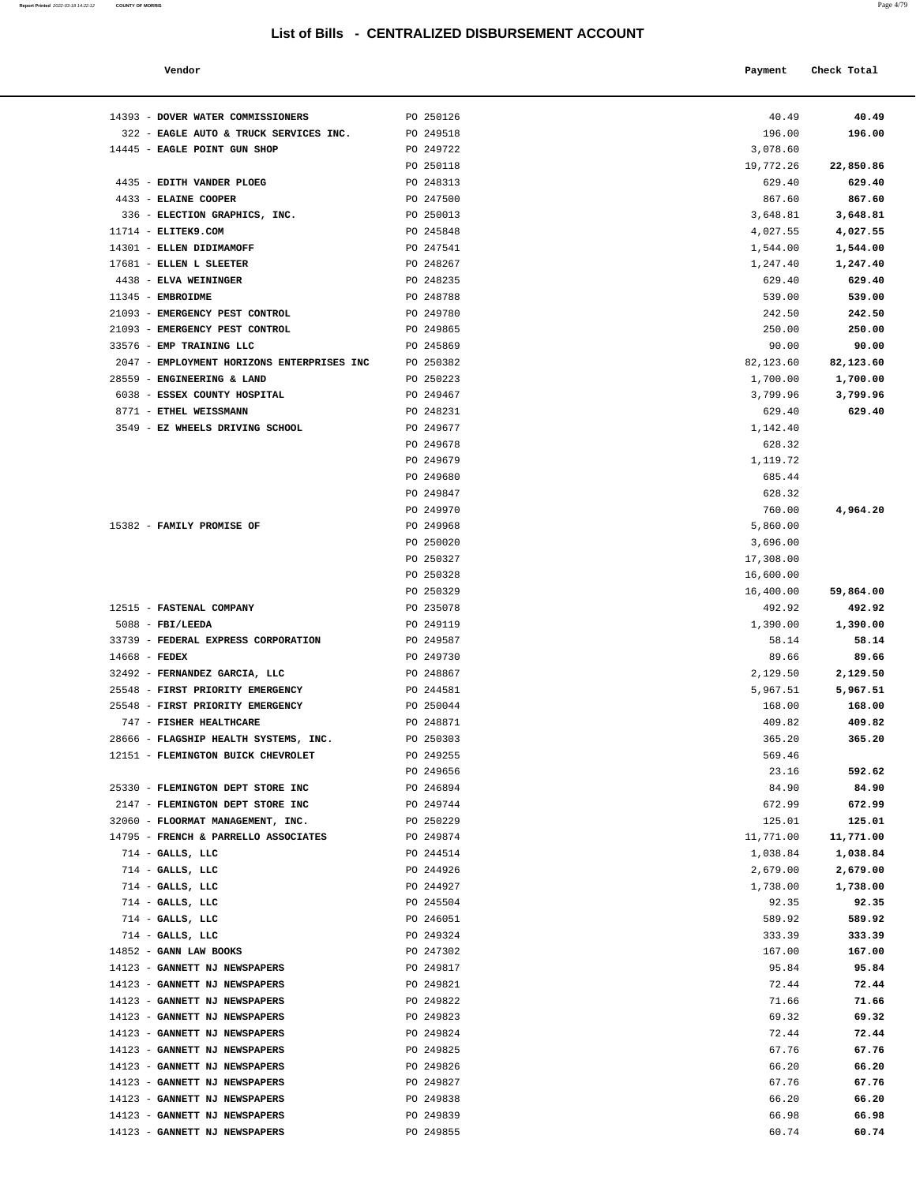| Report Printed 2022-03-18 14:22:12 | <b>COUNTY OF MORRIS</b> | Page 4/79 |
|------------------------------------|-------------------------|-----------|
|                                    |                         |           |

| Vendor                                    |           | Payment   | Check Total |  |
|-------------------------------------------|-----------|-----------|-------------|--|
| <b>DOVER WATER COMMISSIONERS</b>          | PO 250126 | 40.49     | 40.49       |  |
| EAGLE AUTO & TRUCK SERVICES INC.          | PO 249518 | 196.00    | 196.00      |  |
| <b>EAGLE POINT GUN SHOP</b>               | PO 249722 | 3,078.60  |             |  |
|                                           | PO 250118 | 19,772.26 | 22,850.86   |  |
| EDITH VANDER PLOEG                        | PO 248313 | 629.40    | 629.40      |  |
| <b>ELAINE COOPER</b>                      | PO 247500 | 867.60    | 867.60      |  |
| <b>DI DOMIANI ODADIIIOO</b><br><b>TMA</b> | DO SEGO13 | 2.6001    | 2,6001      |  |

| 14393 - DOVER WATER COMMISSIONERS          | PO 250126 | 40.49     | 40.49     |
|--------------------------------------------|-----------|-----------|-----------|
| 322 - EAGLE AUTO & TRUCK SERVICES INC.     | PO 249518 | 196.00    | 196.00    |
| 14445 - EAGLE POINT GUN SHOP               | PO 249722 | 3,078.60  |           |
|                                            | PO 250118 | 19,772.26 | 22,850.86 |
| 4435 - EDITH VANDER PLOEG                  | PO 248313 | 629.40    | 629.40    |
| 4433 - ELAINE COOPER                       | PO 247500 | 867.60    | 867.60    |
| 336 - ELECTION GRAPHICS, INC.              | PO 250013 | 3,648.81  | 3,648.81  |
| $11714$ - ELITEK9.COM                      | PO 245848 | 4,027.55  | 4,027.55  |
| 14301 - ELLEN DIDIMAMOFF                   | PO 247541 | 1,544.00  | 1,544.00  |
|                                            |           |           |           |
| 17681 - ELLEN L SLEETER                    | PO 248267 | 1,247.40  | 1,247.40  |
| 4438 - ELVA WEININGER                      | PO 248235 | 629.40    | 629.40    |
| 11345 - EMBROIDME                          | PO 248788 | 539.00    | 539.00    |
| 21093 - EMERGENCY PEST CONTROL             | PO 249780 | 242.50    | 242.50    |
| 21093 - EMERGENCY PEST CONTROL             | PO 249865 | 250.00    | 250.00    |
| 33576 - EMP TRAINING LLC                   | PO 245869 | 90.00     | 90.00     |
| 2047 - EMPLOYMENT HORIZONS ENTERPRISES INC | PO 250382 | 82,123.60 | 82,123.60 |
| 28559 - ENGINEERING & LAND                 | PO 250223 | 1,700.00  | 1,700.00  |
| 6038 - ESSEX COUNTY HOSPITAL               | PO 249467 | 3,799.96  | 3,799.96  |
| 8771 - ETHEL WEISSMANN                     | PO 248231 | 629.40    | 629.40    |
| 3549 - EZ WHEELS DRIVING SCHOOL            | PO 249677 | 1,142.40  |           |
|                                            | PO 249678 | 628.32    |           |
|                                            | PO 249679 | 1,119.72  |           |
|                                            | PO 249680 | 685.44    |           |
|                                            | PO 249847 | 628.32    |           |
|                                            | PO 249970 | 760.00    | 4,964.20  |
| 15382 - FAMILY PROMISE OF                  | PO 249968 | 5,860.00  |           |
|                                            | PO 250020 | 3,696.00  |           |
|                                            | PO 250327 | 17,308.00 |           |
|                                            | PO 250328 | 16,600.00 |           |
|                                            |           |           |           |
|                                            | PO 250329 | 16,400.00 | 59,864.00 |
| 12515 - FASTENAL COMPANY                   | PO 235078 | 492.92    | 492.92    |
| $5088$ - FBI/LEEDA                         | PO 249119 | 1,390.00  | 1,390.00  |
| 33739 - FEDERAL EXPRESS CORPORATION        | PO 249587 | 58.14     | 58.14     |
| $14668$ - FEDEX                            | PO 249730 | 89.66     | 89.66     |
| 32492 - FERNANDEZ GARCIA, LLC              | PO 248867 | 2,129.50  | 2,129.50  |
| 25548 - FIRST PRIORITY EMERGENCY           | PO 244581 | 5,967.51  | 5,967.51  |
| 25548 - FIRST PRIORITY EMERGENCY           | PO 250044 | 168.00    | 168.00    |
| 747 - FISHER HEALTHCARE                    | PO 248871 | 409.82    | 409.82    |
| 28666 - FLAGSHIP HEALTH SYSTEMS, INC.      | PO 250303 | 365.20    | 365.20    |
| 12151 - FLEMINGTON BUICK CHEVROLET         | PO 249255 | 569.46    |           |
|                                            | PO 249656 | 23.16     | 592.62    |
| 25330 - FLEMINGTON DEPT STORE INC          | PO 246894 | 84.90     | 84.90     |
| 2147 - FLEMINGTON DEPT STORE INC           | PO 249744 | 672.99    | 672.99    |
| 32060 - FLOORMAT MANAGEMENT, INC.          | PO 250229 | 125.01    | 125.01    |
| 14795 - FRENCH & PARRELLO ASSOCIATES       | PO 249874 | 11,771.00 | 11,771.00 |
| 714 - GALLS, LLC                           | PO 244514 | 1,038.84  | 1,038.84  |
| $714$ - GALLS, LLC                         | PO 244926 | 2,679.00  | 2,679.00  |
| $714$ - GALLS, LLC                         | PO 244927 | 1,738.00  | 1,738.00  |
| $714$ - GALLS, LLC                         | PO 245504 | 92.35     | 92.35     |
| $714$ - GALLS, LLC                         | PO 246051 | 589.92    | 589.92    |
| $714$ - GALLS, LLC                         | PO 249324 | 333.39    | 333.39    |
| 14852 - GANN LAW BOOKS                     |           |           |           |
|                                            | PO 247302 | 167.00    | 167.00    |
| 14123 - GANNETT NJ NEWSPAPERS              | PO 249817 | 95.84     | 95.84     |
| 14123 - GANNETT NJ NEWSPAPERS              | PO 249821 | 72.44     | 72.44     |
| 14123 - GANNETT NJ NEWSPAPERS              | PO 249822 | 71.66     | 71.66     |
| 14123 - GANNETT NJ NEWSPAPERS              | PO 249823 | 69.32     | 69.32     |
| 14123 - GANNETT NJ NEWSPAPERS              | PO 249824 | 72.44     | 72.44     |
| 14123 - GANNETT NJ NEWSPAPERS              | PO 249825 | 67.76     | 67.76     |
| 14123 - GANNETT NJ NEWSPAPERS              | PO 249826 | 66.20     | 66.20     |
| 14123 - GANNETT NJ NEWSPAPERS              | PO 249827 | 67.76     | 67.76     |
| 14123 - GANNETT NJ NEWSPAPERS              | PO 249838 | 66.20     | 66.20     |
| 14123 - GANNETT NJ NEWSPAPERS              | PO 249839 | 66.98     | 66.98     |
| 14123 - GANNETT NJ NEWSPAPERS              | PO 249855 | 60.74     | 60.74     |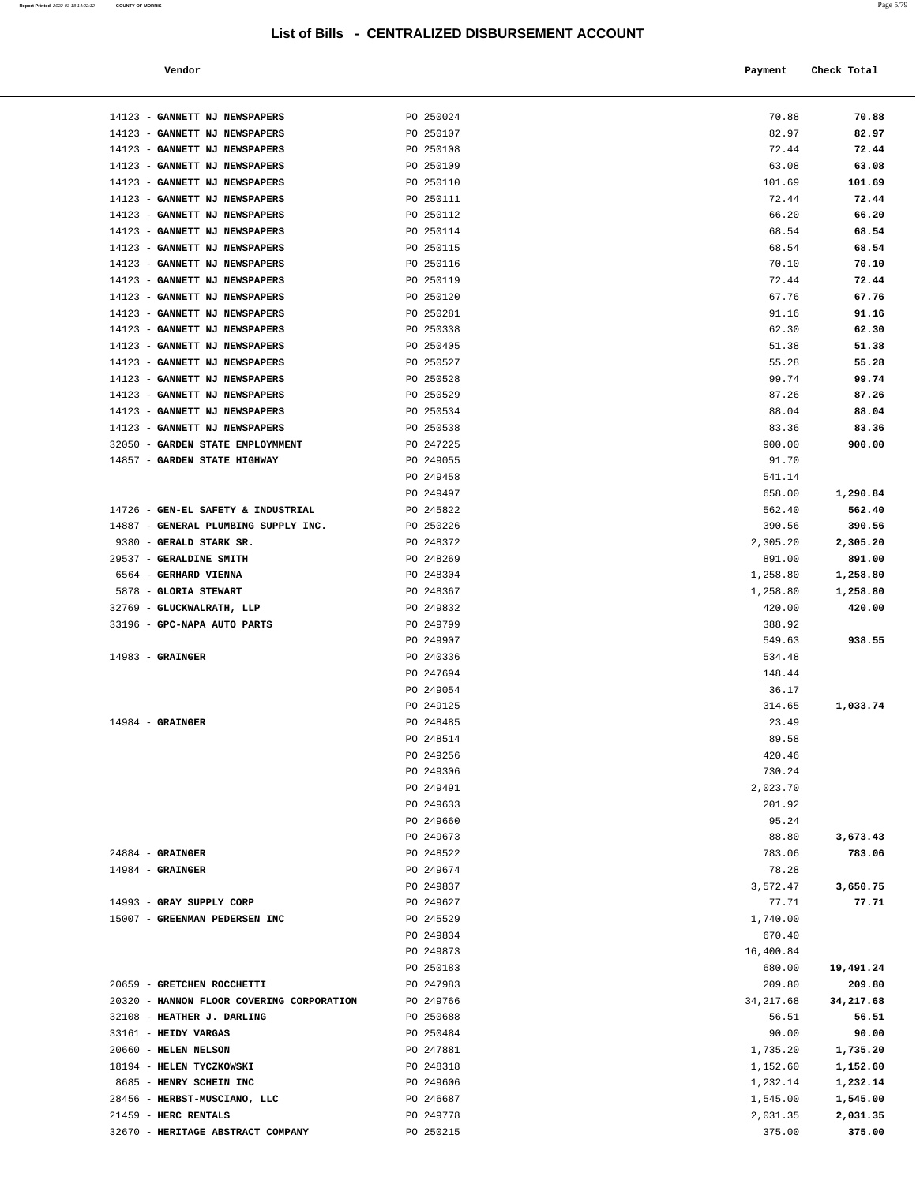| Vendor | Payment Check Total |
|--------|---------------------|
|        |                     |

| 14123 - GANNETT NJ NEWSPAPERS                                     | PO 250024              | 70.88           | 70.88              |
|-------------------------------------------------------------------|------------------------|-----------------|--------------------|
| 14123 - GANNETT NJ NEWSPAPERS                                     | PO 250107              | 82.97           | 82.97              |
| 14123 - GANNETT NJ NEWSPAPERS                                     | PO 250108              | 72.44           | 72.44              |
| 14123 - GANNETT NJ NEWSPAPERS                                     | PO 250109              | 63.08           | 63.08              |
| 14123 - GANNETT NJ NEWSPAPERS                                     | PO 250110              | 101.69          | 101.69             |
| 14123 - GANNETT NJ NEWSPAPERS                                     | PO 250111              | 72.44           | 72.44              |
| 14123 - GANNETT NJ NEWSPAPERS                                     | PO 250112              | 66.20           | 66.20              |
| 14123 - GANNETT NJ NEWSPAPERS                                     | PO 250114              | 68.54           | 68.54              |
| 14123 - GANNETT NJ NEWSPAPERS                                     | PO 250115              | 68.54           | 68.54              |
| 14123 - GANNETT NJ NEWSPAPERS                                     | PO 250116              | 70.10           | 70.10              |
| 14123 - GANNETT NJ NEWSPAPERS                                     | PO 250119              | 72.44           | 72.44              |
| 14123 - GANNETT NJ NEWSPAPERS                                     | PO 250120              | 67.76           | 67.76              |
| 14123 - GANNETT NJ NEWSPAPERS                                     | PO 250281              | 91.16           | 91.16              |
| 14123 - GANNETT NJ NEWSPAPERS                                     | PO 250338              | 62.30           | 62.30              |
| 14123 - GANNETT NJ NEWSPAPERS                                     | PO 250405              | 51.38           | 51.38              |
| 14123 - GANNETT NJ NEWSPAPERS                                     | PO 250527              | 55.28           | 55.28              |
| 14123 - GANNETT NJ NEWSPAPERS                                     | PO 250528              | 99.74           | 99.74              |
| 14123 - GANNETT NJ NEWSPAPERS                                     | PO 250529              | 87.26           | 87.26              |
| 14123 - GANNETT NJ NEWSPAPERS                                     | PO 250534              | 88.04           | 88.04              |
| 14123 - GANNETT NJ NEWSPAPERS<br>32050 - GARDEN STATE EMPLOYMMENT | PO 250538              | 83.36           | 83.36              |
| 14857 - GARDEN STATE HIGHWAY                                      | PO 247225              | 900.00          | 900.00             |
|                                                                   | PO 249055<br>PO 249458 | 91.70<br>541.14 |                    |
|                                                                   | PO 249497              | 658.00          | 1,290.84           |
| 14726 - GEN-EL SAFETY & INDUSTRIAL                                | PO 245822              | 562.40          | 562.40             |
| 14887 - GENERAL PLUMBING SUPPLY INC.                              | PO 250226              | 390.56          | 390.56             |
| 9380 - GERALD STARK SR.                                           | PO 248372              | 2,305.20        | 2,305.20           |
| 29537 - GERALDINE SMITH                                           | PO 248269              | 891.00          | 891.00             |
| 6564 - GERHARD VIENNA                                             | PO 248304              | 1,258.80        | 1,258.80           |
| 5878 - GLORIA STEWART                                             | PO 248367              | 1,258.80        | 1,258.80           |
| 32769 - GLUCKWALRATH, LLP                                         | PO 249832              | 420.00          | 420.00             |
| 33196 - GPC-NAPA AUTO PARTS                                       | PO 249799              | 388.92          |                    |
|                                                                   | PO 249907              | 549.63          | 938.55             |
| $14983$ - GRAINGER                                                | PO 240336              | 534.48          |                    |
|                                                                   | PO 247694              | 148.44          |                    |
|                                                                   | PO 249054              | 36.17           |                    |
|                                                                   | PO 249125              | 314.65          | 1,033.74           |
| $14984$ - GRAINGER                                                | PO 248485              | 23.49           |                    |
|                                                                   | PO 248514              | 89.58           |                    |
|                                                                   | PO 249256              | 420.46          |                    |
|                                                                   | PO 249306              | 730.24          |                    |
|                                                                   | PO 249491              | 2,023.70        |                    |
|                                                                   | PO 249633              | 201.92          |                    |
|                                                                   | PO 249660              | 95.24           |                    |
| $24884$ - GRAINGER                                                | PO 249673<br>PO 248522 | 88.80<br>783.06 | 3,673.43<br>783.06 |
| $14984$ - GRAINGER                                                | PO 249674              | 78.28           |                    |
|                                                                   | PO 249837              | 3,572.47        | 3,650.75           |
| 14993 - GRAY SUPPLY CORP                                          | PO 249627              | 77.71           | 77.71              |
| 15007 - GREENMAN PEDERSEN INC                                     | PO 245529              | 1,740.00        |                    |
|                                                                   | PO 249834              | 670.40          |                    |
|                                                                   | PO 249873              | 16,400.84       |                    |
|                                                                   | PO 250183              | 680.00          | 19,491.24          |
| 20659 - GRETCHEN ROCCHETTI                                        | PO 247983              | 209.80          | 209.80             |
| 20320 - HANNON FLOOR COVERING CORPORATION                         | PO 249766              | 34, 217.68      | 34,217.68          |
| 32108 - HEATHER J. DARLING                                        | PO 250688              | 56.51           | 56.51              |
| 33161 - HEIDY VARGAS                                              | PO 250484              | 90.00           | 90.00              |
| 20660 - HELEN NELSON                                              | PO 247881              | 1,735.20        | 1,735.20           |
| 18194 - HELEN TYCZKOWSKI                                          | PO 248318              | 1,152.60        | 1,152.60           |
| 8685 - HENRY SCHEIN INC                                           | PO 249606              | 1,232.14        | 1,232.14           |
| 28456 - HERBST-MUSCIANO, LLC                                      | PO 246687              | 1,545.00        | 1,545.00           |
| 21459 - HERC RENTALS                                              | PO 249778              | 2,031.35        | 2,031.35           |
| 32670 - HERITAGE ABSTRACT COMPANY                                 | PO 250215              | 375.00          | 375.00             |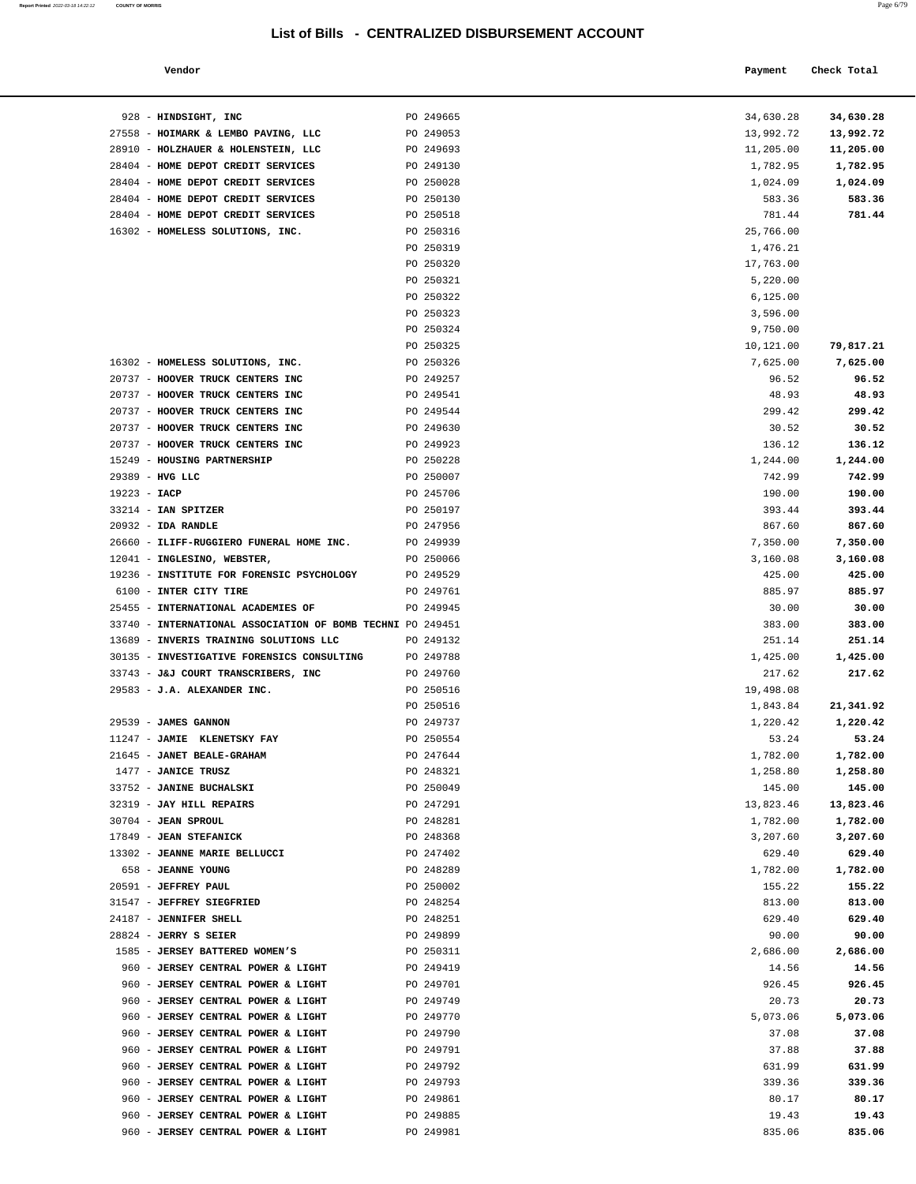**Report Printed** 2022-03-18 14:22:12 **COUNTY OF MORRIS** 

| 34,630.28 | 34,630.28 |
|-----------|-----------|
| 13,992.72 | 13,992.72 |
| 11,205.00 | 11,205.00 |
|           |           |
| 1,782.95  | 1,782.95  |
| 1,024.09  | 1,024.09  |
| 583.36    | 583.36    |
| 781.44    | 781.44    |
|           |           |
| 25,766.00 |           |
| 1,476.21  |           |
| 17,763.00 |           |
| 5,220.00  |           |
|           |           |
| 6, 125.00 |           |
| 3,596.00  |           |
| 9,750.00  |           |
| 10,121.00 |           |
|           | 79,817.21 |
| 7,625.00  | 7,625.00  |
| 96.52     | 96.52     |
| 48.93     | 48.93     |
|           |           |
| 299.42    | 299.42    |
| 30.52     | 30.52     |
| 136.12    | 136.12    |
| 1,244.00  | 1,244.00  |
|           |           |
| 742.99    | 742.99    |
| 190.00    | 190.00    |
| 393.44    | 393.44    |
| 867.60    | 867.60    |
|           |           |
| 7,350.00  | 7,350.00  |
| 3,160.08  | 3,160.08  |
| 425.00    | 425.00    |
| 885.97    | 885.97    |
|           |           |
| 30.00     | 30.00     |
| 383.00    | 383.00    |
| 251.14    | 251.14    |
| 1,425.00  | 1,425.00  |
|           |           |
| 217.62    | 217.62    |
| 19,498.08 |           |
| 1,843.84  | 21,341.92 |
| 1,220.42  | 1,220.42  |
| 53.24     | 53.24     |
|           |           |
| 1,782.00  | 1,782.00  |
| 1,258.80  | 1,258.80  |
| 145.00    | 145.00    |
| 13,823.46 | 13,823.46 |
|           | 1,782.00  |
| 1,782.00  |           |
| 3,207.60  | 3,207.60  |
| 629.40    | 629.40    |
| 1,782.00  | 1,782.00  |
| 155.22    | 155.22    |
|           |           |
| 813.00    | 813.00    |
| 629.40    | 629.40    |
| 90.00     | 90.00     |
| 2,686.00  | 2,686.00  |
|           |           |
| 14.56     | 14.56     |
| 926.45    | 926.45    |
| 20.73     | 20.73     |
| 5,073.06  | 5,073.06  |
|           |           |
| 37.08     | 37.08     |
| 37.88     | 37.88     |
| 631.99    | 631.99    |
| 339.36    | 339.36    |
| 80.17     | 80.17     |
|           |           |
| 19.43     | 19.43     |
| 835.06    | 835.06    |
|           |           |
|           |           |

| Vendor                                                     |           | Payment   | Check Total |
|------------------------------------------------------------|-----------|-----------|-------------|
| 928 - HINDSIGHT, INC                                       | PO 249665 | 34,630.28 | 34,630.28   |
| 27558 - HOIMARK & LEMBO PAVING, LLC                        | PO 249053 | 13,992.72 | 13,992.72   |
| 28910 - HOLZHAUER & HOLENSTEIN, LLC                        | PO 249693 | 11,205.00 | 11,205.00   |
| 28404 - HOME DEPOT CREDIT SERVICES                         | PO 249130 | 1,782.95  | 1,782.95    |
| 28404 - HOME DEPOT CREDIT SERVICES                         | PO 250028 | 1,024.09  | 1,024.09    |
| 28404 - HOME DEPOT CREDIT SERVICES                         | PO 250130 | 583.36    | 583.36      |
| 28404 - HOME DEPOT CREDIT SERVICES                         | PO 250518 | 781.44    | 781.44      |
| 16302 - HOMELESS SOLUTIONS, INC.                           | PO 250316 | 25,766.00 |             |
|                                                            | PO 250319 | 1,476.21  |             |
|                                                            | PO 250320 | 17,763.00 |             |
|                                                            | PO 250321 | 5,220.00  |             |
|                                                            | PO 250322 | 6, 125.00 |             |
|                                                            | PO 250323 | 3,596.00  |             |
|                                                            | PO 250324 | 9,750.00  |             |
|                                                            | PO 250325 | 10,121.00 | 79,817.21   |
| 16302 - HOMELESS SOLUTIONS, INC.                           | PO 250326 | 7,625.00  | 7,625.00    |
| 20737 - HOOVER TRUCK CENTERS INC                           | PO 249257 | 96.52     | 96.52       |
| 20737 - HOOVER TRUCK CENTERS INC                           | PO 249541 | 48.93     | 48.93       |
| 20737 - HOOVER TRUCK CENTERS INC                           | PO 249544 | 299.42    | 299.42      |
| 20737 - HOOVER TRUCK CENTERS INC                           | PO 249630 | 30.52     | 30.52       |
| 20737 - HOOVER TRUCK CENTERS INC                           | PO 249923 | 136.12    | 136.12      |
| 15249 - HOUSING PARTNERSHIP                                | PO 250228 | 1,244.00  | 1,244.00    |
| 29389 - HVG LLC                                            | PO 250007 | 742.99    | 742.99      |
| $19223 - IACP$                                             | PO 245706 | 190.00    | 190.00      |
| $33214$ - IAN SPITZER                                      | PO 250197 | 393.44    | 393.44      |
| 20932 - IDA RANDLE                                         | PO 247956 | 867.60    | 867.60      |
| 26660 - ILIFF-RUGGIERO FUNERAL HOME INC.                   | PO 249939 | 7,350.00  | 7,350.00    |
| 12041 - INGLESINO, WEBSTER,                                | PO 250066 | 3,160.08  | 3,160.08    |
| 19236 - INSTITUTE FOR FORENSIC PSYCHOLOGY                  | PO 249529 | 425.00    | 425.00      |
| 6100 - INTER CITY TIRE                                     | PO 249761 | 885.97    | 885.97      |
| 25455 - INTERNATIONAL ACADEMIES OF                         | PO 249945 | 30.00     | 30.00       |
| 33740 - INTERNATIONAL ASSOCIATION OF BOMB TECHNI PO 249451 |           | 383.00    | 383.00      |
| 13689 - INVERIS TRAINING SOLUTIONS LLC                     | PO 249132 | 251.14    | 251.14      |
| 30135 - INVESTIGATIVE FORENSICS CONSULTING PO 249788       |           | 1,425.00  | 1,425.00    |
| 33743 - J&J COURT TRANSCRIBERS, INC                        | PO 249760 | 217.62    | 217.62      |
| 29583 - J.A. ALEXANDER INC.                                | PO 250516 | 19,498.08 |             |
|                                                            | PO 250516 | 1,843.84  | 21,341.92   |
| 29539 - JAMES GANNON                                       | PO 249737 | 1,220.42  | 1,220.42    |
| 11247 - JAMIE KLENETSKY FAY                                | PO 250554 | 53.24     | 53.24       |
| 21645 - JANET BEALE-GRAHAM                                 | PO 247644 | 1,782.00  | 1,782.00    |
| $1477$ - JANICE TRUSZ                                      | PO 248321 | 1,258.80  | 1,258.80    |
| 33752 - JANINE BUCHALSKI                                   | PO 250049 | 145.00    | 145.00      |
| 32319 - JAY HILL REPAIRS                                   | PO 247291 | 13,823.46 | 13,823.46   |
| 30704 - JEAN SPROUL                                        | PO 248281 | 1,782.00  | 1,782.00    |
| 17849 - JEAN STEFANICK                                     | PO 248368 | 3,207.60  | 3,207.60    |
| 13302 - JEANNE MARIE BELLUCCI                              | PO 247402 | 629.40    | 629.40      |
| 658 - JEANNE YOUNG                                         | PO 248289 | 1,782.00  | 1,782.00    |
| 20591 - JEFFREY PAUL                                       | PO 250002 | 155.22    | 155.22      |
| 31547 - JEFFREY SIEGFRIED                                  | PO 248254 | 813.00    | 813.00      |
| 24187 - JENNIFER SHELL                                     | PO 248251 | 629.40    | 629.40      |
| 28824 - JERRY S SEIER                                      | PO 249899 | 90.00     | 90.00       |
| 1585 - JERSEY BATTERED WOMEN'S                             | PO 250311 | 2,686.00  | 2,686.00    |
| 960 - JERSEY CENTRAL POWER & LIGHT                         | PO 249419 | 14.56     | 14.56       |
| 960 - JERSEY CENTRAL POWER & LIGHT                         | PO 249701 | 926.45    | 926.45      |
| 960 - JERSEY CENTRAL POWER & LIGHT                         | PO 249749 | 20.73     | 20.73       |
| 960 - JERSEY CENTRAL POWER & LIGHT                         | PO 249770 | 5,073.06  | 5,073.06    |
| 960 - JERSEY CENTRAL POWER & LIGHT                         | PO 249790 | 37.08     | 37.08       |
| 960 - JERSEY CENTRAL POWER & LIGHT                         | PO 249791 | 37.88     | 37.88       |
| 960 - JERSEY CENTRAL POWER & LIGHT                         | PO 249792 | 631.99    | 631.99      |
| 960 - JERSEY CENTRAL POWER & LIGHT                         | PO 249793 | 339.36    | 339.36      |
| 960 - JERSEY CENTRAL POWER & LIGHT                         | PO 249861 | 80.17     | 80.17       |
| 960 - JERSEY CENTRAL POWER & LIGHT                         | PO 249885 | 19.43     | 19.43       |

960 - **JERSEY CENTRAL POWER & LIGHT** PO 249981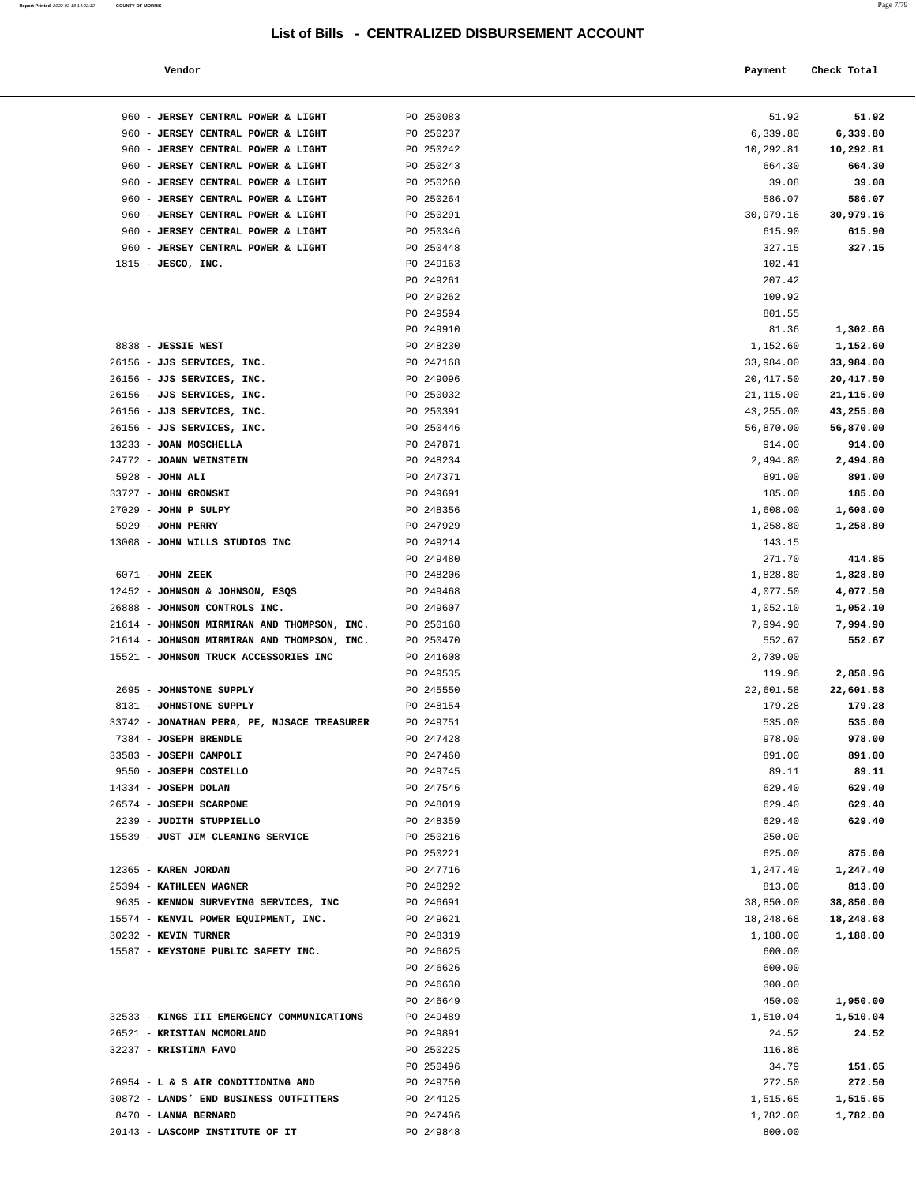#### **Report Printed** 2022-03-18 14:22:12 **COUNTY OF MORRIS** Page 7/79

| Vendor | Payment Check Total |
|--------|---------------------|
|--------|---------------------|

| 960 - JERSEY CENTRAL POWER & LIGHT          | PO 250083 | 51.92     | 51.92     |
|---------------------------------------------|-----------|-----------|-----------|
| 960 - JERSEY CENTRAL POWER & LIGHT          | PO 250237 | 6,339.80  | 6,339.80  |
| 960 - JERSEY CENTRAL POWER & LIGHT          | PO 250242 | 10,292.81 | 10,292.81 |
| 960 - JERSEY CENTRAL POWER & LIGHT          | PO 250243 | 664.30    | 664.30    |
| 960 - JERSEY CENTRAL POWER & LIGHT          | PO 250260 | 39.08     | 39.08     |
| 960 - JERSEY CENTRAL POWER & LIGHT          | PO 250264 | 586.07    | 586.07    |
| 960 - JERSEY CENTRAL POWER & LIGHT          | PO 250291 | 30,979.16 | 30,979.16 |
| 960 - JERSEY CENTRAL POWER & LIGHT          | PO 250346 | 615.90    | 615.90    |
| 960 - JERSEY CENTRAL POWER & LIGHT          | PO 250448 | 327.15    | 327.15    |
| 1815 - JESCO, INC.                          | PO 249163 | 102.41    |           |
|                                             | PO 249261 | 207.42    |           |
|                                             | PO 249262 | 109.92    |           |
|                                             | PO 249594 | 801.55    |           |
|                                             | PO 249910 | 81.36     | 1,302.66  |
| 8838 - JESSIE WEST                          | PO 248230 | 1,152.60  | 1,152.60  |
| 26156 - JJS SERVICES, INC.                  | PO 247168 | 33,984.00 | 33,984.00 |
| 26156 - JJS SERVICES, INC.                  | PO 249096 | 20,417.50 | 20,417.50 |
| 26156 - JJS SERVICES, INC.                  | PO 250032 | 21,115.00 | 21,115.00 |
| 26156 - JJS SERVICES, INC.                  | PO 250391 | 43,255.00 | 43,255.00 |
| 26156 - JJS SERVICES, INC.                  | PO 250446 | 56,870.00 | 56,870.00 |
| 13233 - JOAN MOSCHELLA                      | PO 247871 | 914.00    | 914.00    |
| 24772 - JOANN WEINSTEIN                     | PO 248234 | 2,494.80  | 2,494.80  |
| 5928 - JOHN ALI                             | PO 247371 | 891.00    | 891.00    |
| 33727 - JOHN GRONSKI                        | PO 249691 | 185.00    | 185.00    |
| $27029$ - JOHN P SULPY                      | PO 248356 | 1,608.00  | 1,608.00  |
| 5929 - JOHN PERRY                           | PO 247929 | 1,258.80  | 1,258.80  |
| 13008 - JOHN WILLS STUDIOS INC              | PO 249214 | 143.15    |           |
|                                             | PO 249480 | 271.70    | 414.85    |
| 6071 - JOHN ZEEK                            | PO 248206 | 1,828.80  | 1,828.80  |
| 12452 - JOHNSON & JOHNSON, ESQS             | PO 249468 | 4,077.50  | 4,077.50  |
| 26888 - JOHNSON CONTROLS INC.               | PO 249607 | 1,052.10  | 1,052.10  |
| 21614 - JOHNSON MIRMIRAN AND THOMPSON, INC. | PO 250168 | 7,994.90  | 7,994.90  |
| 21614 - JOHNSON MIRMIRAN AND THOMPSON, INC. | PO 250470 | 552.67    | 552.67    |
| 15521 - JOHNSON TRUCK ACCESSORIES INC       | PO 241608 | 2,739.00  |           |
|                                             | PO 249535 | 119.96    | 2,858.96  |
| 2695 - JOHNSTONE SUPPLY                     | PO 245550 | 22,601.58 | 22,601.58 |
| 8131 - JOHNSTONE SUPPLY                     | PO 248154 | 179.28    | 179.28    |
| 33742 - JONATHAN PERA, PE, NJSACE TREASURER | PO 249751 | 535.00    | 535.00    |
| 7384 - JOSEPH BRENDLE                       | PO 247428 | 978.00    | 978.00    |
| 33583 - JOSEPH CAMPOLI                      | PO 247460 | 891.00    | 891.00    |
| 9550 - JOSEPH COSTELLO                      | PO 249745 | 89.11     | 89.11     |
| 14334 - JOSEPH DOLAN                        | PO 247546 | 629.40    | 629.40    |
| 26574 - JOSEPH SCARPONE                     | PO 248019 | 629.40    | 629.40    |
| 2239 - JUDITH STUPPIELLO                    | PO 248359 | 629.40    | 629.40    |
| 15539 - JUST JIM CLEANING SERVICE           | PO 250216 | 250.00    |           |
|                                             | PO 250221 | 625.00    | 875.00    |
| 12365 - KAREN JORDAN                        | PO 247716 | 1,247.40  | 1,247.40  |
| 25394 - KATHLEEN WAGNER                     | PO 248292 | 813.00    | 813.00    |
| 9635 - KENNON SURVEYING SERVICES, INC       | PO 246691 | 38,850.00 | 38,850.00 |
| 15574 - KENVIL POWER EQUIPMENT, INC.        | PO 249621 | 18,248.68 | 18,248.68 |
| 30232 - KEVIN TURNER                        | PO 248319 | 1,188.00  | 1,188.00  |
| 15587 - KEYSTONE PUBLIC SAFETY INC.         | PO 246625 | 600.00    |           |
|                                             | PO 246626 | 600.00    |           |
|                                             | PO 246630 | 300.00    |           |
|                                             | PO 246649 | 450.00    | 1,950.00  |
| 32533 - KINGS III EMERGENCY COMMUNICATIONS  | PO 249489 | 1,510.04  | 1,510.04  |
| 26521 - KRISTIAN MCMORLAND                  | PO 249891 | 24.52     | 24.52     |
| 32237 - KRISTINA FAVO                       | PO 250225 | 116.86    |           |
|                                             | PO 250496 | 34.79     | 151.65    |
| 26954 - L & S AIR CONDITIONING AND          | PO 249750 | 272.50    | 272.50    |
| 30872 - LANDS' END BUSINESS OUTFITTERS      | PO 244125 | 1,515.65  | 1,515.65  |
|                                             |           |           |           |
| 8470 - LANNA BERNARD                        | PO 247406 | 1,782.00  | 1,782.00  |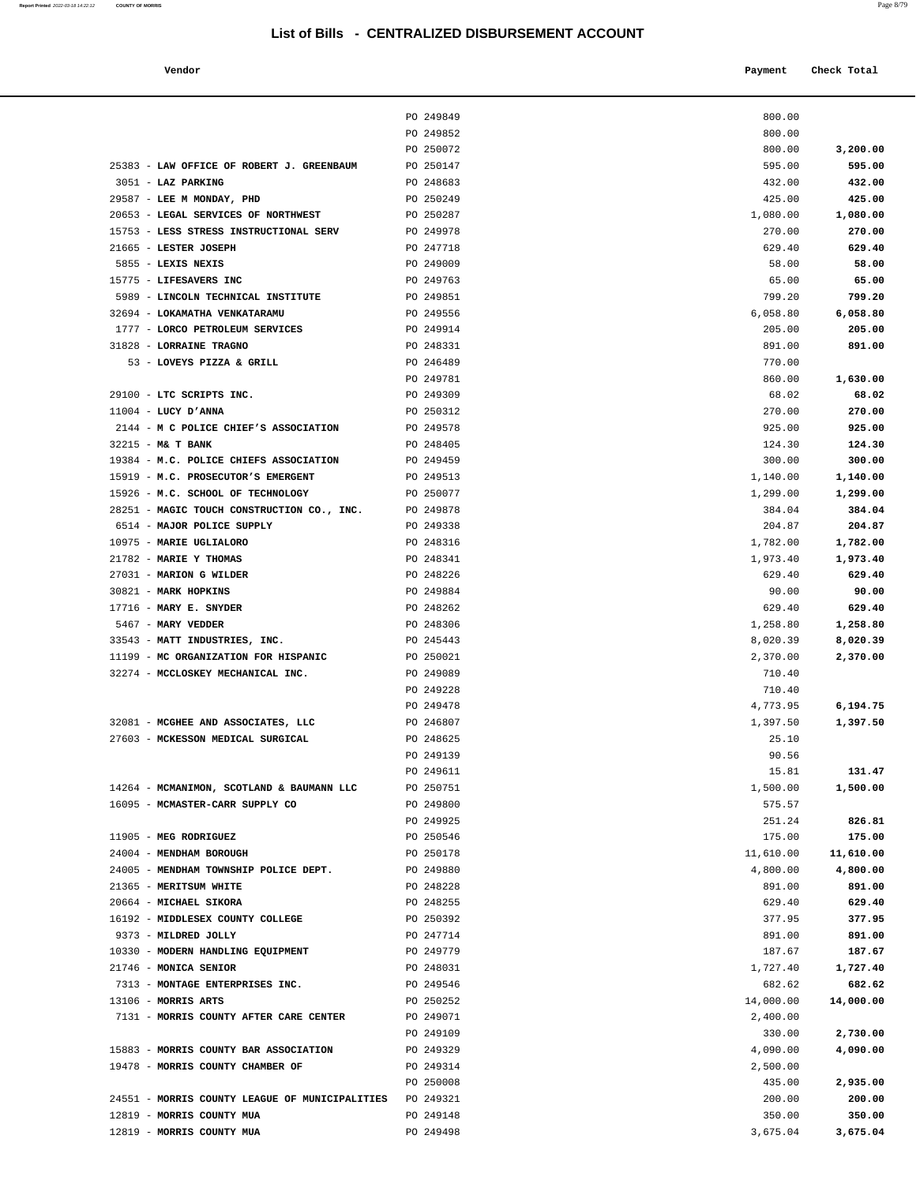| Report Printed 2022-03-18 14:22:12 | <b>COUNTY OF MORRIS</b> | Page 8/79 |
|------------------------------------|-------------------------|-----------|
|                                    |                         |           |

| Vendor | Payment Check Total |
|--------|---------------------|
|        |                     |

|                                                               |                                                | PO 249849              | 800.00              |                     |
|---------------------------------------------------------------|------------------------------------------------|------------------------|---------------------|---------------------|
|                                                               |                                                | PO 249852              | 800.00              |                     |
|                                                               |                                                | PO 250072              | 800.00              | 3,200.00            |
| 25383 - LAW OFFICE OF ROBERT J. GREENBAUM                     |                                                | PO 250147              | 595.00              | 595.00              |
| 3051 - LAZ PARKING                                            |                                                | PO 248683              | 432.00              | 432.00              |
| 29587 - LEE M MONDAY, PHD                                     |                                                | PO 250249              | 425.00              | 425.00              |
| 20653 - LEGAL SERVICES OF NORTHWEST                           |                                                | PO 250287              | 1,080.00            | 1,080.00            |
| 15753 - LESS STRESS INSTRUCTIONAL SERV                        |                                                | PO 249978              | 270.00              | 270.00              |
| 21665 - LESTER JOSEPH                                         |                                                | PO 247718              | 629.40              | 629.40              |
| 5855 - LEXIS NEXIS                                            |                                                | PO 249009              | 58.00               | 58.00               |
| 15775 - LIFESAVERS INC                                        |                                                | PO 249763              | 65.00               | 65.00               |
| 5989 - LINCOLN TECHNICAL INSTITUTE                            |                                                | PO 249851              | 799.20              | 799.20              |
| 32694 - LOKAMATHA VENKATARAMU                                 |                                                | PO 249556              | 6,058.80            | 6,058.80            |
| 1777 - LORCO PETROLEUM SERVICES                               |                                                | PO 249914              | 205.00              | 205.00              |
| 31828 - LORRAINE TRAGNO                                       |                                                | PO 248331              | 891.00              | 891.00              |
| 53 - LOVEYS PIZZA & GRILL                                     |                                                | PO 246489              | 770.00              |                     |
|                                                               |                                                | PO 249781              | 860.00              | 1,630.00            |
| 29100 - LTC SCRIPTS INC.                                      |                                                | PO 249309              | 68.02               | 68.02               |
| $11004$ - LUCY D'ANNA                                         |                                                | PO 250312              | 270.00              | 270.00              |
| 2144 - M C POLICE CHIEF'S ASSOCIATION                         |                                                | PO 249578              | 925.00              | 925.00              |
| $32215$ - M& T BANK<br>19384 - M.C. POLICE CHIEFS ASSOCIATION |                                                | PO 248405<br>PO 249459 | 124.30<br>300.00    | 124.30<br>300.00    |
| 15919 - M.C. PROSECUTOR'S EMERGENT                            |                                                | PO 249513              | 1,140.00            | 1,140.00            |
| 15926 - M.C. SCHOOL OF TECHNOLOGY                             |                                                | PO 250077              | 1,299.00            | 1,299.00            |
| 28251 - MAGIC TOUCH CONSTRUCTION CO., INC.                    |                                                | PO 249878              | 384.04              | 384.04              |
| 6514 - MAJOR POLICE SUPPLY                                    |                                                | PO 249338              | 204.87              | 204.87              |
| 10975 - MARIE UGLIALORO                                       |                                                | PO 248316              | 1,782.00            | 1,782.00            |
| 21782 - MARIE Y THOMAS                                        |                                                | PO 248341              | 1,973.40            | 1,973.40            |
| 27031 - MARION G WILDER                                       |                                                | PO 248226              | 629.40              | 629.40              |
| 30821 - MARK HOPKINS                                          |                                                | PO 249884              | 90.00               | 90.00               |
| $17716$ - MARY E. SNYDER                                      |                                                | PO 248262              | 629.40              | 629.40              |
| 5467 - MARY VEDDER                                            |                                                | PO 248306              | 1,258.80            | 1,258.80            |
| 33543 - MATT INDUSTRIES, INC.                                 |                                                | PO 245443              | 8,020.39            | 8,020.39            |
| 11199 - MC ORGANIZATION FOR HISPANIC                          |                                                | PO 250021              | 2,370.00            | 2,370.00            |
| 32274 - MCCLOSKEY MECHANICAL INC.                             |                                                | PO 249089              | 710.40              |                     |
|                                                               |                                                | PO 249228              | 710.40              |                     |
|                                                               |                                                | PO 249478              | 4,773.95            | 6,194.75            |
| 32081 - MCGHEE AND ASSOCIATES, LLC                            |                                                | PO 246807              | 1,397.50            | 1,397.50            |
| 27603 - MCKESSON MEDICAL SURGICAL                             |                                                | PO 248625              | 25.10               |                     |
|                                                               |                                                | PO 249139              | 90.56               |                     |
|                                                               |                                                | PO 249611              | 15.81               | 131.47              |
| 14264 - MCMANIMON, SCOTLAND & BAUMANN LLC                     |                                                | PO 250751              | 1,500.00            | 1,500.00            |
| 16095 - MCMASTER-CARR SUPPLY CO                               |                                                | PO 249800              | 575.57              |                     |
|                                                               |                                                | PO 249925              | 251.24              | 826.81              |
| 11905 - MEG RODRIGUEZ<br>24004 - MENDHAM BOROUGH              |                                                | PO 250546<br>PO 250178 | 175.00<br>11,610.00 | 175.00<br>11,610.00 |
| 24005 - MENDHAM TOWNSHIP POLICE DEPT.                         |                                                | PO 249880              | 4,800.00            | 4,800.00            |
| 21365 - MERITSUM WHITE                                        |                                                | PO 248228              | 891.00              | 891.00              |
| 20664 - MICHAEL SIKORA                                        |                                                | PO 248255              | 629.40              | 629.40              |
| 16192 - MIDDLESEX COUNTY COLLEGE                              |                                                | PO 250392              | 377.95              | 377.95              |
| 9373 - MILDRED JOLLY                                          |                                                | PO 247714              | 891.00              | 891.00              |
| 10330 - MODERN HANDLING EQUIPMENT                             |                                                | PO 249779              | 187.67              | 187.67              |
| 21746 - MONICA SENIOR                                         |                                                | PO 248031              | 1,727.40            | 1,727.40            |
| 7313 - MONTAGE ENTERPRISES INC.                               |                                                | PO 249546              | 682.62              | 682.62              |
| 13106 - MORRIS ARTS                                           |                                                | PO 250252              | 14,000.00           | 14,000.00           |
| 7131 - MORRIS COUNTY AFTER CARE CENTER                        |                                                | PO 249071              | 2,400.00            |                     |
|                                                               |                                                | PO 249109              | 330.00              | 2,730.00            |
| 15883 - MORRIS COUNTY BAR ASSOCIATION                         |                                                | PO 249329              | 4,090.00            | 4,090.00            |
| 19478 - MORRIS COUNTY CHAMBER OF                              |                                                | PO 249314              | 2,500.00            |                     |
|                                                               |                                                | PO 250008              | 435.00              | 2,935.00            |
|                                                               | 24551 - MORRIS COUNTY LEAGUE OF MUNICIPALITIES | PO 249321              | 200.00              | 200.00              |
| 12819 - MORRIS COUNTY MUA                                     |                                                | PO 249148              | 350.00              | 350.00              |
| 12819 - MORRIS COUNTY MUA                                     |                                                | PO 249498              | 3,675.04            | 3,675.04            |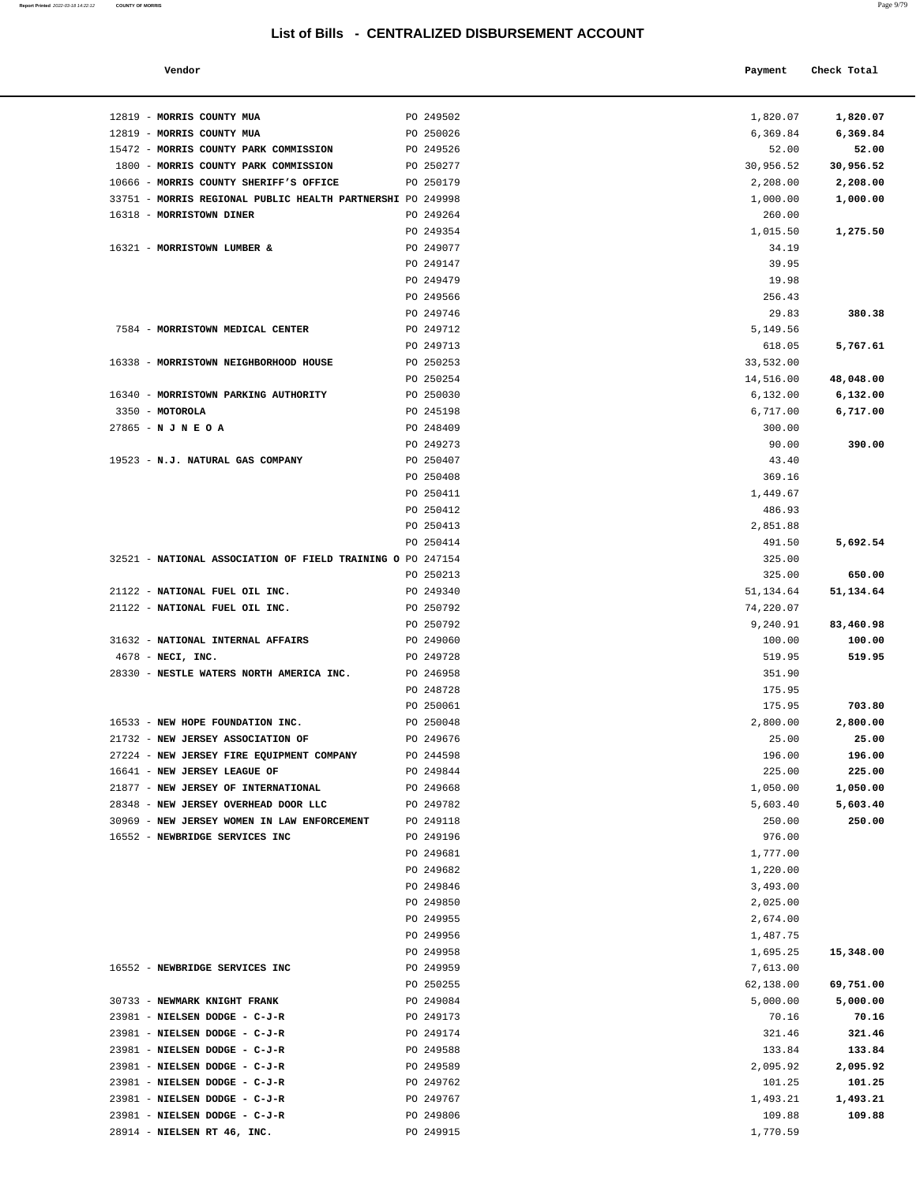**Report Printed 2022-03-18 14:22:12 COUNTY OF MORRIS** 

| m<br>- 7 |  |
|----------|--|
|          |  |

|                                                    | <b>E OLIVITALIZED DIODOROLIMENT AVO</b> |              |             |
|----------------------------------------------------|-----------------------------------------|--------------|-------------|
| Vendor                                             |                                         | Payment      | Check Total |
| MORRIS COUNTY MUA                                  | PO 249502                               | 1,820.07     | 1,820.07    |
| MORRIS COUNTY MUA                                  | PO 250026                               | 6,369.84     | 6,369.84    |
| MORRIS COUNTY PARK COMMISSION                      | PO 249526                               | 52.00        | 52.00       |
| MORRIS COUNTY PARK COMMISSION                      | PO 250277                               | 30,956.52    | 30,956.52   |
| MORRIS COUNTY SHERIFF'S OFFICE                     | PO 250179                               | 2,208.00     | 2,208.00    |
| MORRIS REGIONAL PUBLIC HEALTH PARTNERSHI PO 249998 |                                         | 1,000.00     | 1,000.00    |
| <b>MORRISTOWN DINER</b>                            | PO 249264                               | 260.00       |             |
|                                                    | PO 249354                               | 1,015.50     | 1,275.50    |
| <b>MORRISTOWN LUMBER &amp;</b>                     | PO 249077                               | 34.19        |             |
|                                                    | PO 249147                               | 39.95        |             |
|                                                    | PO 249479                               | 19.98        |             |
|                                                    | PO 249566                               | 256.43       |             |
|                                                    | PO 249746                               | 29.83        | 380.38      |
| MORRISTOWN MEDICAL CENTER                          | PO 249712                               | 5,149.56     |             |
|                                                    | PO 249713                               | 618.05       | 5,767.61    |
| MORRISTOWN NEIGHBORHOOD HOUSE                      | PO 250253                               | 33,532.00    |             |
|                                                    | PO 250254                               | 14,516.00    | 48,048.00   |
| <b>MORRISTOWN PARKING AUTHORITY</b>                | PO 250030                               | 6,132.00     | 6,132.00    |
| <b>MOTOROLA</b>                                    | PO 245198                               | 6,717.00     | 6,717.00    |
| N J N E O A                                        | PO 248409                               | 300.00       |             |
|                                                    | PO 249273                               | 90.00        | 390.00      |
| N.J. NATURAL GAS COMPANY                           | PO 250407                               | 43.40        |             |
|                                                    | PO 250408                               | 369.16       |             |
|                                                    | PO 250411                               | 1,449.67     |             |
|                                                    | PO 250412                               | 486.93       |             |
|                                                    | PO 250413                               | 2,851.88     |             |
|                                                    | PO 250414                               | 491.50       | 5,692.54    |
| NATIONAL ASSOCIATION OF FIELD TRAINING O PO 247154 |                                         | 325.00       |             |
|                                                    | PO 250213                               | 325.00       | 650.00      |
| NATIONAL FUEL OIL INC.                             | PO 249340                               | 51, 134.64   | 51,134.64   |
| NATIONAL FUEL OIL INC.                             | PO 250792                               | 74,220.07    |             |
|                                                    | PO 250792                               | 9,240.91     | 83,460.98   |
| NATIONAL INTERNAL AFFAIRS                          | PO 249060                               | 100.00       | 100.00      |
| NECI, INC.                                         | PO 249728                               | 519.95       | 519.95      |
| NESTLE WATERS NORTH AMERICA INC.                   | PO 246958                               | 351.90       |             |
|                                                    | PO 248728                               | 175.95       |             |
|                                                    | PO 250061                               | 175.95       | 703.80      |
| NEW HOPE FOUNDATION INC.                           | PO 250048                               | 2,800.00     | 2,800.00    |
| NEW JERSEY ASSOCIATION OF                          | PO 249676                               | 25.00        | 25.00       |
| NEW JERSEY FIRE EQUIPMENT COMPANY                  | PO 244598                               | 196.00       | 196.00      |
| NEW JERSEY LEAGUE OF                               | PO 249844                               | 225.00       | 225.00      |
| <b>NEW JERSEY OF INTERNATIONAL</b>                 | PO 249668                               | 1,050.00     | 1,050.00    |
| NEW JERSEY OVERHEAD DOOR LLC                       | PO 249782                               | 5,603.40     | 5,603.40    |
| NEW JERSEY WOMEN IN LAW ENFORCEMENT                | PO 249118                               | 250.00       | 250.00      |
| NEWBRIDGE SERVICES INC                             | PO 249196                               | 976.00       |             |
|                                                    | PO 249681                               | 1,777.00     |             |
|                                                    | PO 249682                               | 1,220.00     |             |
|                                                    | PO 249846                               | 3,493.00     |             |
|                                                    | PO 249850                               | 2,025.00     |             |
|                                                    | PO 249955                               | 2,674.00     |             |
|                                                    | PO 249956                               | 1,487.75     |             |
|                                                    | PO 249958                               | 1,695.25     | 15,348.00   |
| $\theta$                                           | 0.10050                                 | $B = 512.88$ |             |

| 12819 - MORRIS COUNTY MUA                                                     | PO 249502              | 1,820.07              | 1,820.07           |
|-------------------------------------------------------------------------------|------------------------|-----------------------|--------------------|
| 12819 - MORRIS COUNTY MUA                                                     | PO 250026              | 6,369.84              | 6,369.84           |
| 15472 - MORRIS COUNTY PARK COMMISSION<br>1800 - MORRIS COUNTY PARK COMMISSION | PO 249526<br>PO 250277 | 52.00                 | 52.00<br>30,956.52 |
| 10666 - MORRIS COUNTY SHERIFF'S OFFICE                                        | PO 250179              | 30,956.52<br>2,208.00 | 2,208.00           |
| 33751 - MORRIS REGIONAL PUBLIC HEALTH PARTNERSHI PO 249998                    |                        | 1,000.00              | 1,000.00           |
| 16318 - MORRISTOWN DINER                                                      | PO 249264              | 260.00                |                    |
|                                                                               | PO 249354              | 1,015.50              | 1,275.50           |
| 16321 - MORRISTOWN LUMBER &                                                   | PO 249077              | 34.19                 |                    |
|                                                                               | PO 249147              | 39.95                 |                    |
|                                                                               | PO 249479              | 19.98                 |                    |
|                                                                               | PO 249566              | 256.43                |                    |
|                                                                               | PO 249746              | 29.83                 | 380.38             |
| 7584 - MORRISTOWN MEDICAL CENTER                                              | PO 249712              | 5,149.56              |                    |
|                                                                               | PO 249713              | 618.05                | 5,767.61           |
| 16338 - MORRISTOWN NEIGHBORHOOD HOUSE                                         | PO 250253              | 33,532.00             |                    |
|                                                                               | PO 250254              | 14,516.00             | 48,048.00          |
| 16340 - MORRISTOWN PARKING AUTHORITY                                          | PO 250030              | 6,132.00              | 6,132.00           |
| 3350 - MOTOROLA                                                               | PO 245198              | 6,717.00              | 6,717.00           |
| $27865 - N J N E O A$                                                         | PO 248409              | 300.00                |                    |
|                                                                               | PO 249273              | 90.00                 | 390.00             |
| 19523 - N.J. NATURAL GAS COMPANY                                              | PO 250407              | 43.40                 |                    |
|                                                                               | PO 250408              | 369.16                |                    |
|                                                                               | PO 250411              | 1,449.67              |                    |
|                                                                               | PO 250412              | 486.93                |                    |
|                                                                               | PO 250413              | 2,851.88              |                    |
|                                                                               | PO 250414              | 491.50                | 5,692.54           |
| 32521 - NATIONAL ASSOCIATION OF FIELD TRAINING O PO 247154                    | PO 250213              | 325.00<br>325.00      | 650.00             |
| 21122 - NATIONAL FUEL OIL INC.                                                | PO 249340              | 51, 134.64            | 51,134.64          |
| 21122 - NATIONAL FUEL OIL INC.                                                | PO 250792              | 74,220.07             |                    |
|                                                                               | PO 250792              | 9,240.91              | 83,460.98          |
| 31632 - NATIONAL INTERNAL AFFAIRS                                             | PO 249060              | 100.00                | 100.00             |
| $4678$ - NECI, INC.                                                           | PO 249728              | 519.95                | 519.95             |
| 28330 - NESTLE WATERS NORTH AMERICA INC.                                      | PO 246958              | 351.90                |                    |
|                                                                               | PO 248728              | 175.95                |                    |
|                                                                               | PO 250061              | 175.95                | 703.80             |
| 16533 - NEW HOPE FOUNDATION INC.                                              | PO 250048              | 2,800.00              | 2,800.00           |
| 21732 - NEW JERSEY ASSOCIATION OF                                             | PO 249676              | 25.00                 | 25.00              |
| 27224 - NEW JERSEY FIRE EQUIPMENT COMPANY                                     | PO 244598              | 196.00                | 196.00             |
| 16641 - NEW JERSEY LEAGUE OF                                                  | PO 249844              | 225.00                | 225.00             |
| 21877 - NEW JERSEY OF INTERNATIONAL                                           | PO 249668              | 1,050.00              | 1,050.00           |
| 28348 - NEW JERSEY OVERHEAD DOOR LLC                                          | PO 249782              | 5,603.40              | 5,603.40           |
| 30969 - NEW JERSEY WOMEN IN LAW ENFORCEMENT                                   | PO 249118              | 250.00                | 250.00             |
| 16552 - NEWBRIDGE SERVICES INC                                                | PO 249196              | 976.00                |                    |
|                                                                               | PO 249681              | 1,777.00              |                    |
|                                                                               | PO 249682              | 1,220.00              |                    |
|                                                                               | PO 249846              | 3,493.00              |                    |
|                                                                               | PO 249850              | 2,025.00              |                    |
|                                                                               | PO 249955              | 2,674.00              |                    |
|                                                                               | PO 249956              | 1,487.75              |                    |
|                                                                               | PO 249958              | 1,695.25              | 15,348.00          |
| 16552 - NEWBRIDGE SERVICES INC                                                | PO 249959              | 7,613.00              |                    |
| 30733 - NEWMARK KNIGHT FRANK                                                  | PO 250255<br>PO 249084 | 62,138.00<br>5,000.00 | 69,751.00          |
| 23981 - NIELSEN DODGE - C-J-R                                                 | PO 249173              | 70.16                 | 5,000.00<br>70.16  |
| 23981 - NIELSEN DODGE - C-J-R                                                 | PO 249174              | 321.46                | 321.46             |
| 23981 - NIELSEN DODGE - C-J-R                                                 | PO 249588              | 133.84                | 133.84             |
| 23981 - NIELSEN DODGE - C-J-R                                                 | PO 249589              | 2,095.92              | 2,095.92           |
| 23981 - NIELSEN DODGE - C-J-R                                                 | PO 249762              | 101.25                | 101.25             |
| 23981 - NIELSEN DODGE - C-J-R                                                 | PO 249767              | 1,493.21              | 1,493.21           |
| 23981 - NIELSEN DODGE - C-J-R                                                 | PO 249806              | 109.88                | 109.88             |

28914 - **NIELSEN RT 46, INC.** PO 249915 [1,770.59](https://1,770.59)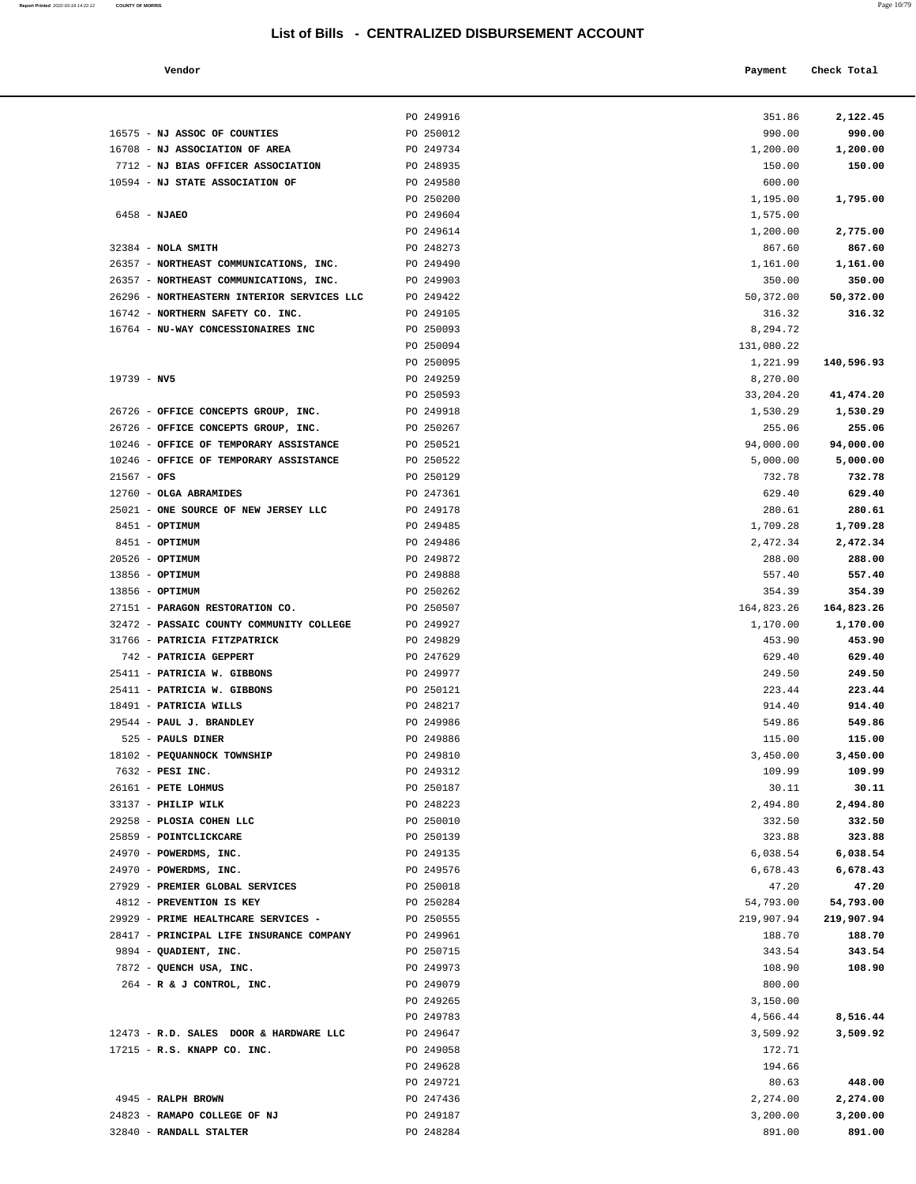| Report Printed 2022-03-18 14:22:12 | <b>COUNTY OF MORRIS</b> | Page 10/79 |
|------------------------------------|-------------------------|------------|
|                                    |                         |            |

|  | Payment Check Total |
|--|---------------------|
|  |                     |

|                                                         | PO 249916              | 351.86           | 2,122.45         |
|---------------------------------------------------------|------------------------|------------------|------------------|
| 16575 - NJ ASSOC OF COUNTIES                            | PO 250012              | 990.00           | 990.00           |
| 16708 - NJ ASSOCIATION OF AREA                          | PO 249734              | 1,200.00         | 1,200.00         |
| 7712 - NJ BIAS OFFICER ASSOCIATION                      | PO 248935              | 150.00           | 150.00           |
| 10594 - NJ STATE ASSOCIATION OF                         | PO 249580              | 600.00           |                  |
|                                                         | PO 250200              | 1,195.00         | 1,795.00         |
| 6458 - NJAEO                                            | PO 249604              | 1,575.00         |                  |
|                                                         | PO 249614              | 1,200.00         | 2,775.00         |
| $32384$ - NOLA SMITH                                    | PO 248273              | 867.60           | 867.60           |
| 26357 - NORTHEAST COMMUNICATIONS, INC.                  | PO 249490              | 1,161.00         | 1,161.00         |
| 26357 - NORTHEAST COMMUNICATIONS, INC.                  | PO 249903              | 350.00           | 350.00           |
| 26296 - NORTHEASTERN INTERIOR SERVICES LLC              | PO 249422              | 50,372.00        | 50,372.00        |
| 16742 - NORTHERN SAFETY CO. INC.                        | PO 249105              | 316.32           | 316.32           |
| 16764 - NU-WAY CONCESSIONAIRES INC                      | PO 250093              | 8,294.72         |                  |
|                                                         | PO 250094              | 131,080.22       |                  |
|                                                         | PO 250095              | 1,221.99         | 140,596.93       |
| $19739 - NV5$                                           | PO 249259              | 8,270.00         |                  |
|                                                         | PO 250593              | 33,204.20        | 41,474.20        |
| 26726 - OFFICE CONCEPTS GROUP, INC.                     | PO 249918              | 1,530.29         | 1,530.29         |
| 26726 - OFFICE CONCEPTS GROUP, INC.                     | PO 250267              | 255.06           | 255.06           |
| 10246 - OFFICE OF TEMPORARY ASSISTANCE                  | PO 250521              | 94,000.00        | 94,000.00        |
| 10246 - OFFICE OF TEMPORARY ASSISTANCE                  | PO 250522              | 5,000.00         | 5,000.00         |
| $21567 - OFS$                                           | PO 250129              | 732.78           | 732.78           |
| 12760 - OLGA ABRAMIDES                                  | PO 247361              | 629.40           | 629.40           |
| 25021 - ONE SOURCE OF NEW JERSEY LLC                    | PO 249178              | 280.61           | 280.61           |
| $8451 - OPTIMUM$                                        | PO 249485              | 1,709.28         | 1,709.28         |
| 8451 - OPTIMUM                                          | PO 249486              | 2,472.34         | 2,472.34         |
| $20526$ - OPTIMUM                                       | PO 249872              | 288.00           | 288.00           |
| 13856 - OPTIMUM<br>13856 - OPTIMUM                      | PO 249888<br>PO 250262 | 557.40<br>354.39 | 557.40<br>354.39 |
| 27151 - PARAGON RESTORATION CO.                         | PO 250507              | 164,823.26       | 164,823.26       |
| 32472 - PASSAIC COUNTY COMMUNITY COLLEGE                | PO 249927              | 1,170.00         | 1,170.00         |
| 31766 - PATRICIA FITZPATRICK                            | PO 249829              | 453.90           | 453.90           |
| 742 - PATRICIA GEPPERT                                  | PO 247629              | 629.40           | 629.40           |
| 25411 - PATRICIA W. GIBBONS                             | PO 249977              | 249.50           | 249.50           |
| 25411 - PATRICIA W. GIBBONS                             | PO 250121              | 223.44           | 223.44           |
| 18491 - PATRICIA WILLS                                  | PO 248217              | 914.40           | 914.40           |
| 29544 - PAUL J. BRANDLEY                                | PO 249986              | 549.86           | 549.86           |
| 525 - PAULS DINER                                       | PO 249886              | 115.00           | 115.00           |
| 18102 - PEQUANNOCK TOWNSHIP                             | PO 249810              | 3,450.00         | 3,450.00         |
| 7632 - PESI INC.                                        | PO 249312              | 109.99           | 109.99           |
| 26161 - PETE LOHMUS                                     | PO 250187              | 30.11            | 30.11            |
| 33137 - PHILIP WILK                                     | PO 248223              | 2,494.80         | 2,494.80         |
| 29258 - PLOSIA COHEN LLC                                | PO 250010              | 332.50           | 332.50           |
| 25859 - POINTCLICKCARE                                  | PO 250139              | 323.88           | 323.88           |
| 24970 - POWERDMS, INC.                                  | PO 249135              | 6,038.54         | 6,038.54         |
| 24970 - POWERDMS, INC.                                  | PO 249576              | 6,678.43         | 6,678.43         |
| 27929 - PREMIER GLOBAL SERVICES                         | PO 250018              | 47.20            | 47.20            |
| 4812 - PREVENTION IS KEY                                | PO 250284              | 54,793.00        | 54,793.00        |
| 29929 - PRIME HEALTHCARE SERVICES -                     | PO 250555              | 219,907.94       | 219,907.94       |
| 28417 - PRINCIPAL LIFE INSURANCE COMPANY                | PO 249961              | 188.70           | 188.70           |
| 9894 - QUADIENT, INC.                                   | PO 250715              | 343.54           | 343.54           |
| 7872 - QUENCH USA, INC.                                 | PO 249973              | 108.90           | 108.90           |
| 264 - R & J CONTROL, INC.                               | PO 249079              | 800.00           |                  |
|                                                         | PO 249265              | 3,150.00         |                  |
|                                                         | PO 249783              | 4,566.44         | 8,516.44         |
| 12473 - R.D. SALES DOOR & HARDWARE LLC                  | PO 249647              | 3,509.92         | 3,509.92         |
| 17215 - R.S. KNAPP CO. INC.                             | PO 249058              | 172.71           |                  |
|                                                         | PO 249628              | 194.66           |                  |
|                                                         | PO 249721              | 80.63            | 448.00           |
| 4945 - RALPH BROWN                                      | PO 247436              | 2,274.00         | 2,274.00         |
| 24823 - RAMAPO COLLEGE OF NJ<br>32840 - RANDALL STALTER | PO 249187              | 3,200.00         | 3,200.00         |
|                                                         | PO 248284              | 891.00           | 891.00           |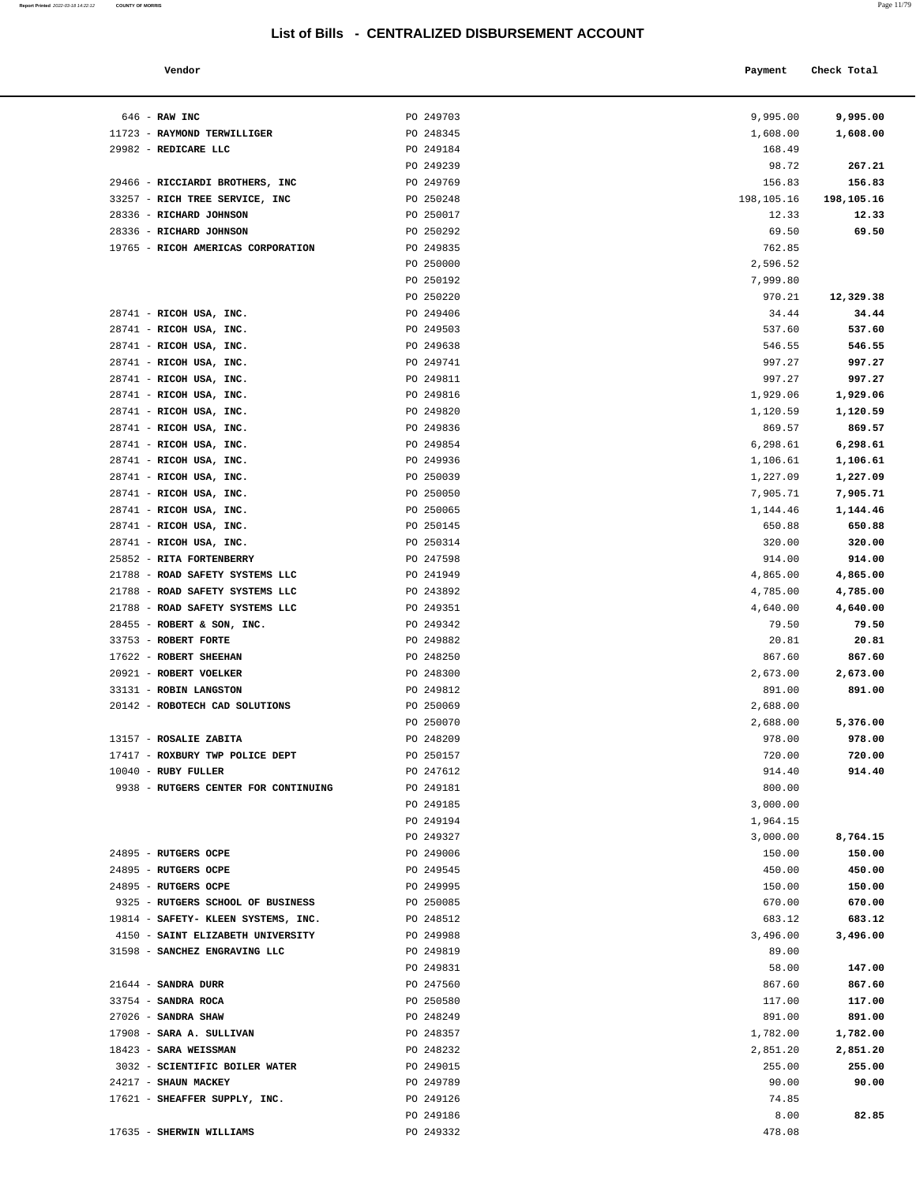**Report Printed** 2022-03-18 14:22:12 **COUNTY OF MORRIS** 

|                                   | טווטשוט ש |            |             |  |
|-----------------------------------|-----------|------------|-------------|--|
| Vendor                            |           | Payment    | Check Total |  |
| RAW INC                           | PO 249703 | 9,995.00   | 9,995.00    |  |
| <b>RAYMOND TERWILLIGER</b>        | PO 248345 | 1,608.00   | 1,608.00    |  |
| REDICARE LLC                      | PO 249184 | 168.49     |             |  |
|                                   | PO 249239 | 98.72      | 267.21      |  |
|                                   |           |            |             |  |
| RICCIARDI BROTHERS, INC           | PO 249769 | 156.83     | 156.83      |  |
| RICH TREE SERVICE, INC            | PO 250248 | 198,105.16 | 198,105.16  |  |
| <b>RICHARD JOHNSON</b>            | PO 250017 | 12.33      | 12.33       |  |
| RICHARD JOHNSON                   | PO 250292 | 69.50      | 69.50       |  |
| <b>RICOH AMERICAS CORPORATION</b> | PO 249835 | 762.85     |             |  |
|                                   | PO 250000 | 2,596.52   |             |  |
|                                   | PO 250192 | 7,999.80   |             |  |
|                                   | PO 250220 | 970.21     | 12,329.38   |  |
| RICOH USA, INC.                   | PO 249406 | 34.44      | 34.44       |  |
| RICOH USA, INC.                   | PO 249503 | 537.60     | 537.60      |  |
| RICOH USA, INC.                   | PO 249638 | 546.55     | 546.55      |  |
| RICOH USA, INC.                   | PO 249741 | 997.27     | 997.27      |  |
| RICOH USA, INC.                   | PO 249811 | 997.27     | 997.27      |  |
| RICOH USA, INC.                   | PO 249816 | 1,929.06   | 1,929.06    |  |
| RICOH USA, INC.                   | PO 249820 | 1,120.59   | 1,120.59    |  |
| RICOH USA, INC.                   | PO 249836 | 869.57     | 869.57      |  |
| RICOH USA, INC.                   | PO 249854 | 6,298.61   | 6,298.61    |  |
| RICOH USA, INC.                   | PO 249936 | 1,106.61   | 1,106.61    |  |
| RICOH USA, INC.                   | PO 250039 | 1,227.09   | 1,227.09    |  |
| RICOH USA, INC.                   | PO 250050 | 7,905.71   | 7,905.71    |  |
| RICOH USA, INC.                   | PO 250065 | 1,144.46   | 1,144.46    |  |
| RICOH USA, INC.                   | PO 250145 | 650.88     | 650.88      |  |
| RICOH USA, INC.                   | PO 250314 | 320.00     | 320.00      |  |
| <b>RITA FORTENBERRY</b>           | PO 247598 | 914.00     | 914.00      |  |
| ROAD SAFETY SYSTEMS LLC           | PO 241949 | 4,865.00   | 4,865.00    |  |
| ROAD SAFETY SYSTEMS LLC           | PO 243892 | 4,785.00   | 4,785.00    |  |
| ROAD SAFETY SYSTEMS LLC           | PO 249351 | 4,640.00   | 4,640.00    |  |
| ROBERT & SON, INC.                | PO 249342 | 79.50      | 79.50       |  |
| <b>ROBERT FORTE</b>               | PO 249882 | 20.81      | 20.81       |  |
| <b>ROBERT SHEEHAN</b>             | PO 248250 | 867.60     | 867.60      |  |
| <b>ROBERT VOELKER</b>             | PO 248300 | 2,673.00   | 2,673.00    |  |
| ROBIN LANGSTON                    | PO 249812 | 891.00     | 891.00      |  |
| ROBOTECH CAD SOLUTIONS            | PO 250069 | 2,688.00   |             |  |
|                                   | PO 250070 | 2,688.00   | 5,376.00    |  |
| <b>ROSALIE ZABITA</b>             | PO 248209 | 978.00     | 978.00      |  |
| ROXBURY TWP POLICE DEPT           | PO 250157 | 720.00     | 720.00      |  |
| RUBY FULLER                       | PO 247612 | 914.40     | 914.40      |  |
| RUTGERS CENTER FOR CONTINUING     | PO 249181 | 800.00     |             |  |
|                                   | PO 249185 | 3,000.00   |             |  |
|                                   | PO 249194 | 1,964.15   |             |  |
|                                   | PO 249327 | 3,000.00   | 8,764.15    |  |
| <b>RUTGERS OCPE</b>               | PO 249006 | 150.00     | 150.00      |  |
| <b>RUTGERS OCPE</b>               | PO 249545 | 450.00     | 450.00      |  |
| RUTGERS OCPE                      | PO 249995 | 150.00     | 150.00      |  |
| RUTGERS SCHOOL OF BUSINESS        | PO 250085 | 670.00     | 670.00      |  |
| SAFETY- KLEEN SYSTEMS, INC.       | PO 248512 | 683.12     | 683.12      |  |
| SAINT ELIZABETH UNIVERSITY        | PO 249988 | 3,496.00   | 3,496.00    |  |
| <b>SANCHEZ ENGRAVING LLC</b>      | PO 249819 | 89.00      |             |  |
|                                   | PO 249831 | 58.00      | 147.00      |  |
| SANDRA DURR                       | PO 247560 | 867.60     | 867.60      |  |
| SANDRA ROCA                       | PO 250580 | 117.00     | 117.00      |  |
| CANDDA CHAW                       | DO 248249 | 891 00     | 891 00      |  |

| 646 - RAW INC                                    | PO 249703              | 9,995.00             | 9,995.00             |
|--------------------------------------------------|------------------------|----------------------|----------------------|
| 11723 - RAYMOND TERWILLIGER                      | PO 248345              | 1,608.00             | 1,608.00             |
| 29982 - REDICARE LLC                             | PO 249184              | 168.49               |                      |
|                                                  | PO 249239              | 98.72                | 267.21               |
| 29466 - RICCIARDI BROTHERS, INC                  | PO 249769              | 156.83               | 156.83               |
| 33257 - RICH TREE SERVICE, INC                   | PO 250248              | 198,105.16           | 198,105.16           |
| 28336 - RICHARD JOHNSON                          | PO 250017              | 12.33                | 12.33                |
| 28336 - RICHARD JOHNSON                          | PO 250292              | 69.50                | 69.50                |
| 19765 - RICOH AMERICAS CORPORATION               | PO 249835              | 762.85               |                      |
|                                                  | PO 250000<br>PO 250192 | 2,596.52<br>7,999.80 |                      |
|                                                  | PO 250220              | 970.21               | 12,329.38            |
| 28741 - RICOH USA, INC.                          | PO 249406              | 34.44                | 34.44                |
| 28741 - RICOH USA, INC.                          | PO 249503              | 537.60               | 537.60               |
| 28741 - RICOH USA, INC.                          | PO 249638              | 546.55               | 546.55               |
| 28741 - RICOH USA, INC.                          | PO 249741              | 997.27               | 997.27               |
| 28741 - RICOH USA, INC.                          | PO 249811              | 997.27               | 997.27               |
| 28741 - RICOH USA, INC.                          | PO 249816              | 1,929.06             | 1,929.06             |
| 28741 - RICOH USA, INC.                          | PO 249820              | 1,120.59             | 1,120.59             |
| 28741 - RICOH USA, INC.                          | PO 249836              | 869.57               | 869.57               |
| 28741 - RICOH USA, INC.                          | PO 249854              | 6,298.61             | 6,298.61             |
| 28741 - RICOH USA, INC.                          | PO 249936              | 1,106.61             | 1,106.61             |
| 28741 - RICOH USA, INC.                          | PO 250039              | 1,227.09             | 1,227.09             |
| 28741 - RICOH USA, INC.                          | PO 250050              | 7,905.71             | 7,905.71             |
| 28741 - RICOH USA, INC.                          | PO 250065              | 1,144.46             | 1,144.46             |
| 28741 - RICOH USA, INC.                          | PO 250145              | 650.88               | 650.88               |
| 28741 - RICOH USA, INC.                          | PO 250314              | 320.00               | 320.00               |
| 25852 - RITA FORTENBERRY                         | PO 247598              | 914.00               | 914.00               |
| 21788 - ROAD SAFETY SYSTEMS LLC                  | PO 241949              | 4,865.00             | 4,865.00             |
| 21788 - ROAD SAFETY SYSTEMS LLC                  | PO 243892              | 4,785.00             | 4,785.00             |
| 21788 - ROAD SAFETY SYSTEMS LLC                  | PO 249351              | 4,640.00             | 4,640.00             |
| 28455 - ROBERT & SON, INC.                       | PO 249342              | 79.50                | 79.50                |
| 33753 - ROBERT FORTE                             | PO 249882              | 20.81                | 20.81                |
| 17622 - ROBERT SHEEHAN<br>20921 - ROBERT VOELKER | PO 248250              | 867.60               | 867.60               |
| 33131 - ROBIN LANGSTON                           | PO 248300<br>PO 249812 | 2,673.00<br>891.00   | 2,673.00<br>891.00   |
| 20142 - ROBOTECH CAD SOLUTIONS                   | PO 250069              | 2,688.00             |                      |
|                                                  | PO 250070              | 2,688.00             | 5,376.00             |
| 13157 - ROSALIE ZABITA                           | PO 248209              | 978.00               | 978.00               |
| 17417 - ROXBURY TWP POLICE DEPT                  | PO 250157              | 720.00               | 720.00               |
| 10040 - RUBY FULLER                              | PO 247612              | 914.40               | 914.40               |
| 9938 - RUTGERS CENTER FOR CONTINUING             | PO 249181              | 800.00               |                      |
|                                                  | PO 249185              | 3,000.00             |                      |
|                                                  | PO 249194              | 1,964.15             |                      |
|                                                  | PO 249327              | 3,000.00             | 8,764.15             |
| 24895 - RUTGERS OCPE                             | PO 249006              | 150.00               | 150.00               |
| 24895 - RUTGERS OCPE                             | PO 249545              | 450.00               | 450.00               |
| 24895 - RUTGERS OCPE                             | PO 249995              | 150.00               | 150.00               |
| 9325 - RUTGERS SCHOOL OF BUSINESS                | PO 250085              | 670.00               | 670.00               |
| 19814 - SAFETY- KLEEN SYSTEMS, INC.              | PO 248512              | 683.12               | 683.12               |
| 4150 - SAINT ELIZABETH UNIVERSITY                | PO 249988              | 3,496.00             | 3,496.00             |
| 31598 - SANCHEZ ENGRAVING LLC                    | PO 249819              | 89.00                |                      |
|                                                  | PO 249831              | 58.00                | 147.00               |
| 21644 - SANDRA DURR                              | PO 247560              | 867.60               | 867.60               |
| 33754 - SANDRA ROCA                              | PO 250580              | 117.00               | 117.00               |
| 27026 - SANDRA SHAW<br>17908 - SARA A. SULLIVAN  | PO 248249<br>PO 248357 | 891.00               | 891.00               |
| 18423 - SARA WEISSMAN                            | PO 248232              | 1,782.00<br>2,851.20 | 1,782.00<br>2,851.20 |
| 3032 - SCIENTIFIC BOILER WATER                   | PO 249015              | 255.00               | 255.00               |
| 24217 - SHAUN MACKEY                             | PO 249789              | 90.00                | 90.00                |
| 17621 - SHEAFFER SUPPLY, INC.                    | PO 249126              | 74.85                |                      |
|                                                  | PO 249186              | 8.00                 | 82.85                |
|                                                  |                        |                      |                      |

17635 - **SHERWIN WILLIAMS** PO 249332 478.08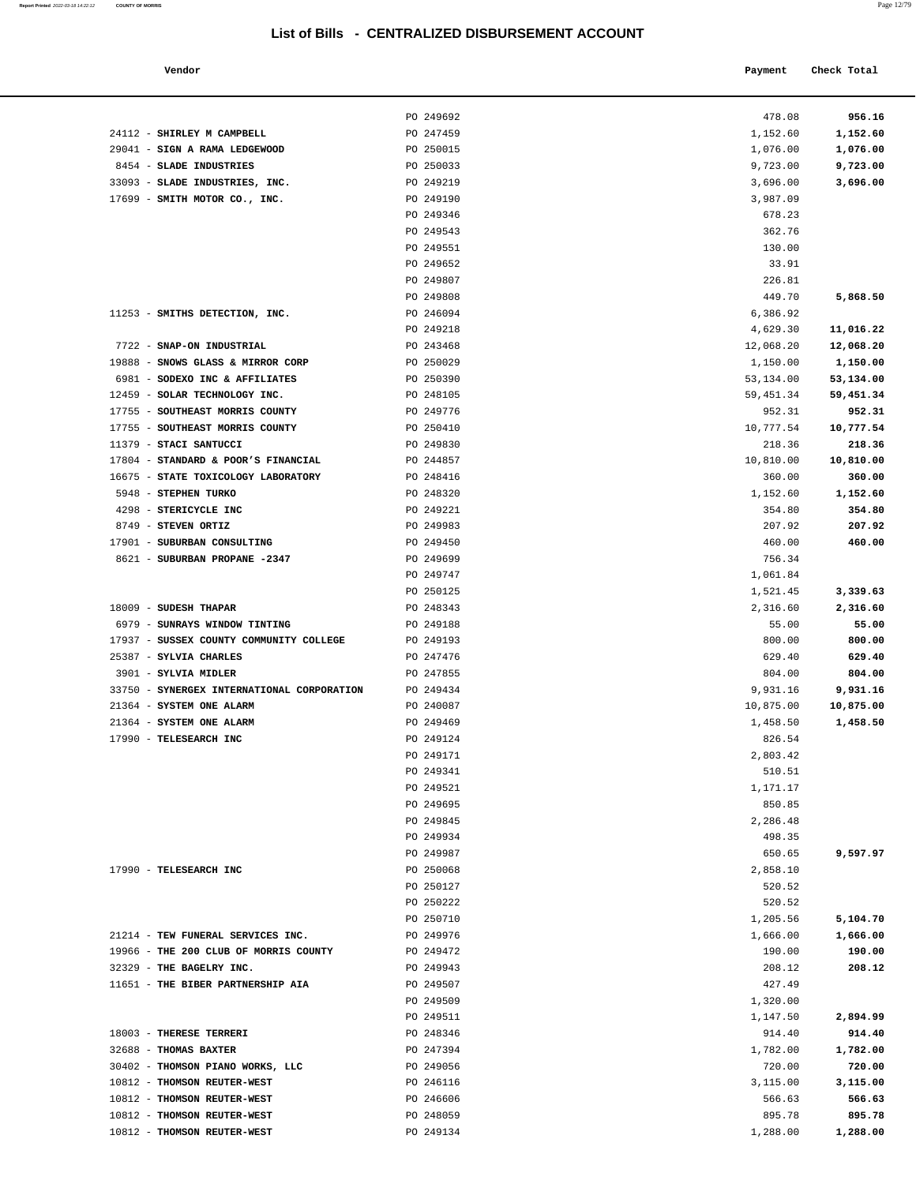33093 - **SLADE INDUSTRIES, INC.** 

24112 - **SHIRLEY M CAMPBELL** PO 247459 29041 - **SIGN A RAMA LEDGEWOOD** PO 250015 8454 - **SLADE INDUSTRIES PO** 250033<br>33093 - **SLADE INDUSTRIES, INC.** PO 249219

17699 - **SMITH MOTOR CO., INC.** PO 249190

11253 - **SMITHS DETECTION, INC.** PO 246094

| Report Printed 2022-03-18 14:22:12 | <b>COUNTY OF MORRIS</b> |  | Page 12/79 |
|------------------------------------|-------------------------|--|------------|
|                                    |                         |  |            |

|                                      | LISt Of BIIIS - CENTRALIZED DISBURSEMENT ACCOUNT |            |             |
|--------------------------------------|--------------------------------------------------|------------|-------------|
| Vendor                               |                                                  | Payment    | Check Total |
|                                      | PO 249692                                        | 478.08     | 956.16      |
| SHIRLEY M CAMPBELL                   | PO 247459                                        | 1,152.60   | 1,152.60    |
| <b>SIGN A RAMA LEDGEWOOD</b>         | PO 250015                                        | 1,076.00   | 1,076.00    |
| <b>SLADE INDUSTRIES</b>              | PO 250033                                        | 9,723.00   | 9,723.00    |
| SLADE INDUSTRIES, INC.               | PO 249219                                        | 3,696.00   | 3,696.00    |
| SMITH MOTOR CO., INC.                | PO 249190                                        | 3,987.09   |             |
|                                      | PO 249346                                        | 678.23     |             |
|                                      | PO 249543                                        | 362.76     |             |
|                                      | PO 249551                                        | 130.00     |             |
|                                      | PO 249652                                        | 33.91      |             |
|                                      | PO 249807                                        | 226.81     |             |
|                                      | PO 249808                                        | 449.70     | 5,868.50    |
| SMITHS DETECTION, INC.               | PO 246094                                        | 6,386.92   |             |
|                                      | PO 249218                                        | 4,629.30   | 11,016.22   |
| SNAP-ON INDUSTRIAL                   | PO 243468                                        | 12,068.20  | 12,068.20   |
| <b>SNOWS GLASS &amp; MIRROR CORP</b> | PO 250029                                        | 1,150.00   | 1,150.00    |
| SODEXO INC & AFFILIATES              | PO 250390                                        | 53, 134.00 | 53,134.00   |
| SOLAR TECHNOLOGY INC.                | PO 248105                                        | 59,451.34  | 59,451.34   |
| SOUTHEAST MORRIS COUNTY              | PO 249776                                        | 952.31     | 952.31      |
| SOUTHEAST MORRIS COUNTY              | PO 250410                                        | 10,777.54  | 10,777.54   |
| <b>STACI SANTUCCI</b>                | PO 249830                                        | 218.36     | 218.36      |
| STANDARD & POOR'S FINANCIAL          | PO 244857                                        | 10,810.00  | 10,810.00   |
| STATE TOXICOLOGY LABORATORY          | PO 248416                                        | 360.00     | 360.00      |
| <b>STEPHEN TURKO</b>                 | PO 248320                                        | 1,152.60   | 1,152.60    |
| STERICYCLE INC                       | PO 249221                                        | 354.80     | 354.80      |
| <b>STEVEN ORTIZ</b>                  | PO 249983                                        | 207.92     | 207.92      |
| SUBURBAN CONSULTING                  | PO 249450                                        | 460.00     | 460.00      |
| <b>SUBURBAN PROPANE -2347</b>        | PO 249699                                        | 756.34     |             |
|                                      | PO 249747                                        | 1,061.84   |             |
|                                      | PO 250125                                        | 1,521.45   | 3,339.63    |
| <b>SUDESH THAPAR</b>                 | PO 248343                                        | 2,316.60   | 2,316.60    |
| <b>SUNRAYS WINDOW TINTING</b>        | PO 249188                                        | 55.00      | 55.00       |
| SUSSEX COUNTY COMMUNITY COLLEGE      | PO 249193                                        | 800.00     | 800.00      |
| SYLVIA CHARLES                       | PO 247476                                        | 629.40     | 629.40      |
| SYLVIA MIDLER                        | PO 247855                                        | 804.00     | 804.00      |
| SYNERGEX INTERNATIONAL CORPORATION   | PO 249434                                        | 9,931.16   | 9,931.16    |
| SYSTEM ONE ALARM                     | PO 240087                                        | 10,875.00  | 10,875.00   |
| SYSTEM ONE ALARM                     | PO 249469                                        | 1,458.50   | 1,458.50    |
| TELESEARCH INC                       | PO 249124                                        | 826.54     |             |
|                                      | PO 249171                                        | 2,803.42   |             |
|                                      | PO 249341                                        | 510.51     |             |
|                                      | PO 249521                                        | 1,171.17   |             |
|                                      | PO 249695                                        | 850.85     |             |
|                                      | PO 249845                                        | 2,286.48   |             |
|                                      | PO 249934                                        | 498.35     |             |
|                                      | PO 249987                                        | 650.65     | 9,597.97    |
| TELESEARCH INC                       | PO 250068                                        | 2,858.10   |             |
|                                      | PO 250127                                        | 520.52     |             |
|                                      | PO 250222                                        | 520.52     |             |
|                                      | PO 250710                                        | 1,205.56   | 5,104.70    |
| TEW FUNERAL SERVICES INC.            | PO 249976                                        | 1,666.00   | 1,666.00    |
| THE 200 CLUB OF MORRIS COUNTY        | PO 249472                                        | 190.00     | 190.00      |
| THE BAGELRY INC.                     | PO 249943                                        | 208.12     | 208.12      |
| THE BIBER PARTNERSHIP AIA            | PO 249507                                        | 427.49     |             |
|                                      | PO 249509                                        | 1,320.00   |             |
|                                      | PO 249511                                        | 1,147.50   | 2,894.99    |

| 7722 - SNAP-ON INDUSTRIAL<br>19888 - SNOWS GLASS & MIRROR CORP | PO 243468 |                       | 12,068.20 |
|----------------------------------------------------------------|-----------|-----------------------|-----------|
|                                                                | PO 250029 | 12,068.20<br>1,150.00 | 1,150.00  |
| 6981 - SODEXO INC & AFFILIATES                                 | PO 250390 | 53,134.00             | 53,134.00 |
|                                                                |           |                       |           |
| 12459 - SOLAR TECHNOLOGY INC.                                  | PO 248105 | 59,451.34             | 59,451.34 |
| 17755 - SOUTHEAST MORRIS COUNTY                                | PO 249776 | 952.31                | 952.31    |
| 17755 - SOUTHEAST MORRIS COUNTY                                | PO 250410 | 10,777.54             | 10,777.54 |
| 11379 - STACI SANTUCCI                                         | PO 249830 | 218.36                | 218.36    |
| 17804 - STANDARD & POOR'S FINANCIAL                            | PO 244857 | 10,810.00             | 10,810.00 |
| 16675 - STATE TOXICOLOGY LABORATORY                            | PO 248416 | 360.00                | 360.00    |
| 5948 - STEPHEN TURKO                                           | PO 248320 | 1,152.60              | 1,152.60  |
| 4298 - STERICYCLE INC                                          | PO 249221 | 354.80                | 354.80    |
| 8749 - STEVEN ORTIZ                                            | PO 249983 | 207.92                | 207.92    |
| 17901 - SUBURBAN CONSULTING                                    | PO 249450 | 460.00                | 460.00    |
| 8621 - SUBURBAN PROPANE -2347                                  | PO 249699 | 756.34                |           |
|                                                                | PO 249747 | 1,061.84              |           |
|                                                                | PO 250125 | 1,521.45              | 3,339.63  |
| 18009 - SUDESH THAPAR                                          | PO 248343 | 2,316.60              | 2,316.60  |
| 6979 - SUNRAYS WINDOW TINTING                                  | PO 249188 | 55.00                 | 55.00     |
| 17937 - SUSSEX COUNTY COMMUNITY COLLEGE                        | PO 249193 | 800.00                | 800.00    |
| 25387 - SYLVIA CHARLES                                         | PO 247476 | 629.40                | 629.40    |
| 3901 - SYLVIA MIDLER                                           | PO 247855 | 804.00                | 804.00    |
| 33750 - SYNERGEX INTERNATIONAL CORPORATION                     | PO 249434 | 9,931.16              | 9,931.16  |
| 21364 - SYSTEM ONE ALARM                                       | PO 240087 | 10,875.00             | 10,875.00 |
| 21364 - SYSTEM ONE ALARM                                       | PO 249469 | 1,458.50              | 1,458.50  |
| 17990 - TELESEARCH INC                                         | PO 249124 | 826.54                |           |
|                                                                | PO 249171 | 2,803.42              |           |
|                                                                | PO 249341 | 510.51                |           |
|                                                                | PO 249521 | 1,171.17              |           |
|                                                                | PO 249695 | 850.85                |           |
|                                                                | PO 249845 | 2,286.48              |           |
|                                                                | PO 249934 | 498.35                |           |
|                                                                | PO 249987 | 650.65                | 9,597.97  |
| 17990 - TELESEARCH INC                                         | PO 250068 | 2,858.10              |           |
|                                                                | PO 250127 | 520.52                |           |
|                                                                | PO 250222 | 520.52                |           |
|                                                                | PO 250710 | 1,205.56              | 5,104.70  |
| 21214 - TEW FUNERAL SERVICES INC.                              | PO 249976 | 1,666.00              | 1,666.00  |
| 19966 - THE 200 CLUB OF MORRIS COUNTY                          | PO 249472 | 190.00                | 190.00    |
| 32329 - THE BAGELRY INC.                                       | PO 249943 | 208.12                | 208.12    |
| 11651 - THE BIBER PARTNERSHIP AIA                              | PO 249507 | 427.49                |           |
|                                                                | PO 249509 | 1,320.00              |           |
|                                                                | PO 249511 | 1,147.50              | 2,894.99  |
| 18003 - THERESE TERRERI                                        | PO 248346 | 914.40                | 914.40    |
| 32688 - THOMAS BAXTER                                          | PO 247394 | 1,782.00              | 1,782.00  |
| 30402 - THOMSON PIANO WORKS, LLC                               | PO 249056 | 720.00                | 720.00    |
| 10812 - THOMSON REUTER-WEST                                    | PO 246116 | 3,115.00              | 3,115.00  |
| 10812 - THOMSON REUTER-WEST                                    | PO 246606 | 566.63                | 566.63    |
| 10812 - THOMSON REUTER-WEST                                    | PO 248059 | 895.78                | 895.78    |
| 10812 - THOMSON REUTER-WEST                                    | PO 249134 |                       | 1,288.00  |
|                                                                |           | 1,288.00              |           |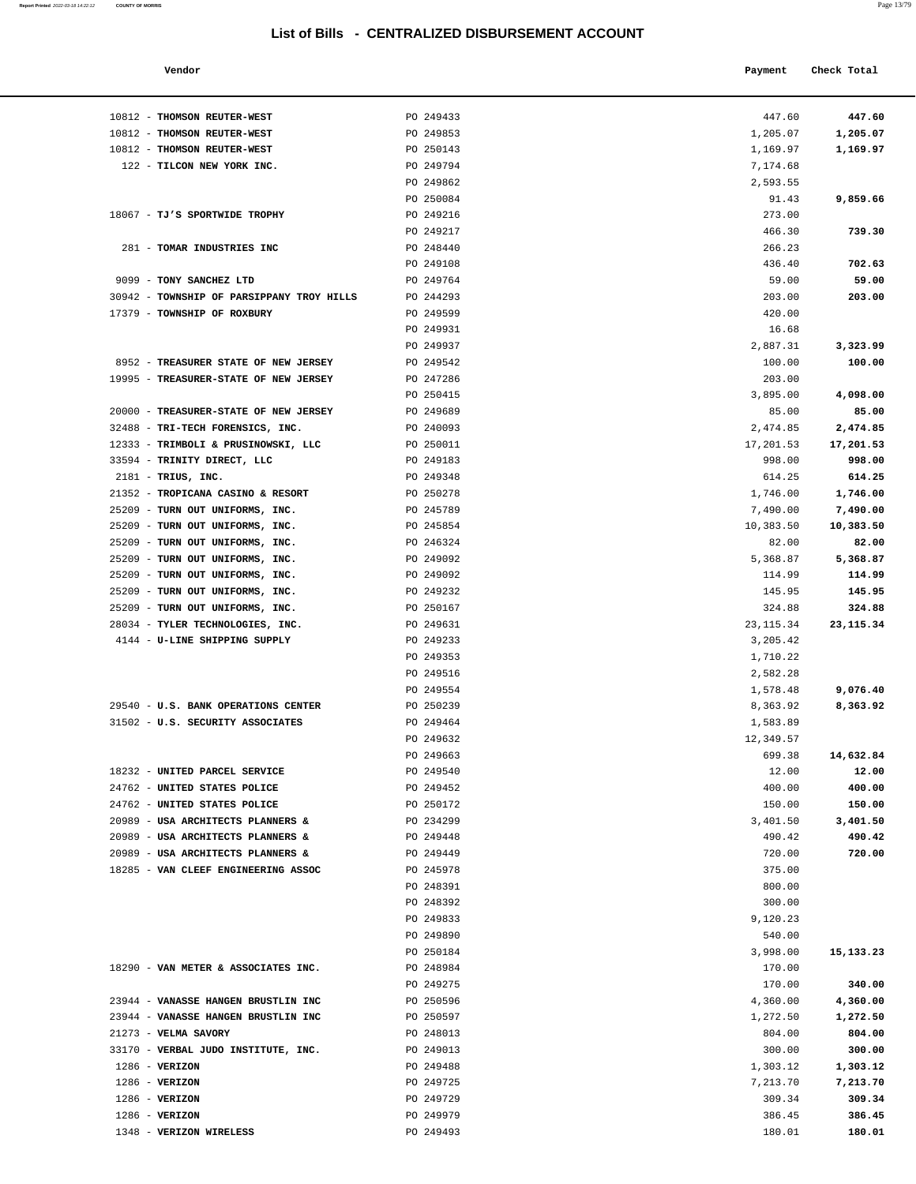### **Vendor Check Total Payment** Check Total **Payment**

| Report Printed 2022-03-18 14:22:12 | <b>COUNTY OF MORRIS</b> |  |  | Page 13/79 |
|------------------------------------|-------------------------|--|--|------------|
|                                    |                         |  |  |            |

| 447.60     | 447.60      |
|------------|-------------|
| 1,205.07   | 1,205.07    |
|            |             |
| 1,169.97   | 1,169.97    |
| 7,174.68   |             |
| 2,593.55   |             |
|            | 9,859.66    |
| 91.43      |             |
| 273.00     |             |
| 466.30     | 739.30      |
| 266.23     |             |
|            |             |
| 436.40     | 702.63      |
| 59.00      | 59.00       |
| 203.00     | 203.00      |
| 420.00     |             |
|            |             |
| 16.68      |             |
| 2,887.31   | 3,323.99    |
| 100.00     | 100.00      |
| 203.00     |             |
|            |             |
| 3,895.00   | 4,098.00    |
| 85.00      | 85.00       |
| 2,474.85   | 2,474.85    |
| 17,201.53  | 17,201.53   |
|            |             |
| 998.00     | 998.00      |
| 614.25     | 614.25      |
| 1,746.00   | 1,746.00    |
| 7,490.00   | 7,490.00    |
|            |             |
| 10,383.50  | 10,383.50   |
| 82.00      | 82.00       |
| 5,368.87   | 5,368.87    |
|            |             |
| 114.99     | 114.99      |
| 145.95     | 145.95      |
| 324.88     | 324.88      |
| 23, 115.34 | 23, 115. 34 |
| 3,205.42   |             |
|            |             |
| 1,710.22   |             |
| 2,582.28   |             |
| 1,578.48   | 9,076.40    |
| 8,363.92   | 8,363.92    |
|            |             |
| 1,583.89   |             |
| 12,349.57  |             |
| 699.38     | 14,632.84   |
| 12.00      | 12.00       |
| 400.00     | 400.00      |
|            |             |
| 150.00     | 150.00      |
| 3,401.50   | 3,401.50    |
| 490.42     | 490.42      |
| 720.00     | 720.00      |
|            |             |
| 375.00     |             |
| 800.00     |             |
| 300.00     |             |
| 9,120.23   |             |
|            |             |
| 540.00     |             |
| 3,998.00   | 15, 133. 23 |
| 170.00     |             |
| 170.00     | 340.00      |
| 4,360.00   |             |
|            | 4,360.00    |
| 1,272.50   | 1,272.50    |
| 804.00     | 804.00      |
| 300.00     | 300.00      |
| 1,303.12   | 1,303.12    |
|            |             |
| 7,213.70   | 7,213.70    |
| 309.34     | 309.34      |
| 386.45     | 386.45      |
| 180.01     | 180.01      |
|            |             |

| 10812 - THOMSON REUTER-WEST               | PO 249433              | 447.60               | 447.60     |
|-------------------------------------------|------------------------|----------------------|------------|
| 10812 - THOMSON REUTER-WEST               | PO 249853              | 1,205.07             | 1,205.07   |
| 10812 - THOMSON REUTER-WEST               | PO 250143              | 1,169.97             | 1,169.97   |
| 122 - TILCON NEW YORK INC.                | PO 249794              | 7,174.68             |            |
|                                           | PO 249862              | 2,593.55             |            |
|                                           | PO 250084              | 91.43                | 9,859.66   |
| 18067 - TJ'S SPORTWIDE TROPHY             | PO 249216              | 273.00               |            |
|                                           | PO 249217              | 466.30               | 739.30     |
| 281 - TOMAR INDUSTRIES INC                | PO 248440              | 266.23               |            |
|                                           | PO 249108              | 436.40               | 702.63     |
| 9099 - TONY SANCHEZ LTD                   | PO 249764              | 59.00                | 59.00      |
| 30942 - TOWNSHIP OF PARSIPPANY TROY HILLS | PO 244293              | 203.00               | 203.00     |
| 17379 - TOWNSHIP OF ROXBURY               | PO 249599              | 420.00               |            |
|                                           | PO 249931              | 16.68                |            |
|                                           | PO 249937              | 2,887.31             | 3,323.99   |
| 8952 - TREASURER STATE OF NEW JERSEY      | PO 249542              | 100.00               | 100.00     |
| 19995 - TREASURER-STATE OF NEW JERSEY     | PO 247286              | 203.00               |            |
|                                           | PO 250415              | 3,895.00             | 4,098.00   |
| 20000 - TREASURER-STATE OF NEW JERSEY     | PO 249689              | 85.00                | 85.00      |
| 32488 - TRI-TECH FORENSICS, INC.          | PO 240093              | 2,474.85             | 2,474.85   |
| 12333 - TRIMBOLI & PRUSINOWSKI, LLC       | PO 250011              | 17,201.53            | 17,201.53  |
| 33594 - TRINITY DIRECT, LLC               | PO 249183              | 998.00               | 998.00     |
| $2181$ - TRIUS, INC.                      | PO 249348              | 614.25               | 614.25     |
| 21352 - TROPICANA CASINO & RESORT         | PO 250278              | 1,746.00             | 1,746.00   |
| 25209 - TURN OUT UNIFORMS, INC.           | PO 245789              | 7,490.00             | 7,490.00   |
| 25209 - TURN OUT UNIFORMS, INC.           | PO 245854              | 10,383.50            | 10,383.50  |
| 25209 - TURN OUT UNIFORMS, INC.           | PO 246324              | 82.00                | 82.00      |
| 25209 - TURN OUT UNIFORMS, INC.           | PO 249092              | 5,368.87             | 5,368.87   |
| 25209 - TURN OUT UNIFORMS, INC.           | PO 249092              | 114.99               | 114.99     |
| 25209 - TURN OUT UNIFORMS, INC.           | PO 249232              | 145.95               | 145.95     |
| 25209 - TURN OUT UNIFORMS, INC.           | PO 250167              | 324.88               | 324.88     |
| 28034 - TYLER TECHNOLOGIES, INC.          | PO 249631              | 23, 115.34           | 23, 115.34 |
| 4144 - U-LINE SHIPPING SUPPLY             | PO 249233<br>PO 249353 | 3,205.42<br>1,710.22 |            |
|                                           | PO 249516              | 2,582.28             |            |
|                                           | PO 249554              | 1,578.48             | 9,076.40   |
| 29540 - U.S. BANK OPERATIONS CENTER       | PO 250239              | 8,363.92             | 8,363.92   |
| 31502 - U.S. SECURITY ASSOCIATES          | PO 249464              | 1,583.89             |            |
|                                           | PO 249632              | 12,349.57            |            |
|                                           | PO 249663              | 699.38               | 14,632.84  |
| 18232 - UNITED PARCEL SERVICE             | PO 249540              | 12.00                | 12.00      |
| 24762 - UNITED STATES POLICE              | PO 249452              | 400.00               | 400.00     |
| 24762 - UNITED STATES POLICE              | PO 250172              | 150.00               | 150.00     |
| 20989 - USA ARCHITECTS PLANNERS &         | PO 234299              | 3,401.50             | 3,401.50   |
| 20989 - USA ARCHITECTS PLANNERS &         | PO 249448              | 490.42               | 490.42     |
| 20989 - USA ARCHITECTS PLANNERS &         | PO 249449              | 720.00               | 720.00     |
| 18285 - VAN CLEEF ENGINEERING ASSOC       | PO 245978              | 375.00               |            |
|                                           | PO 248391              | 800.00               |            |
|                                           | PO 248392              | 300.00               |            |
|                                           | PO 249833              | 9,120.23             |            |
|                                           | PO 249890              | 540.00               |            |
|                                           | PO 250184              | 3,998.00             | 15,133.23  |
| 18290 - VAN METER & ASSOCIATES INC.       | PO 248984              | 170.00               |            |
|                                           | PO 249275              | 170.00               | 340.00     |
| 23944 - VANASSE HANGEN BRUSTLIN INC       | PO 250596              | 4,360.00             | 4,360.00   |
| 23944 - VANASSE HANGEN BRUSTLIN INC       | PO 250597              | 1,272.50             | 1,272.50   |
| 21273 - VELMA SAVORY                      | PO 248013              | 804.00               | 804.00     |
| 33170 - VERBAL JUDO INSTITUTE, INC.       | PO 249013              | 300.00               | 300.00     |
| $1286$ - VERIZON                          | PO 249488              | 1,303.12             | 1,303.12   |
| $1286$ - VERIZON                          | PO 249725              | 7,213.70             | 7,213.70   |
| $1286$ - VERIZON                          | PO 249729              | 309.34               | 309.34     |
| $1286$ - VERIZON                          | PO 249979              | 386.45               | 386.45     |

1348 - **VERIZON WIRELESS** PO 249493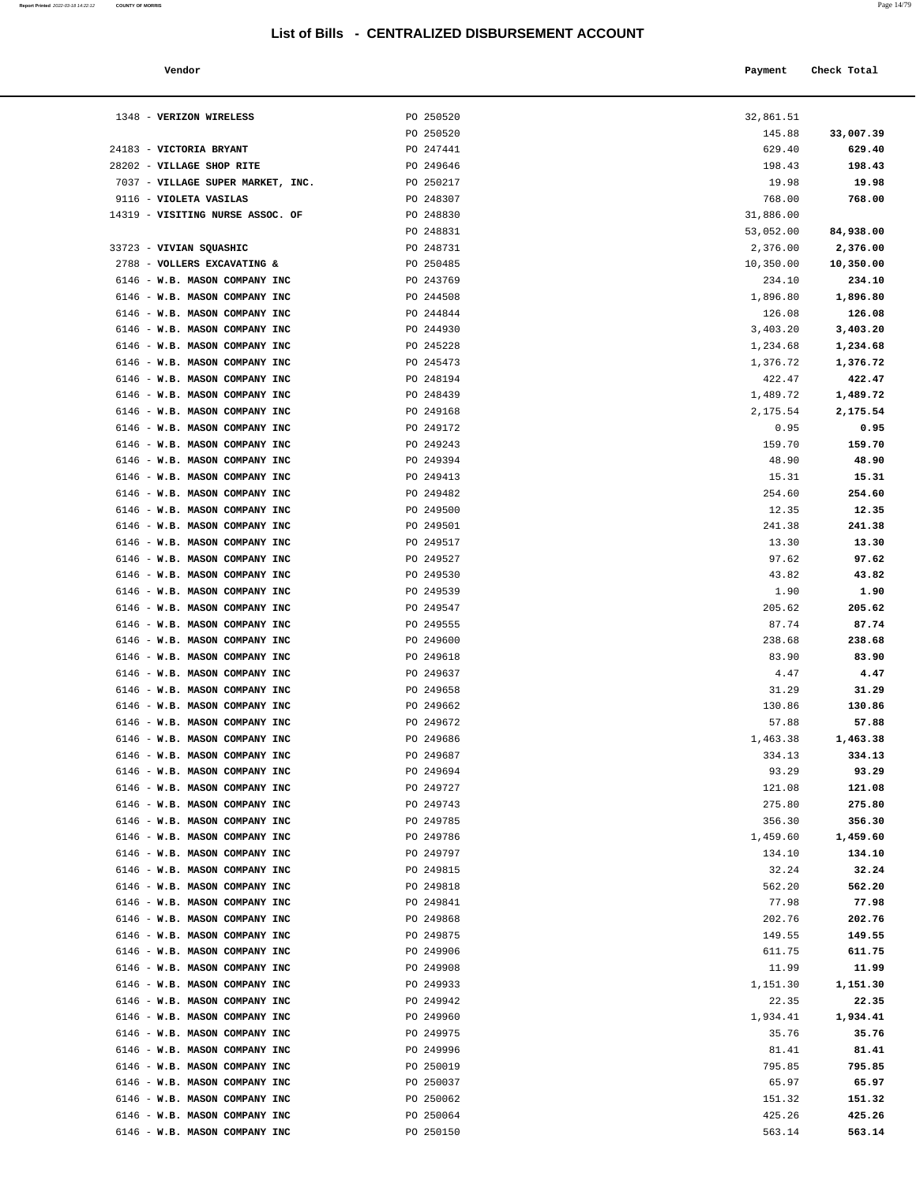| Report Printed 2022-03-18 14:22:12 | <b>COUNTY OF MORRIS</b> | Page 14/79 |
|------------------------------------|-------------------------|------------|
|                                    |                         |            |

| Vendor                                                         |                        | Payment          | Check Total         |
|----------------------------------------------------------------|------------------------|------------------|---------------------|
|                                                                |                        |                  |                     |
|                                                                |                        | 32,861.51        |                     |
| 1348 - VERIZON WIRELESS                                        | PO 250520              |                  |                     |
| 24183 - VICTORIA BRYANT                                        | PO 250520<br>PO 247441 | 145.88<br>629.40 | 33,007.39<br>629.40 |
| 28202 - VILLAGE SHOP RITE                                      | PO 249646              | 198.43           | 198.43              |
| 7037 - VILLAGE SUPER MARKET, INC.                              | PO 250217              | 19.98            | 19.98               |
| 9116 - VIOLETA VASILAS                                         | PO 248307              | 768.00           | 768.00              |
| 14319 - VISITING NURSE ASSOC. OF                               | PO 248830              | 31,886.00        |                     |
|                                                                | PO 248831              | 53,052.00        | 84,938.00           |
| 33723 - VIVIAN SQUASHIC                                        | PO 248731              | 2,376.00         | 2,376.00            |
| 2788 - VOLLERS EXCAVATING &                                    | PO 250485              | 10,350.00        | 10,350.00           |
| 6146 - W.B. MASON COMPANY INC                                  | PO 243769              | 234.10           | 234.10              |
| 6146 - W.B. MASON COMPANY INC                                  | PO 244508              | 1,896.80         | 1,896.80            |
| 6146 - W.B. MASON COMPANY INC                                  | PO 244844              | 126.08           | 126.08              |
| 6146 - W.B. MASON COMPANY INC                                  | PO 244930              | 3,403.20         | 3,403.20            |
| 6146 - W.B. MASON COMPANY INC                                  | PO 245228              | 1,234.68         | 1,234.68            |
| 6146 - W.B. MASON COMPANY INC                                  | PO 245473              | 1,376.72         | 1,376.72            |
| 6146 - W.B. MASON COMPANY INC                                  | PO 248194              | 422.47           | 422.47              |
| 6146 - W.B. MASON COMPANY INC                                  | PO 248439              | 1,489.72         | 1,489.72            |
| 6146 - W.B. MASON COMPANY INC                                  | PO 249168              | 2,175.54         | 2,175.54            |
| 6146 - W.B. MASON COMPANY INC                                  | PO 249172              | 0.95             | 0.95                |
| 6146 - W.B. MASON COMPANY INC                                  | PO 249243              | 159.70           | 159.70              |
| 6146 - W.B. MASON COMPANY INC                                  | PO 249394              | 48.90            | 48.90               |
| 6146 - W.B. MASON COMPANY INC                                  | PO 249413              | 15.31            | 15.31               |
| 6146 - W.B. MASON COMPANY INC                                  | PO 249482              | 254.60           | 254.60              |
| 6146 - W.B. MASON COMPANY INC                                  | PO 249500              | 12.35            | 12.35               |
| 6146 - W.B. MASON COMPANY INC                                  | PO 249501              | 241.38           | 241.38              |
| 6146 - W.B. MASON COMPANY INC                                  | PO 249517              | 13.30            | 13.30               |
| 6146 - W.B. MASON COMPANY INC                                  | PO 249527              | 97.62            | 97.62               |
| 6146 - W.B. MASON COMPANY INC                                  | PO 249530              | 43.82            | 43.82               |
| 6146 - W.B. MASON COMPANY INC                                  | PO 249539              | 1.90             | 1.90                |
| 6146 - W.B. MASON COMPANY INC                                  | PO 249547              | 205.62           | 205.62              |
| 6146 - W.B. MASON COMPANY INC                                  | PO 249555              | 87.74            | 87.74               |
| 6146 - W.B. MASON COMPANY INC                                  | PO 249600              | 238.68           | 238.68              |
| 6146 - W.B. MASON COMPANY INC                                  | PO 249618              | 83.90            | 83.90               |
| 6146 - W.B. MASON COMPANY INC                                  | PO 249637              | 4.47             | 4.47                |
| 6146 - W.B. MASON COMPANY INC                                  | PO 249658              | 31.29            | 31.29               |
| 6146 - W.B. MASON COMPANY INC<br>6146 - W.B. MASON COMPANY INC | PO 249662<br>PO 249672 | 130.86<br>57.88  | 130.86              |
| 6146 - W.B. MASON COMPANY INC                                  | PO 249686              | 1,463.38         | 57.88<br>1,463.38   |
| 6146 - W.B. MASON COMPANY INC                                  | PO 249687              | 334.13           | 334.13              |
| 6146 - W.B. MASON COMPANY INC                                  | PO 249694              | 93.29            | 93.29               |
| 6146 - W.B. MASON COMPANY INC                                  | PO 249727              | 121.08           | 121.08              |
| 6146 - W.B. MASON COMPANY INC                                  | PO 249743              | 275.80           | 275.80              |
| 6146 - W.B. MASON COMPANY INC                                  | PO 249785              | 356.30           | 356.30              |
| 6146 - W.B. MASON COMPANY INC                                  | PO 249786              | 1,459.60         | 1,459.60            |
| 6146 - W.B. MASON COMPANY INC                                  | PO 249797              | 134.10           | 134.10              |
| 6146 - W.B. MASON COMPANY INC                                  | PO 249815              | 32.24            | 32.24               |
| 6146 - W.B. MASON COMPANY INC                                  | PO 249818              | 562.20           | 562.20              |
| 6146 - W.B. MASON COMPANY INC                                  | PO 249841              | 77.98            | 77.98               |
| 6146 - W.B. MASON COMPANY INC                                  | PO 249868              | 202.76           | 202.76              |
| 6146 - W.B. MASON COMPANY INC                                  | PO 249875              | 149.55           | 149.55              |
| 6146 - W.B. MASON COMPANY INC                                  | PO 249906              | 611.75           | 611.75              |
| 6146 - W.B. MASON COMPANY INC                                  | PO 249908              | 11.99            | 11.99               |
| 6146 - W.B. MASON COMPANY INC                                  | PO 249933              | 1,151.30         | 1,151.30            |
| 6146 - W.B. MASON COMPANY INC                                  | PO 249942              | 22.35            | 22.35               |
| 6146 - W.B. MASON COMPANY INC                                  | PO 249960              | 1,934.41         | 1,934.41            |
| 6146 - W.B. MASON COMPANY INC                                  | PO 249975              | 35.76            | 35.76               |
| 6146 - W.B. MASON COMPANY INC                                  | PO 249996              | 81.41            | 81.41               |
| 6146 - W.B. MASON COMPANY INC                                  | PO 250019              | 795.85           | 795.85              |
| 6146 - W.B. MASON COMPANY INC                                  | PO 250037              | 65.97            | 65.97               |
| 6146 - W.B. MASON COMPANY INC                                  | PO 250062              | 151.32           | 151.32              |
| 6146 - W.B. MASON COMPANY INC                                  | PO 250064              | 425.26           | 425.26              |
| 6146 - W.B. MASON COMPANY INC                                  | PO 250150              | 563.14           | 563.14              |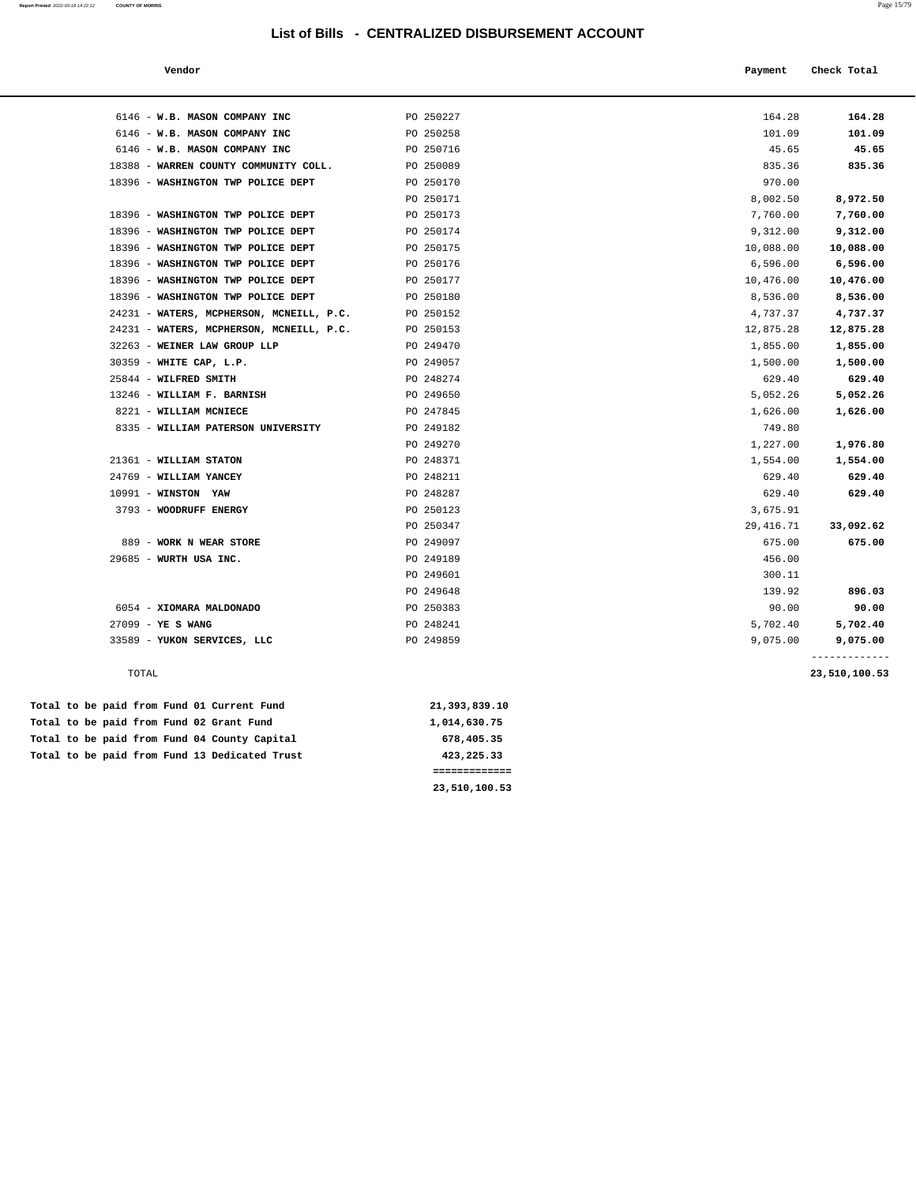#### **Vendor Payment Check Total**

| 6146 - W.B. MASON COMPANY INC            | PO 250227 | 164.28    | 164.28    |
|------------------------------------------|-----------|-----------|-----------|
| 6146 - W.B. MASON COMPANY INC            | PO 250258 | 101.09    | 101.09    |
| 6146 - W.B. MASON COMPANY INC            | PO 250716 | 45.65     | 45.65     |
| 18388 - WARREN COUNTY COMMUNITY COLL.    | PO 250089 | 835.36    | 835.36    |
| 18396 - WASHINGTON TWP POLICE DEPT       | PO 250170 | 970.00    |           |
|                                          | PO 250171 | 8,002.50  | 8,972.50  |
| 18396 - WASHINGTON TWP POLICE DEPT       | PO 250173 | 7,760.00  | 7,760.00  |
| 18396 - WASHINGTON TWP POLICE DEPT       | PO 250174 | 9,312.00  | 9,312.00  |
| 18396 - WASHINGTON TWP POLICE DEPT       | PO 250175 | 10,088.00 | 10,088.00 |
| 18396 - WASHINGTON TWP POLICE DEPT       | PO 250176 | 6,596.00  | 6,596.00  |
| 18396 - WASHINGTON TWP POLICE DEPT       | PO 250177 | 10,476.00 | 10,476.00 |
| 18396 - WASHINGTON TWP POLICE DEPT       | PO 250180 | 8,536.00  | 8,536.00  |
| 24231 - WATERS, MCPHERSON, MCNEILL, P.C. | PO 250152 | 4,737.37  | 4,737.37  |
| 24231 - WATERS, MCPHERSON, MCNEILL, P.C. | PO 250153 | 12,875.28 | 12,875.28 |
| 32263 - WEINER LAW GROUP LLP             | PO 249470 | 1,855.00  | 1,855.00  |
| 30359 - WHITE CAP, L.P.                  | PO 249057 | 1,500.00  | 1,500.00  |
| 25844 - WILFRED SMITH                    | PO 248274 | 629.40    | 629.40    |
| 13246 - WILLIAM F. BARNISH               | PO 249650 | 5,052.26  | 5,052.26  |
| 8221 - WILLIAM MCNIECE                   | PO 247845 | 1,626.00  | 1,626.00  |
| 8335 - WILLIAM PATERSON UNIVERSITY       | PO 249182 | 749.80    |           |
|                                          | PO 249270 | 1,227.00  | 1,976.80  |
| 21361 - WILLIAM STATON                   | PO 248371 | 1,554.00  | 1,554.00  |
| 24769 - WILLIAM YANCEY                   | PO 248211 | 629.40    | 629.40    |
|                                          |           |           |           |

|                             | PO 249270 | 1,227.00   | 1,976.80  |
|-----------------------------|-----------|------------|-----------|
| 21361 - WILLIAM STATON      | PO 248371 | 1,554.00   | 1,554.00  |
| 24769 - WILLIAM YANCEY      | PO 248211 | 629.40     | 629.40    |
| $10991 -$ WINSTON YAW       | PO 248287 | 629.40     | 629.40    |
| 3793 - WOODRUFF ENERGY      | PO 250123 | 3,675.91   |           |
|                             | PO 250347 | 29, 416.71 | 33,092.62 |
| 889 - WORK N WEAR STORE     | PO 249097 | 675.00     | 675.00    |
| 29685 - WURTH USA INC.      | PO 249189 | 456.00     |           |
|                             | PO 249601 | 300.11     |           |
|                             | PO 249648 | 139.92     | 896.03    |
| 6054 - XIOMARA MALDONADO    | PO 250383 | 90.00      | 90.00     |
| $27099 - YE S WANG$         | PO 248241 | 5,702.40   | 5,702.40  |
| 33589 - YUKON SERVICES, LLC | PO 249859 | 9,075.00   | 9,075.00  |
|                             |           |            |           |

#### TOTAL **23,510,100.53**

|  |  |  |  | Total to be paid from Fund 01 Current Fund    | 21,393,839.10 |
|--|--|--|--|-----------------------------------------------|---------------|
|  |  |  |  | Total to be paid from Fund 02 Grant Fund      | 1,014,630.75  |
|  |  |  |  | Total to be paid from Fund 04 County Capital  | 678,405.35    |
|  |  |  |  | Total to be paid from Fund 13 Dedicated Trust | 423, 225, 33  |
|  |  |  |  |                                               |               |

 **23,510,100.53**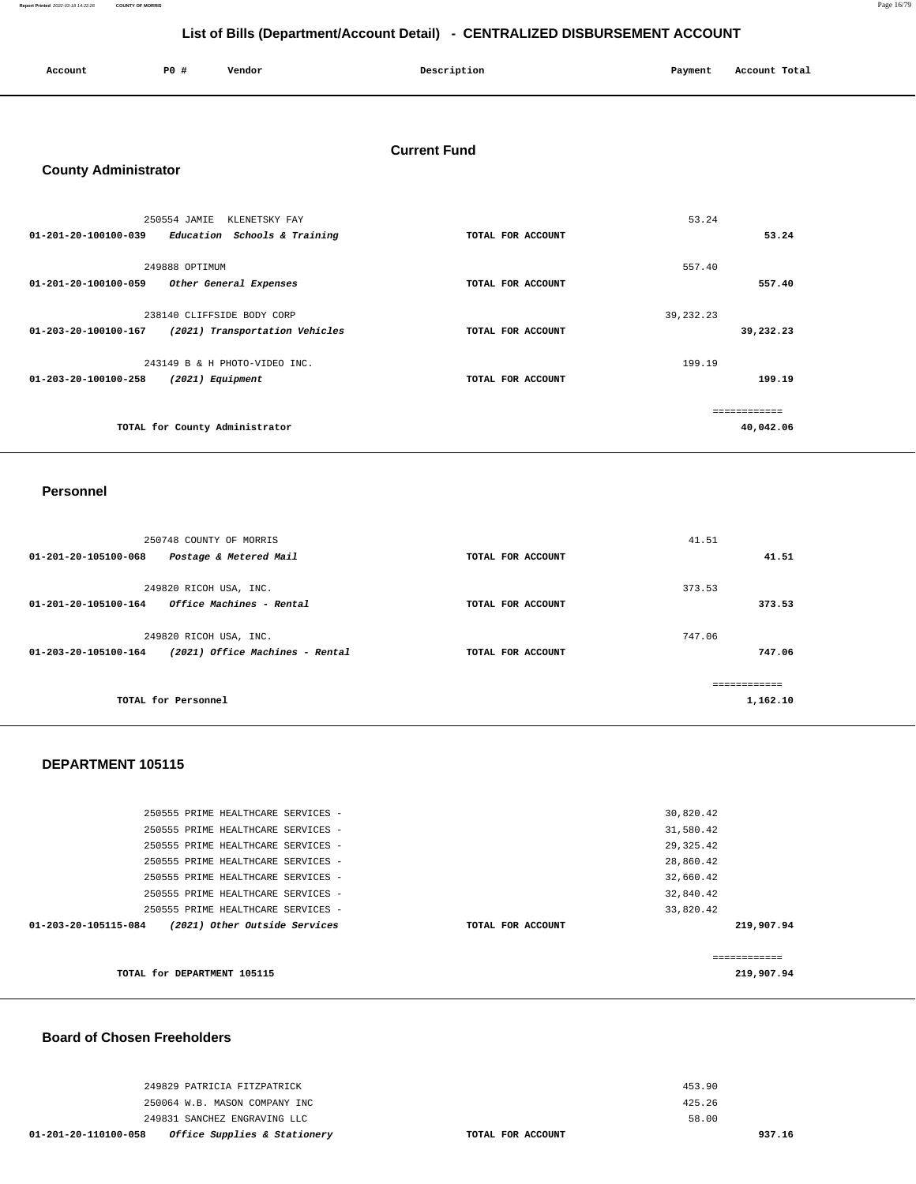**Report Printed** 2022-03-18 14:22:26 **COUNTY OF MORRIS** Page 16/79

# **List of Bills (Department/Account Detail) - CENTRALIZED DISBURSEMENT ACCOUNT**

| Account | $P0 \approx$ | Vendor | Description | Payment | Account Total |
|---------|--------------|--------|-------------|---------|---------------|
|         |              |        |             |         |               |

## **Current Fund**

# **County Administrator**

|                      | 250554 JAMIE<br>KLENETSKY FAY  |                   | 53.24       |           |
|----------------------|--------------------------------|-------------------|-------------|-----------|
| 01-201-20-100100-039 | Education Schools & Training   | TOTAL FOR ACCOUNT |             | 53.24     |
|                      | 249888 OPTIMUM                 |                   | 557.40      |           |
| 01-201-20-100100-059 | Other General Expenses         | TOTAL FOR ACCOUNT |             | 557.40    |
|                      |                                |                   |             |           |
|                      | 238140 CLIFFSIDE BODY CORP     |                   | 39, 232. 23 |           |
| 01-203-20-100100-167 | (2021) Transportation Vehicles | TOTAL FOR ACCOUNT |             | 39,232.23 |
|                      |                                |                   |             |           |
|                      | 243149 B & H PHOTO-VIDEO INC.  |                   | 199.19      |           |
| 01-203-20-100100-258 | (2021) Equipment               | TOTAL FOR ACCOUNT |             | 199.19    |
|                      |                                |                   |             |           |
|                      |                                |                   |             |           |
|                      | TOTAL for County Administrator |                   |             | 40,042.06 |

### **Personnel**

| 250748 COUNTY OF MORRIS                                                    |                   | 41.51                   |
|----------------------------------------------------------------------------|-------------------|-------------------------|
| 01-201-20-105100-068<br>Postage & Metered Mail                             | TOTAL FOR ACCOUNT | 41.51                   |
| 249820 RICOH USA, INC.<br>Office Machines - Rental<br>01-201-20-105100-164 | TOTAL FOR ACCOUNT | 373.53<br>373.53        |
| 249820 RICOH USA, INC.                                                     |                   | 747.06                  |
| (2021) Office Machines - Rental<br>01-203-20-105100-164                    | TOTAL FOR ACCOUNT | 747.06<br>------------- |
| TOTAL for Personnel                                                        |                   | 1,162.10                |

### **DEPARTMENT 105115**

| TOTAL for DEPARTMENT 105115                           |                   | ----------<br>219,907.94 |
|-------------------------------------------------------|-------------------|--------------------------|
| (2021) Other Outside Services<br>01-203-20-105115-084 | TOTAL FOR ACCOUNT | 219,907.94               |
| 250555 PRIME HEALTHCARE SERVICES -                    |                   | 33,820.42                |
| 250555 PRIME HEALTHCARE SERVICES -                    |                   | 32,840.42                |
| 250555 PRIME HEALTHCARE SERVICES -                    |                   | 32,660.42                |
| 250555 PRIME HEALTHCARE SERVICES -                    |                   | 28,860.42                |
| 250555 PRIME HEALTHCARE SERVICES -                    |                   | 29, 325.42               |
| 250555 PRIME HEALTHCARE SERVICES -                    |                   | 31,580.42                |
| 250555 PRIME HEALTHCARE SERVICES -                    |                   | 30,820.42                |
|                                                       |                   |                          |

# **Board of Chosen Freeholders**

| Office Supplies & Stationery<br>01-201-20-110100-058 | TOTAL FOR ACCOUNT |        | 937.16 |
|------------------------------------------------------|-------------------|--------|--------|
| 249831 SANCHEZ ENGRAVING LLC                         |                   | 58.00  |        |
| 250064 W.B. MASON COMPANY INC                        |                   | 425.26 |        |
| 249829 PATRICIA FITZPATRICK                          |                   | 453.90 |        |
|                                                      |                   |        |        |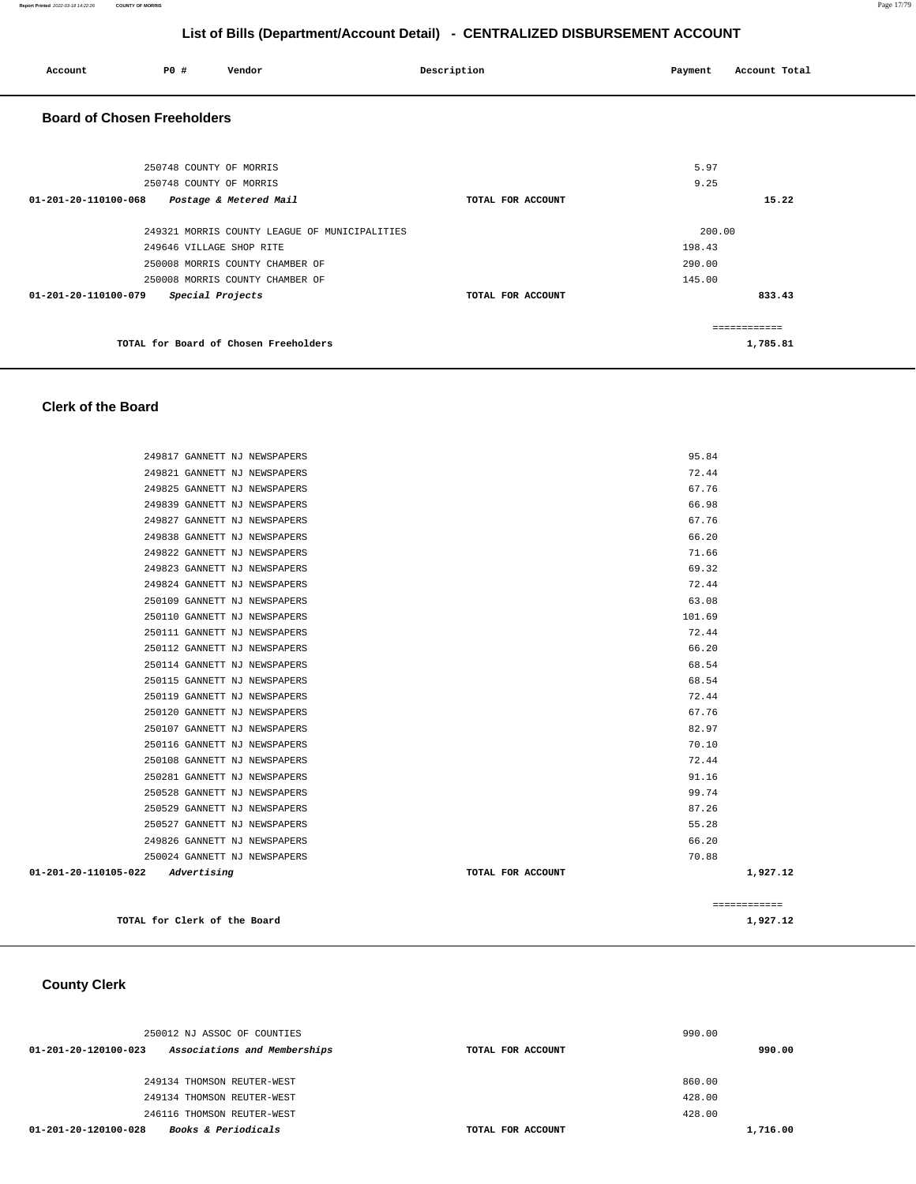| Account                            | P0 #                                               | Vendor                                        | Description       | Payment      | Account Total |
|------------------------------------|----------------------------------------------------|-----------------------------------------------|-------------------|--------------|---------------|
| <b>Board of Chosen Freeholders</b> |                                                    |                                               |                   |              |               |
|                                    | 250748 COUNTY OF MORRIS<br>250748 COUNTY OF MORRIS |                                               |                   | 5.97<br>9.25 |               |
| 01-201-20-110100-068               |                                                    | Postage & Metered Mail                        | TOTAL FOR ACCOUNT |              | 15.22         |
|                                    |                                                    | 249321 MORRIS COUNTY LEAGUE OF MUNICIPALITIES |                   | 200.00       |               |
|                                    | 249646 VILLAGE SHOP RITE                           |                                               |                   | 198.43       |               |
|                                    |                                                    | 250008 MORRIS COUNTY CHAMBER OF               |                   | 290.00       |               |
|                                    |                                                    | 250008 MORRIS COUNTY CHAMBER OF               |                   | 145.00       |               |
| 01-201-20-110100-079               | Special Projects                                   |                                               | TOTAL FOR ACCOUNT |              | 833.43        |
|                                    |                                                    |                                               |                   |              | ============  |
|                                    |                                                    | TOTAL for Board of Chosen Freeholders         |                   |              | 1,785.81      |

# **Clerk of the Board**

|                                            | TOTAL for Clerk of the Board |                   | 1,927.12     |
|--------------------------------------------|------------------------------|-------------------|--------------|
|                                            |                              |                   | ============ |
| $01 - 201 - 20 - 110105 - 022$ Advertising |                              | TOTAL FOR ACCOUNT | 1,927.12     |
|                                            | 250024 GANNETT NJ NEWSPAPERS | 70.88             |              |
|                                            | 249826 GANNETT NJ NEWSPAPERS | 66.20             |              |
|                                            | 250527 GANNETT NJ NEWSPAPERS | 55.28             |              |
|                                            | 250529 GANNETT NJ NEWSPAPERS | 87.26             |              |
|                                            | 250528 GANNETT NJ NEWSPAPERS | 99.74             |              |
|                                            | 250281 GANNETT NJ NEWSPAPERS | 91.16             |              |
|                                            | 250108 GANNETT NJ NEWSPAPERS | 72.44             |              |
|                                            | 250116 GANNETT NJ NEWSPAPERS | 70.10             |              |
|                                            | 250107 GANNETT NJ NEWSPAPERS | 82.97             |              |
|                                            | 250120 GANNETT NJ NEWSPAPERS | 67.76             |              |
|                                            | 250119 GANNETT NJ NEWSPAPERS | 72.44             |              |
|                                            | 250115 GANNETT NJ NEWSPAPERS | 68.54             |              |
|                                            | 250114 GANNETT NJ NEWSPAPERS | 68.54             |              |
|                                            | 250112 GANNETT NJ NEWSPAPERS | 66.20             |              |
|                                            | 250111 GANNETT NJ NEWSPAPERS | 72.44             |              |
|                                            | 250110 GANNETT NJ NEWSPAPERS | 101.69            |              |
|                                            | 250109 GANNETT NJ NEWSPAPERS | 63.08             |              |
|                                            | 249824 GANNETT NJ NEWSPAPERS | 72.44             |              |
|                                            | 249823 GANNETT NJ NEWSPAPERS | 69.32             |              |
|                                            | 249822 GANNETT NJ NEWSPAPERS | 71.66             |              |
|                                            | 249838 GANNETT NJ NEWSPAPERS | 66.20             |              |
|                                            | 249827 GANNETT NJ NEWSPAPERS | 67.76             |              |
|                                            | 249839 GANNETT NJ NEWSPAPERS | 66.98             |              |
|                                            | 249825 GANNETT NJ NEWSPAPERS | 67.76             |              |
|                                            | 249821 GANNETT NJ NEWSPAPERS | 72.44             |              |
|                                            | 249817 GANNETT NJ NEWSPAPERS | 95.84             |              |

 **County Clerk** 

| 250012 NJ ASSOC OF COUNTIES                            | 990.00            |          |
|--------------------------------------------------------|-------------------|----------|
| Associations and Memberships<br>01-201-20-120100-023   | TOTAL FOR ACCOUNT | 990.00   |
|                                                        |                   |          |
| 249134 THOMSON REUTER-WEST                             |                   | 860.00   |
| 249134 THOMSON REUTER-WEST                             |                   | 428.00   |
| 246116 THOMSON REUTER-WEST                             |                   | 428.00   |
| <b>Books &amp; Periodicals</b><br>01-201-20-120100-028 | TOTAL FOR ACCOUNT | 1,716.00 |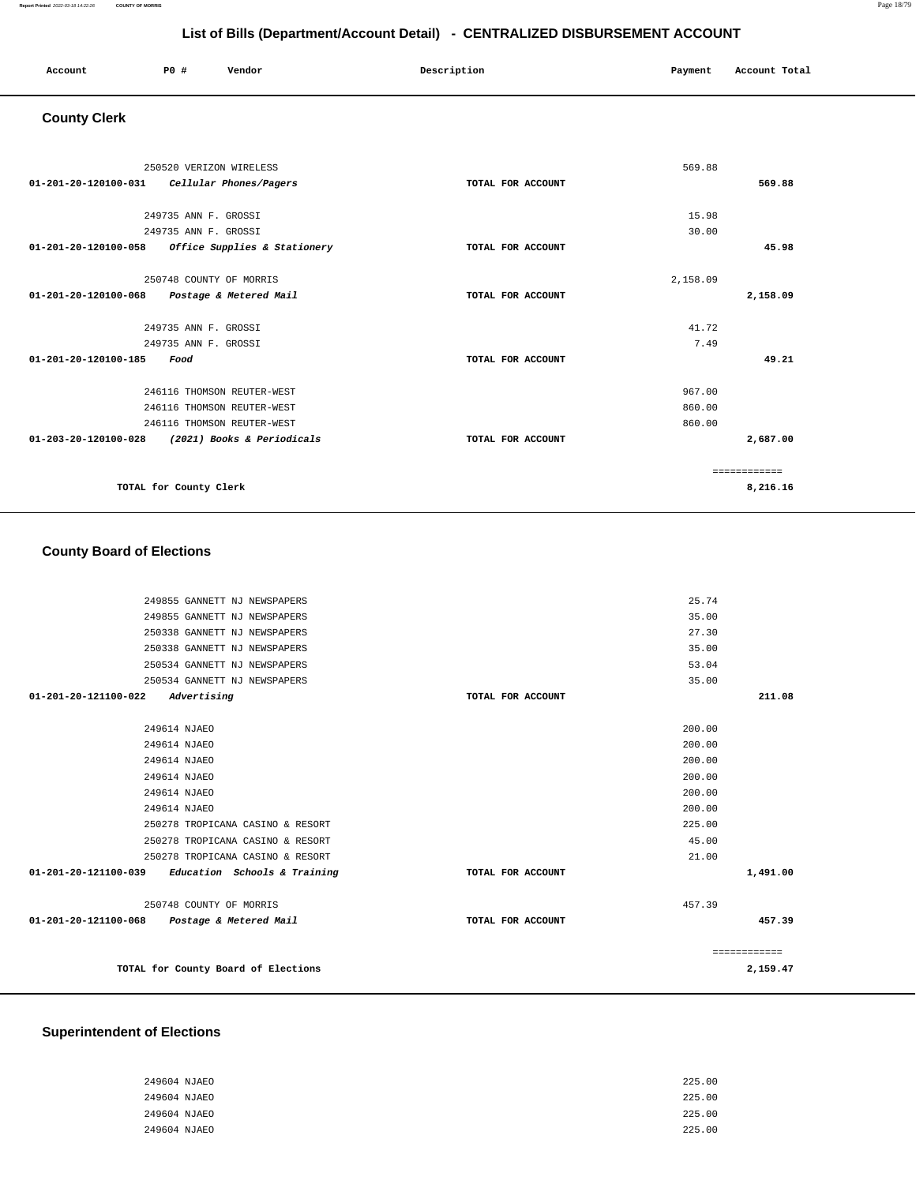| Account | PO# | Vendor | Description | Payment | Account Total |
|---------|-----|--------|-------------|---------|---------------|
|         |     |        |             |         |               |

# **County Clerk**

|                                | 250520 VERIZON WIRELESS      |                   | 569.88   |              |
|--------------------------------|------------------------------|-------------------|----------|--------------|
| 01-201-20-120100-031           | Cellular Phones/Pagers       | TOTAL FOR ACCOUNT |          | 569.88       |
|                                |                              |                   |          |              |
|                                | 249735 ANN F. GROSSI         |                   | 15.98    |              |
|                                | 249735 ANN F. GROSSI         |                   | 30.00    |              |
| $01 - 201 - 20 - 120100 - 058$ | Office Supplies & Stationery | TOTAL FOR ACCOUNT |          | 45.98        |
|                                |                              |                   |          |              |
|                                | 250748 COUNTY OF MORRIS      |                   | 2,158.09 |              |
| 01-201-20-120100-068           | Postage & Metered Mail       | TOTAL FOR ACCOUNT |          | 2,158.09     |
|                                |                              |                   |          |              |
|                                | 249735 ANN F. GROSSI         |                   | 41.72    |              |
|                                | 249735 ANN F. GROSSI         |                   | 7.49     |              |
| $01 - 201 - 20 - 120100 - 185$ | Food                         | TOTAL FOR ACCOUNT |          | 49.21        |
|                                | 246116 THOMSON REUTER-WEST   |                   | 967.00   |              |
|                                |                              |                   |          |              |
|                                | 246116 THOMSON REUTER-WEST   |                   | 860.00   |              |
|                                | 246116 THOMSON REUTER-WEST   |                   | 860.00   |              |
| $01 - 203 - 20 - 120100 - 028$ | (2021) Books & Periodicals   | TOTAL FOR ACCOUNT |          | 2,687.00     |
|                                |                              |                   |          | ============ |
|                                | TOTAL for County Clerk       |                   |          | 8,216.16     |

# **County Board of Elections**

|                      | 249855 GANNETT NJ NEWSPAPERS                        |                   | 25.74        |          |
|----------------------|-----------------------------------------------------|-------------------|--------------|----------|
|                      | 249855 GANNETT NJ NEWSPAPERS                        |                   | 35.00        |          |
|                      | 250338 GANNETT NJ NEWSPAPERS                        |                   | 27.30        |          |
|                      | 250338 GANNETT NJ NEWSPAPERS                        |                   | 35.00        |          |
|                      | 250534 GANNETT NJ NEWSPAPERS                        |                   | 53.04        |          |
|                      | 250534 GANNETT NJ NEWSPAPERS                        |                   | 35.00        |          |
| 01-201-20-121100-022 | Advertising                                         | TOTAL FOR ACCOUNT |              | 211.08   |
|                      |                                                     |                   |              |          |
|                      | 249614 NJAEO                                        |                   | 200.00       |          |
|                      | 249614 NJAEO                                        |                   | 200.00       |          |
|                      | 249614 NJAEO                                        |                   | 200.00       |          |
|                      | 249614 NJAEO                                        |                   | 200.00       |          |
|                      | 249614 NJAEO                                        |                   | 200.00       |          |
|                      | 249614 NJAEO                                        |                   | 200.00       |          |
|                      | 250278 TROPICANA CASINO & RESORT                    |                   | 225.00       |          |
|                      | 250278 TROPICANA CASINO & RESORT                    |                   | 45.00        |          |
|                      | 250278 TROPICANA CASINO & RESORT                    |                   | 21.00        |          |
|                      | $01-201-20-121100-039$ Education Schools & Training | TOTAL FOR ACCOUNT |              | 1,491.00 |
|                      | 250748 COUNTY OF MORRIS                             |                   | 457.39       |          |
|                      | 01-201-20-121100-068 Postage & Metered Mail         | TOTAL FOR ACCOUNT |              | 457.39   |
|                      |                                                     |                   | ============ |          |
|                      | TOTAL for County Board of Elections                 |                   |              | 2,159.47 |
|                      |                                                     |                   |              |          |

### **Superintendent of Elections**

| 249604 NJAEO | 225.00 |
|--------------|--------|
| 249604 NJAEO | 225.00 |
| 249604 NJAEO | 225.00 |
| 249604 NJAEO | 225.00 |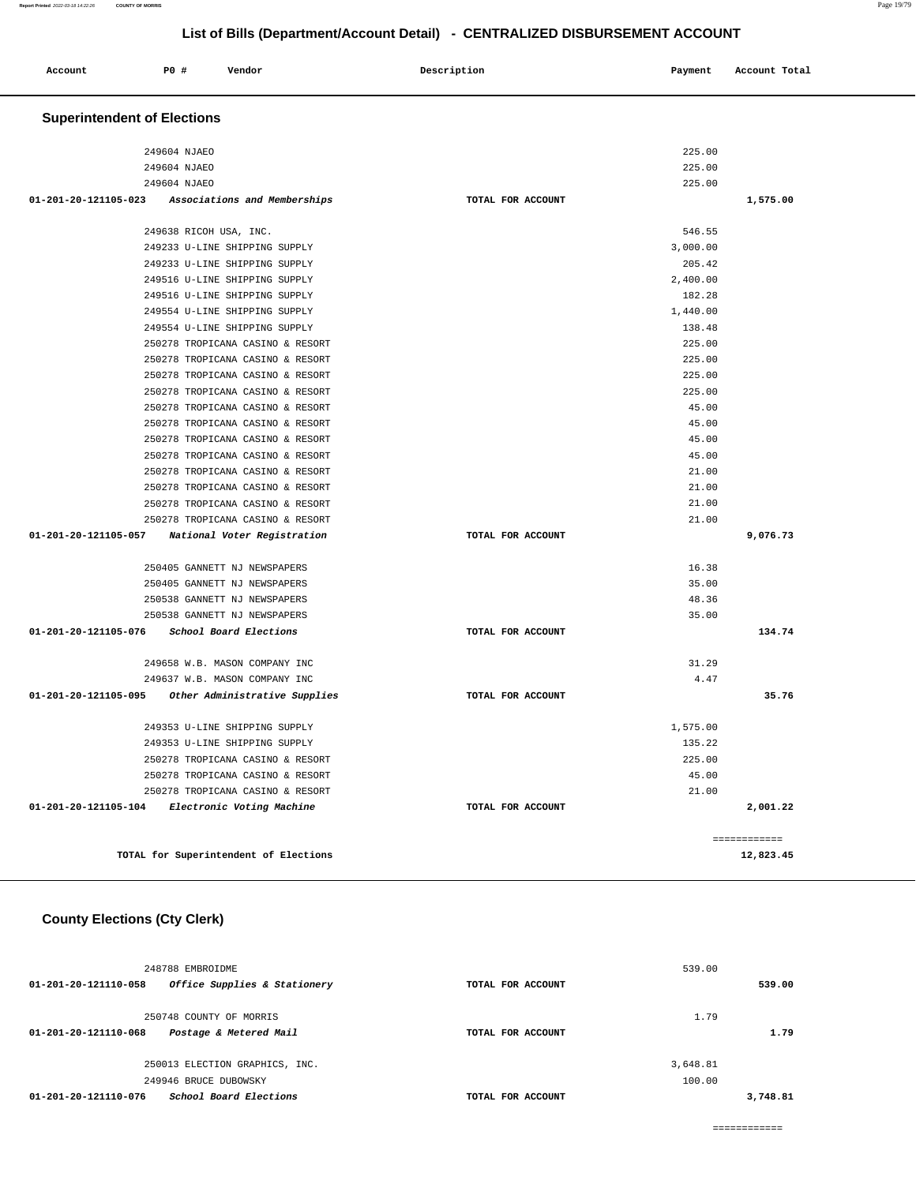| Account | P0 # | Vendor | Description | Payment | Account Total |
|---------|------|--------|-------------|---------|---------------|
|---------|------|--------|-------------|---------|---------------|

# **Superintendent of Elections**

| 249604 NJAEO                                         | 225.00            |              |
|------------------------------------------------------|-------------------|--------------|
| 249604 NJAEO                                         | 225.00            |              |
| 249604 NJAEO                                         | 225.00            |              |
| 01-201-20-121105-023<br>Associations and Memberships | TOTAL FOR ACCOUNT | 1,575.00     |
|                                                      |                   |              |
| 249638 RICOH USA, INC.                               | 546.55            |              |
| 249233 U-LINE SHIPPING SUPPLY                        | 3,000.00          |              |
| 249233 U-LINE SHIPPING SUPPLY                        | 205.42            |              |
| 249516 U-LINE SHIPPING SUPPLY                        | 2,400.00          |              |
| 249516 U-LINE SHIPPING SUPPLY                        | 182.28            |              |
| 249554 U-LINE SHIPPING SUPPLY                        | 1,440.00          |              |
| 249554 U-LINE SHIPPING SUPPLY                        | 138.48            |              |
| 250278 TROPICANA CASINO & RESORT                     | 225.00            |              |
| 250278 TROPICANA CASINO & RESORT                     | 225.00            |              |
| 250278 TROPICANA CASINO & RESORT                     | 225.00            |              |
| 250278 TROPICANA CASINO & RESORT                     | 225.00            |              |
| 250278 TROPICANA CASINO & RESORT                     | 45.00             |              |
| 250278 TROPICANA CASINO & RESORT                     | 45.00             |              |
| 250278 TROPICANA CASINO & RESORT                     | 45.00             |              |
| 250278 TROPICANA CASINO & RESORT                     | 45.00             |              |
| 250278 TROPICANA CASINO & RESORT                     | 21.00             |              |
| 250278 TROPICANA CASINO & RESORT                     | 21.00             |              |
| 250278 TROPICANA CASINO & RESORT                     | 21.00             |              |
| 250278 TROPICANA CASINO & RESORT                     | 21.00             |              |
| 01-201-20-121105-057<br>National Voter Registration  | TOTAL FOR ACCOUNT | 9,076.73     |
| 250405 GANNETT NJ NEWSPAPERS                         | 16.38             |              |
| 250405 GANNETT NJ NEWSPAPERS                         | 35.00             |              |
| 250538 GANNETT NJ NEWSPAPERS                         | 48.36             |              |
| 250538 GANNETT NJ NEWSPAPERS                         | 35.00             |              |
| 01-201-20-121105-076<br>School Board Elections       | TOTAL FOR ACCOUNT | 134.74       |
|                                                      |                   |              |
| 249658 W.B. MASON COMPANY INC                        | 31.29             |              |
| 249637 W.B. MASON COMPANY INC                        | 4.47              |              |
| 01-201-20-121105-095 Other Administrative Supplies   | TOTAL FOR ACCOUNT | 35.76        |
| 249353 U-LINE SHIPPING SUPPLY                        | 1,575.00          |              |
| 249353 U-LINE SHIPPING SUPPLY                        | 135.22            |              |
| 250278 TROPICANA CASINO & RESORT                     | 225.00            |              |
| 250278 TROPICANA CASINO & RESORT                     | 45.00             |              |
| 250278 TROPICANA CASINO & RESORT                     | 21.00             |              |
| 01-201-20-121105-104<br>Electronic Voting Machine    | TOTAL FOR ACCOUNT | 2,001.22     |
|                                                      |                   |              |
|                                                      |                   | ============ |
| TOTAL for Superintendent of Elections                |                   | 12,823.45    |

# **County Elections (Cty Clerk)**

| 248788 EMBROIDME<br>Office Supplies & Stationery<br>01-201-20-121110-058            | TOTAL FOR ACCOUNT | 539.00<br>539.00   |
|-------------------------------------------------------------------------------------|-------------------|--------------------|
| 250748 COUNTY OF MORRIS<br>Postage & Metered Mail<br>$01 - 201 - 20 - 121110 - 068$ | TOTAL FOR ACCOUNT | 1.79<br>1.79       |
| 250013 ELECTION GRAPHICS, INC.<br>249946 BRUCE DUBOWSKY                             |                   | 3,648.81<br>100.00 |
| School Board Elections<br>01-201-20-121110-076                                      | TOTAL FOR ACCOUNT | 3,748.81           |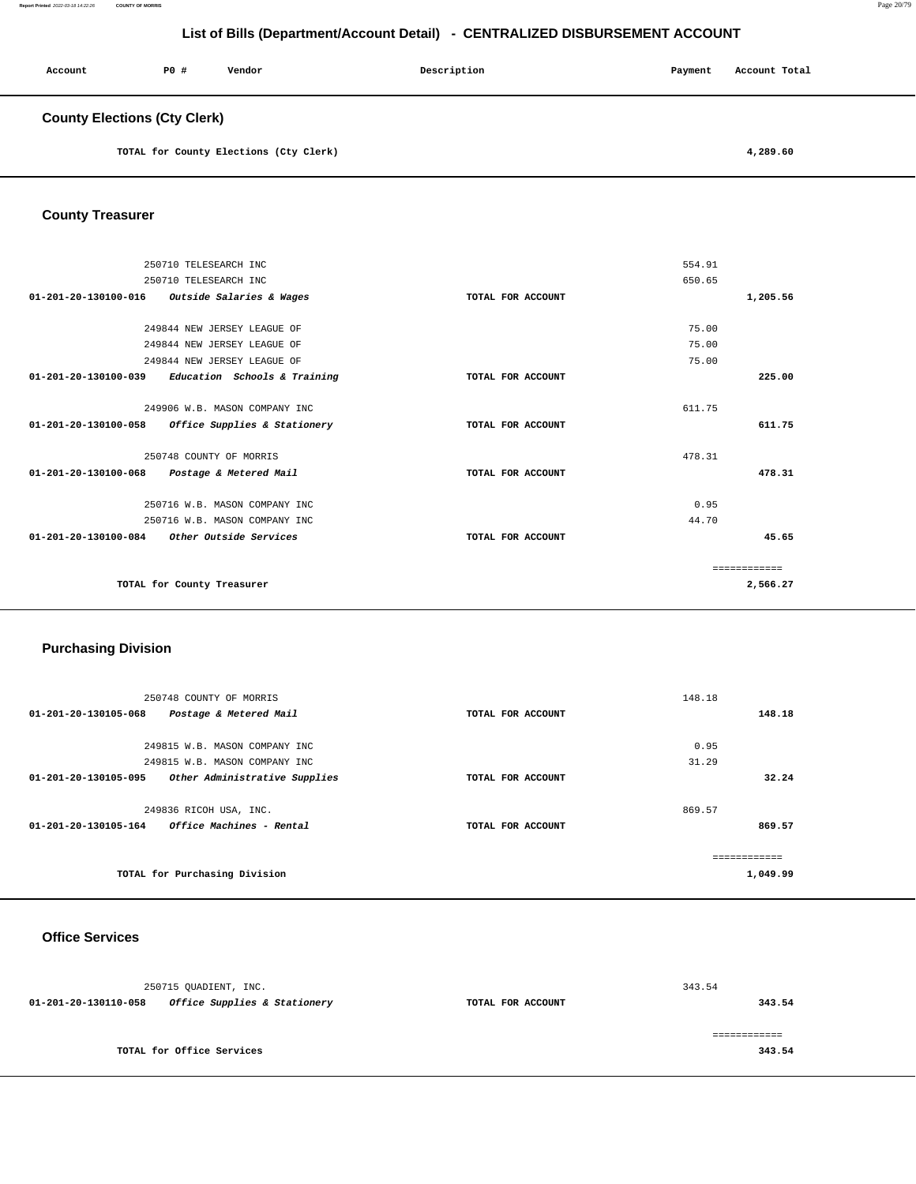| Account                             | P0# | Vendor | Description | Payment | Account Total |
|-------------------------------------|-----|--------|-------------|---------|---------------|
| <b>County Elections (Cty Clerk)</b> |     |        |             |         |               |

**TOTAL for County Elections (Cty Clerk) [4,289.60](https://4,289.60)** 

### **County Treasurer**

| 250710 TELESEARCH INC                                |                   | 554.91       |
|------------------------------------------------------|-------------------|--------------|
| 250710 TELESEARCH INC                                |                   | 650.65       |
| 01-201-20-130100-016<br>Outside Salaries & Wages     | TOTAL FOR ACCOUNT | 1,205.56     |
|                                                      |                   |              |
| 249844 NEW JERSEY LEAGUE OF                          |                   | 75.00        |
| 249844 NEW JERSEY LEAGUE OF                          |                   | 75.00        |
| 249844 NEW JERSEY LEAGUE OF                          |                   | 75.00        |
| 01-201-20-130100-039 Education Schools & Training    | TOTAL FOR ACCOUNT | 225.00       |
|                                                      |                   |              |
| 249906 W.B. MASON COMPANY INC                        |                   | 611.75       |
| 01-201-20-130100-058<br>Office Supplies & Stationery | TOTAL FOR ACCOUNT | 611.75       |
|                                                      |                   |              |
| 250748 COUNTY OF MORRIS                              |                   | 478.31       |
| 01-201-20-130100-068<br>Postage & Metered Mail       | TOTAL FOR ACCOUNT | 478.31       |
|                                                      |                   |              |
| 250716 W.B. MASON COMPANY INC                        |                   | 0.95         |
| 250716 W.B. MASON COMPANY INC                        |                   | 44.70        |
| $01-201-20-130100-084$ Other Outside Services        | TOTAL FOR ACCOUNT | 45.65        |
|                                                      |                   |              |
|                                                      |                   | ============ |
| TOTAL for County Treasurer                           |                   | 2,566.27     |
|                                                      |                   |              |

### **Purchasing Division**

| 250748 COUNTY OF MORRIS                                        |                   | 148.18   |
|----------------------------------------------------------------|-------------------|----------|
| 01-201-20-130105-068<br>Postage & Metered Mail                 | TOTAL FOR ACCOUNT | 148.18   |
|                                                                |                   |          |
| 249815 W.B. MASON COMPANY INC                                  |                   | 0.95     |
| 249815 W.B. MASON COMPANY INC                                  |                   | 31.29    |
| Other Administrative Supplies<br>01-201-20-130105-095          | TOTAL FOR ACCOUNT | 32.24    |
|                                                                |                   |          |
| 249836 RICOH USA, INC.                                         |                   | 869.57   |
| <i><b>Office Machines - Rental</b></i><br>01-201-20-130105-164 | TOTAL FOR ACCOUNT | 869.57   |
|                                                                |                   |          |
|                                                                |                   |          |
| TOTAL for Purchasing Division                                  |                   | 1,049.99 |
|                                                                |                   |          |

# **Office Services**

|                      | 250715 OUADIENT, INC.        |                   | 343.54 |
|----------------------|------------------------------|-------------------|--------|
| 01-201-20-130110-058 | Office Supplies & Stationery | TOTAL FOR ACCOUNT | 343.54 |
|                      |                              |                   |        |
|                      |                              |                   |        |
|                      | TOTAL for Office Services    |                   | 343.54 |
|                      |                              |                   |        |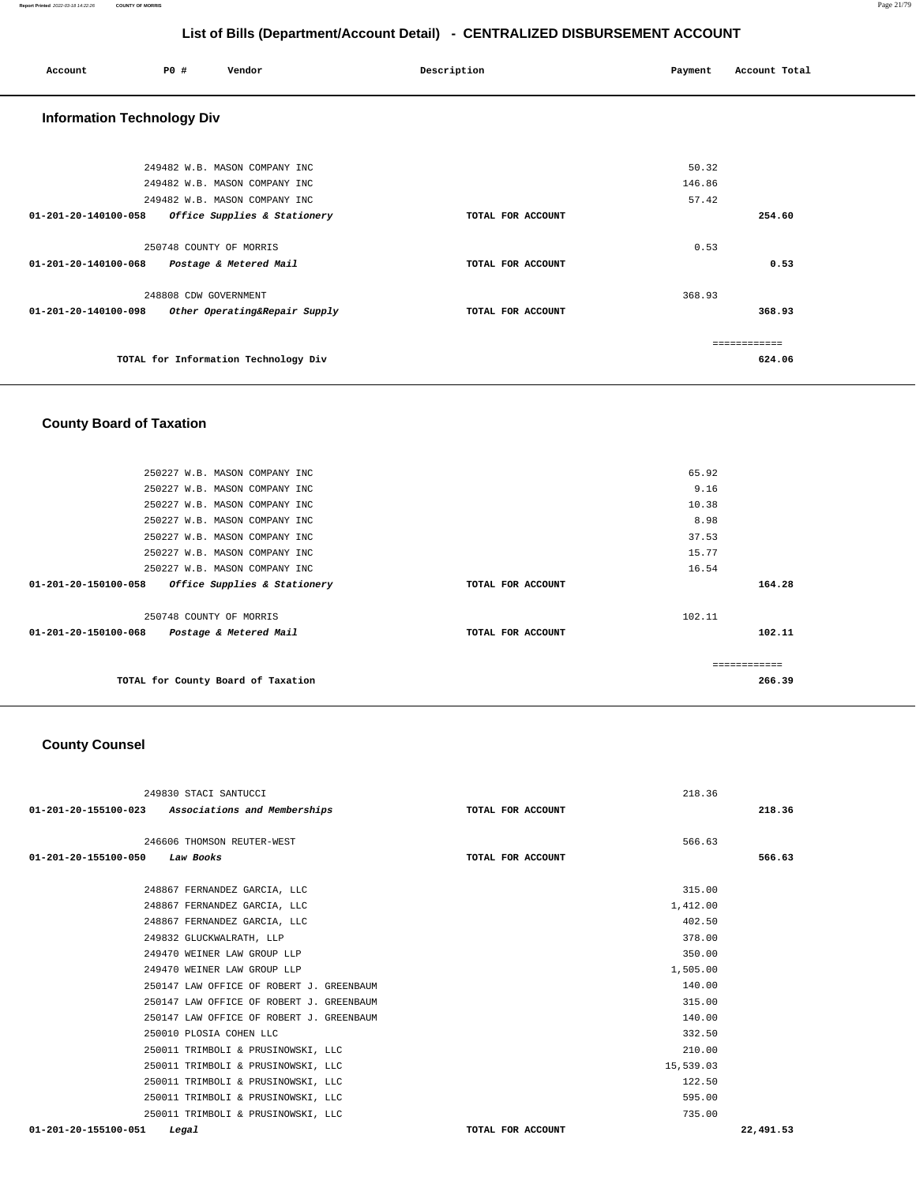| Account                                     | <b>PO #</b>             | Vendor                                                                                          | Description       | Payment                  | Account Total          |
|---------------------------------------------|-------------------------|-------------------------------------------------------------------------------------------------|-------------------|--------------------------|------------------------|
| <b>Information Technology Div</b>           |                         |                                                                                                 |                   |                          |                        |
|                                             |                         | 249482 W.B. MASON COMPANY INC<br>249482 W.B. MASON COMPANY INC<br>249482 W.B. MASON COMPANY INC |                   | 50.32<br>146.86<br>57.42 |                        |
| 01-201-20-140100-058                        |                         | Office Supplies & Stationery                                                                    | TOTAL FOR ACCOUNT |                          | 254.60                 |
| 01-201-20-140100-068 Postage & Metered Mail | 250748 COUNTY OF MORRIS |                                                                                                 | TOTAL FOR ACCOUNT | 0.53                     | 0.53                   |
| 01-201-20-140100-098                        | 248808 CDW GOVERNMENT   | Other Operating&Repair Supply                                                                   | TOTAL FOR ACCOUNT | 368.93                   | 368.93                 |
|                                             |                         | TOTAL for Information Technology Div                                                            |                   |                          | ============<br>624.06 |

# **County Board of Taxation**

|                                | 250227 W.B. MASON COMPANY INC      |                   | 65.92         |        |
|--------------------------------|------------------------------------|-------------------|---------------|--------|
|                                | 250227 W.B. MASON COMPANY INC      |                   | 9.16          |        |
|                                | 250227 W.B. MASON COMPANY INC      |                   | 10.38         |        |
|                                | 250227 W.B. MASON COMPANY INC      |                   | 8.98          |        |
|                                | 250227 W.B. MASON COMPANY INC      |                   | 37.53         |        |
|                                | 250227 W.B. MASON COMPANY INC      |                   | 15.77         |        |
|                                | 250227 W.B. MASON COMPANY INC      |                   | 16.54         |        |
| $01 - 201 - 20 - 150100 - 058$ | Office Supplies & Stationery       | TOTAL FOR ACCOUNT |               | 164.28 |
|                                | 250748 COUNTY OF MORRIS            |                   | 102.11        |        |
| 01-201-20-150100-068           | Postage & Metered Mail             | TOTAL FOR ACCOUNT |               | 102.11 |
|                                |                                    |                   | ------------- |        |
|                                | TOTAL for County Board of Taxation |                   |               | 266.39 |
|                                |                                    |                   |               |        |

## **County Counsel**

| 249830 STACI SANTUCCI                                | 218.36            |           |
|------------------------------------------------------|-------------------|-----------|
| 01-201-20-155100-023<br>Associations and Memberships | TOTAL FOR ACCOUNT | 218.36    |
| 246606 THOMSON REUTER-WEST                           | 566.63            |           |
| $01 - 201 - 20 - 155100 - 050$                       |                   | 566.63    |
| Law Books                                            | TOTAL FOR ACCOUNT |           |
| 248867 FERNANDEZ GARCIA, LLC                         | 315.00            |           |
| 248867 FERNANDEZ GARCIA, LLC                         | 1,412.00          |           |
| 248867 FERNANDEZ GARCIA, LLC                         | 402.50            |           |
| 249832 GLUCKWALRATH, LLP                             | 378.00            |           |
| 249470 WEINER LAW GROUP LLP                          | 350.00            |           |
| 249470 WEINER LAW GROUP LLP                          | 1,505.00          |           |
| 250147 LAW OFFICE OF ROBERT J. GREENBAUM             | 140.00            |           |
| 250147 LAW OFFICE OF ROBERT J. GREENBAUM             | 315.00            |           |
| 250147 LAW OFFICE OF ROBERT J. GREENBAUM             | 140.00            |           |
| 250010 PLOSIA COHEN LLC                              | 332.50            |           |
| 250011 TRIMBOLI & PRUSINOWSKI, LLC                   | 210.00            |           |
| 250011 TRIMBOLI & PRUSINOWSKI, LLC                   | 15,539.03         |           |
| 250011 TRIMBOLI & PRUSINOWSKI, LLC                   | 122.50            |           |
| 250011 TRIMBOLI & PRUSINOWSKI, LLC                   | 595.00            |           |
| 250011 TRIMBOLI & PRUSINOWSKI, LLC                   | 735.00            |           |
| 01-201-20-155100-051<br>Legal                        | TOTAL FOR ACCOUNT | 22,491.53 |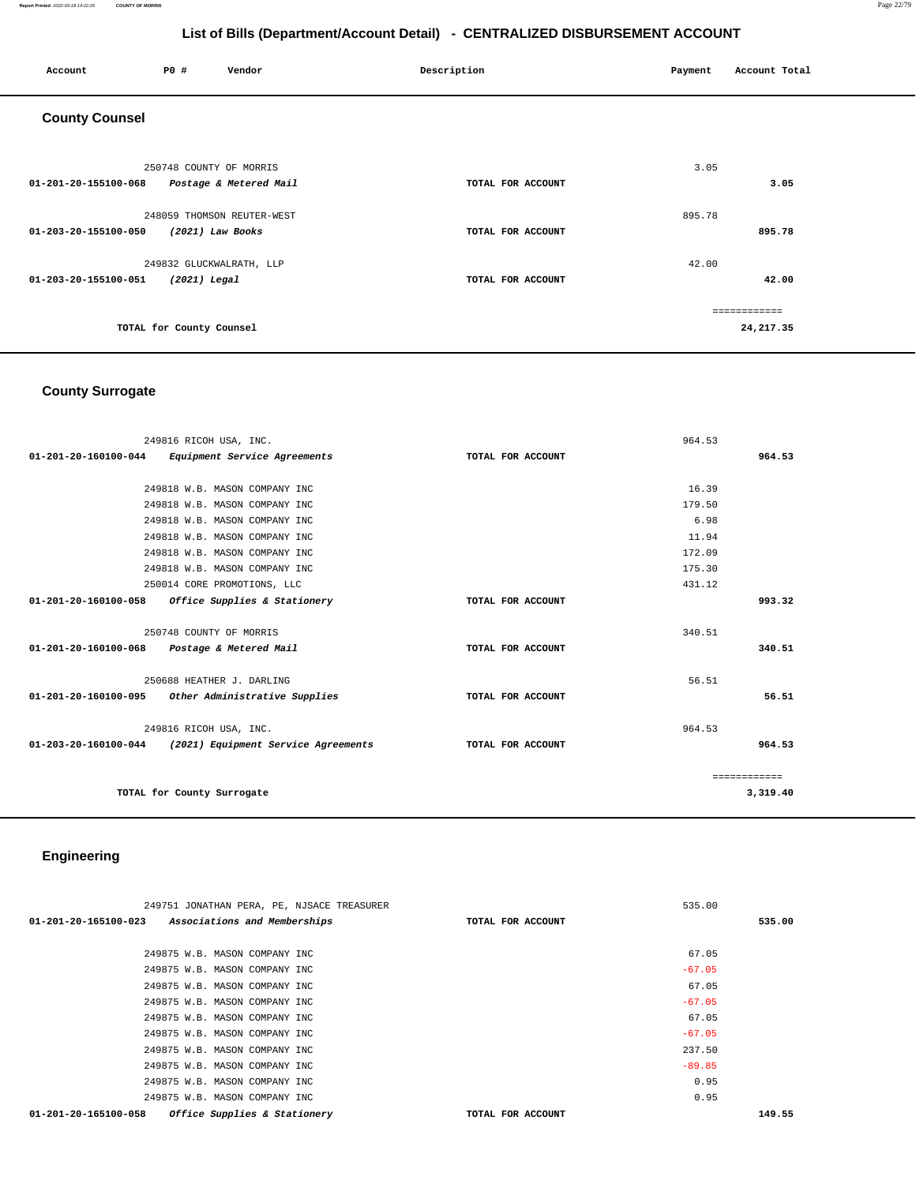#### **Report Printed** 2022-03-18 14:22:26 **COUNTY OF MORRIS** Page 22/79

# **List of Bills (Department/Account Detail) - CENTRALIZED DISBURSEMENT ACCOUNT**

| Account               | P0 #                                     | Vendor                                         | Description       | Payment | Account Total              |
|-----------------------|------------------------------------------|------------------------------------------------|-------------------|---------|----------------------------|
| <b>County Counsel</b> |                                          |                                                |                   |         |                            |
| 01-201-20-155100-068  | 250748 COUNTY OF MORRIS                  | Postage & Metered Mail                         | TOTAL FOR ACCOUNT | 3.05    | 3.05                       |
| 01-203-20-155100-050  |                                          | 248059 THOMSON REUTER-WEST<br>(2021) Law Books | TOTAL FOR ACCOUNT | 895.78  | 895.78                     |
| 01-203-20-155100-051  | 249832 GLUCKWALRATH, LLP<br>(2021) Legal |                                                | TOTAL FOR ACCOUNT | 42.00   | 42.00                      |
|                       | TOTAL for County Counsel                 |                                                |                   |         | ============<br>24, 217.35 |

# **County Surrogate**

| 249816 RICOH USA, INC.                                   |                   | 964.53       |
|----------------------------------------------------------|-------------------|--------------|
| 01-201-20-160100-044<br>Equipment Service Agreements     | TOTAL FOR ACCOUNT | 964.53       |
|                                                          |                   |              |
| 249818 W.B. MASON COMPANY INC                            |                   | 16.39        |
| 249818 W.B. MASON COMPANY INC                            |                   | 179.50       |
| 249818 W.B. MASON COMPANY INC                            |                   | 6.98         |
| 249818 W.B. MASON COMPANY INC                            |                   | 11.94        |
| 249818 W.B. MASON COMPANY INC                            |                   | 172.09       |
| 249818 W.B. MASON COMPANY INC                            |                   | 175.30       |
| 250014 CORE PROMOTIONS, LLC                              |                   | 431.12       |
| 01-201-20-160100-058<br>Office Supplies & Stationery     | TOTAL FOR ACCOUNT | 993.32       |
|                                                          |                   |              |
| 250748 COUNTY OF MORRIS                                  |                   | 340.51       |
| 01-201-20-160100-068<br>Postage & Metered Mail           | TOTAL FOR ACCOUNT | 340.51       |
|                                                          |                   |              |
| 250688 HEATHER J. DARLING                                |                   | 56.51        |
| 01-201-20-160100-095<br>Other Administrative Supplies    | TOTAL FOR ACCOUNT | 56.51        |
|                                                          |                   |              |
| 249816 RICOH USA, INC.                                   |                   | 964.53       |
| 01-203-20-160100-044 (2021) Equipment Service Agreements | TOTAL FOR ACCOUNT | 964.53       |
|                                                          |                   |              |
|                                                          |                   | ============ |
| TOTAL for County Surrogate                               |                   | 3,319.40     |
|                                                          |                   |              |

# **Engineering**

| 249751 JONATHAN PERA, PE, NJSACE TREASURER           | 535.00            |        |
|------------------------------------------------------|-------------------|--------|
| 01-201-20-165100-023 Associations and Memberships    | TOTAL FOR ACCOUNT | 535.00 |
|                                                      |                   |        |
| 249875 W.B. MASON COMPANY INC                        | 67.05             |        |
| 249875 W.B. MASON COMPANY INC                        | $-67.05$          |        |
| 249875 W.B. MASON COMPANY INC                        | 67.05             |        |
| 249875 W.B. MASON COMPANY INC                        | $-67.05$          |        |
| 249875 W.B. MASON COMPANY INC                        | 67.05             |        |
| 249875 W.B. MASON COMPANY INC                        | $-67.05$          |        |
| 249875 W.B. MASON COMPANY INC                        | 237.50            |        |
| 249875 W.B. MASON COMPANY INC                        | $-89.85$          |        |
| 249875 W.B. MASON COMPANY INC                        | 0.95              |        |
| 249875 W.B. MASON COMPANY INC                        | 0.95              |        |
| Office Supplies & Stationery<br>01-201-20-165100-058 | TOTAL FOR ACCOUNT | 149.55 |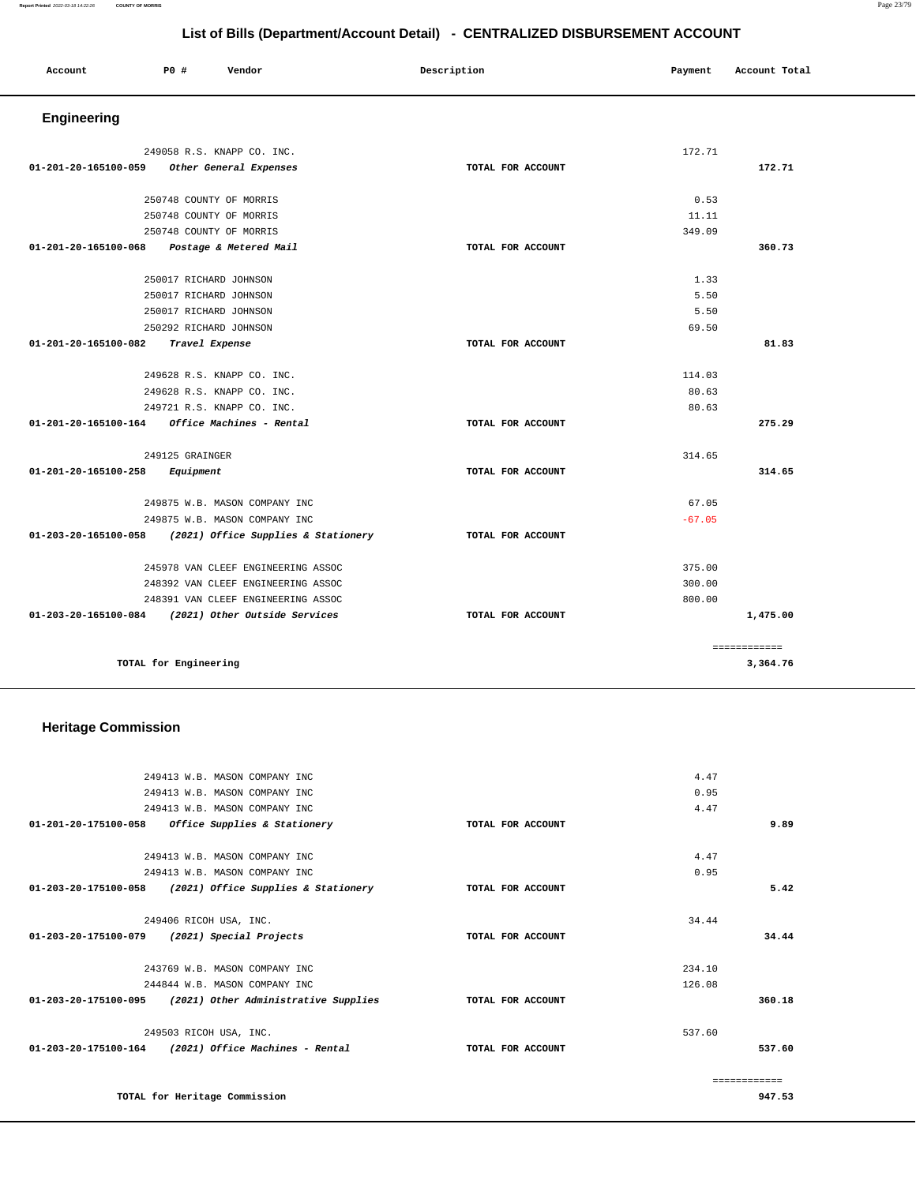#### **Report Printed** 2022-03-18 14:22:26 **COUNTY OF MORRIS** Page 23/79

| List of Bills (Department/Account Detail) - CENTRALIZED DISBURSEMENT ACCOUNT |                            |                            |                   |         |               |  |
|------------------------------------------------------------------------------|----------------------------|----------------------------|-------------------|---------|---------------|--|
| Account                                                                      | P0 #                       | Vendor                     | Description       | Payment | Account Total |  |
| Engineering                                                                  |                            |                            |                   |         |               |  |
|                                                                              |                            | 249058 R.S. KNAPP CO. INC. |                   | 172.71  |               |  |
| 01-201-20-165100-059                                                         |                            | Other General Expenses     | TOTAL FOR ACCOUNT |         | 172.71        |  |
|                                                                              | 250748 COUNTY OF MORRIS    |                            |                   | 0.53    |               |  |
|                                                                              | 250748 COUNTY OF MORRIS    |                            |                   | 11.11   |               |  |
|                                                                              | 250748 COUNTY OF MORRIS    |                            |                   | 349.09  |               |  |
| 01-201-20-165100-068                                                         |                            | Postage & Metered Mail     | TOTAL FOR ACCOUNT |         | 360.73        |  |
|                                                                              | 250017 RICHARD JOHNSON     |                            |                   | 1.33    |               |  |
|                                                                              | 250017 RICHARD JOHNSON     |                            |                   | 5.50    |               |  |
|                                                                              | 250017 RICHARD JOHNSON     |                            |                   | 5.50    |               |  |
|                                                                              | 250292 RICHARD JOHNSON     |                            |                   | 69.50   |               |  |
| 01-201-20-165100-082                                                         | Travel Expense             |                            | TOTAL FOR ACCOUNT |         | 81.83         |  |
|                                                                              | 249628 R.S. KNAPP CO. INC. |                            |                   | 114.03  |               |  |
|                                                                              |                            | 249628 R.S. KNAPP CO. INC. |                   | 80.63   |               |  |
|                                                                              | 249721 R.S. KNAPP CO. INC. |                            |                   | 80.63   |               |  |
| 01-201-20-165100-164                                                         |                            | Office Machines - Rental   | TOTAL FOR ACCOUNT |         | 275.29        |  |
|                                                                              | 249125 GRAINGER            |                            |                   | 314.65  |               |  |
| 01-201-20-165100-258                                                         | Equipment                  |                            | TOTAL FOR ACCOUNT |         | 314.65        |  |

|                                | 249875 W.B. MASON COMPANY INC       |                   | 67.05    |
|--------------------------------|-------------------------------------|-------------------|----------|
|                                | 249875 W.B. MASON COMPANY INC       |                   | $-67.05$ |
| 01-203-20-165100-058           | (2021) Office Supplies & Stationery | TOTAL FOR ACCOUNT |          |
|                                |                                     |                   |          |
|                                | 245978 VAN CLEEF ENGINEERING ASSOC  |                   | 375.00   |
|                                | 248392 VAN CLEEF ENGINEERING ASSOC  |                   | 300.00   |
|                                | 248391 VAN CLEEF ENGINEERING ASSOC  |                   | 800.00   |
| $01 - 203 - 20 - 165100 - 084$ | (2021) Other Outside Services       | TOTAL FOR ACCOUNT | 1,475.00 |
|                                |                                     |                   |          |
|                                |                                     |                   | .        |
| TOTAL for Engineering          |                                     |                   | 3,364.76 |

# **Heritage Commission**

| 249413 W.B. MASON COMPANY INC                                |                   | 4.47          |  |
|--------------------------------------------------------------|-------------------|---------------|--|
| 249413 W.B. MASON COMPANY INC                                |                   | 0.95          |  |
| 249413 W.B. MASON COMPANY INC                                |                   | 4.47          |  |
| 01-201-20-175100-058<br>Office Supplies & Stationery         | TOTAL FOR ACCOUNT | 9.89          |  |
|                                                              |                   |               |  |
| 249413 W.B. MASON COMPANY INC                                |                   | 4.47          |  |
| 249413 W.B. MASON COMPANY INC                                |                   | 0.95          |  |
| 01-203-20-175100-058<br>(2021) Office Supplies & Stationery  | TOTAL FOR ACCOUNT | 5.42          |  |
|                                                              |                   |               |  |
| 249406 RICOH USA, INC.                                       |                   | 34.44         |  |
| 01-203-20-175100-079<br>(2021) Special Projects              | TOTAL FOR ACCOUNT | 34.44         |  |
|                                                              |                   |               |  |
| 243769 W.B. MASON COMPANY INC                                |                   | 234.10        |  |
| 244844 W.B. MASON COMPANY INC                                |                   | 126.08        |  |
| 01-203-20-175100-095<br>(2021) Other Administrative Supplies | TOTAL FOR ACCOUNT | 360.18        |  |
| 249503 RICOH USA, INC.                                       |                   | 537.60        |  |
| $01-203-20-175100-164$ (2021) Office Machines - Rental       | TOTAL FOR ACCOUNT | 537.60        |  |
|                                                              |                   |               |  |
|                                                              |                   | ------------- |  |
| TOTAL for Heritage Commission                                |                   | 947.53        |  |
|                                                              |                   |               |  |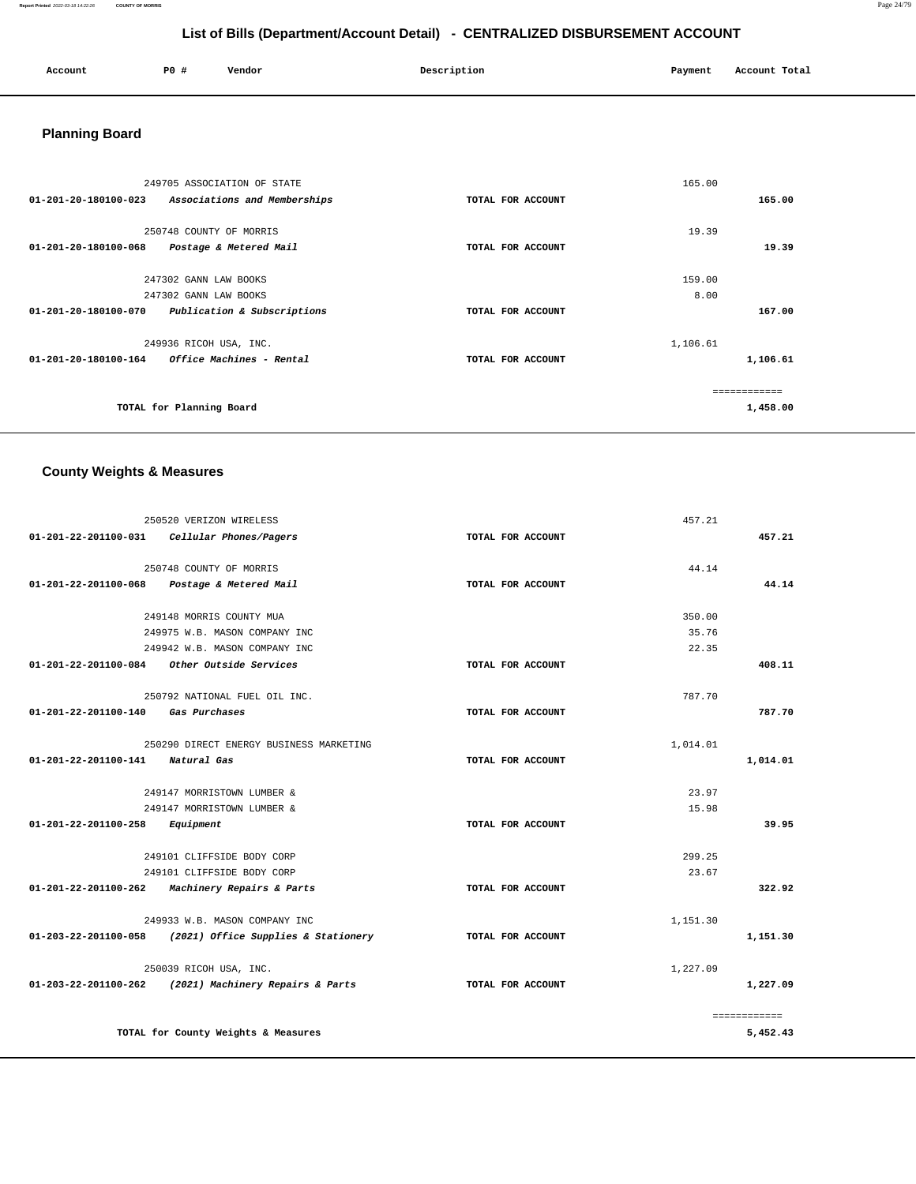| Account | PO# | Vendor | Description | Payment | Account Total |
|---------|-----|--------|-------------|---------|---------------|
|         |     |        |             |         |               |

# **Planning Board**

|                                | 249705 ASSOCIATION OF STATE  |                   | 165.00       |
|--------------------------------|------------------------------|-------------------|--------------|
| 01-201-20-180100-023           | Associations and Memberships | TOTAL FOR ACCOUNT | 165.00       |
|                                |                              |                   |              |
|                                | 250748 COUNTY OF MORRIS      |                   | 19.39        |
| $01 - 201 - 20 - 180100 - 068$ | Postage & Metered Mail       | TOTAL FOR ACCOUNT | 19.39        |
|                                |                              |                   |              |
|                                | 247302 GANN LAW BOOKS        |                   | 159.00       |
|                                | 247302 GANN LAW BOOKS        |                   | 8.00         |
| 01-201-20-180100-070           | Publication & Subscriptions  | TOTAL FOR ACCOUNT | 167.00       |
|                                | 249936 RICOH USA, INC.       | 1,106.61          |              |
| 01-201-20-180100-164           | Office Machines - Rental     | TOTAL FOR ACCOUNT | 1,106.61     |
|                                |                              |                   | ============ |
|                                |                              |                   |              |
|                                | TOTAL for Planning Board     |                   | 1,458.00     |

# **County Weights & Measures**

|                      | 250520 VERIZON WIRELESS                                  |                   | 457.21   |              |
|----------------------|----------------------------------------------------------|-------------------|----------|--------------|
| 01-201-22-201100-031 | Cellular Phones/Pagers                                   | TOTAL FOR ACCOUNT |          | 457.21       |
|                      | 250748 COUNTY OF MORRIS                                  |                   | 44.14    |              |
|                      | 01-201-22-201100-068 Postage & Metered Mail              | TOTAL FOR ACCOUNT |          | 44.14        |
|                      | 249148 MORRIS COUNTY MUA                                 |                   | 350.00   |              |
|                      | 249975 W.B. MASON COMPANY INC                            |                   | 35.76    |              |
|                      | 249942 W.B. MASON COMPANY INC                            |                   | 22.35    |              |
| 01-201-22-201100-084 | Other Outside Services                                   | TOTAL FOR ACCOUNT |          | 408.11       |
|                      | 250792 NATIONAL FUEL OIL INC.                            |                   | 787.70   |              |
| 01-201-22-201100-140 | Gas Purchases                                            | TOTAL FOR ACCOUNT |          | 787.70       |
|                      | 250290 DIRECT ENERGY BUSINESS MARKETING                  |                   | 1,014.01 |              |
| 01-201-22-201100-141 | Natural Gas                                              | TOTAL FOR ACCOUNT |          | 1,014.01     |
|                      | 249147 MORRISTOWN LUMBER &                               |                   | 23.97    |              |
|                      | 249147 MORRISTOWN LUMBER &                               |                   | 15.98    |              |
| 01-201-22-201100-258 | Equipment                                                | TOTAL FOR ACCOUNT |          | 39.95        |
|                      | 249101 CLIFFSIDE BODY CORP                               |                   | 299.25   |              |
|                      | 249101 CLIFFSIDE BODY CORP                               |                   | 23.67    |              |
| 01-201-22-201100-262 | Machinery Repairs & Parts                                | TOTAL FOR ACCOUNT |          | 322.92       |
|                      | 249933 W.B. MASON COMPANY INC                            |                   | 1,151.30 |              |
|                      | 01-203-22-201100-058 (2021) Office Supplies & Stationery | TOTAL FOR ACCOUNT |          | 1,151.30     |
|                      | 250039 RICOH USA, INC.                                   |                   | 1,227.09 |              |
|                      | 01-203-22-201100-262 (2021) Machinery Repairs & Parts    | TOTAL FOR ACCOUNT |          | 1,227.09     |
|                      |                                                          |                   |          | ============ |
|                      | TOTAL for County Weights & Measures                      |                   |          | 5,452.43     |

**Report Printed** 2022-03-18 14:22:26 **COUNTY OF MORRIS** Page 24/79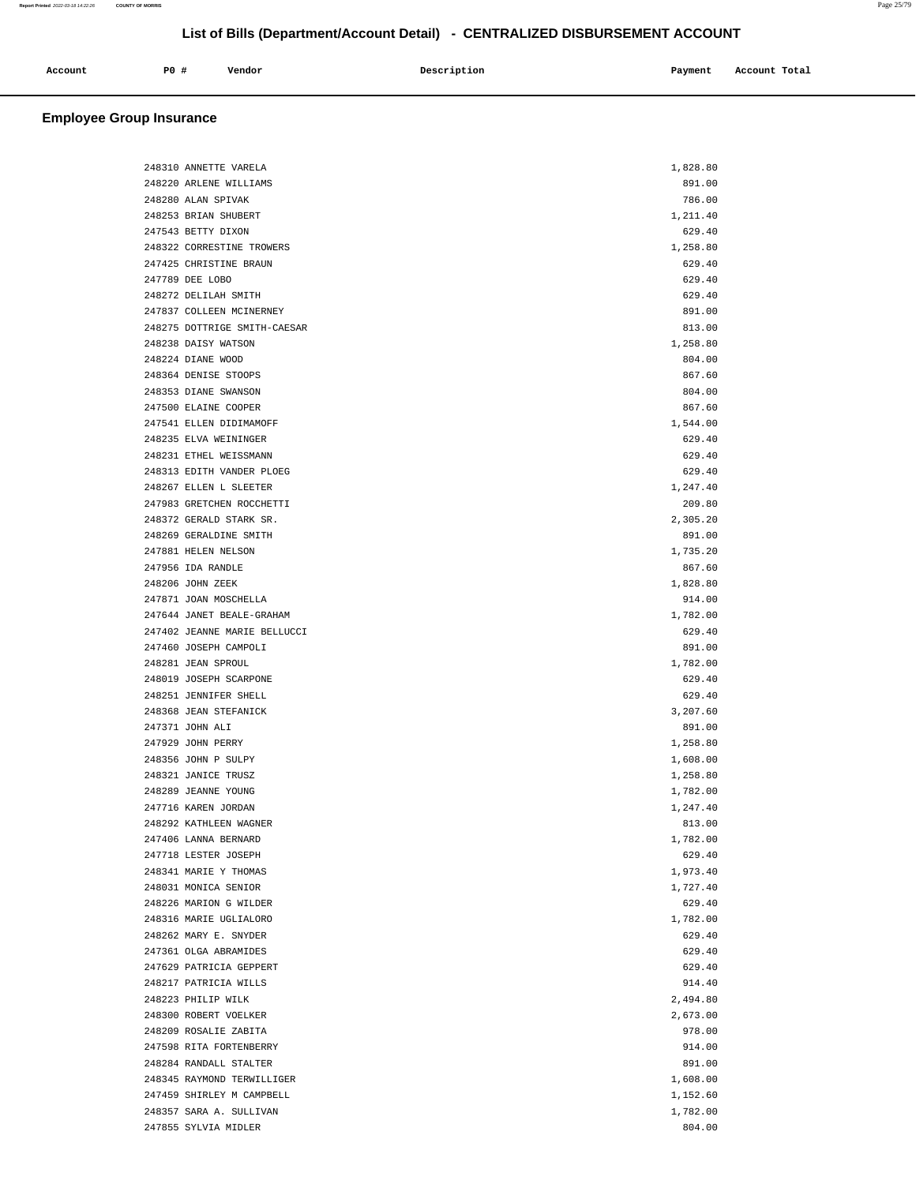| Account | <b>PO #</b> | Vendor | Description | Payment | Account Total |
|---------|-------------|--------|-------------|---------|---------------|
|         |             |        |             |         |               |

# **Employee Group Insurance**

| 248310 ANNETTE VARELA        | 1,828.80 |
|------------------------------|----------|
| 248220 ARLENE WILLIAMS       | 891.00   |
| 248280 ALAN SPIVAK           | 786.00   |
| 248253 BRIAN SHUBERT         | 1,211.40 |
| 247543 BETTY DIXON           | 629.40   |
| 248322 CORRESTINE TROWERS    | 1,258.80 |
| 247425 CHRISTINE BRAUN       | 629.40   |
| 247789 DEE LOBO              | 629.40   |
| 248272 DELILAH SMITH         | 629.40   |
|                              |          |
| 247837 COLLEEN MCINERNEY     | 891.00   |
| 248275 DOTTRIGE SMITH-CAESAR | 813.00   |
| 248238 DAISY WATSON          | 1,258.80 |
| 248224 DIANE WOOD            | 804.00   |
| 248364 DENISE STOOPS         | 867.60   |
| 248353 DIANE SWANSON         | 804.00   |
| 247500 ELAINE COOPER         | 867.60   |
| 247541 ELLEN DIDIMAMOFF      | 1,544.00 |
| 248235 ELVA WEININGER        | 629.40   |
| 248231 ETHEL WEISSMANN       | 629.40   |
| 248313 EDITH VANDER PLOEG    | 629.40   |
| 248267 ELLEN L SLEETER       | 1,247.40 |
| 247983 GRETCHEN ROCCHETTI    | 209.80   |
| 248372 GERALD STARK SR.      | 2.305.20 |
| 248269 GERALDINE SMITH       | 891.00   |
| 247881 HELEN NELSON          | 1,735.20 |
| 247956 IDA RANDLE            | 867.60   |
|                              |          |
| 248206 JOHN ZEEK             | 1,828.80 |
| 247871 JOAN MOSCHELLA        | 914.00   |
| 247644 JANET BEALE-GRAHAM    | 1,782.00 |
| 247402 JEANNE MARIE BELLUCCI | 629.40   |
| 247460 JOSEPH CAMPOLI        | 891.00   |
| 248281 JEAN SPROUL           | 1,782.00 |
| 248019 JOSEPH SCARPONE       | 629.40   |
| 248251 JENNIFER SHELL        | 629.40   |
| 248368 JEAN STEFANICK        | 3,207.60 |
| 247371 JOHN ALI              | 891.00   |
| 247929 JOHN PERRY            | 1,258.80 |
| 248356 JOHN P SULPY          | 1,608.00 |
| 248321 JANICE TRUSZ          | 1,258.80 |
| 248289 JEANNE YOUNG          | 1,782.00 |
| 247716 KAREN JORDAN          | 1,247.40 |
| 248292 KATHLEEN WAGNER       | 813.00   |
| 247406 LANNA BERNARD         | 1,782.00 |
| 247718 LESTER JOSEPH         | 629.40   |
| 248341 MARIE Y THOMAS        | 1,973.40 |
| 248031 MONICA SENIOR         | 1,727.40 |
| 248226 MARION G WILDER       | 629.40   |
|                              |          |
| 248316 MARIE UGLIALORO       | 1,782.00 |
| 248262 MARY E. SNYDER        | 629.40   |
| 247361 OLGA ABRAMIDES        | 629.40   |
| 247629 PATRICIA GEPPERT      | 629.40   |
| 248217 PATRICIA WILLS        | 914.40   |
| 248223 PHILIP WILK           | 2,494.80 |
| 248300 ROBERT VOELKER        | 2,673.00 |
| 248209 ROSALIE ZABITA        | 978.00   |
| 247598 RITA FORTENBERRY      | 914.00   |
| 248284 RANDALL STALTER       | 891.00   |
| 248345 RAYMOND TERWILLIGER   | 1,608.00 |
| 247459 SHIRLEY M CAMPBELL    | 1,152.60 |
| 248357 SARA A. SULLIVAN      | 1,782.00 |
| 247855 SYLVIA MIDLER         | 804.00   |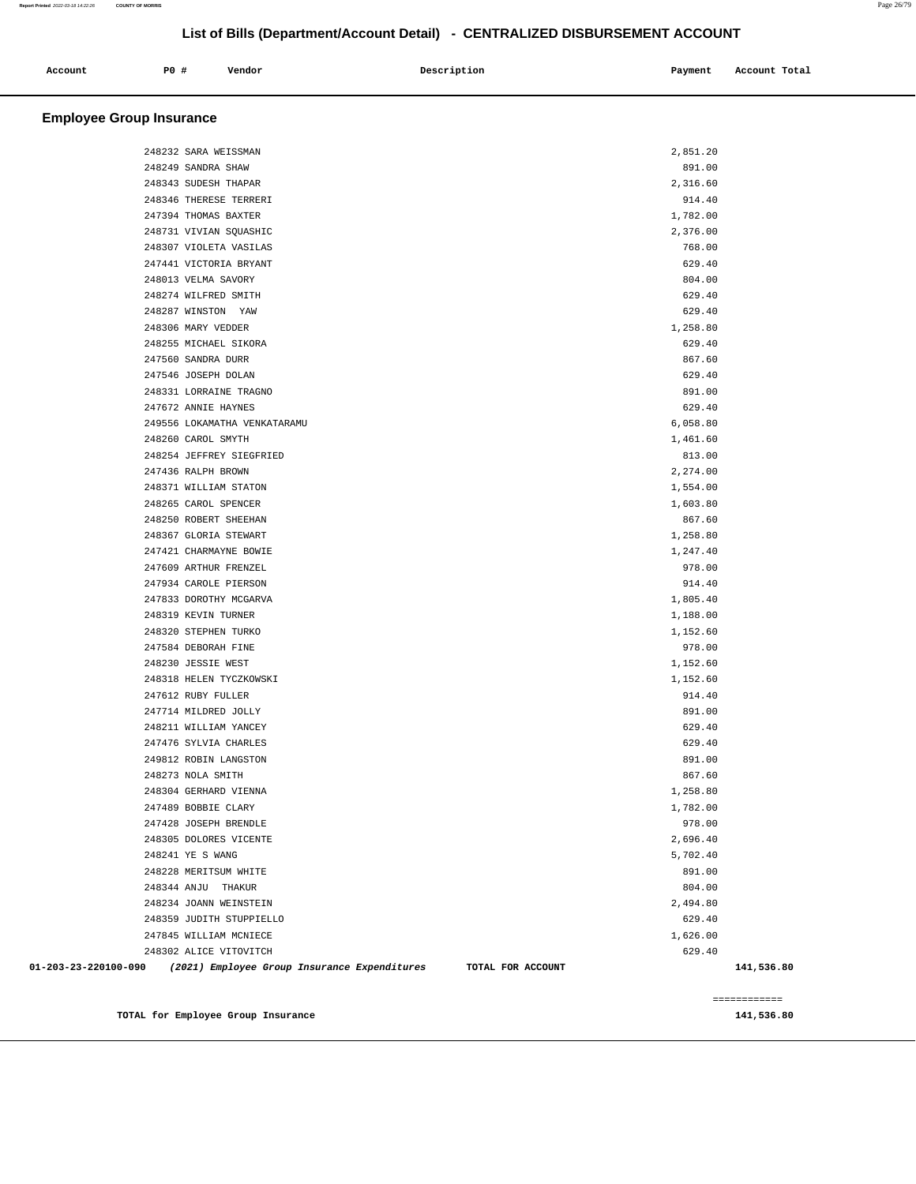| Account | P0 # | Vendor | Description | Payment Account Total |
|---------|------|--------|-------------|-----------------------|
|         |      |        |             |                       |

# **Employee Group Insurance**

| 2,851.20<br>248232 SARA WEISSMAN                                                          |              |
|-------------------------------------------------------------------------------------------|--------------|
| 248249 SANDRA SHAW<br>891.00                                                              |              |
| 248343 SUDESH THAPAR<br>2,316.60                                                          |              |
| 248346 THERESE TERRERI<br>914.40                                                          |              |
| 247394 THOMAS BAXTER<br>1,782.00                                                          |              |
| 248731 VIVIAN SQUASHIC<br>2,376.00                                                        |              |
| 768.00<br>248307 VIOLETA VASILAS                                                          |              |
| 247441 VICTORIA BRYANT<br>629.40                                                          |              |
| 248013 VELMA SAVORY<br>804.00                                                             |              |
| 248274 WILFRED SMITH<br>629.40                                                            |              |
| 629.40<br>248287 WINSTON YAW                                                              |              |
| 248306 MARY VEDDER<br>1,258.80                                                            |              |
| 248255 MICHAEL SIKORA<br>629.40                                                           |              |
| 867.60<br>247560 SANDRA DURR                                                              |              |
| 247546 JOSEPH DOLAN<br>629.40                                                             |              |
| 248331 LORRAINE TRAGNO<br>891.00                                                          |              |
| 247672 ANNIE HAYNES<br>629.40                                                             |              |
| 249556 LOKAMATHA VENKATARAMU<br>6,058.80                                                  |              |
| 248260 CAROL SMYTH<br>1,461.60                                                            |              |
| 248254 JEFFREY SIEGFRIED<br>813.00                                                        |              |
| 247436 RALPH BROWN<br>2,274.00                                                            |              |
| 248371 WILLIAM STATON<br>1,554.00                                                         |              |
| 248265 CAROL SPENCER<br>1,603.80                                                          |              |
| 248250 ROBERT SHEEHAN<br>867.60                                                           |              |
| 248367 GLORIA STEWART<br>1,258.80                                                         |              |
| 247421 CHARMAYNE BOWIE<br>1,247.40                                                        |              |
| 247609 ARTHUR FRENZEL<br>978.00                                                           |              |
| 914.40<br>247934 CAROLE PIERSON                                                           |              |
| 247833 DOROTHY MCGARVA<br>1,805.40                                                        |              |
| 248319 KEVIN TURNER<br>1,188.00                                                           |              |
| 248320 STEPHEN TURKO<br>1,152.60                                                          |              |
| 247584 DEBORAH FINE<br>978.00                                                             |              |
| 248230 JESSIE WEST<br>1,152.60                                                            |              |
| 248318 HELEN TYCZKOWSKI<br>1,152.60                                                       |              |
| 247612 RUBY FULLER<br>914.40                                                              |              |
| 247714 MILDRED JOLLY<br>891.00                                                            |              |
| 629.40<br>248211 WILLIAM YANCEY                                                           |              |
| 247476 SYLVIA CHARLES<br>629.40                                                           |              |
| 249812 ROBIN LANGSTON<br>891.00                                                           |              |
| 248273 NOLA SMITH<br>867.60                                                               |              |
| 248304 GERHARD VIENNA<br>1,258.80                                                         |              |
| 247489 BOBBIE CLARY<br>1,782.00                                                           |              |
| 978.00<br>247428 JOSEPH BRENDLE                                                           |              |
| 248305 DOLORES VICENTE<br>2,696.40                                                        |              |
| 248241 YE S WANG<br>5,702.40                                                              |              |
| 248228 MERITSUM WHITE<br>891.00                                                           |              |
| 248344 ANJU THAKUR<br>804.00                                                              |              |
| 248234 JOANN WEINSTEIN<br>2,494.80                                                        |              |
| 248359 JUDITH STUPPIELLO<br>629.40                                                        |              |
| 247845 WILLIAM MCNIECE<br>1,626.00                                                        |              |
| 629.40<br>248302 ALICE VITOVITCH                                                          |              |
| 01-203-23-220100-090<br>(2021) Employee Group Insurance Expenditures<br>TOTAL FOR ACCOUNT | 141,536.80   |
|                                                                                           |              |
|                                                                                           | ============ |
| TOTAL for Employee Group Insurance                                                        | 141,536.80   |

**Report Printed** 2022-03-18 14:22:26 **COUNTY OF MORRIS** Page 26/79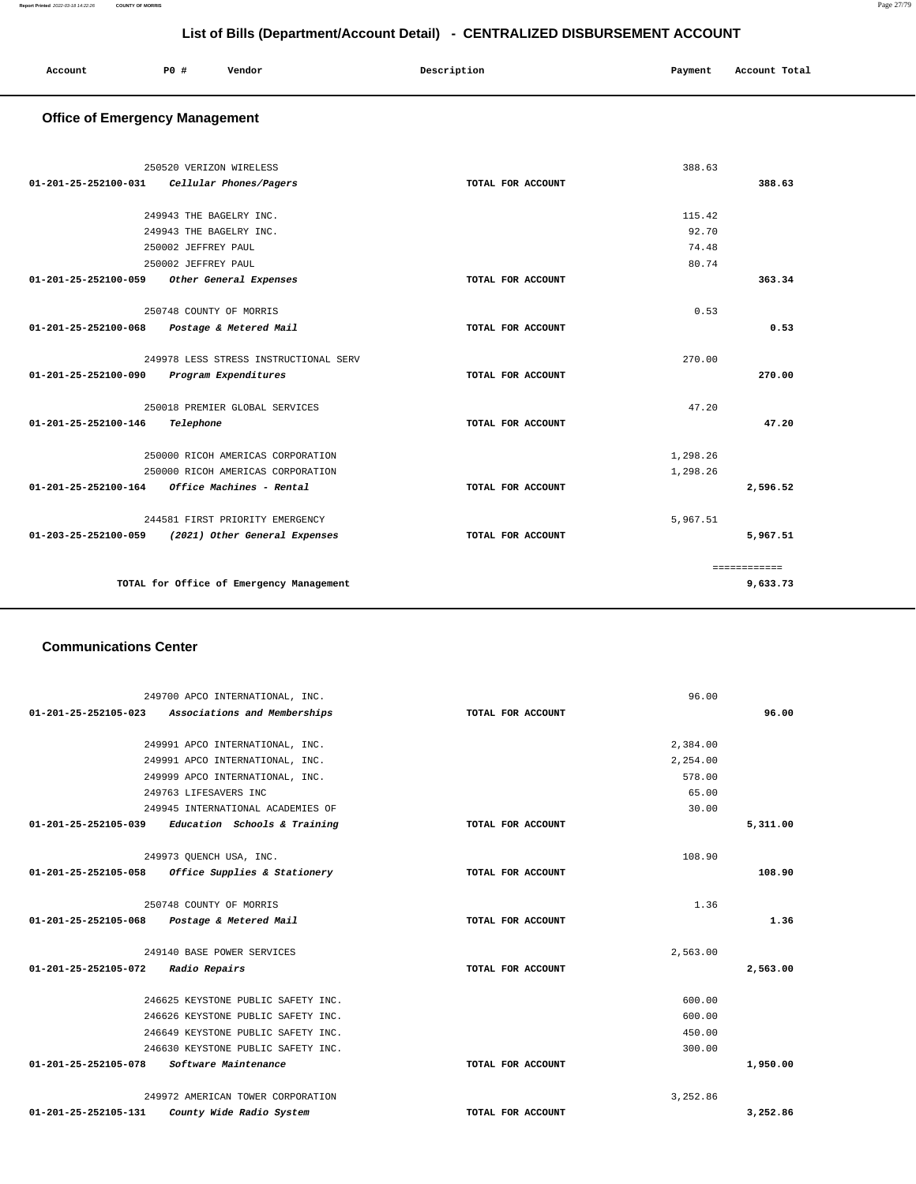| Account | P0 # | Vendor<br>. | Description | Payment | Account Total |
|---------|------|-------------|-------------|---------|---------------|
|         |      |             |             |         |               |

# **Office of Emergency Management**

|                      | 250520 VERIZON WIRELESS                  |                   | 388.63   |              |
|----------------------|------------------------------------------|-------------------|----------|--------------|
| 01-201-25-252100-031 | Cellular Phones/Pagers                   | TOTAL FOR ACCOUNT |          | 388.63       |
|                      |                                          |                   |          |              |
|                      | 249943 THE BAGELRY INC.                  |                   | 115.42   |              |
|                      | 249943 THE BAGELRY INC.                  |                   | 92.70    |              |
|                      | 250002 JEFFREY PAUL                      |                   | 74.48    |              |
|                      | 250002 JEFFREY PAUL                      |                   | 80.74    |              |
| 01-201-25-252100-059 | Other General Expenses                   | TOTAL FOR ACCOUNT |          | 363.34       |
|                      | 250748 COUNTY OF MORRIS                  |                   | 0.53     |              |
| 01-201-25-252100-068 | Postage & Metered Mail                   | TOTAL FOR ACCOUNT |          | 0.53         |
|                      | 249978 LESS STRESS INSTRUCTIONAL SERV    |                   | 270.00   |              |
| 01-201-25-252100-090 | Program Expenditures                     | TOTAL FOR ACCOUNT |          | 270.00       |
|                      | 250018 PREMIER GLOBAL SERVICES           |                   | 47.20    |              |
| 01-201-25-252100-146 | Telephone                                | TOTAL FOR ACCOUNT |          | 47.20        |
|                      | 250000 RICOH AMERICAS CORPORATION        |                   | 1,298.26 |              |
|                      | 250000 RICOH AMERICAS CORPORATION        |                   | 1,298.26 |              |
| 01-201-25-252100-164 | Office Machines - Rental                 | TOTAL FOR ACCOUNT |          | 2,596.52     |
|                      | 244581 FIRST PRIORITY EMERGENCY          |                   | 5,967.51 |              |
| 01-203-25-252100-059 | (2021) Other General Expenses            | TOTAL FOR ACCOUNT |          | 5,967.51     |
|                      |                                          |                   |          | ============ |
|                      | TOTAL for Office of Emergency Management |                   |          | 9,633.73     |

### **Communications Center**

| 249700 APCO INTERNATIONAL, INC.                            | 96.00             |          |
|------------------------------------------------------------|-------------------|----------|
| 01-201-25-252105-023 Associations and Memberships          | TOTAL FOR ACCOUNT | 96.00    |
|                                                            |                   |          |
| 249991 APCO INTERNATIONAL, INC.                            | 2,384.00          |          |
| 249991 APCO INTERNATIONAL, INC.                            | 2,254.00          |          |
| 249999 APCO INTERNATIONAL, INC.                            | 578.00            |          |
| 249763 LIFESAVERS INC                                      | 65.00             |          |
| 249945 INTERNATIONAL ACADEMIES OF                          | 30.00             |          |
| $01-201-25-252105-039$ Education Schools & Training        | TOTAL FOR ACCOUNT | 5,311.00 |
|                                                            |                   |          |
| 249973 OUENCH USA, INC.                                    | 108.90            |          |
| 01-201-25-252105-058 Office Supplies & Stationery          | TOTAL FOR ACCOUNT | 108.90   |
|                                                            |                   |          |
| 250748 COUNTY OF MORRIS                                    | 1.36              |          |
| 01-201-25-252105-068 Postage & Metered Mail                | TOTAL FOR ACCOUNT | 1.36     |
|                                                            |                   |          |
| 249140 BASE POWER SERVICES                                 | 2,563.00          |          |
| 01-201-25-252105-072 Radio Repairs                         | TOTAL FOR ACCOUNT | 2,563.00 |
| 246625 KEYSTONE PUBLIC SAFETY INC.                         | 600.00            |          |
| 246626 KEYSTONE PUBLIC SAFETY INC.                         | 600.00            |          |
| 246649 KEYSTONE PUBLIC SAFETY INC.                         | 450.00            |          |
| 246630 KEYSTONE PUBLIC SAFETY INC.                         | 300.00            |          |
| 01-201-25-252105-078<br>Software Maintenance               |                   |          |
|                                                            | TOTAL FOR ACCOUNT | 1,950.00 |
| 249972 AMERICAN TOWER CORPORATION                          | 3,252.86          |          |
| $01 - 201 - 25 - 252105 - 131$<br>County Wide Radio System | TOTAL FOR ACCOUNT | 3,252.86 |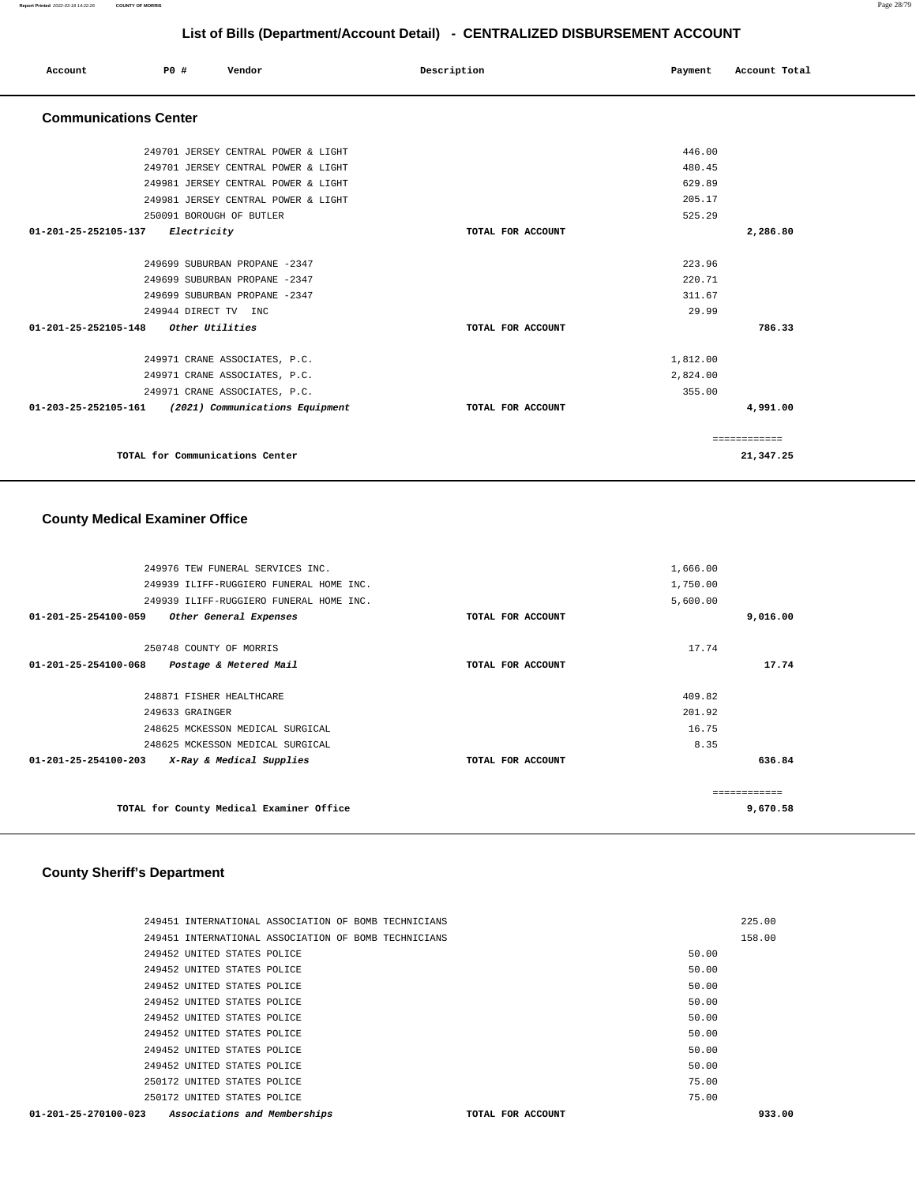| Account | <b>PO #</b> | Vendor<br>. | Description | Payment | Account Total |
|---------|-------------|-------------|-------------|---------|---------------|
|         |             |             |             |         |               |

# **Communications Center**

| 249701 JERSEY CENTRAL POWER & LIGHT                               | 446.00            |              |
|-------------------------------------------------------------------|-------------------|--------------|
| 249701 JERSEY CENTRAL POWER & LIGHT                               | 480.45            |              |
| 249981 JERSEY CENTRAL POWER & LIGHT                               | 629.89            |              |
| 249981 JERSEY CENTRAL POWER & LIGHT                               | 205.17            |              |
| 250091 BOROUGH OF BUTLER                                          | 525.29            |              |
| 01-201-25-252105-137<br>Electricity                               | TOTAL FOR ACCOUNT | 2,286.80     |
|                                                                   |                   |              |
| 249699 SUBURBAN PROPANE -2347                                     | 223.96            |              |
| 249699 SUBURBAN PROPANE -2347                                     | 220.71            |              |
| 249699 SUBURBAN PROPANE -2347                                     | 311.67            |              |
| 249944 DIRECT TV INC                                              | 29.99             |              |
| Other Utilities<br>01-201-25-252105-148                           | TOTAL FOR ACCOUNT | 786.33       |
|                                                                   |                   |              |
| 249971 CRANE ASSOCIATES, P.C.                                     | 1,812.00          |              |
| 249971 CRANE ASSOCIATES, P.C.                                     | 2,824.00          |              |
| 249971 CRANE ASSOCIATES, P.C.                                     | 355.00            |              |
| $01 - 203 - 25 - 252105 - 161$<br>(2021) Communications Equipment | TOTAL FOR ACCOUNT | 4,991.00     |
|                                                                   |                   |              |
|                                                                   |                   | ============ |
| TOTAL for Communications Center                                   |                   | 21,347.25    |
|                                                                   |                   |              |

# **County Medical Examiner Office**

|                                | TOTAL for County Medical Examiner Office |                   |          | -------------<br>9,670.58 |
|--------------------------------|------------------------------------------|-------------------|----------|---------------------------|
| 01-201-25-254100-203           | X-Ray & Medical Supplies                 | TOTAL FOR ACCOUNT |          | 636.84                    |
|                                | 248625 MCKESSON MEDICAL SURGICAL         |                   | 8.35     |                           |
|                                | 248625 MCKESSON MEDICAL SURGICAL         |                   | 16.75    |                           |
|                                | 249633 GRAINGER                          |                   | 201.92   |                           |
|                                | 248871 FISHER HEALTHCARE                 |                   | 409.82   |                           |
| $01 - 201 - 25 - 254100 - 068$ | Postage & Metered Mail                   | TOTAL FOR ACCOUNT |          | 17.74                     |
|                                | 250748 COUNTY OF MORRIS                  |                   | 17.74    |                           |
| $01 - 201 - 25 - 254100 - 059$ | Other General Expenses                   | TOTAL FOR ACCOUNT |          | 9,016.00                  |
|                                | 249939 ILIFF-RUGGIERO FUNERAL HOME INC.  |                   | 5,600.00 |                           |
|                                | 249939 ILIFF-RUGGIERO FUNERAL HOME INC.  |                   | 1,750.00 |                           |
|                                | 249976 TEW FUNERAL SERVICES INC.         |                   | 1,666.00 |                           |
|                                |                                          |                   |          |                           |

### **County Sheriff's Department**

| 249451 INTERNATIONAL ASSOCIATION OF BOMB TECHNICIANS |  |                   |       | 225.00 |
|------------------------------------------------------|--|-------------------|-------|--------|
| 249451 INTERNATIONAL ASSOCIATION OF BOMB TECHNICIANS |  |                   |       | 158.00 |
| 249452 UNITED STATES POLICE                          |  |                   | 50.00 |        |
| 249452 UNITED STATES POLICE                          |  |                   | 50.00 |        |
| 249452 UNITED STATES POLICE                          |  |                   | 50.00 |        |
| 249452 UNITED STATES POLICE                          |  |                   | 50.00 |        |
| 249452 UNITED STATES POLICE                          |  |                   | 50.00 |        |
| 249452 UNITED STATES POLICE                          |  |                   | 50.00 |        |
| 249452 UNITED STATES POLICE                          |  |                   | 50.00 |        |
| 249452 UNITED STATES POLICE                          |  |                   | 50.00 |        |
| 250172 UNITED STATES POLICE                          |  |                   | 75.00 |        |
| 250172 UNITED STATES POLICE                          |  |                   | 75.00 |        |
| 01-201-25-270100-023 Associations and Memberships    |  | TOTAL FOR ACCOUNT |       | 933.00 |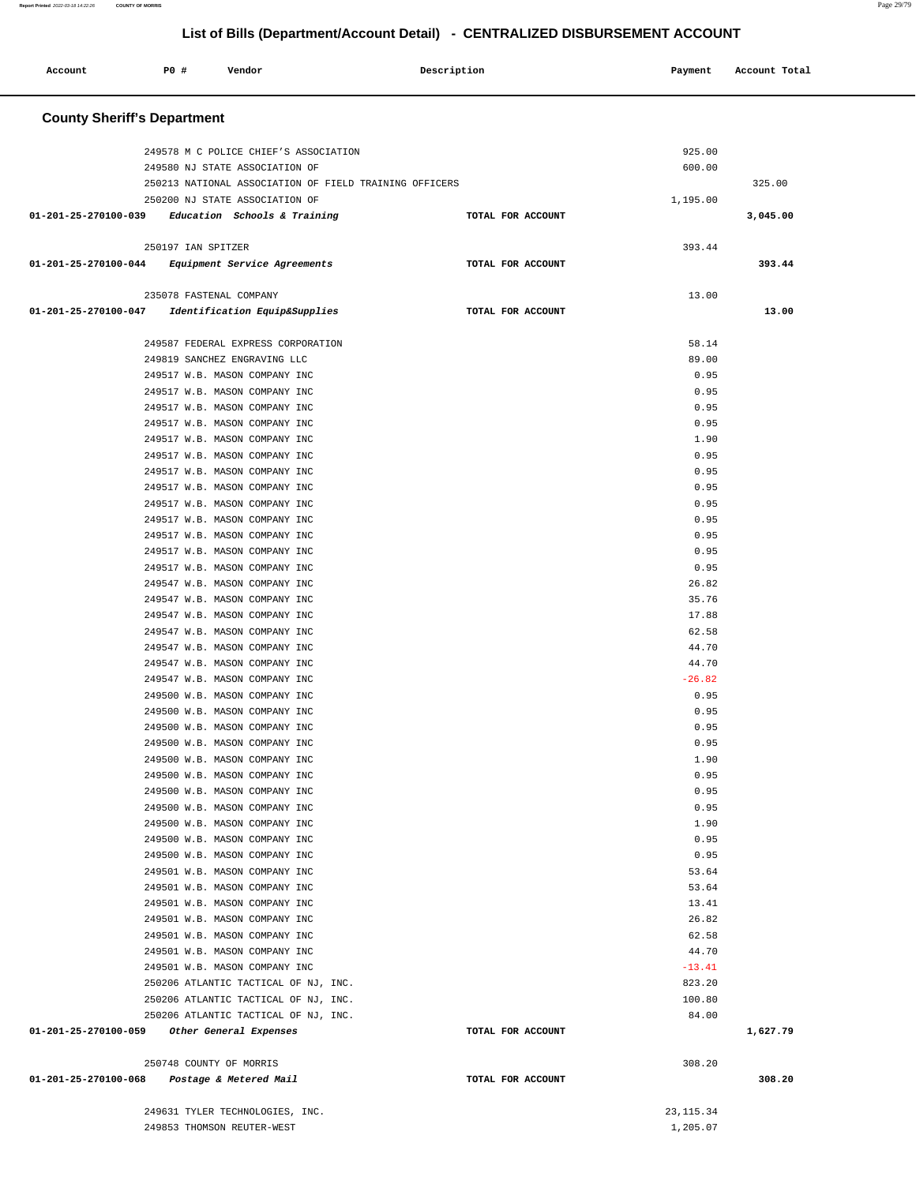۳

| Account              | P0 #                               | Vendor                                                         | Description                                            |                   | Payment          | Account Total |  |
|----------------------|------------------------------------|----------------------------------------------------------------|--------------------------------------------------------|-------------------|------------------|---------------|--|
|                      | <b>County Sheriff's Department</b> |                                                                |                                                        |                   |                  |               |  |
|                      |                                    |                                                                |                                                        |                   |                  |               |  |
|                      |                                    | 249578 M C POLICE CHIEF'S ASSOCIATION                          |                                                        |                   | 925.00           |               |  |
|                      |                                    | 249580 NJ STATE ASSOCIATION OF                                 | 250213 NATIONAL ASSOCIATION OF FIELD TRAINING OFFICERS |                   | 600.00           | 325.00        |  |
|                      |                                    | 250200 NJ STATE ASSOCIATION OF                                 |                                                        |                   | 1,195.00         |               |  |
| 01-201-25-270100-039 |                                    | Education Schools & Training                                   |                                                        | TOTAL FOR ACCOUNT |                  | 3,045.00      |  |
|                      |                                    |                                                                |                                                        |                   |                  |               |  |
|                      | 250197 IAN SPITZER                 |                                                                |                                                        |                   | 393.44           |               |  |
| 01-201-25-270100-044 |                                    | Equipment Service Agreements                                   |                                                        | TOTAL FOR ACCOUNT |                  | 393.44        |  |
|                      |                                    |                                                                |                                                        |                   |                  |               |  |
|                      |                                    | 235078 FASTENAL COMPANY                                        |                                                        |                   | 13.00            |               |  |
| 01-201-25-270100-047 |                                    | Identification Equip&Supplies                                  |                                                        | TOTAL FOR ACCOUNT |                  | 13.00         |  |
|                      |                                    |                                                                |                                                        |                   |                  |               |  |
|                      |                                    | 249587 FEDERAL EXPRESS CORPORATION                             |                                                        |                   | 58.14            |               |  |
|                      |                                    | 249819 SANCHEZ ENGRAVING LLC                                   |                                                        |                   | 89.00            |               |  |
|                      |                                    | 249517 W.B. MASON COMPANY INC                                  |                                                        |                   | 0.95             |               |  |
|                      |                                    | 249517 W.B. MASON COMPANY INC                                  |                                                        |                   | 0.95             |               |  |
|                      |                                    | 249517 W.B. MASON COMPANY INC                                  |                                                        |                   | 0.95             |               |  |
|                      |                                    | 249517 W.B. MASON COMPANY INC                                  |                                                        |                   | 0.95             |               |  |
|                      |                                    | 249517 W.B. MASON COMPANY INC                                  |                                                        |                   | 1.90             |               |  |
|                      |                                    | 249517 W.B. MASON COMPANY INC                                  |                                                        |                   | 0.95             |               |  |
|                      |                                    | 249517 W.B. MASON COMPANY INC                                  |                                                        |                   | 0.95             |               |  |
|                      |                                    | 249517 W.B. MASON COMPANY INC                                  |                                                        |                   | 0.95             |               |  |
|                      |                                    | 249517 W.B. MASON COMPANY INC                                  |                                                        |                   | 0.95             |               |  |
|                      |                                    | 249517 W.B. MASON COMPANY INC                                  |                                                        |                   | 0.95             |               |  |
|                      |                                    | 249517 W.B. MASON COMPANY INC                                  |                                                        |                   | 0.95             |               |  |
|                      |                                    | 249517 W.B. MASON COMPANY INC                                  |                                                        |                   | 0.95             |               |  |
|                      |                                    | 249517 W.B. MASON COMPANY INC                                  |                                                        |                   | 0.95             |               |  |
|                      |                                    | 249547 W.B. MASON COMPANY INC                                  |                                                        |                   | 26.82            |               |  |
|                      |                                    | 249547 W.B. MASON COMPANY INC                                  |                                                        |                   | 35.76            |               |  |
|                      |                                    | 249547 W.B. MASON COMPANY INC                                  |                                                        |                   | 17.88            |               |  |
|                      |                                    | 249547 W.B. MASON COMPANY INC                                  |                                                        |                   | 62.58            |               |  |
|                      |                                    | 249547 W.B. MASON COMPANY INC                                  |                                                        |                   | 44.70            |               |  |
|                      |                                    | 249547 W.B. MASON COMPANY INC                                  |                                                        |                   | 44.70            |               |  |
|                      |                                    | 249547 W.B. MASON COMPANY INC                                  |                                                        |                   | $-26.82$<br>0.95 |               |  |
|                      |                                    | 249500 W.B. MASON COMPANY INC<br>249500 W.B. MASON COMPANY INC |                                                        |                   | 0.95             |               |  |
|                      |                                    | 249500 W.B. MASON COMPANY INC                                  |                                                        |                   | 0.95             |               |  |
|                      |                                    | 249500 W.B. MASON COMPANY INC                                  |                                                        |                   | 0.95             |               |  |
|                      |                                    | 249500 W.B. MASON COMPANY INC                                  |                                                        |                   | 1.90             |               |  |
|                      |                                    | 249500 W.B. MASON COMPANY INC                                  |                                                        |                   | 0.95             |               |  |
|                      |                                    | 249500 W.B. MASON COMPANY INC                                  |                                                        |                   | 0.95             |               |  |
|                      |                                    | 249500 W.B. MASON COMPANY INC                                  |                                                        |                   | 0.95             |               |  |
|                      |                                    | 249500 W.B. MASON COMPANY INC                                  |                                                        |                   | 1.90             |               |  |
|                      |                                    | 249500 W.B. MASON COMPANY INC                                  |                                                        |                   | 0.95             |               |  |
|                      |                                    | 249500 W.B. MASON COMPANY INC                                  |                                                        |                   | 0.95             |               |  |
|                      |                                    | 249501 W.B. MASON COMPANY INC                                  |                                                        |                   | 53.64            |               |  |
|                      |                                    | 249501 W.B. MASON COMPANY INC                                  |                                                        |                   | 53.64            |               |  |
|                      |                                    | 249501 W.B. MASON COMPANY INC                                  |                                                        |                   | 13.41            |               |  |
|                      |                                    | 249501 W.B. MASON COMPANY INC                                  |                                                        |                   | 26.82            |               |  |
|                      |                                    | 249501 W.B. MASON COMPANY INC                                  |                                                        |                   | 62.58            |               |  |
|                      |                                    | 249501 W.B. MASON COMPANY INC                                  |                                                        |                   | 44.70            |               |  |
|                      |                                    | 249501 W.B. MASON COMPANY INC                                  |                                                        |                   | $-13.41$         |               |  |
|                      |                                    | 250206 ATLANTIC TACTICAL OF NJ, INC.                           |                                                        |                   | 823.20           |               |  |
|                      |                                    | 250206 ATLANTIC TACTICAL OF NJ, INC.                           |                                                        |                   | 100.80           |               |  |
|                      |                                    | 250206 ATLANTIC TACTICAL OF NJ, INC.                           |                                                        |                   | 84.00            |               |  |
| 01-201-25-270100-059 |                                    | Other General Expenses                                         |                                                        | TOTAL FOR ACCOUNT |                  | 1,627.79      |  |
|                      |                                    |                                                                |                                                        |                   |                  |               |  |
|                      |                                    | 250748 COUNTY OF MORRIS                                        |                                                        |                   | 308.20           | 308.20        |  |
| 01-201-25-270100-068 |                                    | Postage & Metered Mail                                         |                                                        | TOTAL FOR ACCOUNT |                  |               |  |
|                      |                                    | 249631 TYLER TECHNOLOGIES, INC.                                |                                                        |                   | 23, 115.34       |               |  |
|                      |                                    | 249853 THOMSON REUTER-WEST                                     |                                                        |                   | 1,205.07         |               |  |
|                      |                                    |                                                                |                                                        |                   |                  |               |  |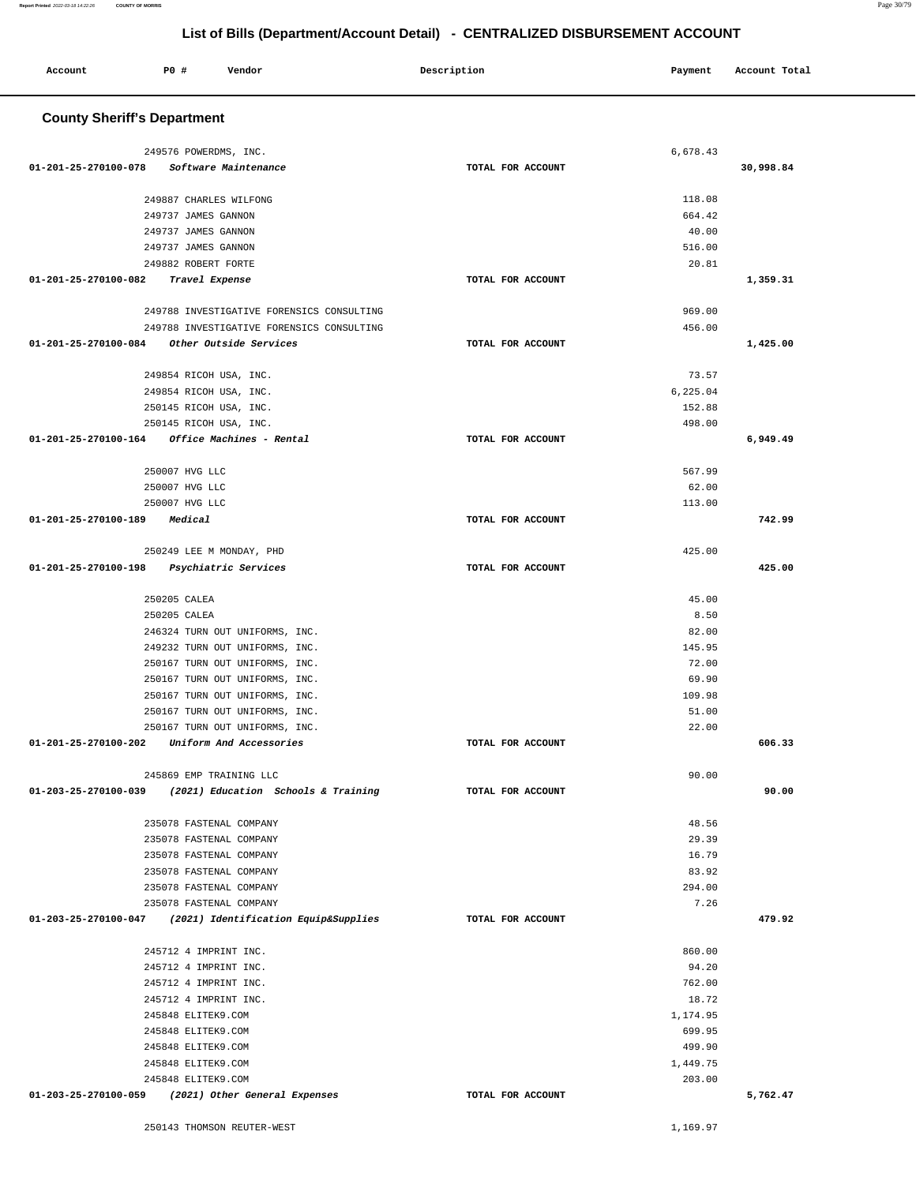| <b>County Sheriff's Department</b>                        |                   |                |           |
|-----------------------------------------------------------|-------------------|----------------|-----------|
|                                                           |                   |                |           |
| 249576 POWERDMS, INC.                                     |                   | 6,678.43       |           |
| 01-201-25-270100-078<br>Software Maintenance              | TOTAL FOR ACCOUNT |                | 30,998.84 |
|                                                           |                   |                |           |
| 249887 CHARLES WILFONG                                    |                   | 118.08         |           |
| 249737 JAMES GANNON                                       |                   | 664.42         |           |
| 249737 JAMES GANNON                                       |                   | 40.00          |           |
| 249737 JAMES GANNON                                       |                   | 516.00         |           |
| 249882 ROBERT FORTE                                       |                   | 20.81          |           |
| 01-201-25-270100-082<br>Travel Expense                    | TOTAL FOR ACCOUNT |                | 1,359.31  |
|                                                           |                   |                |           |
| 249788 INVESTIGATIVE FORENSICS CONSULTING                 |                   | 969.00         |           |
| 249788 INVESTIGATIVE FORENSICS CONSULTING                 |                   | 456.00         |           |
| 01-201-25-270100-084<br>Other Outside Services            | TOTAL FOR ACCOUNT |                | 1,425.00  |
|                                                           |                   |                |           |
| 249854 RICOH USA, INC.                                    |                   | 73.57          |           |
| 249854 RICOH USA, INC.                                    |                   | 6,225.04       |           |
| 250145 RICOH USA, INC.                                    |                   | 152.88         |           |
| 250145 RICOH USA, INC.                                    |                   | 498.00         |           |
| Office Machines - Rental<br>01-201-25-270100-164          | TOTAL FOR ACCOUNT |                | 6,949.49  |
|                                                           |                   | 567.99         |           |
| 250007 HVG LLC<br>250007 HVG LLC                          |                   | 62.00          |           |
| 250007 HVG LLC                                            |                   | 113.00         |           |
| 01-201-25-270100-189<br>Medical                           | TOTAL FOR ACCOUNT |                | 742.99    |
|                                                           |                   |                |           |
| 250249 LEE M MONDAY, PHD                                  |                   | 425.00         |           |
| 01-201-25-270100-198<br>Psychiatric Services              | TOTAL FOR ACCOUNT |                | 425.00    |
|                                                           |                   |                |           |
| 250205 CALEA                                              |                   | 45.00          |           |
| 250205 CALEA                                              |                   | 8.50           |           |
| 246324 TURN OUT UNIFORMS, INC.                            |                   | 82.00          |           |
| 249232 TURN OUT UNIFORMS, INC.                            |                   | 145.95         |           |
| 250167 TURN OUT UNIFORMS, INC.                            |                   | 72.00          |           |
| 250167 TURN OUT UNIFORMS, INC.                            |                   | 69.90          |           |
| 250167 TURN OUT UNIFORMS, INC.                            |                   | 109.98         |           |
| 250167 TURN OUT UNIFORMS, INC.                            |                   | 51.00          |           |
| 250167 TURN OUT UNIFORMS, INC.                            |                   | 22.00          |           |
| 01-201-25-270100-202<br>Uniform And Accessories           | TOTAL FOR ACCOUNT |                | 606.33    |
|                                                           |                   |                |           |
| 245869 EMP TRAINING LLC                                   |                   | 90.00          |           |
| 01-203-25-270100-039 (2021) Education Schools & Training  | TOTAL FOR ACCOUNT |                | 90.00     |
|                                                           |                   | 48.56          |           |
| 235078 FASTENAL COMPANY                                   |                   |                |           |
| 235078 FASTENAL COMPANY<br>235078 FASTENAL COMPANY        |                   | 29.39<br>16.79 |           |
| 235078 FASTENAL COMPANY                                   |                   | 83.92          |           |
| 235078 FASTENAL COMPANY                                   |                   | 294.00         |           |
| 235078 FASTENAL COMPANY                                   |                   | 7.26           |           |
| 01-203-25-270100-047 (2021) Identification Equip&Supplies | TOTAL FOR ACCOUNT |                | 479.92    |
|                                                           |                   |                |           |
| 245712 4 IMPRINT INC.                                     |                   | 860.00         |           |
| 245712 4 IMPRINT INC.                                     |                   | 94.20          |           |
| 245712 4 IMPRINT INC.                                     |                   | 762.00         |           |
| 245712 4 IMPRINT INC.                                     |                   | 18.72          |           |
| 245848 ELITEK9.COM                                        |                   | 1,174.95       |           |
| 245848 ELITEK9.COM                                        |                   | 699.95         |           |
| 245848 ELITEK9.COM                                        |                   | 499.90         |           |
| 245848 ELITEK9.COM                                        |                   | 1,449.75       |           |
| 245848 ELITEK9.COM                                        |                   | 203.00         |           |
| 01-203-25-270100-059 (2021) Other General Expenses        | TOTAL FOR ACCOUNT |                | 5,762.47  |

Account P<sub>0</sub> **P**  $\uparrow$  Pendor Payment Account Potal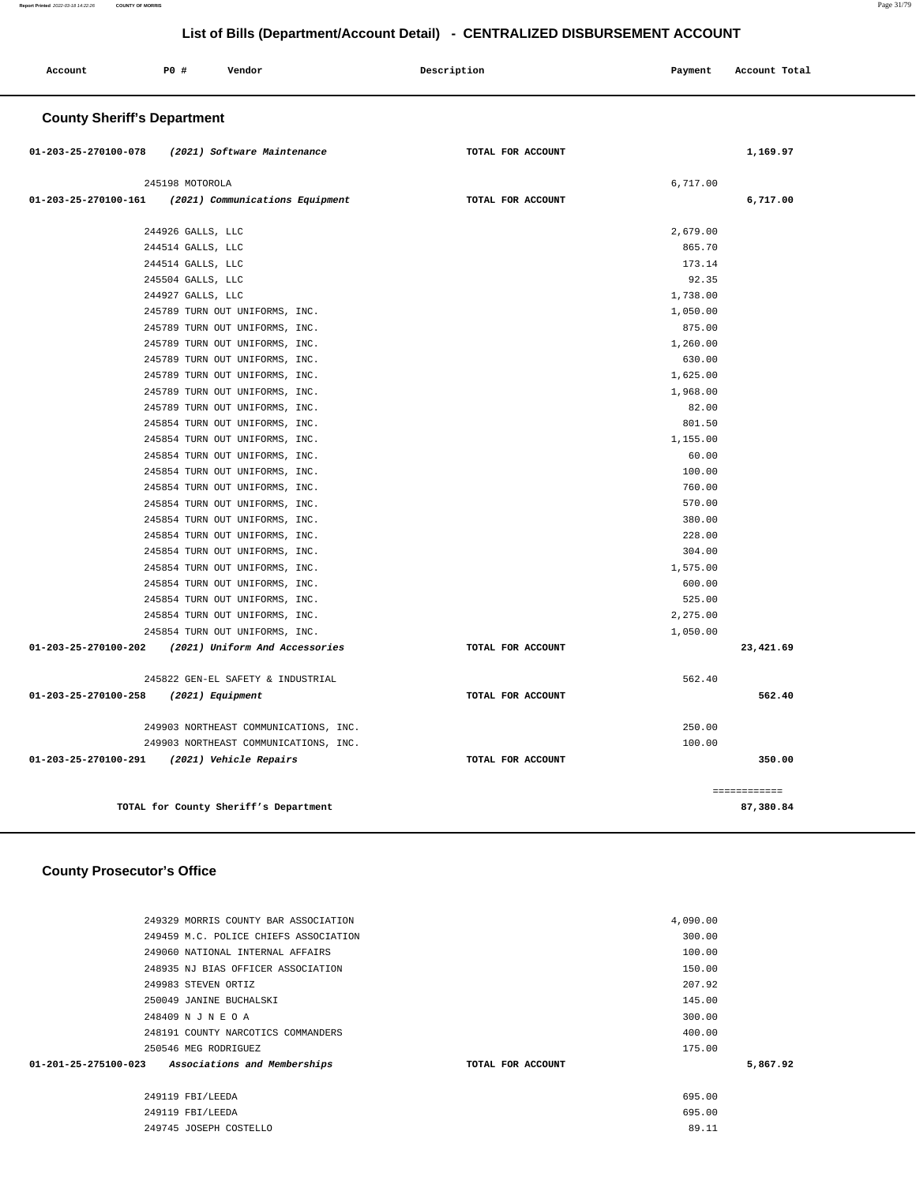| List of Bills (Department/Account Detail) - CENTRALIZED DISBURSEMENT ACCOUNT |                                    |                                       |                   |          |               |  |
|------------------------------------------------------------------------------|------------------------------------|---------------------------------------|-------------------|----------|---------------|--|
| Account                                                                      | PO#                                | Vendor                                | Description       | Payment  | Account Total |  |
|                                                                              | <b>County Sheriff's Department</b> |                                       |                   |          |               |  |
| 01-203-25-270100-078                                                         |                                    | (2021) Software Maintenance           | TOTAL FOR ACCOUNT |          | 1,169.97      |  |
|                                                                              | 245198 MOTOROLA                    |                                       |                   | 6,717.00 |               |  |
| 01-203-25-270100-161                                                         |                                    | (2021) Communications Equipment       | TOTAL FOR ACCOUNT |          | 6,717.00      |  |
|                                                                              | 244926 GALLS, LLC                  |                                       |                   | 2,679.00 |               |  |
|                                                                              | 244514 GALLS, LLC                  |                                       |                   | 865.70   |               |  |
|                                                                              | 244514 GALLS, LLC                  |                                       |                   | 173.14   |               |  |
|                                                                              | 245504 GALLS, LLC                  |                                       |                   | 92.35    |               |  |
|                                                                              | 244927 GALLS, LLC                  |                                       |                   | 1,738.00 |               |  |
|                                                                              |                                    | 245789 TURN OUT UNIFORMS, INC.        |                   | 1,050.00 |               |  |
|                                                                              |                                    | 245789 TURN OUT UNIFORMS, INC.        |                   | 875.00   |               |  |
|                                                                              |                                    | 245789 TURN OUT UNIFORMS, INC.        |                   | 1,260.00 |               |  |
|                                                                              |                                    | 245789 TURN OUT UNIFORMS, INC.        |                   | 630.00   |               |  |
|                                                                              |                                    | 245789 TURN OUT UNIFORMS, INC.        |                   | 1,625.00 |               |  |
|                                                                              |                                    | 245789 TURN OUT UNIFORMS, INC.        |                   | 1,968.00 |               |  |
|                                                                              |                                    | 245789 TURN OUT UNIFORMS, INC.        |                   | 82.00    |               |  |
|                                                                              |                                    | 245854 TURN OUT UNIFORMS, INC.        |                   | 801.50   |               |  |
|                                                                              |                                    | 245854 TURN OUT UNIFORMS, INC.        |                   | 1,155.00 |               |  |
|                                                                              |                                    | 245854 TURN OUT UNIFORMS, INC.        |                   | 60.00    |               |  |
|                                                                              |                                    | 245854 TURN OUT UNIFORMS, INC.        |                   | 100.00   |               |  |
|                                                                              |                                    | 245854 TURN OUT UNIFORMS, INC.        |                   | 760.00   |               |  |
|                                                                              |                                    | 245854 TURN OUT UNIFORMS, INC.        |                   | 570.00   |               |  |
|                                                                              |                                    | 245854 TURN OUT UNIFORMS, INC.        |                   | 380.00   |               |  |
|                                                                              |                                    | 245854 TURN OUT UNIFORMS, INC.        |                   | 228.00   |               |  |
|                                                                              |                                    | 245854 TURN OUT UNIFORMS, INC.        |                   | 304.00   |               |  |
|                                                                              |                                    | 245854 TURN OUT UNIFORMS, INC.        |                   | 1,575.00 |               |  |
|                                                                              |                                    | 245854 TURN OUT UNIFORMS, INC.        |                   | 600.00   |               |  |
|                                                                              |                                    | 245854 TURN OUT UNIFORMS, INC.        |                   | 525.00   |               |  |
|                                                                              |                                    | 245854 TURN OUT UNIFORMS, INC.        |                   | 2,275.00 |               |  |
|                                                                              |                                    | 245854 TURN OUT UNIFORMS, INC.        |                   | 1,050.00 |               |  |
| 01-203-25-270100-202                                                         |                                    | (2021) Uniform And Accessories        | TOTAL FOR ACCOUNT |          | 23,421.69     |  |
|                                                                              |                                    | 245822 GEN-EL SAFETY & INDUSTRIAL     |                   | 562.40   |               |  |
| 01-203-25-270100-258                                                         |                                    | (2021) Equipment                      | TOTAL FOR ACCOUNT |          | 562.40        |  |
|                                                                              |                                    | 249903 NORTHEAST COMMUNICATIONS, INC. |                   | 250.00   |               |  |
|                                                                              |                                    | 249903 NORTHEAST COMMUNICATIONS, INC. |                   | 100.00   |               |  |
| 01-203-25-270100-291                                                         |                                    | (2021) Vehicle Repairs                | TOTAL FOR ACCOUNT |          | 350.00        |  |
|                                                                              |                                    |                                       |                   |          | ============  |  |

**TOTAL for County Sheriff's Department 87,380.84**

### **County Prosecutor's Office**

| 249329 MORRIS COUNTY BAR ASSOCIATION              |                   | 4,090.00 |          |
|---------------------------------------------------|-------------------|----------|----------|
| 249459 M.C. POLICE CHIEFS ASSOCIATION             |                   | 300.00   |          |
| 249060 NATIONAL INTERNAL AFFAIRS                  |                   | 100.00   |          |
| 248935 NJ BIAS OFFICER ASSOCIATION                |                   | 150.00   |          |
| 249983 STEVEN ORTIZ                               |                   | 207.92   |          |
| 250049 JANINE BUCHALSKI                           |                   | 145.00   |          |
| 248409 N J N E O A                                |                   | 300.00   |          |
| 248191 COUNTY NARCOTICS COMMANDERS                |                   | 400.00   |          |
| 250546 MEG RODRIGUEZ                              |                   | 175.00   |          |
| 01-201-25-275100-023 Associations and Memberships | TOTAL FOR ACCOUNT |          | 5,867.92 |
| 249119 FBI/LEEDA                                  |                   | 695.00   |          |
| 249119 FBI/LEEDA                                  |                   | 695.00   |          |
| 249745 JOSEPH COSTELLO                            |                   | 89.11    |          |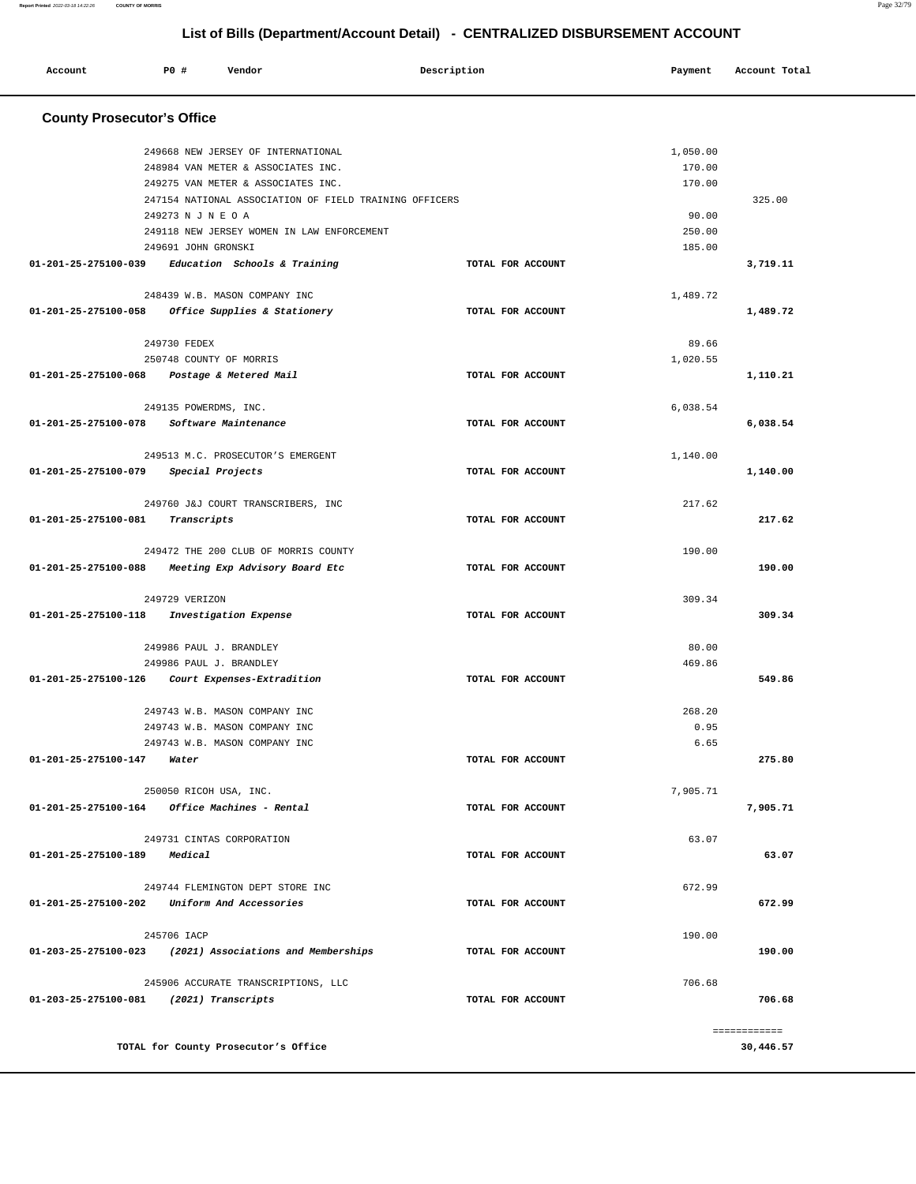#### **Report Printed** 2022-03-18 14:22:26 **COUNTY OF MORRIS** Page 32/79

۰

**List of Bills (Department/Account Detail) - CENTRALIZED DISBURSEMENT ACCOUNT**

| Account                                       | P0 #                   | Vendor                                                     | Description       | Payment  | Account Total |  |
|-----------------------------------------------|------------------------|------------------------------------------------------------|-------------------|----------|---------------|--|
|                                               |                        |                                                            |                   |          |               |  |
| <b>County Prosecutor's Office</b>             |                        |                                                            |                   |          |               |  |
|                                               |                        | 249668 NEW JERSEY OF INTERNATIONAL                         |                   | 1,050.00 |               |  |
|                                               |                        | 248984 VAN METER & ASSOCIATES INC.                         |                   | 170.00   |               |  |
|                                               |                        | 249275 VAN METER & ASSOCIATES INC.                         |                   | 170.00   |               |  |
|                                               |                        | 247154 NATIONAL ASSOCIATION OF FIELD TRAINING OFFICERS     |                   |          | 325.00        |  |
|                                               | 249273 N J N E O A     |                                                            |                   | 90.00    |               |  |
|                                               |                        | 249118 NEW JERSEY WOMEN IN LAW ENFORCEMENT                 |                   | 250.00   |               |  |
|                                               | 249691 JOHN GRONSKI    |                                                            |                   | 185.00   |               |  |
| 01-201-25-275100-039                          |                        | Education Schools & Training                               | TOTAL FOR ACCOUNT |          | 3,719.11      |  |
|                                               |                        | 248439 W.B. MASON COMPANY INC                              |                   | 1,489.72 |               |  |
| 01-201-25-275100-058                          |                        | Office Supplies & Stationery                               | TOTAL FOR ACCOUNT |          | 1,489.72      |  |
|                                               | 249730 FEDEX           |                                                            |                   | 89.66    |               |  |
|                                               |                        | 250748 COUNTY OF MORRIS                                    |                   | 1,020.55 |               |  |
| 01-201-25-275100-068                          |                        | Postage & Metered Mail                                     | TOTAL FOR ACCOUNT |          | 1,110.21      |  |
|                                               | 249135 POWERDMS, INC.  |                                                            |                   | 6,038.54 |               |  |
| $01 - 201 - 25 - 275100 - 078$                |                        | Software Maintenance                                       | TOTAL FOR ACCOUNT |          | 6,038.54      |  |
|                                               |                        |                                                            |                   |          |               |  |
|                                               |                        | 249513 M.C. PROSECUTOR'S EMERGENT                          |                   | 1,140.00 |               |  |
| 01-201-25-275100-079                          |                        | Special Projects                                           | TOTAL FOR ACCOUNT |          | 1,140.00      |  |
|                                               |                        | 249760 J&J COURT TRANSCRIBERS, INC                         |                   | 217.62   |               |  |
| 01-201-25-275100-081                          | Transcripts            |                                                            | TOTAL FOR ACCOUNT |          | 217.62        |  |
|                                               |                        | 249472 THE 200 CLUB OF MORRIS COUNTY                       |                   | 190.00   |               |  |
| 01-201-25-275100-088                          |                        | Meeting Exp Advisory Board Etc                             | TOTAL FOR ACCOUNT |          | 190.00        |  |
|                                               |                        |                                                            |                   |          |               |  |
|                                               | 249729 VERIZON         |                                                            |                   | 309.34   |               |  |
| 01-201-25-275100-118                          |                        | Investigation Expense                                      | TOTAL FOR ACCOUNT |          | 309.34        |  |
|                                               |                        | 249986 PAUL J. BRANDLEY                                    |                   | 80.00    |               |  |
|                                               |                        | 249986 PAUL J. BRANDLEY                                    |                   | 469.86   |               |  |
| 01-201-25-275100-126                          |                        | Court Expenses-Extradition                                 | TOTAL FOR ACCOUNT |          | 549.86        |  |
|                                               |                        | 249743 W.B. MASON COMPANY INC                              |                   | 268.20   |               |  |
|                                               |                        | 249743 W.B. MASON COMPANY INC                              |                   | 0.95     |               |  |
|                                               |                        | 249743 W.B. MASON COMPANY INC                              |                   | 6.65     |               |  |
| 01-201-25-275100-147                          | Water                  |                                                            | TOTAL FOR ACCOUNT |          | 275.80        |  |
|                                               | 250050 RICOH USA, INC. |                                                            |                   | 7.905.71 |               |  |
| 01-201-25-275100-164 Office Machines - Rental |                        |                                                            | TOTAL FOR ACCOUNT |          | 7,905.71      |  |
|                                               |                        |                                                            |                   |          |               |  |
|                                               |                        | 249731 CINTAS CORPORATION                                  |                   | 63.07    |               |  |
| 01-201-25-275100-189 Medical                  |                        |                                                            | TOTAL FOR ACCOUNT |          | 63.07         |  |
|                                               |                        | 249744 FLEMINGTON DEPT STORE INC                           |                   | 672.99   |               |  |
| 01-201-25-275100-202 Uniform And Accessories  |                        |                                                            | TOTAL FOR ACCOUNT |          | 672.99        |  |
|                                               |                        |                                                            |                   |          |               |  |
|                                               | 245706 IACP            |                                                            |                   | 190.00   |               |  |
|                                               |                        | $01-203-25-275100-023$ (2021) Associations and Memberships | TOTAL FOR ACCOUNT |          | 190.00        |  |
|                                               |                        | 245906 ACCURATE TRANSCRIPTIONS, LLC                        |                   | 706.68   |               |  |
| 01-203-25-275100-081 (2021) Transcripts       |                        |                                                            | TOTAL FOR ACCOUNT |          | 706.68        |  |
|                                               |                        |                                                            |                   |          |               |  |
|                                               |                        |                                                            |                   |          | ============  |  |
|                                               |                        | TOTAL for County Prosecutor's Office                       |                   |          | 30,446.57     |  |
|                                               |                        |                                                            |                   |          |               |  |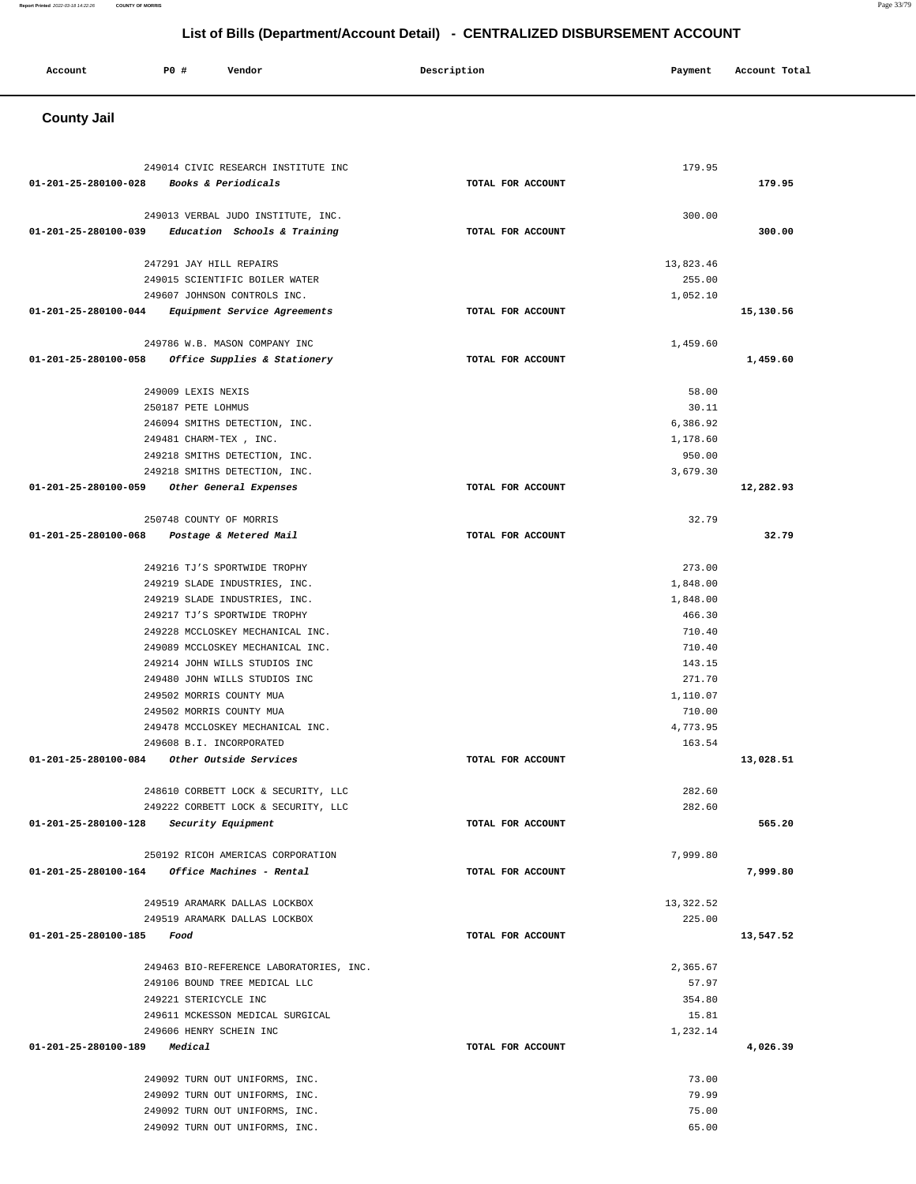#### **County Jail**  249014 CIVIC RESEARCH INSTITUTE INC **01-201-25-280100-028 Books & Periodicals TOTAL FOR ACCOUNT**  179.95 **179.95** 249013 VERBAL JUDO INSTITUTE, INC. **01-201-25-280100-039 Education Schools & Training TOTAL FOR ACCOUNT**  300.00 **300.00** 247291 JAY HILL REPAIRS 249015 SCIENTIFIC BOILER WATER 249607 JOHNSON CONTROLS INC. **01-201-25-280100-044 Equipment Service Agreements TOTAL FOR ACCOUNT**  13,823.46 255.00 1,052.10 **15,130.56** 249786 W.B. MASON COMPANY INC **01-201-25-280100-058 Office Supplies & Stationery TOTAL FOR ACCOUNT**  1,459.60 **1,459.60** 249009 LEXIS NEXIS 250187 PETE LOHMUS 246094 SMITHS DETECTION, INC. 249481 CHARM-TEX , INC. 249218 SMITHS DETECTION, INC. 249218 SMITHS DETECTION, INC. **01-201-25-280100-059 Other General Expenses TOTAL FOR ACCOUNT**  58.00 30.11 6,386.92 1,178.60 950.00 3,679.30 **12,282.93** 250748 COUNTY OF MORRIS **01-201-25-280100-068 Postage & Metered Mail TOTAL FOR ACCOUNT**  32.79 **32.79** 249216 TJ'S SPORTWIDE TROPHY 249219 SLADE INDUSTRIES, INC. 249219 SLADE INDUSTRIES, INC. 249217 TJ'S SPORTWIDE TROPHY 249228 MCCLOSKEY MECHANICAL INC. 249089 MCCLOSKEY MECHANICAL INC. 249214 JOHN WILLS STUDIOS INC 249480 JOHN WILLS STUDIOS INC 249502 MORRIS COUNTY MUA 249502 MORRIS COUNTY MUA 249478 MCCLOSKEY MECHANICAL INC. 249608 B.I. INCORPORATED **01-201-25-280100-084 Other Outside Services TOTAL FOR ACCOUNT**  273.00 1,848.00 1,848.00 466.30 710.40 710.40 143.15 271.70 1,110.07 710.00 4,773.95 163.54 **13,028.51** 248610 CORBETT LOCK & SECURITY, LLC 249222 CORBETT LOCK & SECURITY, LLC **01-201-25-280100-128 Security Equipment TOTAL FOR ACCOUNT**  282.60 282.60 **565.20** 250192 RICOH AMERICAS CORPORATION **01-201-25-280100-164 Office Machines - Rental TOTAL FOR ACCOUNT**  7,999.80 **7,999.80** 249519 ARAMARK DALLAS LOCKBOX 249519 ARAMARK DALLAS LOCKBOX **01-201-25-280100-185 Food TOTAL FOR ACCOUNT**  13,322.52 225.00 **13,547.52** 249463 BIO-REFERENCE LABORATORIES, INC. 249106 BOUND TREE MEDICAL LLC 249221 STERICYCLE INC 249611 MCKESSON MEDICAL SURGICAL 249606 HENRY SCHEIN INC **01-201-25-280100-189 Medical TOTAL FOR ACCOUNT**  2,365.67 57.97 354.80 15.81 1,232.14 **4,026.39** 249092 TURN OUT UNIFORMS, INC. 249092 TURN OUT UNIFORMS, INC. 249092 TURN OUT UNIFORMS, INC. 249092 TURN OUT UNIFORMS, INC. 73.00 79.99 75.00 65.00

# **List of Bills (Department/Account Detail) - CENTRALIZED DISBURSEMENT ACCOUNT**

 **Account P0 # Vendor Description Payment Account Total**

**Report Printed** 2022-03-18 14:22:26 **COUNTY OF MORRIS** Page 33/79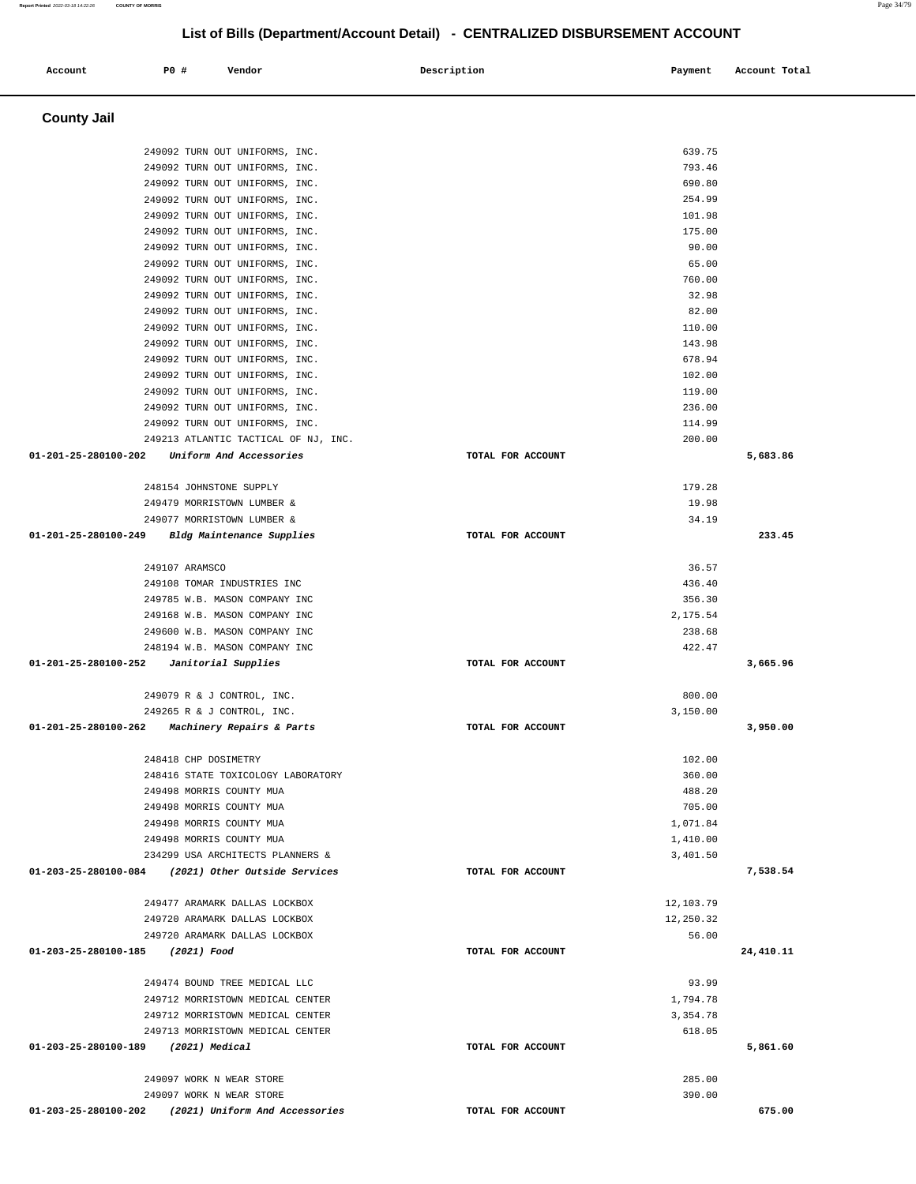#### **Account P0 # Vendor Description Payment Account Total County Jail**  249092 TURN OUT UNIFORMS, INC. 249092 TURN OUT UNIFORMS, INC. 249092 TURN OUT UNIFORMS, INC. 249092 TURN OUT UNIFORMS, INC. 249092 TURN OUT UNIFORMS, INC. 249092 TURN OUT UNIFORMS, INC. 249092 TURN OUT UNIFORMS, INC. 249092 TURN OUT UNIFORMS, INC. 249092 TURN OUT UNIFORMS, INC. 249092 TURN OUT UNIFORMS, INC. 249092 TURN OUT UNIFORMS, INC. 249092 TURN OUT UNIFORMS, INC. 249092 TURN OUT UNIFORMS, INC. 249092 TURN OUT UNIFORMS, INC. 249092 TURN OUT UNIFORMS, INC. 249092 TURN OUT UNIFORMS, INC. 249092 TURN OUT UNIFORMS, INC. 249092 TURN OUT UNIFORMS, INC. 249213 ATLANTIC TACTICAL OF NJ, INC. **01-201-25-280100-202 Uniform And Accessories TOTAL FOR ACCOUNT**  639.75 793.46 690.80 254.99 101.98 175.00 90.00 65.00 760.00 32.98 82.00 110.00 143.98 678.94 102.00 119.00 236.00 114.99 200.00 **5,683.86** 248154 JOHNSTONE SUPPLY 249479 MORRISTOWN LUMBER & 249077 MORRISTOWN LUMBER & **01-201-25-280100-249 Bldg Maintenance Supplies TOTAL FOR ACCOUNT**  179.28 19.98 34.19 **233.45** 249107 ARAMSCO 249108 TOMAR INDUSTRIES INC 249785 W.B. MASON COMPANY INC 249168 W.B. MASON COMPANY INC 249600 W.B. MASON COMPANY INC 248194 W.B. MASON COMPANY INC **01-201-25-280100-252 Janitorial Supplies TOTAL FOR ACCOUNT**  36.57 436.40 356.30 2,175.54 238.68 422.47 **3,665.96** 249079 R & J CONTROL, INC. 249265 R & J CONTROL, INC. **01-201-25-280100-262 Machinery Repairs & Parts TOTAL FOR ACCOUNT**  800.00 3,150.00 **3,950.00** 248418 CHP DOSIMETRY 248416 STATE TOXICOLOGY LABORATORY 249498 MORRIS COUNTY MUA 249498 MORRIS COUNTY MUA 249498 MORRIS COUNTY MUA 249498 MORRIS COUNTY MUA 234299 USA ARCHITECTS PLANNERS & **01-203-25-280100-084 (2021) Other Outside Services TOTAL FOR ACCOUNT**  102.00 360.00 488.20 705.00 1,071.84 1,410.00 3,401.50 **7,538.54** 249477 ARAMARK DALLAS LOCKBOX 249720 ARAMARK DALLAS LOCKBOX 249720 ARAMARK DALLAS LOCKBOX **01-203-25-280100-185 (2021) Food TOTAL FOR ACCOUNT**  12,103.79 12,250.32 56.00 **24,410.11** 249474 BOUND TREE MEDICAL LLC 249712 MORRISTOWN MEDICAL CENTER 249712 MORRISTOWN MEDICAL CENTER 249713 MORRISTOWN MEDICAL CENTER **01-203-25-280100-189 (2021) Medical TOTAL FOR ACCOUNT**  93.99 1,794.78 3,354.78 618.05 **5,861.60** 249097 WORK N WEAR STORE 249097 WORK N WEAR STORE **01-203-25-280100-202 (2021) Uniform And Accessories TOTAL FOR ACCOUNT**  285.00 390.00 **675.00**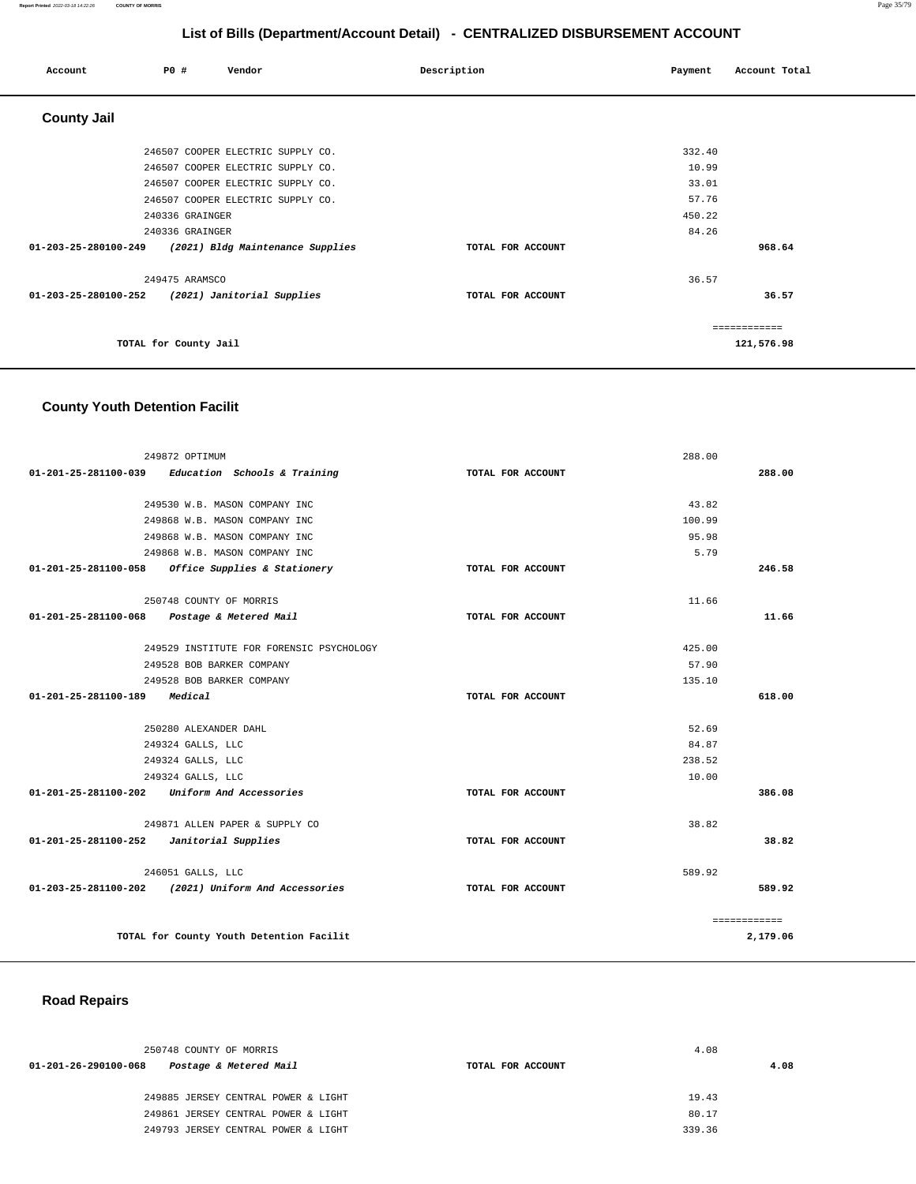| Account              | P0 # |                       | Vendor                            | Description       | Payment | Account Total |
|----------------------|------|-----------------------|-----------------------------------|-------------------|---------|---------------|
| <b>County Jail</b>   |      |                       |                                   |                   |         |               |
|                      |      |                       | 246507 COOPER ELECTRIC SUPPLY CO. |                   | 332.40  |               |
|                      |      |                       | 246507 COOPER ELECTRIC SUPPLY CO. |                   | 10.99   |               |
|                      |      |                       | 246507 COOPER ELECTRIC SUPPLY CO. |                   | 33.01   |               |
|                      |      |                       | 246507 COOPER ELECTRIC SUPPLY CO. |                   | 57.76   |               |
|                      |      | 240336 GRAINGER       |                                   |                   | 450.22  |               |
|                      |      | 240336 GRAINGER       |                                   |                   | 84.26   |               |
| 01-203-25-280100-249 |      |                       | (2021) Bldg Maintenance Supplies  | TOTAL FOR ACCOUNT |         | 968.64        |
|                      |      | 249475 ARAMSCO        |                                   |                   | 36.57   |               |
| 01-203-25-280100-252 |      |                       | (2021) Janitorial Supplies        | TOTAL FOR ACCOUNT |         | 36.57         |
|                      |      |                       |                                   |                   |         | ============  |
|                      |      | TOTAL for County Jail |                                   |                   |         | 121,576.98    |

# **County Youth Detention Facilit**

| 249872 OPTIMUM                                       |                   | 288.00       |        |
|------------------------------------------------------|-------------------|--------------|--------|
| $01-201-25-281100-039$ Education Schools & Training  | TOTAL FOR ACCOUNT |              | 288.00 |
| 249530 W.B. MASON COMPANY INC                        |                   | 43.82        |        |
| 249868 W.B. MASON COMPANY INC                        |                   | 100.99       |        |
| 249868 W.B. MASON COMPANY INC                        |                   | 95.98        |        |
| 249868 W.B. MASON COMPANY INC                        |                   | 5.79         |        |
| 01-201-25-281100-058<br>Office Supplies & Stationery | TOTAL FOR ACCOUNT |              | 246.58 |
| 250748 COUNTY OF MORRIS                              |                   | 11.66        |        |
| 01-201-25-281100-068 Postage & Metered Mail          | TOTAL FOR ACCOUNT |              | 11.66  |
| 249529 INSTITUTE FOR FORENSIC PSYCHOLOGY             |                   | 425.00       |        |
| 249528 BOB BARKER COMPANY                            |                   | 57.90        |        |
| 249528 BOB BARKER COMPANY                            |                   | 135.10       |        |
| 01-201-25-281100-189<br>Medical                      | TOTAL FOR ACCOUNT |              | 618.00 |
| 250280 ALEXANDER DAHL                                |                   | 52.69        |        |
| 249324 GALLS, LLC                                    |                   | 84.87        |        |
| 249324 GALLS, LLC                                    |                   | 238.52       |        |
| 249324 GALLS, LLC                                    |                   | 10.00        |        |
| Uniform And Accessories<br>01-201-25-281100-202      | TOTAL FOR ACCOUNT |              | 386.08 |
| 249871 ALLEN PAPER & SUPPLY CO                       |                   | 38.82        |        |
| 01-201-25-281100-252    Janitorial Supplies          | TOTAL FOR ACCOUNT |              | 38.82  |
| 246051 GALLS, LLC                                    |                   | 589.92       |        |
| 01-203-25-281100-202 (2021) Uniform And Accessories  | TOTAL FOR ACCOUNT |              | 589.92 |
|                                                      |                   | ============ |        |
| TOTAL for County Youth Detention Facilit             |                   | 2,179.06     |        |

### **Road Repairs**

| 250748 COUNTY OF MORRIS                        |                   | 4.08   |
|------------------------------------------------|-------------------|--------|
| Postage & Metered Mail<br>01-201-26-290100-068 | TOTAL FOR ACCOUNT | 4.08   |
|                                                |                   |        |
| 249885 JERSEY CENTRAL POWER & LIGHT            |                   | 19.43  |
| 249861 JERSEY CENTRAL POWER & LIGHT            |                   | 80.17  |
| 249793 JERSEY CENTRAL POWER & LIGHT            |                   | 339.36 |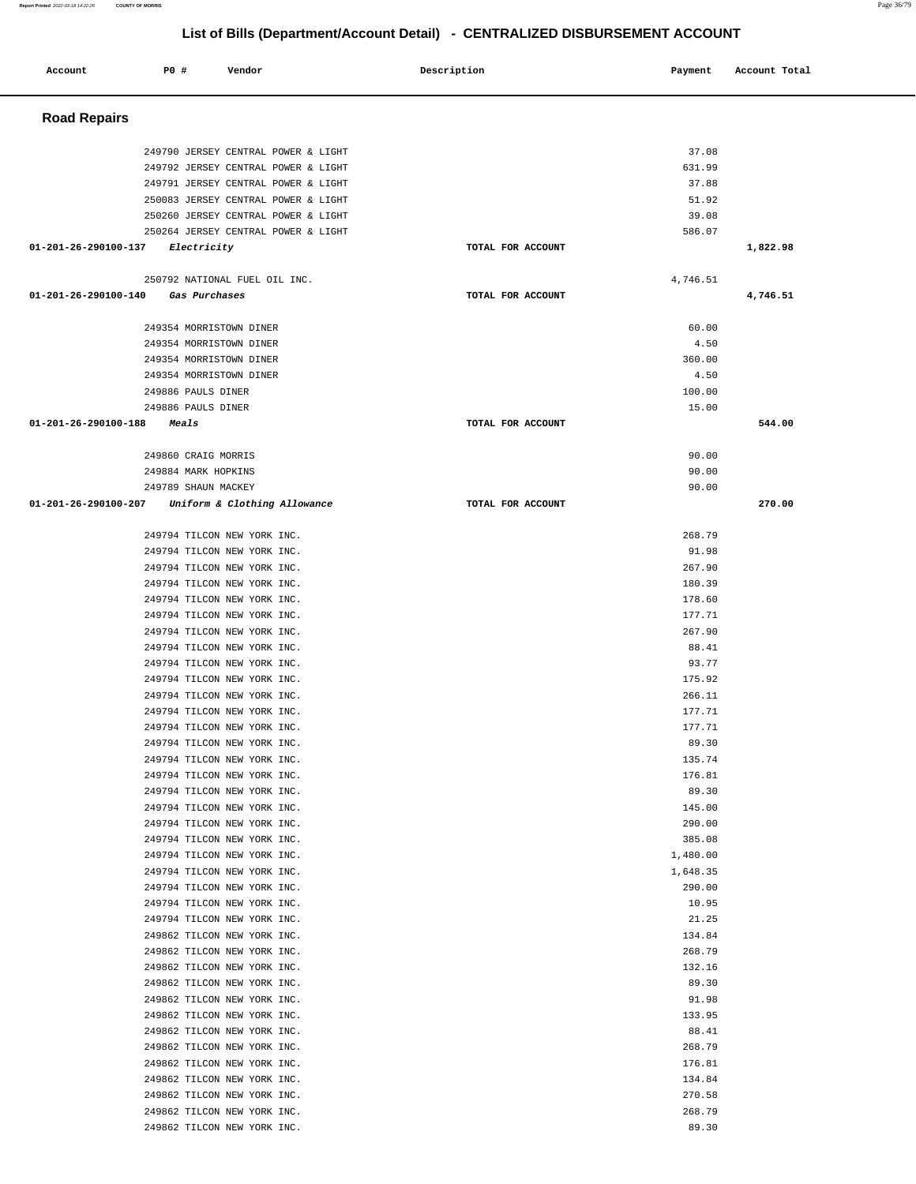#### **Report Printed** 2022-03-18 14:22:26 **COUNTY OF MORRIS** Page 36/79

**List of Bills (Department/Account Detail) - CENTRALIZED DISBURSEMENT ACCOUNT**

| Account                        | P0 #<br>Vendor                                                                                                                                                                                                                                                                                                                                                                                                                                                                                                                                                                                                                           | Description       | Payment                                                                                                                                                                                         | Account Total |
|--------------------------------|------------------------------------------------------------------------------------------------------------------------------------------------------------------------------------------------------------------------------------------------------------------------------------------------------------------------------------------------------------------------------------------------------------------------------------------------------------------------------------------------------------------------------------------------------------------------------------------------------------------------------------------|-------------------|-------------------------------------------------------------------------------------------------------------------------------------------------------------------------------------------------|---------------|
| <b>Road Repairs</b>            |                                                                                                                                                                                                                                                                                                                                                                                                                                                                                                                                                                                                                                          |                   |                                                                                                                                                                                                 |               |
|                                | 249790 JERSEY CENTRAL POWER & LIGHT<br>249792 JERSEY CENTRAL POWER & LIGHT<br>249791 JERSEY CENTRAL POWER & LIGHT<br>250083 JERSEY CENTRAL POWER & LIGHT<br>250260 JERSEY CENTRAL POWER & LIGHT                                                                                                                                                                                                                                                                                                                                                                                                                                          |                   | 37.08<br>631.99<br>37.88<br>51.92<br>39.08                                                                                                                                                      |               |
| 01-201-26-290100-137           | 250264 JERSEY CENTRAL POWER & LIGHT<br>Electricity                                                                                                                                                                                                                                                                                                                                                                                                                                                                                                                                                                                       | TOTAL FOR ACCOUNT | 586.07                                                                                                                                                                                          | 1,822.98      |
|                                | 250792 NATIONAL FUEL OIL INC.                                                                                                                                                                                                                                                                                                                                                                                                                                                                                                                                                                                                            |                   | 4,746.51                                                                                                                                                                                        |               |
| 01-201-26-290100-140           | Gas Purchases                                                                                                                                                                                                                                                                                                                                                                                                                                                                                                                                                                                                                            | TOTAL FOR ACCOUNT |                                                                                                                                                                                                 | 4,746.51      |
|                                | 249354 MORRISTOWN DINER<br>249354 MORRISTOWN DINER<br>249354 MORRISTOWN DINER                                                                                                                                                                                                                                                                                                                                                                                                                                                                                                                                                            |                   | 60.00<br>4.50<br>360.00                                                                                                                                                                         |               |
|                                | 249354 MORRISTOWN DINER<br>249886 PAULS DINER<br>249886 PAULS DINER                                                                                                                                                                                                                                                                                                                                                                                                                                                                                                                                                                      |                   | 4.50<br>100.00                                                                                                                                                                                  |               |
| $01 - 201 - 26 - 290100 - 188$ | Meals                                                                                                                                                                                                                                                                                                                                                                                                                                                                                                                                                                                                                                    | TOTAL FOR ACCOUNT | 15.00                                                                                                                                                                                           | 544.00        |
|                                | 249860 CRAIG MORRIS<br>249884 MARK HOPKINS<br>249789 SHAUN MACKEY                                                                                                                                                                                                                                                                                                                                                                                                                                                                                                                                                                        |                   | 90.00<br>90.00<br>90.00                                                                                                                                                                         |               |
| 01-201-26-290100-207           | Uniform & Clothing Allowance                                                                                                                                                                                                                                                                                                                                                                                                                                                                                                                                                                                                             | TOTAL FOR ACCOUNT |                                                                                                                                                                                                 | 270.00        |
|                                | 249794 TILCON NEW YORK INC.<br>249794 TILCON NEW YORK INC.<br>249794 TILCON NEW YORK INC.<br>249794 TILCON NEW YORK INC.<br>249794 TILCON NEW YORK INC.<br>249794 TILCON NEW YORK INC.<br>249794 TILCON NEW YORK INC.<br>249794 TILCON NEW YORK INC.<br>249794 TILCON NEW YORK INC.<br>249794 TILCON NEW YORK INC.<br>249794 TILCON NEW YORK INC.<br>249794 TILCON NEW YORK INC.<br>249794 TILCON NEW YORK INC.<br>249794 TILCON NEW YORK INC.<br>249794 TILCON NEW YORK INC.<br>249794 TILCON NEW YORK INC.<br>249794 TILCON NEW YORK INC.<br>249794 TILCON NEW YORK INC.<br>249794 TILCON NEW YORK INC.<br>249794 TILCON NEW YORK INC. |                   | 268.79<br>91.98<br>267.90<br>180.39<br>178.60<br>177.71<br>267.90<br>88.41<br>93.77<br>175.92<br>266.11<br>177.71<br>177.71<br>89.30<br>135.74<br>176.81<br>89.30<br>145.00<br>290.00<br>385.08 |               |
|                                | 249794 TILCON NEW YORK INC.<br>249794 TILCON NEW YORK INC.<br>249794 TILCON NEW YORK INC.<br>249794 TILCON NEW YORK INC.<br>249794 TILCON NEW YORK INC.<br>249862 TILCON NEW YORK INC.<br>249862 TILCON NEW YORK INC.<br>249862 TILCON NEW YORK INC.<br>249862 TILCON NEW YORK INC.<br>249862 TILCON NEW YORK INC.<br>249862 TILCON NEW YORK INC.<br>249862 TILCON NEW YORK INC.<br>249862 TILCON NEW YORK INC.<br>249862 TILCON NEW YORK INC.<br>249862 TILCON NEW YORK INC.<br>249862 TILCON NEW YORK INC.<br>249862 TILCON NEW YORK INC.<br>249862 TILCON NEW YORK INC.                                                               |                   | 1,480.00<br>1,648.35<br>290.00<br>10.95<br>21.25<br>134.84<br>268.79<br>132.16<br>89.30<br>91.98<br>133.95<br>88.41<br>268.79<br>176.81<br>134.84<br>270.58<br>268.79<br>89.30                  |               |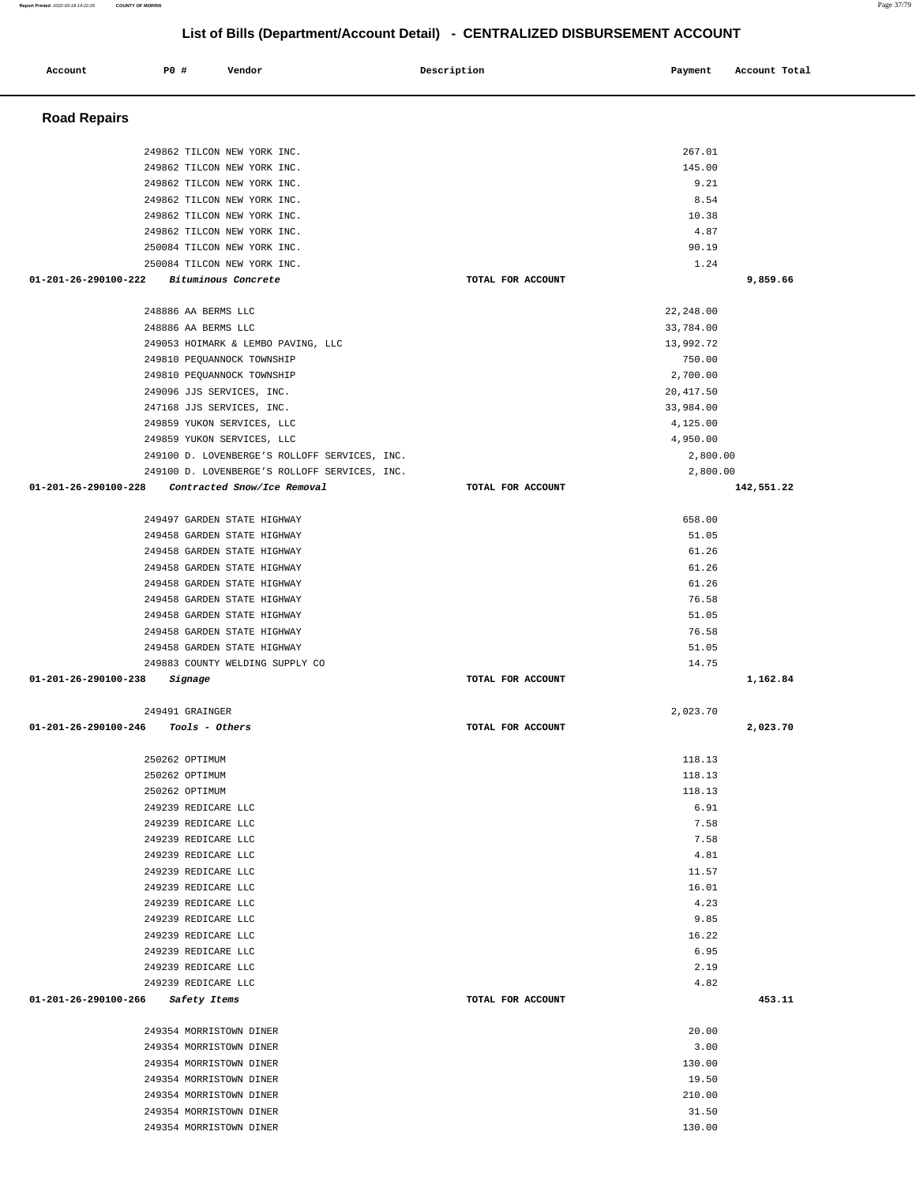| <b>Road Repairs</b>                                        |                   |               |            |
|------------------------------------------------------------|-------------------|---------------|------------|
|                                                            |                   |               |            |
| 249862 TILCON NEW YORK INC.                                |                   | 267.01        |            |
| 249862 TILCON NEW YORK INC.                                |                   | 145.00        |            |
| 249862 TILCON NEW YORK INC.<br>249862 TILCON NEW YORK INC. |                   | 9.21<br>8.54  |            |
| 249862 TILCON NEW YORK INC.                                |                   | 10.38         |            |
| 249862 TILCON NEW YORK INC.                                |                   | 4.87          |            |
| 250084 TILCON NEW YORK INC.                                |                   | 90.19         |            |
| 250084 TILCON NEW YORK INC.                                |                   | 1.24          |            |
| $01 - 201 - 26 - 290100 - 222$<br>Bituminous Concrete      | TOTAL FOR ACCOUNT |               | 9,859.66   |
| 248886 AA BERMS LLC                                        |                   | 22,248.00     |            |
| 248886 AA BERMS LLC                                        |                   | 33,784.00     |            |
| 249053 HOIMARK & LEMBO PAVING, LLC                         |                   | 13,992.72     |            |
| 249810 PEQUANNOCK TOWNSHIP                                 |                   | 750.00        |            |
| 249810 PEQUANNOCK TOWNSHIP                                 |                   | 2,700.00      |            |
| 249096 JJS SERVICES, INC.                                  |                   | 20, 417.50    |            |
| 247168 JJS SERVICES, INC.                                  |                   | 33,984.00     |            |
| 249859 YUKON SERVICES, LLC                                 |                   | 4,125.00      |            |
| 249859 YUKON SERVICES, LLC                                 |                   | 4,950.00      |            |
| 249100 D. LOVENBERGE'S ROLLOFF SERVICES, INC.              |                   | 2,800.00      |            |
| 249100 D. LOVENBERGE'S ROLLOFF SERVICES, INC.              |                   | 2,800.00      |            |
| 01-201-26-290100-228<br>Contracted Snow/Ice Removal        | TOTAL FOR ACCOUNT |               | 142,551.22 |
| 249497 GARDEN STATE HIGHWAY                                |                   | 658.00        |            |
| 249458 GARDEN STATE HIGHWAY                                |                   | 51.05         |            |
| 249458 GARDEN STATE HIGHWAY                                |                   | 61.26         |            |
| 249458 GARDEN STATE HIGHWAY                                |                   | 61.26         |            |
| 249458 GARDEN STATE HIGHWAY                                |                   | 61.26         |            |
| 249458 GARDEN STATE HIGHWAY                                |                   | 76.58         |            |
| 249458 GARDEN STATE HIGHWAY                                |                   | 51.05         |            |
| 249458 GARDEN STATE HIGHWAY                                |                   | 76.58         |            |
| 249458 GARDEN STATE HIGHWAY                                |                   | 51.05         |            |
| 249883 COUNTY WELDING SUPPLY CO                            |                   | 14.75         |            |
| 01-201-26-290100-238<br>Signage                            | TOTAL FOR ACCOUNT |               | 1,162.84   |
| 249491 GRAINGER                                            |                   | 2,023.70      |            |
| 01-201-26-290100-246<br>Tools - Others                     | TOTAL FOR ACCOUNT |               | 2,023.70   |
|                                                            |                   |               |            |
| 250262 OPTIMUM                                             |                   | 118.13        |            |
| 250262 OPTIMUM                                             |                   | 118.13        |            |
| 250262 OPTIMUM                                             |                   | 118.13        |            |
| 249239 REDICARE LLC                                        |                   | 6.91          |            |
| 249239 REDICARE LLC                                        |                   | 7.58          |            |
| 249239 REDICARE LLC                                        |                   | 7.58          |            |
| 249239 REDICARE LLC                                        |                   | 4.81          |            |
| 249239 REDICARE LLC                                        |                   | 11.57         |            |
| 249239 REDICARE LLC                                        |                   | 16.01         |            |
| 249239 REDICARE LLC                                        |                   | 4.23          |            |
| 249239 REDICARE LLC<br>249239 REDICARE LLC                 |                   | 9.85<br>16.22 |            |
| 249239 REDICARE LLC                                        |                   | 6.95          |            |
| 249239 REDICARE LLC                                        |                   | 2.19          |            |
| 249239 REDICARE LLC                                        |                   | 4.82          |            |
| 01-201-26-290100-266<br>Safety Items                       | TOTAL FOR ACCOUNT |               | 453.11     |
|                                                            |                   |               |            |
| 249354 MORRISTOWN DINER<br>249354 MORRISTOWN DINER         |                   | 20.00<br>3.00 |            |
| 249354 MORRISTOWN DINER                                    |                   | 130.00        |            |
| 249354 MORRISTOWN DINER                                    |                   | 19.50         |            |
| 249354 MORRISTOWN DINER                                    |                   | 210.00        |            |
| 249354 MORRISTOWN DINER                                    |                   | 31.50         |            |
| 249354 MORRISTOWN DINER                                    |                   | 130.00        |            |

**Account** P0 # Vendor Payment Account Total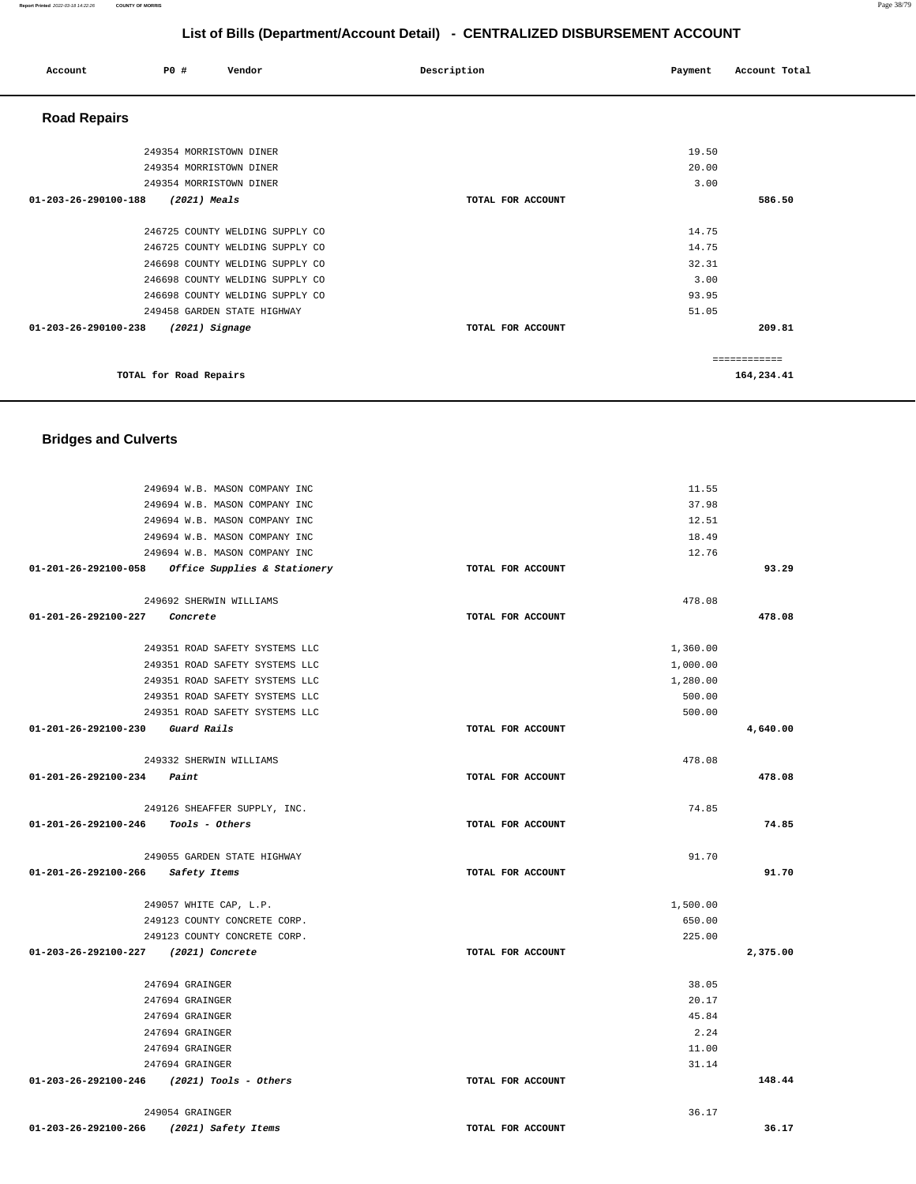#### **Report Printed** 2022-03-18 14:22:26 **COUNTY OF MORRIS** Page 38/79

## **List of Bills (Department/Account Detail) - CENTRALIZED DISBURSEMENT ACCOUNT**

| Account                        | P0 #                        | Vendor                          | Description       | Payment | Account Total |
|--------------------------------|-----------------------------|---------------------------------|-------------------|---------|---------------|
| <b>Road Repairs</b>            |                             |                                 |                   |         |               |
|                                | 249354 MORRISTOWN DINER     |                                 |                   | 19.50   |               |
|                                | 249354 MORRISTOWN DINER     |                                 |                   | 20.00   |               |
|                                | 249354 MORRISTOWN DINER     |                                 |                   | 3.00    |               |
| $01 - 203 - 26 - 290100 - 188$ | $(2021)$ Meals              |                                 | TOTAL FOR ACCOUNT |         | 586.50        |
|                                |                             | 246725 COUNTY WELDING SUPPLY CO |                   | 14.75   |               |
|                                |                             | 246725 COUNTY WELDING SUPPLY CO |                   | 14.75   |               |
|                                |                             | 246698 COUNTY WELDING SUPPLY CO |                   | 32.31   |               |
|                                |                             | 246698 COUNTY WELDING SUPPLY CO |                   | 3.00    |               |
|                                |                             | 246698 COUNTY WELDING SUPPLY CO |                   | 93.95   |               |
|                                | 249458 GARDEN STATE HIGHWAY |                                 |                   | 51.05   |               |
| $01 - 203 - 26 - 290100 - 238$ | (2021) Signage              |                                 | TOTAL FOR ACCOUNT |         | 209.81        |
|                                |                             |                                 |                   |         | ============  |
|                                | TOTAL for Road Repairs      |                                 |                   |         | 164,234.41    |

# **Bridges and Culverts**

| 249694 W.B. MASON COMPANY INC                       |                   | 11.55    |          |
|-----------------------------------------------------|-------------------|----------|----------|
| 249694 W.B. MASON COMPANY INC                       |                   | 37.98    |          |
| 249694 W.B. MASON COMPANY INC                       |                   | 12.51    |          |
| 249694 W.B. MASON COMPANY INC                       |                   | 18.49    |          |
| 249694 W.B. MASON COMPANY INC                       |                   | 12.76    |          |
| $01-201-26-292100-058$ Office Supplies & Stationery | TOTAL FOR ACCOUNT |          | 93.29    |
| 249692 SHERWIN WILLIAMS                             |                   | 478.08   |          |
| 01-201-26-292100-227 Concrete                       | TOTAL FOR ACCOUNT |          | 478.08   |
| 249351 ROAD SAFETY SYSTEMS LLC                      |                   | 1,360.00 |          |
| 249351 ROAD SAFETY SYSTEMS LLC                      |                   | 1,000.00 |          |
| 249351 ROAD SAFETY SYSTEMS LLC                      |                   | 1,280.00 |          |
| 249351 ROAD SAFETY SYSTEMS LLC                      |                   | 500.00   |          |
| 249351 ROAD SAFETY SYSTEMS LLC                      |                   | 500.00   |          |
| 01-201-26-292100-230 Guard Rails                    | TOTAL FOR ACCOUNT |          | 4,640.00 |
| 249332 SHERWIN WILLIAMS                             |                   | 478.08   |          |
| $01 - 201 - 26 - 292100 - 234$ Paint                | TOTAL FOR ACCOUNT |          | 478.08   |
| 249126 SHEAFFER SUPPLY, INC.                        |                   | 74.85    |          |
| $01-201-26-292100-246$ Tools - Others               | TOTAL FOR ACCOUNT |          | 74.85    |
| 249055 GARDEN STATE HIGHWAY                         |                   | 91.70    |          |
| 01-201-26-292100-266 Safety Items                   | TOTAL FOR ACCOUNT |          | 91.70    |
| 249057 WHITE CAP, L.P.                              |                   | 1,500.00 |          |
| 249123 COUNTY CONCRETE CORP.                        |                   | 650.00   |          |
| 249123 COUNTY CONCRETE CORP.                        |                   | 225.00   |          |
| 01-203-26-292100-227 (2021) Concrete                | TOTAL FOR ACCOUNT |          | 2,375.00 |
| 247694 GRAINGER                                     |                   | 38.05    |          |
| 247694 GRAINGER                                     |                   | 20.17    |          |
| 247694 GRAINGER                                     |                   | 45.84    |          |
| 247694 GRAINGER                                     |                   | 2.24     |          |
| 247694 GRAINGER                                     |                   | 11.00    |          |
| 247694 GRAINGER                                     |                   | 31.14    |          |
| 01-203-26-292100-246 (2021) Tools - Others          | TOTAL FOR ACCOUNT |          | 148.44   |
| 249054 GRAINGER                                     |                   | 36.17    |          |
| 01-203-26-292100-266 (2021) Safety Items            | TOTAL FOR ACCOUNT |          | 36.17    |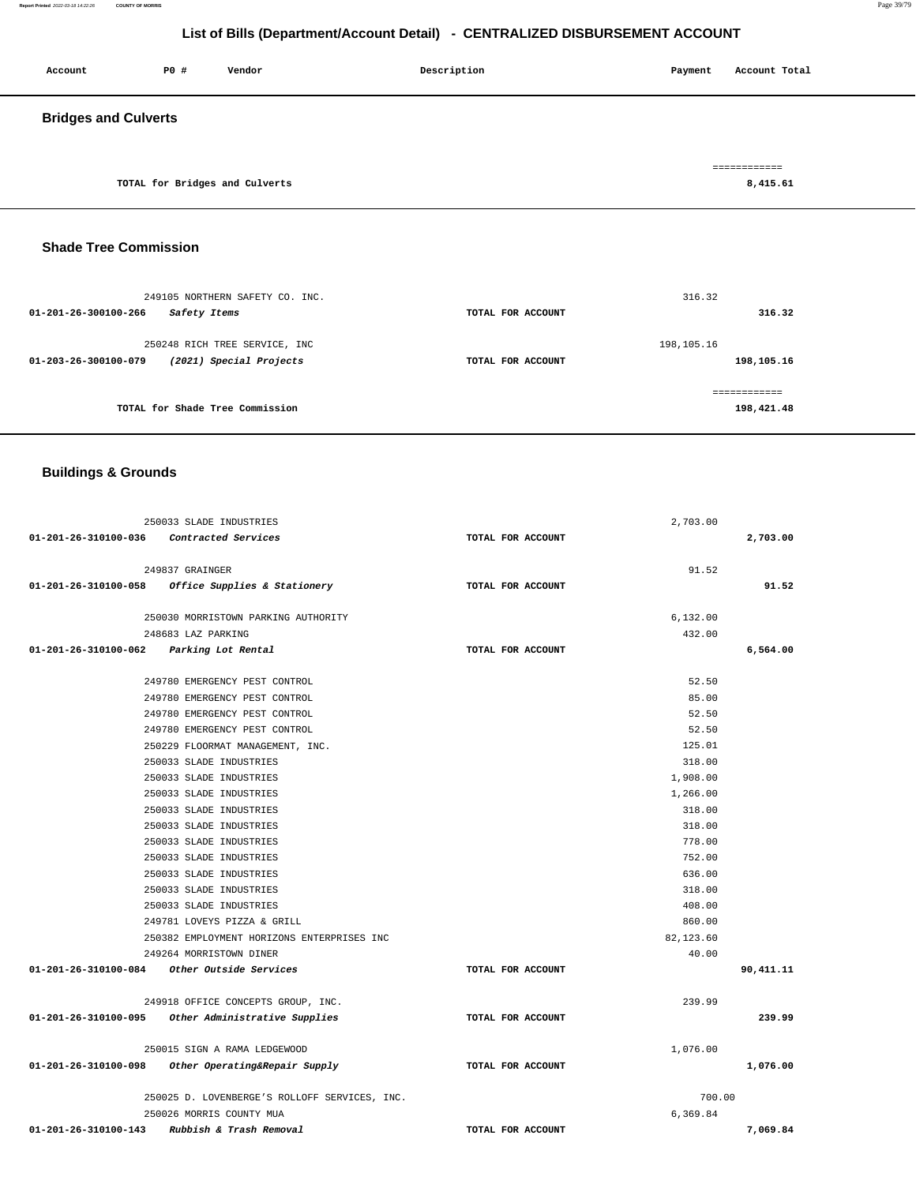**Report Printed** 2022-03-18 14:22:26 **COUNTY OF MORRIS** Page 39/79

## **List of Bills (Department/Account Detail) - CENTRALIZED DISBURSEMENT ACCOUNT**

| Account                     | P0 #                           | Vendor | Description | Account Total<br>Payment |
|-----------------------------|--------------------------------|--------|-------------|--------------------------|
| <b>Bridges and Culverts</b> |                                |        |             |                          |
|                             | TOTAL for Bridges and Culverts |        |             | ============<br>8,415.61 |

## **Shade Tree Commission**

| 01-201-26-300100-266 | 249105 NORTHERN SAFETY CO. INC.<br>Safety Items          | TOTAL FOR ACCOUNT | 316.32<br>316.32           |
|----------------------|----------------------------------------------------------|-------------------|----------------------------|
| 01-203-26-300100-079 | 250248 RICH TREE SERVICE, INC<br>(2021) Special Projects | TOTAL FOR ACCOUNT | 198,105.16<br>198,105.16   |
|                      | TOTAL for Shade Tree Commission                          |                   | ============<br>198,421.48 |

## **Buildings & Grounds**

| 250033 SLADE INDUSTRIES                                         |                   | 2,703.00    |           |
|-----------------------------------------------------------------|-------------------|-------------|-----------|
| 01-201-26-310100-036 Contracted Services                        | TOTAL FOR ACCOUNT |             | 2,703.00  |
|                                                                 |                   |             |           |
| 249837 GRAINGER                                                 |                   | 91.52       |           |
| 01-201-26-310100-058<br><i>Office Supplies &amp; Stationery</i> | TOTAL FOR ACCOUNT |             | 91.52     |
|                                                                 |                   |             |           |
| 250030 MORRISTOWN PARKING AUTHORITY                             |                   | 6,132.00    |           |
| 248683 LAZ PARKING                                              |                   | 432.00      |           |
| 01-201-26-310100-062 Parking Lot Rental                         | TOTAL FOR ACCOUNT |             | 6,564.00  |
| 249780 EMERGENCY PEST CONTROL                                   |                   | 52.50       |           |
| 249780 EMERGENCY PEST CONTROL                                   |                   | 85.00       |           |
| 249780 EMERGENCY PEST CONTROL                                   |                   | 52.50       |           |
| 249780 EMERGENCY PEST CONTROL                                   |                   | 52.50       |           |
| 250229 FLOORMAT MANAGEMENT, INC.                                |                   | 125.01      |           |
| 250033 SLADE INDUSTRIES                                         |                   | 318.00      |           |
| 250033 SLADE INDUSTRIES                                         |                   | 1,908.00    |           |
| 250033 SLADE INDUSTRIES                                         |                   | 1,266.00    |           |
| 250033 SLADE INDUSTRIES                                         |                   | 318.00      |           |
| 250033 SLADE INDUSTRIES                                         |                   | 318.00      |           |
| 250033 SLADE INDUSTRIES                                         |                   | 778.00      |           |
| 250033 SLADE INDUSTRIES                                         |                   | 752.00      |           |
| 250033 SLADE INDUSTRIES                                         |                   | 636.00      |           |
| 250033 SLADE INDUSTRIES                                         |                   | 318.00      |           |
| 250033 SLADE INDUSTRIES                                         |                   | 408.00      |           |
| 249781 LOVEYS PIZZA & GRILL                                     |                   | 860.00      |           |
| 250382 EMPLOYMENT HORIZONS ENTERPRISES INC                      |                   | 82, 123, 60 |           |
| 249264 MORRISTOWN DINER                                         |                   | 40.00       |           |
| 01-201-26-310100-084 Other Outside Services                     | TOTAL FOR ACCOUNT |             | 90,411.11 |
| 249918 OFFICE CONCEPTS GROUP, INC.                              |                   | 239.99      |           |
| 01-201-26-310100-095 Other Administrative Supplies              | TOTAL FOR ACCOUNT |             | 239.99    |
| 250015 SIGN A RAMA LEDGEWOOD                                    |                   | 1,076.00    |           |
| 01-201-26-310100-098<br>Other Operating&Repair Supply           | TOTAL FOR ACCOUNT |             | 1,076.00  |
|                                                                 |                   |             |           |
| 250025 D. LOVENBERGE'S ROLLOFF SERVICES, INC.                   |                   | 700.00      |           |
| 250026 MORRIS COUNTY MUA                                        |                   | 6,369.84    |           |
| Rubbish & Trash Removal<br>01-201-26-310100-143                 | TOTAL FOR ACCOUNT |             | 7,069.84  |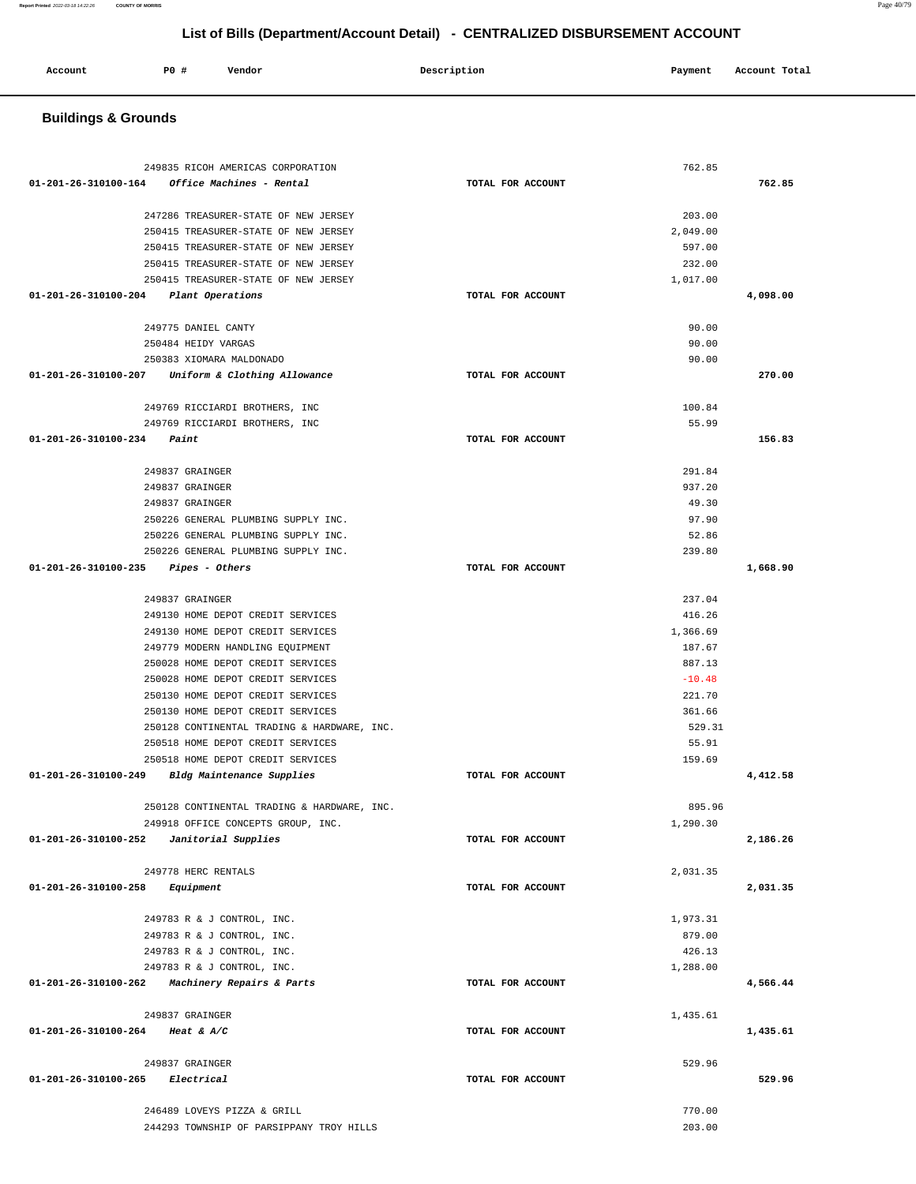| <b>Buildings &amp; Grounds</b>                                                               |                   |          |          |
|----------------------------------------------------------------------------------------------|-------------------|----------|----------|
|                                                                                              |                   |          |          |
|                                                                                              |                   |          |          |
| 249835 RICOH AMERICAS CORPORATION<br>$01 - 201 - 26 - 310100 - 164$ Office Machines - Rental | TOTAL FOR ACCOUNT | 762.85   | 762.85   |
|                                                                                              |                   |          |          |
| 247286 TREASURER-STATE OF NEW JERSEY                                                         |                   | 203.00   |          |
| 250415 TREASURER-STATE OF NEW JERSEY                                                         |                   | 2,049.00 |          |
| 250415 TREASURER-STATE OF NEW JERSEY                                                         |                   | 597.00   |          |
| 250415 TREASURER-STATE OF NEW JERSEY                                                         |                   | 232.00   |          |
| 250415 TREASURER-STATE OF NEW JERSEY                                                         |                   | 1,017.00 |          |
| 01-201-26-310100-204 Plant Operations                                                        | TOTAL FOR ACCOUNT |          | 4,098.00 |
| 249775 DANIEL CANTY                                                                          |                   | 90.00    |          |
| 250484 HEIDY VARGAS                                                                          |                   | 90.00    |          |
| 250383 XIOMARA MALDONADO                                                                     |                   | 90.00    |          |
| 01-201-26-310100-207 Uniform & Clothing Allowance                                            | TOTAL FOR ACCOUNT |          | 270.00   |
|                                                                                              |                   |          |          |
| 249769 RICCIARDI BROTHERS, INC                                                               |                   | 100.84   |          |
| 249769 RICCIARDI BROTHERS, INC                                                               |                   | 55.99    |          |
| $01 - 201 - 26 - 310100 - 234$ Paint                                                         | TOTAL FOR ACCOUNT |          | 156.83   |
| 249837 GRAINGER                                                                              |                   | 291.84   |          |
| 249837 GRAINGER                                                                              |                   | 937.20   |          |
| 249837 GRAINGER                                                                              |                   | 49.30    |          |
| 250226 GENERAL PLUMBING SUPPLY INC.                                                          |                   | 97.90    |          |
| 250226 GENERAL PLUMBING SUPPLY INC.                                                          |                   | 52.86    |          |
| 250226 GENERAL PLUMBING SUPPLY INC.                                                          |                   | 239.80   |          |
| 01-201-26-310100-235    Pipes - Others                                                       | TOTAL FOR ACCOUNT |          | 1,668.90 |
| 249837 GRAINGER                                                                              |                   | 237.04   |          |
| 249130 HOME DEPOT CREDIT SERVICES                                                            |                   | 416.26   |          |
| 249130 HOME DEPOT CREDIT SERVICES                                                            |                   | 1,366.69 |          |
| 249779 MODERN HANDLING EQUIPMENT                                                             |                   | 187.67   |          |
| 250028 HOME DEPOT CREDIT SERVICES                                                            |                   | 887.13   |          |
| 250028 HOME DEPOT CREDIT SERVICES                                                            |                   | $-10.48$ |          |
| 250130 HOME DEPOT CREDIT SERVICES                                                            |                   | 221.70   |          |
| 250130 HOME DEPOT CREDIT SERVICES                                                            |                   | 361.66   |          |
| 250128 CONTINENTAL TRADING & HARDWARE, INC.                                                  |                   | 529.31   |          |
| 250518 HOME DEPOT CREDIT SERVICES                                                            |                   | 55.91    |          |
| 250518 HOME DEPOT CREDIT SERVICES<br>01-201-26-310100-249 Bldg Maintenance Supplies          | TOTAL FOR ACCOUNT | 159.69   | 4,412.58 |
|                                                                                              |                   |          |          |
| 250128 CONTINENTAL TRADING & HARDWARE, INC.                                                  |                   | 895.96   |          |
| 249918 OFFICE CONCEPTS GROUP, INC.                                                           |                   | 1,290.30 |          |
| 01-201-26-310100-252    Janitorial Supplies                                                  | TOTAL FOR ACCOUNT |          | 2,186.26 |
|                                                                                              |                   |          |          |
| 249778 HERC RENTALS                                                                          | TOTAL FOR ACCOUNT | 2,031.35 |          |
| $01 - 201 - 26 - 310100 - 258$ Equipment                                                     |                   |          | 2,031.35 |
| 249783 R & J CONTROL, INC.                                                                   |                   | 1,973.31 |          |
| 249783 R & J CONTROL, INC.                                                                   |                   | 879.00   |          |
| 249783 R & J CONTROL, INC.                                                                   |                   | 426.13   |          |
| 249783 R & J CONTROL, INC.                                                                   |                   | 1,288.00 |          |
| 01-201-26-310100-262 Machinery Repairs & Parts                                               | TOTAL FOR ACCOUNT |          | 4,566.44 |
|                                                                                              |                   |          |          |
| 249837 GRAINGER<br>01-201-26-310100-264 Heat & A/C                                           | TOTAL FOR ACCOUNT | 1,435.61 | 1,435.61 |
|                                                                                              |                   |          |          |
| 249837 GRAINGER                                                                              |                   | 529.96   |          |
| 01-201-26-310100-265 Electrical                                                              | TOTAL FOR ACCOUNT |          | 529.96   |
|                                                                                              |                   |          |          |
| 246489 LOVEYS PIZZA & GRILL                                                                  |                   | 770.00   |          |
| 244293 TOWNSHIP OF PARSIPPANY TROY HILLS                                                     |                   | 203.00   |          |

**Account** P0 # Vendor Payment Account Total

**Report Printed** 2022-03-18 14:22:26 **COUNTY OF MORRIS** Page 40/79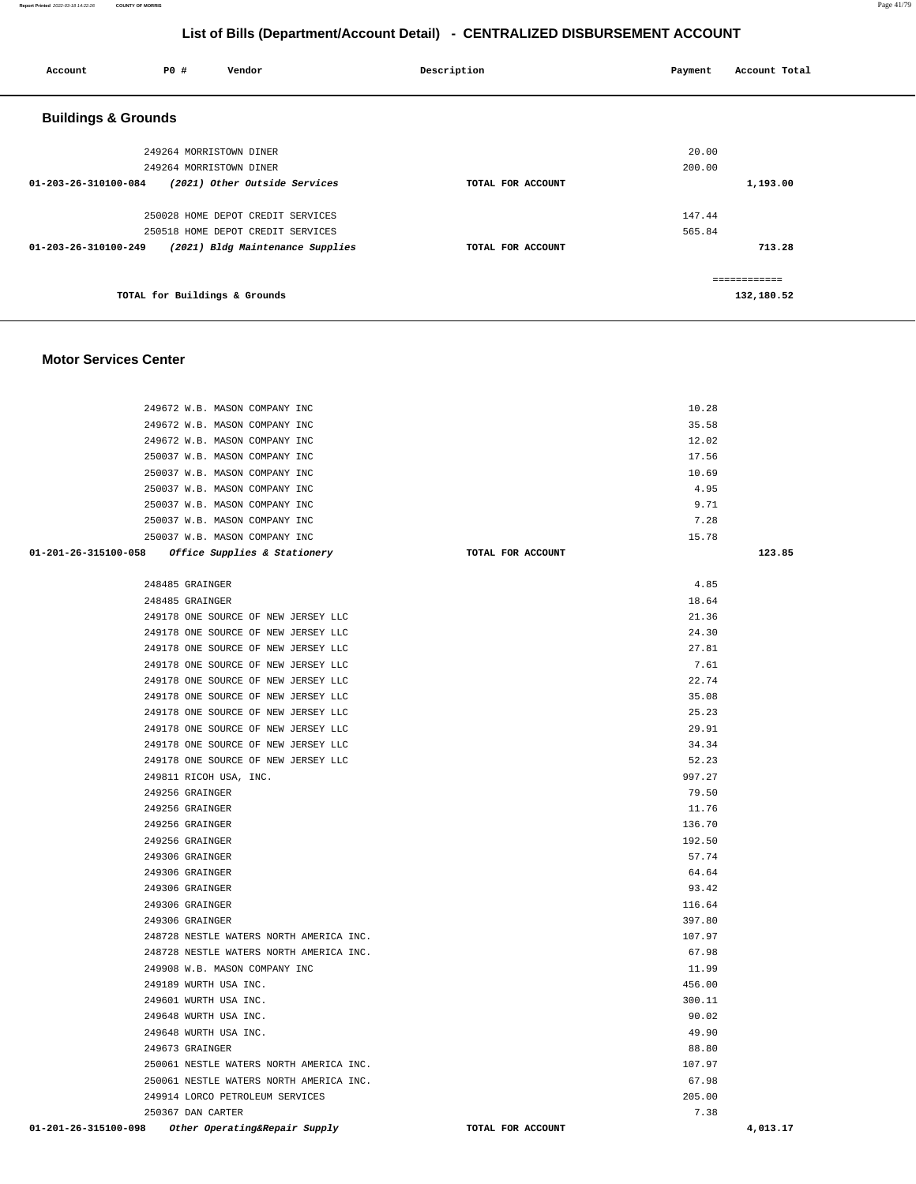| Account                        | P0 #                          | Vendor                            | Description       | Payment | Account Total               |
|--------------------------------|-------------------------------|-----------------------------------|-------------------|---------|-----------------------------|
| <b>Buildings &amp; Grounds</b> |                               |                                   |                   |         |                             |
|                                | 249264 MORRISTOWN DINER       |                                   |                   | 20.00   |                             |
|                                | 249264 MORRISTOWN DINER       |                                   |                   | 200.00  |                             |
| 01-203-26-310100-084           |                               | (2021) Other Outside Services     | TOTAL FOR ACCOUNT |         | 1,193.00                    |
|                                |                               | 250028 HOME DEPOT CREDIT SERVICES |                   | 147.44  |                             |
|                                |                               | 250518 HOME DEPOT CREDIT SERVICES |                   | 565.84  |                             |
| 01-203-26-310100-249           |                               | (2021) Bldg Maintenance Supplies  | TOTAL FOR ACCOUNT |         | 713.28                      |
|                                | TOTAL for Buildings & Grounds |                                   |                   |         | -------------<br>132,180.52 |
|                                |                               |                                   |                   |         |                             |

#### **Motor Services Center**

|                      | 249672 W.B. MASON COMPANY INC                     | 10.28             |          |
|----------------------|---------------------------------------------------|-------------------|----------|
|                      | 249672 W.B. MASON COMPANY INC                     | 35.58             |          |
|                      | 249672 W.B. MASON COMPANY INC                     | 12.02             |          |
|                      | 250037 W.B. MASON COMPANY INC                     | 17.56             |          |
|                      | 250037 W.B. MASON COMPANY INC                     | 10.69             |          |
|                      | 250037 W.B. MASON COMPANY INC                     | 4.95              |          |
|                      | 250037 W.B. MASON COMPANY INC                     | 9.71              |          |
|                      | 250037 W.B. MASON COMPANY INC                     | 7.28              |          |
|                      | 250037 W.B. MASON COMPANY INC                     | 15.78             |          |
|                      | 01-201-26-315100-058 Office Supplies & Stationery | TOTAL FOR ACCOUNT | 123.85   |
|                      |                                                   |                   |          |
|                      | 248485 GRAINGER                                   | 4.85              |          |
|                      | 248485 GRAINGER                                   | 18.64             |          |
|                      | 249178 ONE SOURCE OF NEW JERSEY LLC               | 21.36             |          |
|                      | 249178 ONE SOURCE OF NEW JERSEY LLC               | 24.30             |          |
|                      | 249178 ONE SOURCE OF NEW JERSEY LLC               | 27.81             |          |
|                      | 249178 ONE SOURCE OF NEW JERSEY LLC               | 7.61              |          |
|                      | 249178 ONE SOURCE OF NEW JERSEY LLC               | 22.74             |          |
|                      | 249178 ONE SOURCE OF NEW JERSEY LLC               | 35.08             |          |
|                      | 249178 ONE SOURCE OF NEW JERSEY LLC               | 25.23             |          |
|                      | 249178 ONE SOURCE OF NEW JERSEY LLC               | 29.91             |          |
|                      | 249178 ONE SOURCE OF NEW JERSEY LLC               | 34.34             |          |
|                      | 249178 ONE SOURCE OF NEW JERSEY LLC               | 52.23             |          |
|                      | 249811 RICOH USA, INC.                            | 997.27            |          |
|                      | 249256 GRAINGER                                   | 79.50             |          |
|                      | 249256 GRAINGER                                   | 11.76             |          |
|                      | 249256 GRAINGER                                   | 136.70            |          |
|                      | 249256 GRAINGER                                   | 192.50            |          |
|                      | 249306 GRAINGER                                   | 57.74             |          |
|                      | 249306 GRAINGER                                   | 64.64             |          |
|                      | 249306 GRAINGER                                   | 93.42             |          |
|                      | 249306 GRAINGER                                   | 116.64            |          |
|                      | 249306 GRAINGER                                   | 397.80            |          |
|                      | 248728 NESTLE WATERS NORTH AMERICA INC.           | 107.97            |          |
|                      | 248728 NESTLE WATERS NORTH AMERICA INC.           | 67.98             |          |
|                      | 249908 W.B. MASON COMPANY INC                     | 11.99             |          |
|                      | 249189 WURTH USA INC.                             | 456.00            |          |
|                      | 249601 WURTH USA INC.                             | 300.11            |          |
|                      | 249648 WURTH USA INC.                             | 90.02             |          |
|                      | 249648 WURTH USA INC.                             | 49.90             |          |
|                      | 249673 GRAINGER                                   | 88.80             |          |
|                      | 250061 NESTLE WATERS NORTH AMERICA INC.           | 107.97            |          |
|                      | 250061 NESTLE WATERS NORTH AMERICA INC.           | 67.98             |          |
|                      | 249914 LORCO PETROLEUM SERVICES                   | 205.00            |          |
|                      | 250367 DAN CARTER                                 | 7.38              |          |
| 01-201-26-315100-098 | Other Operating&Repair Supply                     | TOTAL FOR ACCOUNT | 4,013.17 |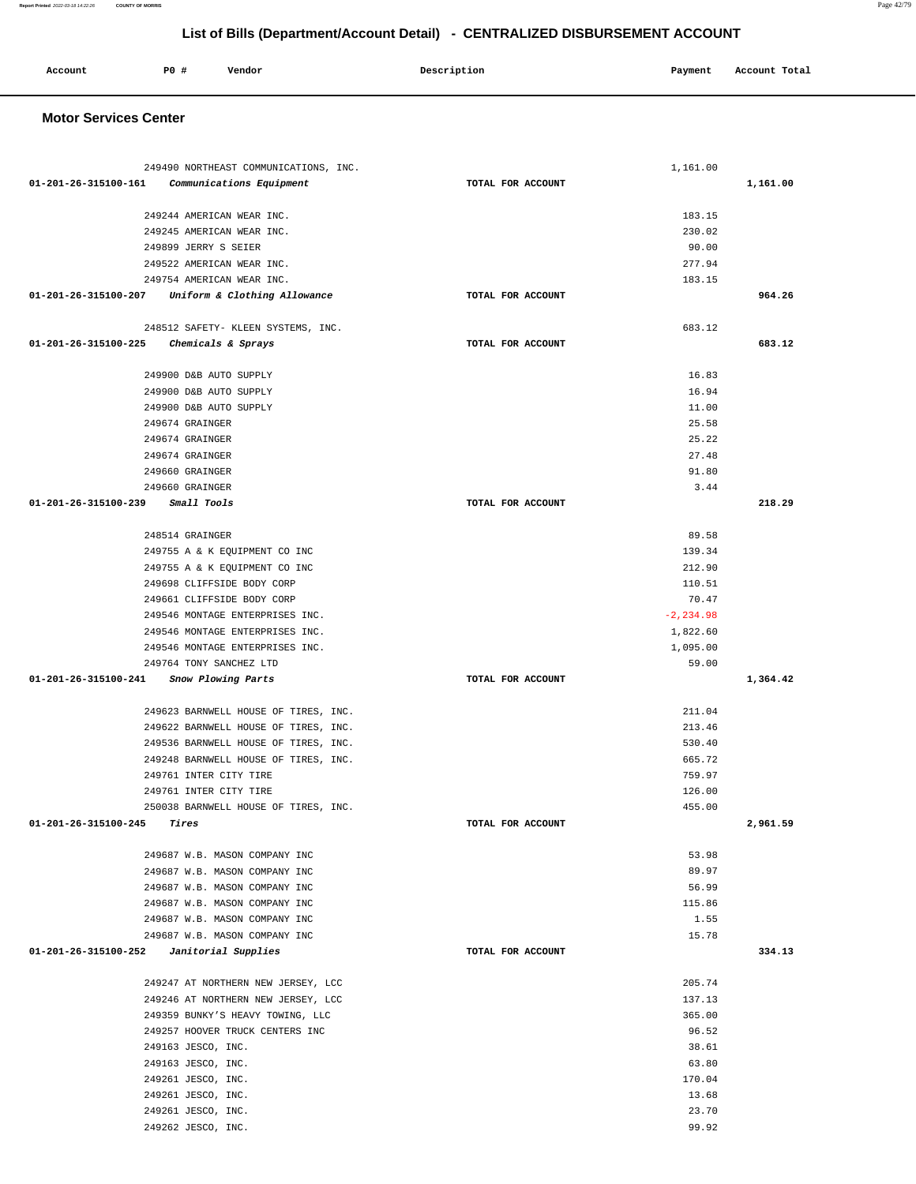#### 249244 AMERICAN WEAR INC. 249245 AMERICAN WEAR INC. 249899 JERRY S SEIER 249522 AMERICAN WEAR INC. 249754 AMERICAN WEAR INC. **01-201-26-315100-207 Uniform & Clothing Allowance TOTAL FOR ACCOUNT**  183.15 230.02 90.00 277.94 183.15 **964.26** 248512 SAFETY- KLEEN SYSTEMS, INC. **01-201-26-315100-225 Chemicals & Sprays TOTAL FOR ACCOUNT**  683.12 **683.12** 249900 D&B AUTO SUPPLY 249900 D&B AUTO SUPPLY 249900 D&B AUTO SUPPLY 249674 GRAINGER 249674 GRAINGER 249674 GRAINGER 249660 GRAINGER 249660 GRAINGER **01-201-26-315100-239 Small Tools TOTAL FOR ACCOUNT**  16.83 16.94 11.00 25.58 25.22 27.48 91.80 3.44 **218.29** 248514 GRAINGER 249755 A & K EQUIPMENT CO INC 249755 A & K EQUIPMENT CO INC 249698 CLIFFSIDE BODY CORP 249661 CLIFFSIDE BODY CORP 249546 MONTAGE ENTERPRISES INC. 249546 MONTAGE ENTERPRISES INC. 249546 MONTAGE ENTERPRISES INC. 249764 TONY SANCHEZ LTD **01-201-26-315100-241 Snow Plowing Parts TOTAL FOR ACCOUNT**  89.58 139.34 212.90 110.51 70.47 -2,234.98 1,822.60 1,095.00 59.00 **1,364.42** 249623 BARNWELL HOUSE OF TIRES, INC. 249622 BARNWELL HOUSE OF TIRES, INC. 249536 BARNWELL HOUSE OF TIRES, INC. 249248 BARNWELL HOUSE OF TIRES, INC. 249761 INTER CITY TIRE 249761 INTER CITY TIRE 250038 BARNWELL HOUSE OF TIRES, INC. **01-201-26-315100-245 Tires TOTAL FOR ACCOUNT**  211.04 213.46 530.40 665.72 759.97 126.00 455.00 **2,961.59** 249687 W.B. MASON COMPANY INC 249687 W.B. MASON COMPANY INC 249687 W.B. MASON COMPANY INC 249687 W.B. MASON COMPANY INC 249687 W.B. MASON COMPANY INC 249687 W.B. MASON COMPANY INC **01-201-26-315100-252 Janitorial Supplies TOTAL FOR ACCOUNT**  53.98 89.97 56.99 115.86 1.55 15.78 **334.13** 249247 AT NORTHERN NEW JERSEY, LCC 249246 AT NORTHERN NEW JERSEY, LCC 249359 BUNKY'S HEAVY TOWING, LLC 249257 HOOVER TRUCK CENTERS INC 249163 JESCO, INC. 249163 JESCO, INC. 249261 JESCO, INC. 249261 JESCO, INC. 249261 JESCO, INC. 249262 JESCO, INC. 205.74 137.13 365.00 96.52 38.61 63.80 170.04 13.68 23.70 99.92

 **Motor Services Center** 

 **Account P0 # Vendor Description Payment Account Total**

249490 NORTHEAST COMMUNICATIONS, INC.

**01-201-26-315100-161 Communications Equipment TOTAL FOR ACCOUNT** 

**List of Bills (Department/Account Detail) - CENTRALIZED DISBURSEMENT ACCOUNT**

**1,161.00**

1,161.00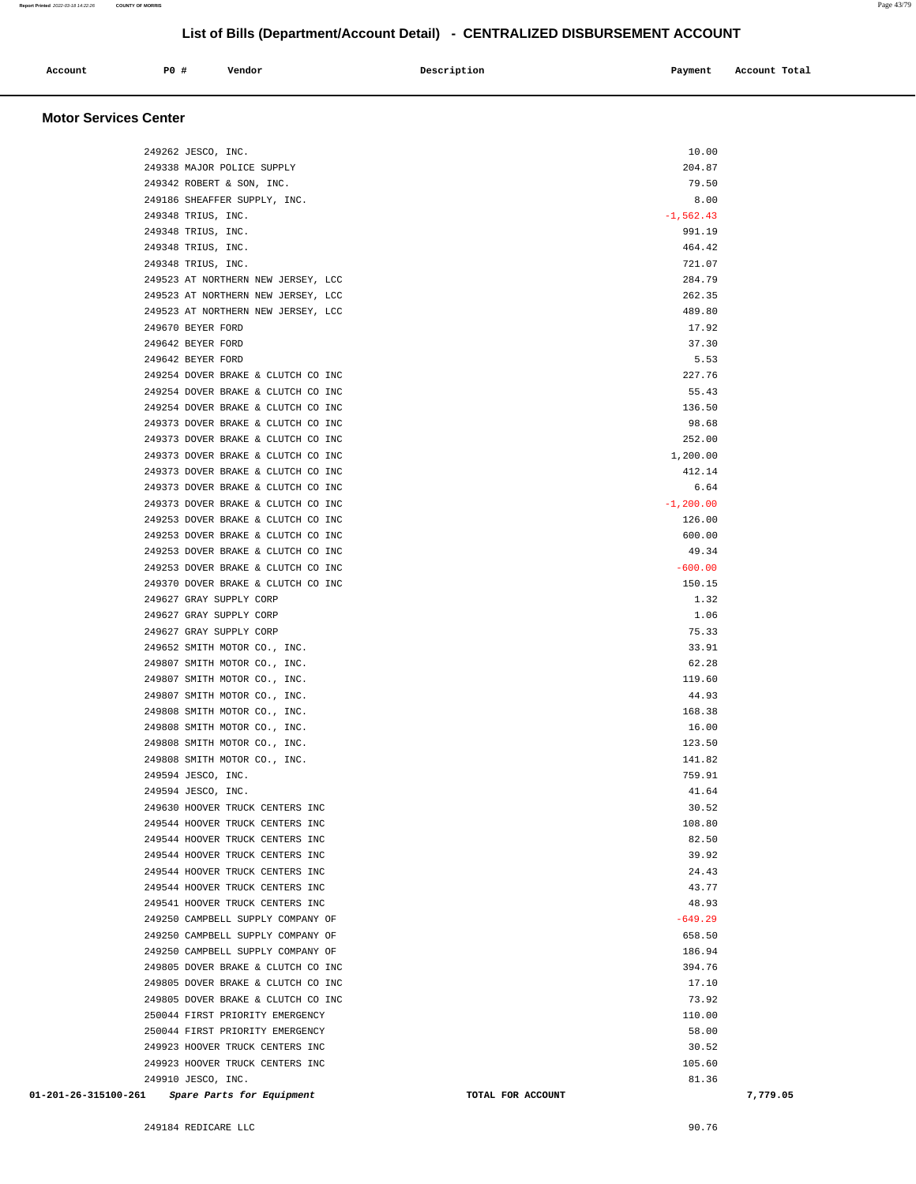| Account<br>. | PO# | Vendor | Description<br>$\sim$ $\sim$ $\sim$ | Payment | Account Total<br>. |
|--------------|-----|--------|-------------------------------------|---------|--------------------|
|              |     |        |                                     |         |                    |

#### **Motor Services Center**

| 249262 JESCO, INC.                             | 10.00                         |
|------------------------------------------------|-------------------------------|
| 249338 MAJOR POLICE SUPPLY                     | 204.87                        |
| 249342 ROBERT & SON, INC.                      | 79.50                         |
| 249186 SHEAFFER SUPPLY, INC.                   | 8.00                          |
| 249348 TRIUS, INC.                             | $-1, 562.43$                  |
| 249348 TRIUS, INC.                             | 991.19                        |
| 249348 TRIUS, INC.                             | 464.42                        |
| 249348 TRIUS, INC.                             | 721.07                        |
| 249523 AT NORTHERN NEW JERSEY, LCC             | 284.79                        |
| 249523 AT NORTHERN NEW JERSEY, LCC             | 262.35                        |
| 249523 AT NORTHERN NEW JERSEY, LCC             | 489.80                        |
| 249670 BEYER FORD                              | 17.92                         |
| 249642 BEYER FORD                              | 37.30                         |
| 249642 BEYER FORD                              | 5.53                          |
| 249254 DOVER BRAKE & CLUTCH CO INC             | 227.76                        |
| 249254 DOVER BRAKE & CLUTCH CO INC             | 55.43                         |
| 249254 DOVER BRAKE & CLUTCH CO INC             | 136.50                        |
| 249373 DOVER BRAKE & CLUTCH CO INC             | 98.68                         |
| 249373 DOVER BRAKE & CLUTCH CO INC             | 252.00                        |
| 249373 DOVER BRAKE & CLUTCH CO INC             | 1,200.00                      |
| 249373 DOVER BRAKE & CLUTCH CO INC             | 412.14                        |
| 249373 DOVER BRAKE & CLUTCH CO INC             | 6.64                          |
| 249373 DOVER BRAKE & CLUTCH CO INC             | $-1, 200.00$                  |
| 249253 DOVER BRAKE & CLUTCH CO INC             | 126.00                        |
| 249253 DOVER BRAKE & CLUTCH CO INC             | 600.00                        |
| 249253 DOVER BRAKE & CLUTCH CO INC             | 49.34                         |
| 249253 DOVER BRAKE & CLUTCH CO INC             | $-600.00$                     |
| 249370 DOVER BRAKE & CLUTCH CO INC             | 150.15                        |
| 249627 GRAY SUPPLY CORP                        | 1.32                          |
| 249627 GRAY SUPPLY CORP                        | 1.06                          |
| 249627 GRAY SUPPLY CORP                        | 75.33                         |
| 249652 SMITH MOTOR CO., INC.                   | 33.91                         |
| 249807 SMITH MOTOR CO., INC.                   | 62.28                         |
| 249807 SMITH MOTOR CO., INC.                   | 119.60                        |
| 249807 SMITH MOTOR CO., INC.                   | 44.93                         |
| 249808 SMITH MOTOR CO., INC.                   | 168.38                        |
| 249808 SMITH MOTOR CO., INC.                   | 16.00                         |
| 249808 SMITH MOTOR CO., INC.                   | 123.50                        |
| 249808 SMITH MOTOR CO., INC.                   | 141.82                        |
| 249594 JESCO, INC.                             | 759.91                        |
| 249594 JESCO, INC.                             | 41.64                         |
| 249630 HOOVER TRUCK CENTERS INC                | 30.52                         |
| 249544 HOOVER TRUCK CENTERS INC                | 108.80                        |
| 249544 HOOVER TRUCK CENTERS INC                | 82.50                         |
| 249544 HOOVER TRUCK CENTERS INC                | 39.92                         |
| 249544 HOOVER TRUCK CENTERS INC                | 24.43                         |
| 249544 HOOVER TRUCK CENTERS INC                | 43.77                         |
| 249541 HOOVER TRUCK CENTERS INC                | 48.93                         |
| 249250 CAMPBELL SUPPLY COMPANY OF              | $-649.29$                     |
| 249250 CAMPBELL SUPPLY COMPANY OF              | 658.50                        |
| 249250 CAMPBELL SUPPLY COMPANY OF              | 186.94                        |
| 249805 DOVER BRAKE & CLUTCH CO INC             | 394.76                        |
| 249805 DOVER BRAKE & CLUTCH CO INC             | 17.10                         |
| 249805 DOVER BRAKE & CLUTCH CO INC             | 73.92                         |
| 250044 FIRST PRIORITY EMERGENCY                | 110.00                        |
| 250044 FIRST PRIORITY EMERGENCY                | 58.00                         |
| 249923 HOOVER TRUCK CENTERS INC                | 30.52                         |
| 249923 HOOVER TRUCK CENTERS INC                | 105.60                        |
| 249910 JESCO, INC.                             | 81.36                         |
| 01-201-26-315100-261 Spare Parts for Equipment | 7,779.05<br>TOTAL FOR ACCOUNT |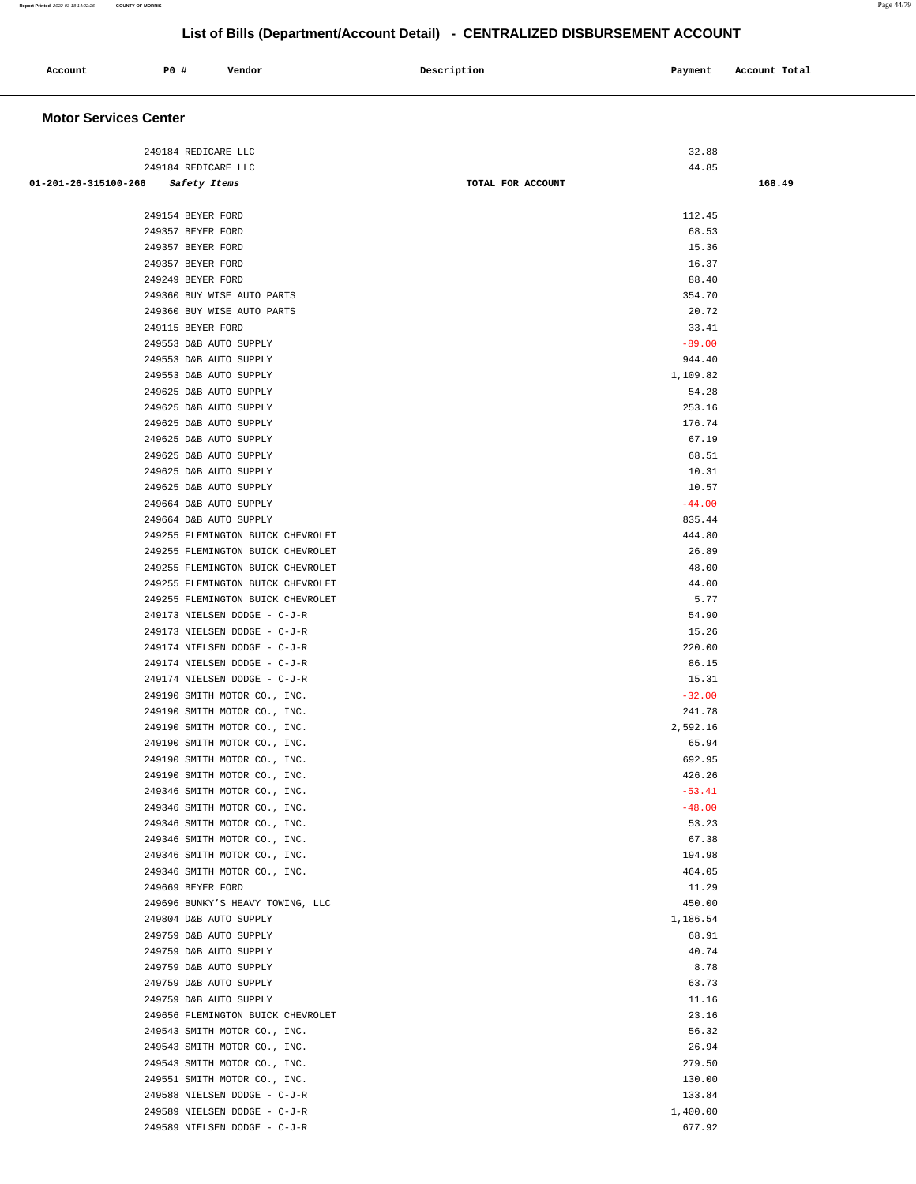| Account<br>. | PO# | Vendor | Description | Payment | Account Total<br>.<br>. |
|--------------|-----|--------|-------------|---------|-------------------------|
|              |     |        |             |         |                         |

## **Motor Services Center**

|                                   | 249184 REDICARE LLC                                          | 32.88             |        |
|-----------------------------------|--------------------------------------------------------------|-------------------|--------|
|                                   | 249184 REDICARE LLC                                          | 44.85             |        |
| 01-201-26-315100-266 Safety Items |                                                              | TOTAL FOR ACCOUNT | 168.49 |
|                                   |                                                              |                   |        |
|                                   | 249154 BEYER FORD                                            | 112.45            |        |
|                                   | 249357 BEYER FORD                                            | 68.53             |        |
|                                   | 249357 BEYER FORD                                            | 15.36             |        |
|                                   | 249357 BEYER FORD                                            | 16.37             |        |
|                                   | 249249 BEYER FORD                                            | 88.40             |        |
|                                   | 249360 BUY WISE AUTO PARTS                                   | 354.70            |        |
|                                   | 249360 BUY WISE AUTO PARTS                                   | 20.72             |        |
|                                   |                                                              |                   |        |
|                                   | 249115 BEYER FORD                                            | 33.41             |        |
|                                   | 249553 D&B AUTO SUPPLY                                       | $-89.00$          |        |
|                                   | 249553 D&B AUTO SUPPLY                                       | 944.40            |        |
|                                   | 249553 D&B AUTO SUPPLY                                       | 1,109.82          |        |
|                                   | 249625 D&B AUTO SUPPLY                                       | 54.28             |        |
|                                   | 249625 D&B AUTO SUPPLY                                       | 253.16            |        |
|                                   | 249625 D&B AUTO SUPPLY                                       | 176.74            |        |
|                                   | 249625 D&B AUTO SUPPLY                                       | 67.19             |        |
|                                   | 249625 D&B AUTO SUPPLY                                       | 68.51             |        |
|                                   | 249625 D&B AUTO SUPPLY                                       | 10.31             |        |
|                                   | 249625 D&B AUTO SUPPLY                                       | 10.57             |        |
|                                   | 249664 D&B AUTO SUPPLY                                       | $-44.00$          |        |
|                                   | 249664 D&B AUTO SUPPLY                                       | 835.44            |        |
|                                   | 249255 FLEMINGTON BUICK CHEVROLET                            | 444.80            |        |
|                                   | 249255 FLEMINGTON BUICK CHEVROLET                            | 26.89             |        |
|                                   | 249255 FLEMINGTON BUICK CHEVROLET                            | 48.00             |        |
|                                   | 249255 FLEMINGTON BUICK CHEVROLET                            | 44.00             |        |
|                                   | 249255 FLEMINGTON BUICK CHEVROLET                            | 5.77              |        |
|                                   | 249173 NIELSEN DODGE - C-J-R                                 | 54.90             |        |
|                                   | 249173 NIELSEN DODGE - C-J-R                                 | 15.26             |        |
|                                   | 249174 NIELSEN DODGE - C-J-R                                 | 220.00            |        |
|                                   | 249174 NIELSEN DODGE - C-J-R                                 | 86.15             |        |
|                                   | 249174 NIELSEN DODGE - C-J-R                                 | 15.31             |        |
|                                   | 249190 SMITH MOTOR CO., INC.                                 | $-32.00$          |        |
|                                   | 249190 SMITH MOTOR CO., INC.                                 | 241.78            |        |
|                                   | 249190 SMITH MOTOR CO., INC.                                 | 2,592.16          |        |
|                                   | 249190 SMITH MOTOR CO., INC.                                 | 65.94             |        |
|                                   | 249190 SMITH MOTOR CO., INC.                                 | 692.95            |        |
|                                   | 249190 SMITH MOTOR CO., INC.                                 | 426.26            |        |
|                                   | 249346 SMITH MOTOR CO., INC.                                 | $-53.41$          |        |
|                                   | 249346 SMITH MOTOR CO., INC.                                 | $-48.00$          |        |
|                                   |                                                              |                   |        |
|                                   | 249346 SMITH MOTOR CO., INC.<br>249346 SMITH MOTOR CO., INC. | 53.23<br>67.38    |        |
|                                   |                                                              |                   |        |
|                                   | 249346 SMITH MOTOR CO., INC.                                 | 194.98            |        |
|                                   | 249346 SMITH MOTOR CO., INC.                                 | 464.05            |        |
|                                   | 249669 BEYER FORD                                            | 11.29             |        |
|                                   | 249696 BUNKY'S HEAVY TOWING, LLC                             | 450.00            |        |
|                                   | 249804 D&B AUTO SUPPLY                                       | 1,186.54          |        |
|                                   | 249759 D&B AUTO SUPPLY                                       | 68.91             |        |
|                                   | 249759 D&B AUTO SUPPLY                                       | 40.74             |        |
|                                   | 249759 D&B AUTO SUPPLY                                       | 8.78              |        |
|                                   | 249759 D&B AUTO SUPPLY                                       | 63.73             |        |
|                                   | 249759 D&B AUTO SUPPLY                                       | 11.16             |        |
|                                   | 249656 FLEMINGTON BUICK CHEVROLET                            | 23.16             |        |
|                                   | 249543 SMITH MOTOR CO., INC.                                 | 56.32             |        |
|                                   | 249543 SMITH MOTOR CO., INC.                                 | 26.94             |        |
|                                   | 249543 SMITH MOTOR CO., INC.                                 | 279.50            |        |
|                                   | 249551 SMITH MOTOR CO., INC.                                 | 130.00            |        |
|                                   | 249588 NIELSEN DODGE - C-J-R                                 | 133.84            |        |
|                                   | 249589 NIELSEN DODGE - C-J-R                                 | 1,400.00          |        |
|                                   | 249589 NIELSEN DODGE - C-J-R                                 | 677.92            |        |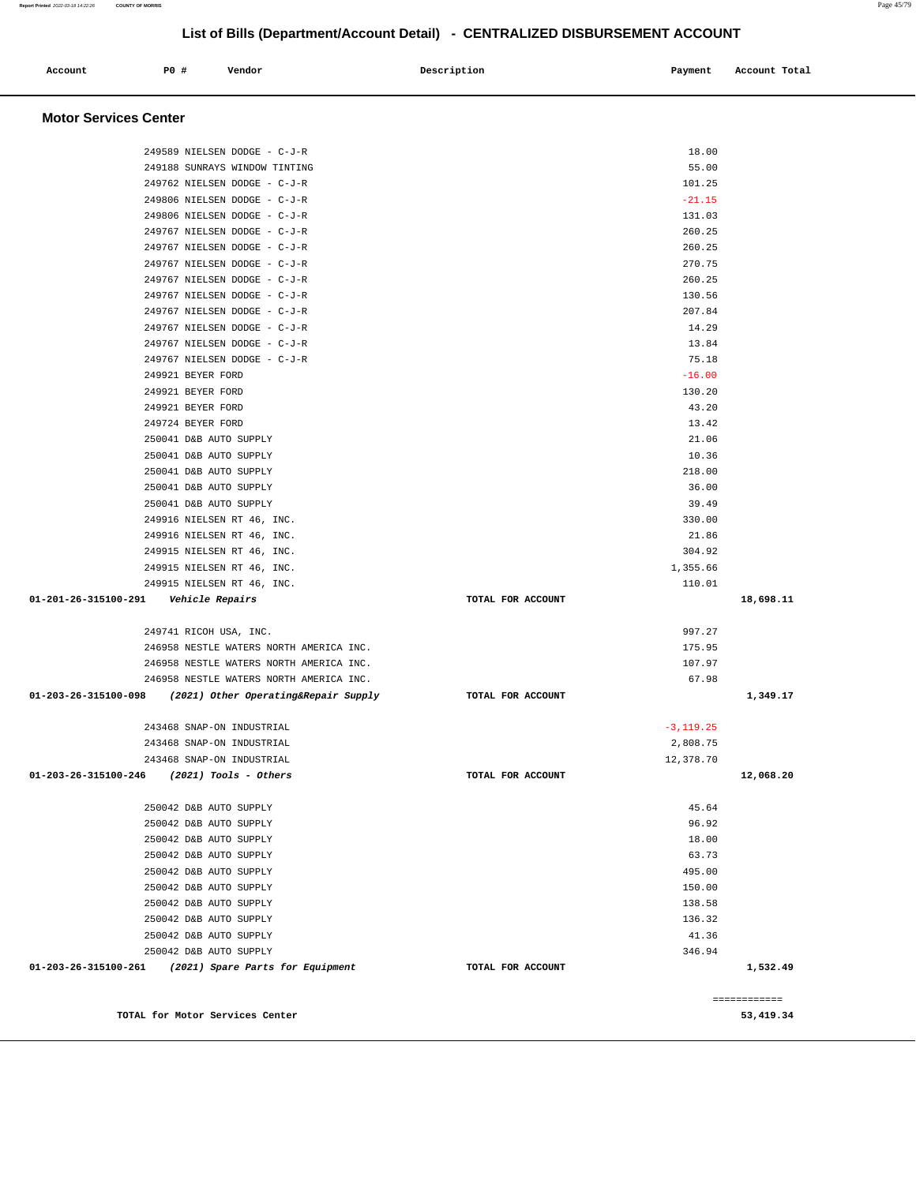| Account                      | P0 # |                               | Vendor                          |                                         | Description       | Payment           | Account Total |
|------------------------------|------|-------------------------------|---------------------------------|-----------------------------------------|-------------------|-------------------|---------------|
|                              |      |                               |                                 |                                         |                   |                   |               |
| <b>Motor Services Center</b> |      |                               |                                 |                                         |                   |                   |               |
|                              |      |                               | 249589 NIELSEN DODGE - C-J-R    |                                         |                   | 18.00             |               |
|                              |      |                               | 249188 SUNRAYS WINDOW TINTING   |                                         |                   | 55.00             |               |
|                              |      |                               | 249762 NIELSEN DODGE - C-J-R    |                                         |                   | 101.25            |               |
|                              |      |                               | 249806 NIELSEN DODGE - C-J-R    |                                         |                   | $-21.15$          |               |
|                              |      |                               | 249806 NIELSEN DODGE - C-J-R    |                                         |                   | 131.03            |               |
|                              |      |                               | 249767 NIELSEN DODGE - C-J-R    |                                         |                   | 260.25            |               |
|                              |      |                               | 249767 NIELSEN DODGE - C-J-R    |                                         |                   | 260.25            |               |
|                              |      |                               | 249767 NIELSEN DODGE - C-J-R    |                                         |                   | 270.75            |               |
|                              |      |                               | 249767 NIELSEN DODGE - C-J-R    |                                         |                   | 260.25            |               |
|                              |      |                               | 249767 NIELSEN DODGE - C-J-R    |                                         |                   | 130.56            |               |
|                              |      |                               | 249767 NIELSEN DODGE - C-J-R    |                                         |                   | 207.84            |               |
|                              |      |                               | 249767 NIELSEN DODGE - C-J-R    |                                         |                   | 14.29             |               |
|                              |      |                               | 249767 NIELSEN DODGE - C-J-R    |                                         |                   | 13.84             |               |
|                              |      | 249921 BEYER FORD             | 249767 NIELSEN DODGE - C-J-R    |                                         |                   | 75.18<br>$-16.00$ |               |
|                              |      | 249921 BEYER FORD             |                                 |                                         |                   | 130.20            |               |
|                              |      | 249921 BEYER FORD             |                                 |                                         |                   | 43.20             |               |
|                              |      | 249724 BEYER FORD             |                                 |                                         |                   | 13.42             |               |
|                              |      |                               | 250041 D&B AUTO SUPPLY          |                                         |                   | 21.06             |               |
|                              |      |                               | 250041 D&B AUTO SUPPLY          |                                         |                   | 10.36             |               |
|                              |      |                               | 250041 D&B AUTO SUPPLY          |                                         |                   | 218.00            |               |
|                              |      |                               | 250041 D&B AUTO SUPPLY          |                                         |                   | 36.00             |               |
|                              |      |                               | 250041 D&B AUTO SUPPLY          |                                         |                   | 39.49             |               |
|                              |      |                               | 249916 NIELSEN RT 46, INC.      |                                         |                   | 330.00            |               |
|                              |      |                               | 249916 NIELSEN RT 46, INC.      |                                         |                   | 21.86             |               |
|                              |      |                               | 249915 NIELSEN RT 46, INC.      |                                         |                   | 304.92            |               |
|                              |      |                               | 249915 NIELSEN RT 46, INC.      |                                         |                   | 1,355.66          |               |
|                              |      |                               | 249915 NIELSEN RT 46, INC.      |                                         |                   | 110.01            |               |
| 01-201-26-315100-291         |      | <i><b>Vehicle Repairs</b></i> |                                 |                                         | TOTAL FOR ACCOUNT |                   | 18,698.11     |
|                              |      |                               | 249741 RICOH USA, INC.          |                                         |                   | 997.27            |               |
|                              |      |                               |                                 | 246958 NESTLE WATERS NORTH AMERICA INC. |                   | 175.95            |               |
|                              |      |                               |                                 | 246958 NESTLE WATERS NORTH AMERICA INC. |                   | 107.97            |               |
|                              |      |                               |                                 | 246958 NESTLE WATERS NORTH AMERICA INC. |                   | 67.98             |               |
| 01-203-26-315100-098         |      |                               |                                 | (2021) Other Operating&Repair Supply    | TOTAL FOR ACCOUNT |                   | 1,349.17      |
|                              |      |                               | 243468 SNAP-ON INDUSTRIAL       |                                         |                   | $-3, 119.25$      |               |
|                              |      |                               | 243468 SNAP-ON INDUSTRIAL       |                                         |                   | 2,808.75          |               |
|                              |      |                               | 243468 SNAP-ON INDUSTRIAL       |                                         |                   | 12,378.70         |               |
| 01-203-26-315100-246         |      |                               | $(2021)$ Tools - Others         |                                         | TOTAL FOR ACCOUNT |                   | 12,068.20     |
|                              |      |                               | 250042 D&B AUTO SUPPLY          |                                         |                   | 45.64             |               |
|                              |      |                               | 250042 D&B AUTO SUPPLY          |                                         |                   | 96.92             |               |
|                              |      |                               | 250042 D&B AUTO SUPPLY          |                                         |                   | 18.00             |               |
|                              |      |                               | 250042 D&B AUTO SUPPLY          |                                         |                   | 63.73             |               |
|                              |      |                               | 250042 D&B AUTO SUPPLY          |                                         |                   | 495.00            |               |
|                              |      |                               | 250042 D&B AUTO SUPPLY          |                                         |                   | 150.00            |               |
|                              |      |                               | 250042 D&B AUTO SUPPLY          |                                         |                   | 138.58            |               |
|                              |      |                               | 250042 D&B AUTO SUPPLY          |                                         |                   | 136.32            |               |
|                              |      |                               | 250042 D&B AUTO SUPPLY          |                                         |                   | 41.36             |               |
|                              |      |                               | 250042 D&B AUTO SUPPLY          |                                         |                   | 346.94            |               |
| 01-203-26-315100-261         |      |                               |                                 | (2021) Spare Parts for Equipment        | TOTAL FOR ACCOUNT |                   | 1,532.49      |
|                              |      |                               |                                 |                                         |                   |                   | ============  |
|                              |      |                               | TOTAL for Motor Services Center |                                         |                   |                   | 53,419.34     |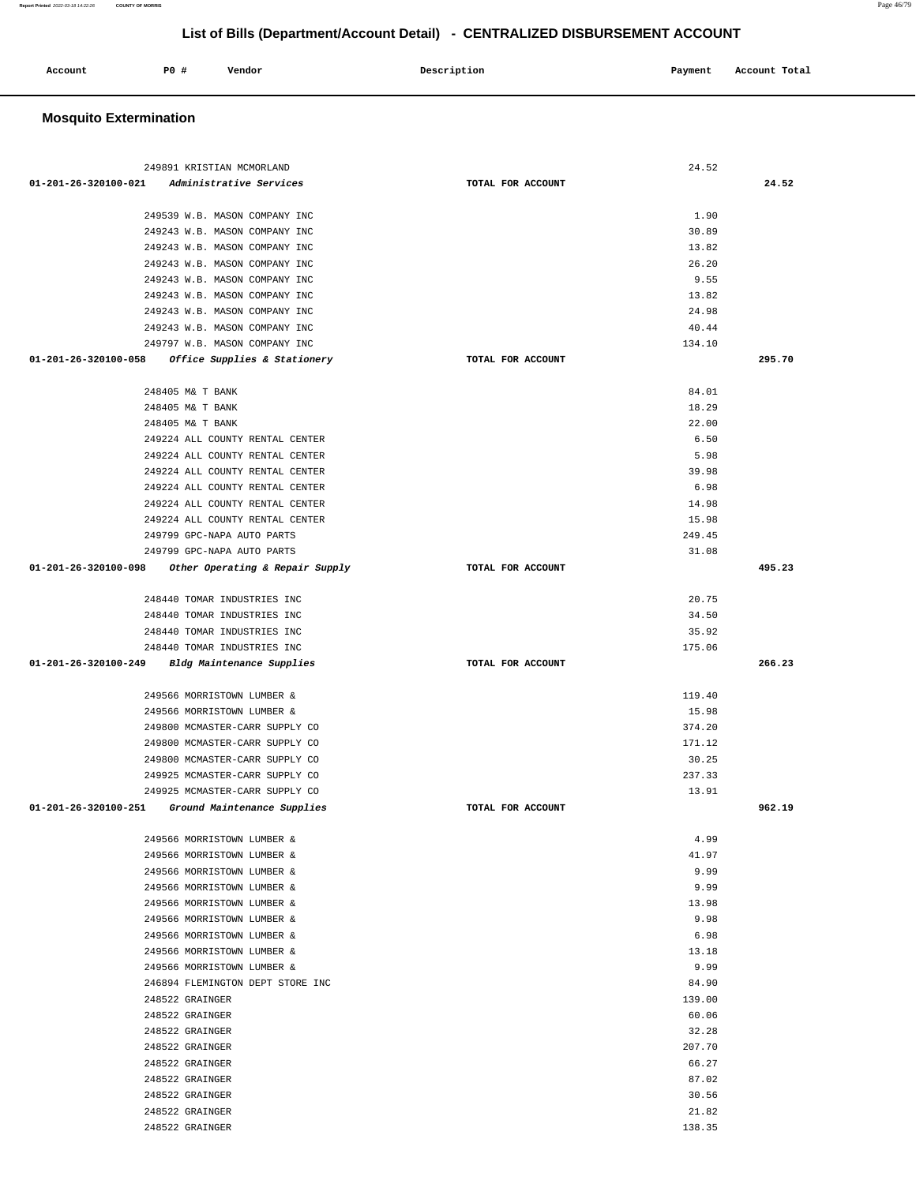### 249891 KRISTIAN MCMORLAND 24.52  **01-201-26-320100-021 Administrative Services TOTAL FOR ACCOUNT 24.52** 249539 W.B. MASON COMPANY INC 3.5 (2008) 2.90 249243 W.B. MASON COMPANY INC 30.89 249243 W.B. MASON COMPANY INC 13.82 249243 W.B. MASON COMPANY INC 26.20 249243 W.B. MASON COMPANY INC 9.55 249243 W.B. MASON COMPANY INC 13.82 249243 W.B. MASON COMPANY INC 24.98 249243 W.B. MASON COMPANY INC 40.44 249797 W.B. MASON COMPANY INC 134.10  **01-201-26-320100-058 Office Supplies & Stationery TOTAL FOR ACCOUNT 295.70** 248405 M& T BANK 84.01 248405 M& T BANK 18.29 248405 M& T BANK 22.00 249224 ALL COUNTY RENTAL CENTER 6.50 249224 ALL COUNTY RENTAL CENTER **5.98**  249224 ALL COUNTY RENTAL CENTER 39.98 249224 ALL COUNTY RENTAL CENTER 6.98 249224 ALL COUNTY RENTAL CENTER 14.98 249224 ALL COUNTY RENTAL CENTER 15.98 249799 GPC-NAPA AUTO PARTS 249.45 249799 GPC-NAPA AUTO PARTS 31.08  **01-201-26-320100-098 Other Operating & Repair Supply TOTAL FOR ACCOUNT 495.23** 248440 TOMAR INDUSTRIES INC 20.75 248440 TOMAR INDUSTRIES INC 34.50 248440 TOMAR INDUSTRIES INC 35.92 248440 TOMAR INDUSTRIES INC 175.06  **01-201-26-320100-249 Bldg Maintenance Supplies TOTAL FOR ACCOUNT 266.23** 249566 MORRISTOWN LUMBER & 119.40 249566 MORRISTOWN LUMBER & 15.98 249800 MCMASTER-CARR SUPPLY CO 374.20 249800 MCMASTER-CARR SUPPLY CO 171.12 249800 MCMASTER-CARR SUPPLY CO 30.25 249925 MCMASTER-CARR SUPPLY CO 237.33 249925 MCMASTER-CARR SUPPLY CO 13.91  **01-201-26-320100-251 Ground Maintenance Supplies TOTAL FOR ACCOUNT 962.19** 249566 MORRISTOWN LUMBER & 4.99 249566 MORRISTOWN LUMBER & 41.97 249566 MORRISTOWN LUMBER & 9.99 249566 MORRISTOWN LUMBER & 9.99 249566 MORRISTOWN LUMBER & 13.98 249566 MORRISTOWN LUMBER & 9.98 249566 MORRISTOWN LUMBER & 6.98 249566 MORRISTOWN LUMBER & 13.18 249566 MORRISTOWN LUMBER & 9.99 246894 FLEMINGTON DEPT STORE INC 84.90 248522 GRAINGER 139.00 248522 GRAINGER 60.06 248522 GRAINGER 32.28 248522 GRAINGER 207.70 248522 GRAINGER 66.27 248522 GRAINGER 87.02 248522 GRAINGER 30.56 248522 GRAINGER 21.82 248522 GRAINGER 138.35

## **List of Bills (Department/Account Detail) - CENTRALIZED DISBURSEMENT ACCOUNT**

| Account | P0 # | Vendor | Description | Payment | Account Total |
|---------|------|--------|-------------|---------|---------------|
|         |      |        |             |         |               |

#### **Mosquito Extermination**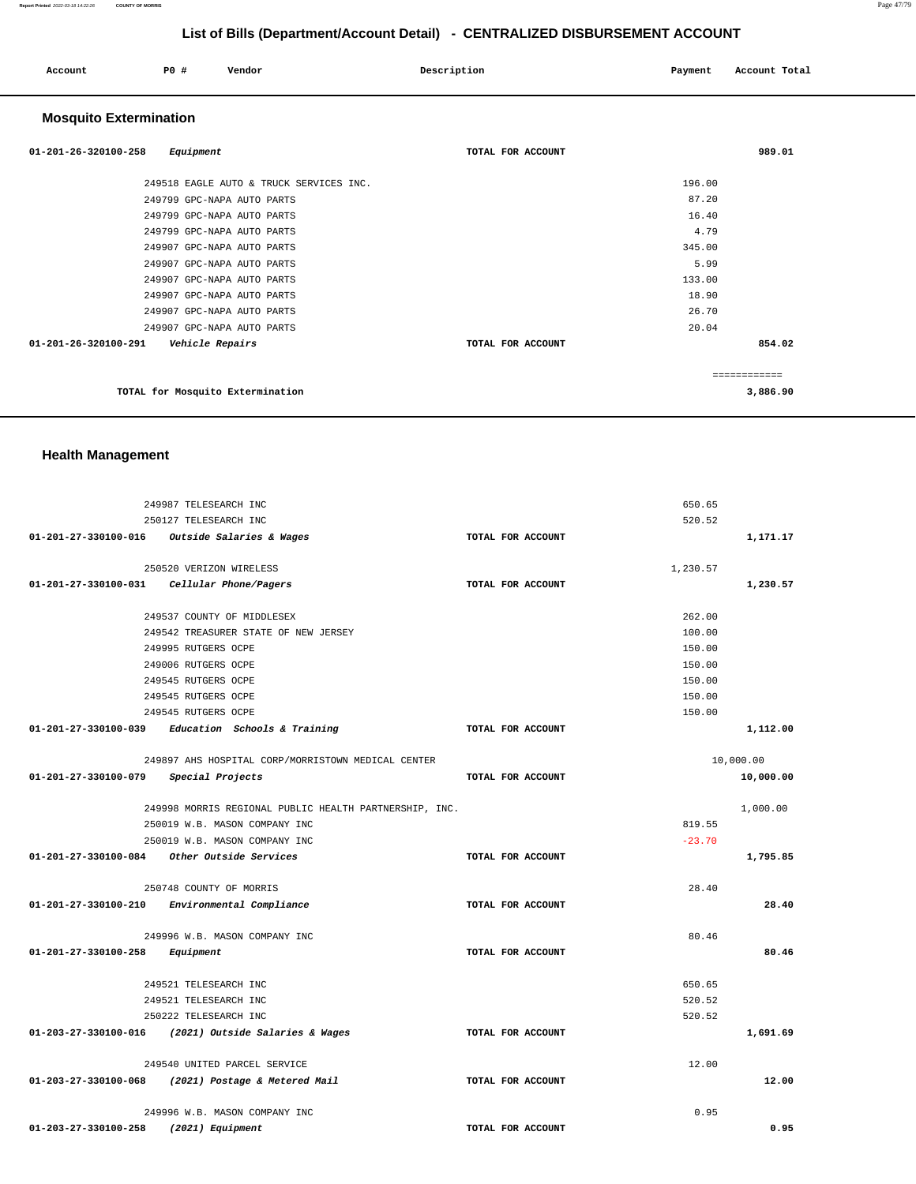| Account | P0 # | Vendor | Description | Payment | Account Total |
|---------|------|--------|-------------|---------|---------------|
|         |      |        |             |         |               |

## **Mosquito Extermination**

| $01 - 201 - 26 - 320100 - 258$<br>Equipment | TOTAL FOR ACCOUNT | 989.01       |
|---------------------------------------------|-------------------|--------------|
| 249518 EAGLE AUTO & TRUCK SERVICES INC.     |                   | 196.00       |
| 249799 GPC-NAPA AUTO PARTS                  |                   | 87.20        |
| 249799 GPC-NAPA AUTO PARTS                  |                   | 16.40        |
| 249799 GPC-NAPA AUTO PARTS                  |                   | 4.79         |
| 249907 GPC-NAPA AUTO PARTS                  |                   | 345.00       |
| 249907 GPC-NAPA AUTO PARTS                  |                   | 5.99         |
| 249907 GPC-NAPA AUTO PARTS                  |                   | 133.00       |
| 249907 GPC-NAPA AUTO PARTS                  |                   | 18.90        |
| 249907 GPC-NAPA AUTO PARTS                  |                   | 26.70        |
| 249907 GPC-NAPA AUTO PARTS                  |                   | 20.04        |
| 01-201-26-320100-291<br>Vehicle Repairs     | TOTAL FOR ACCOUNT | 854.02       |
|                                             |                   | ------------ |
| TOTAL for Mosquito Extermination            |                   | 3,886.90     |

## **Health Management**

|                                       | 249987 TELESEARCH INC                                  |                   | 650.65    |
|---------------------------------------|--------------------------------------------------------|-------------------|-----------|
|                                       | 250127 TELESEARCH INC                                  |                   | 520.52    |
|                                       | $01-201-27-330100-016$ Outside Salaries & Wages        | TOTAL FOR ACCOUNT | 1,171.17  |
|                                       |                                                        |                   |           |
|                                       | 250520 VERIZON WIRELESS                                |                   | 1,230.57  |
|                                       | 01-201-27-330100-031    Cellular Phone/Pagers          | TOTAL FOR ACCOUNT | 1,230.57  |
|                                       | 249537 COUNTY OF MIDDLESEX                             |                   | 262.00    |
|                                       | 249542 TREASURER STATE OF NEW JERSEY                   |                   | 100.00    |
|                                       | 249995 RUTGERS OCPE                                    |                   | 150.00    |
|                                       | 249006 RUTGERS OCPE                                    |                   | 150.00    |
|                                       | 249545 RUTGERS OCPE                                    |                   | 150.00    |
|                                       | 249545 RUTGERS OCPE                                    |                   | 150.00    |
|                                       | 249545 RUTGERS OCPE                                    |                   | 150.00    |
|                                       | $01-201-27-330100-039$ Education Schools & Training    | TOTAL FOR ACCOUNT | 1,112.00  |
|                                       |                                                        |                   |           |
|                                       | 249897 AHS HOSPITAL CORP/MORRISTOWN MEDICAL CENTER     |                   | 10,000.00 |
| 01-201-27-330100-079 Special Projects |                                                        | TOTAL FOR ACCOUNT | 10,000.00 |
|                                       | 249998 MORRIS REGIONAL PUBLIC HEALTH PARTNERSHIP, INC. |                   | 1,000.00  |
|                                       | 250019 W.B. MASON COMPANY INC                          |                   | 819.55    |
|                                       | 250019 W.B. MASON COMPANY INC                          |                   | $-23.70$  |
|                                       |                                                        | TOTAL FOR ACCOUNT | 1,795.85  |
|                                       | 250748 COUNTY OF MORRIS                                |                   | 28.40     |
|                                       | 01-201-27-330100-210 Environmental Compliance          | TOTAL FOR ACCOUNT | 28.40     |
|                                       |                                                        |                   |           |
|                                       | 249996 W.B. MASON COMPANY INC                          |                   | 80.46     |
| 01-201-27-330100-258 Equipment        |                                                        | TOTAL FOR ACCOUNT | 80.46     |
|                                       | 249521 TELESEARCH INC                                  |                   |           |
|                                       |                                                        |                   | 650.65    |
|                                       | 249521 TELESEARCH INC                                  |                   | 520.52    |
|                                       | 250222 TELESEARCH INC                                  |                   | 520.52    |
|                                       | 01-203-27-330100-016 (2021) Outside Salaries & Wages   | TOTAL FOR ACCOUNT | 1,691.69  |
|                                       | 249540 UNITED PARCEL SERVICE                           |                   | 12.00     |
|                                       | 01-203-27-330100-068 (2021) Postage & Metered Mail     | TOTAL FOR ACCOUNT | 12.00     |
|                                       | 249996 W.B. MASON COMPANY INC                          |                   | 0.95      |
| $01 - 203 - 27 - 330100 - 258$        | (2021) Equipment                                       | TOTAL FOR ACCOUNT | 0.95      |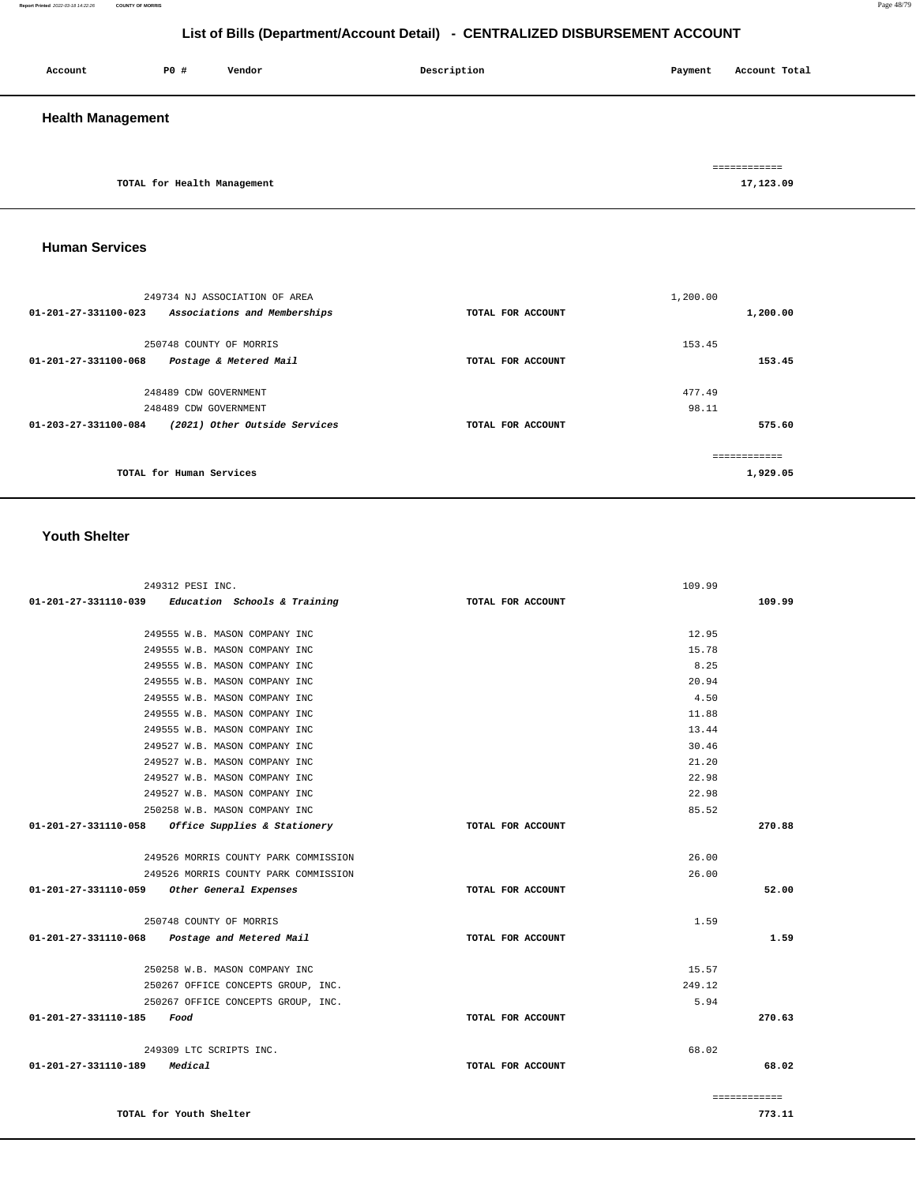| Account                  | P0 #                        | Vendor | Description | Payment | Account Total             |
|--------------------------|-----------------------------|--------|-------------|---------|---------------------------|
| <b>Health Management</b> |                             |        |             |         |                           |
|                          | TOTAL for Health Management |        |             |         | ============<br>17,123.09 |

## **Human Services**

|                      | 249734 NJ ASSOCIATION OF AREA |                   | 1,200.00 |          |
|----------------------|-------------------------------|-------------------|----------|----------|
| 01-201-27-331100-023 | Associations and Memberships  | TOTAL FOR ACCOUNT |          | 1,200.00 |
|                      | 250748 COUNTY OF MORRIS       |                   | 153.45   |          |
| 01-201-27-331100-068 | Postage & Metered Mail        | TOTAL FOR ACCOUNT |          | 153.45   |
|                      | 248489 CDW GOVERNMENT         |                   | 477.49   |          |
|                      |                               |                   |          |          |
|                      | 248489 CDW GOVERNMENT         |                   | 98.11    |          |
| 01-203-27-331100-084 | (2021) Other Outside Services | TOTAL FOR ACCOUNT |          | 575.60   |
|                      |                               |                   |          |          |
|                      | TOTAL for Human Services      |                   |          | 1,929.05 |

#### **Youth Shelter**

| 249312 PESI INC.                                    |                   | 109.99                 |
|-----------------------------------------------------|-------------------|------------------------|
| $01-201-27-331110-039$ Education Schools & Training | TOTAL FOR ACCOUNT | 109.99                 |
|                                                     |                   |                        |
| 249555 W.B. MASON COMPANY INC                       |                   | 12.95                  |
| 249555 W.B. MASON COMPANY INC                       |                   | 15.78                  |
| 249555 W.B. MASON COMPANY INC                       |                   | 8.25                   |
| 249555 W.B. MASON COMPANY INC                       |                   | 20.94                  |
| 249555 W.B. MASON COMPANY INC                       |                   | 4.50                   |
| 249555 W.B. MASON COMPANY INC                       |                   | 11.88                  |
| 249555 W.B. MASON COMPANY INC                       |                   | 13.44                  |
| 249527 W.B. MASON COMPANY INC                       |                   | 30.46                  |
| 249527 W.B. MASON COMPANY INC                       |                   | 21.20                  |
| 249527 W.B. MASON COMPANY INC                       |                   | 22.98                  |
| 249527 W.B. MASON COMPANY INC                       |                   | 22.98                  |
| 250258 W.B. MASON COMPANY INC                       |                   | 85.52                  |
| 01-201-27-331110-058 Office Supplies & Stationery   | TOTAL FOR ACCOUNT | 270.88                 |
| 249526 MORRIS COUNTY PARK COMMISSION                |                   | 26.00                  |
| 249526 MORRIS COUNTY PARK COMMISSION                |                   | 26.00                  |
| 01-201-27-331110-059<br>Other General Expenses      | TOTAL FOR ACCOUNT | 52.00                  |
|                                                     |                   |                        |
| 250748 COUNTY OF MORRIS                             |                   | 1.59                   |
| $01-201-27-331110-068$ Postage and Metered Mail     | TOTAL FOR ACCOUNT | 1.59                   |
| 250258 W.B. MASON COMPANY INC                       |                   | 15.57                  |
| 250267 OFFICE CONCEPTS GROUP, INC.                  |                   | 249.12                 |
| 250267 OFFICE CONCEPTS GROUP, INC.                  |                   | 5.94                   |
| 01-201-27-331110-185<br>Food                        | TOTAL FOR ACCOUNT | 270.63                 |
| 249309 LTC SCRIPTS INC.                             |                   | 68.02                  |
| 01-201-27-331110-189<br>Medical                     | TOTAL FOR ACCOUNT | 68.02                  |
|                                                     |                   |                        |
| TOTAL for Youth Shelter                             |                   | ============<br>773.11 |
|                                                     |                   |                        |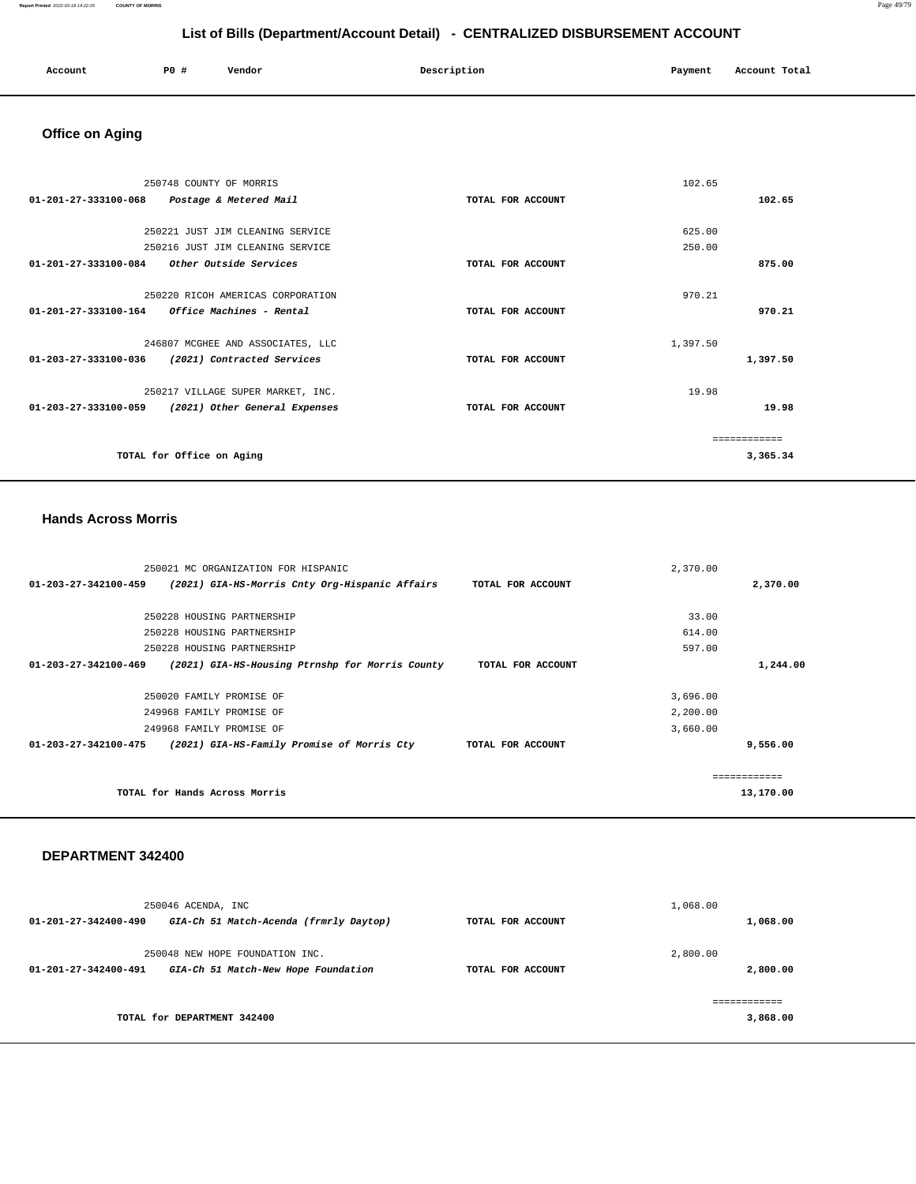| Account<br>. | $P0$ + | Vendor | Description | Payment<br>. | Total<br>Account<br>.<br>. |
|--------------|--------|--------|-------------|--------------|----------------------------|
|              |        |        |             |              |                            |

# **Office on Aging**

|                                             | 250748 COUNTY OF MORRIS                         |                   | 102.65   |          |
|---------------------------------------------|-------------------------------------------------|-------------------|----------|----------|
| 01-201-27-333100-068                        | Postage & Metered Mail                          | TOTAL FOR ACCOUNT |          | 102.65   |
|                                             | 250221 JUST JIM CLEANING SERVICE                |                   | 625.00   |          |
|                                             | 250216 JUST JIM CLEANING SERVICE                |                   | 250.00   |          |
| 01-201-27-333100-084 Other Outside Services |                                                 | TOTAL FOR ACCOUNT |          | 875.00   |
|                                             |                                                 |                   |          |          |
|                                             | 250220 RICOH AMERICAS CORPORATION               |                   | 970.21   |          |
|                                             | $01-201-27-333100-164$ Office Machines - Rental | TOTAL FOR ACCOUNT |          | 970.21   |
|                                             |                                                 |                   |          |          |
|                                             | 246807 MCGHEE AND ASSOCIATES, LLC               |                   | 1,397.50 |          |
| $01 - 203 - 27 - 333100 - 036$              | (2021) Contracted Services                      | TOTAL FOR ACCOUNT |          | 1,397.50 |
|                                             | 250217 VILLAGE SUPER MARKET, INC.               |                   | 19.98    |          |
| 01-203-27-333100-059                        | (2021) Other General Expenses                   | TOTAL FOR ACCOUNT |          | 19.98    |
|                                             |                                                 |                   |          |          |
|                                             |                                                 |                   |          |          |
|                                             | TOTAL for Office on Aging                       |                   |          | 3,365.34 |
|                                             |                                                 |                   |          |          |

#### **Hands Across Morris**

|                      | 250021 MC ORGANIZATION FOR HISPANIC             |                   | 2,370.00 |               |
|----------------------|-------------------------------------------------|-------------------|----------|---------------|
| 01-203-27-342100-459 | (2021) GIA-HS-Morris Cnty Org-Hispanic Affairs  | TOTAL FOR ACCOUNT |          | 2,370.00      |
|                      |                                                 |                   |          |               |
|                      | 250228 HOUSING PARTNERSHIP                      |                   | 33.00    |               |
|                      | 250228 HOUSING PARTNERSHIP                      |                   | 614.00   |               |
|                      | 250228 HOUSING PARTNERSHIP                      |                   | 597.00   |               |
| 01-203-27-342100-469 | (2021) GIA-HS-Housing Ptrnshp for Morris County | TOTAL FOR ACCOUNT |          | 1,244.00      |
|                      |                                                 |                   |          |               |
|                      | 250020 FAMILY PROMISE OF                        |                   | 3,696.00 |               |
|                      | 249968 FAMILY PROMISE OF                        |                   | 2,200.00 |               |
|                      | 249968 FAMILY PROMISE OF                        |                   | 3,660.00 |               |
| 01-203-27-342100-475 | (2021) GIA-HS-Family Promise of Morris Cty      | TOTAL FOR ACCOUNT |          | 9,556.00      |
|                      |                                                 |                   |          |               |
|                      |                                                 |                   |          | ------------- |
|                      | TOTAL for Hands Across Morris                   |                   |          | 13,170.00     |
|                      |                                                 |                   |          |               |

| 250046 ACENDA, INC<br>GIA-Ch 51 Match-Acenda (frmrly Daytop)<br>01-201-27-342400-490                     | TOTAL FOR ACCOUNT | 1,068.00<br>1,068.00 |
|----------------------------------------------------------------------------------------------------------|-------------------|----------------------|
| 250048 NEW HOPE FOUNDATION INC.<br>GIA-Ch 51 Match-New Hope Foundation<br>$01 - 201 - 27 - 342400 - 491$ | TOTAL FOR ACCOUNT | 2,800.00<br>2,800.00 |
| TOTAL for DEPARTMENT 342400                                                                              |                   | 3,868.00             |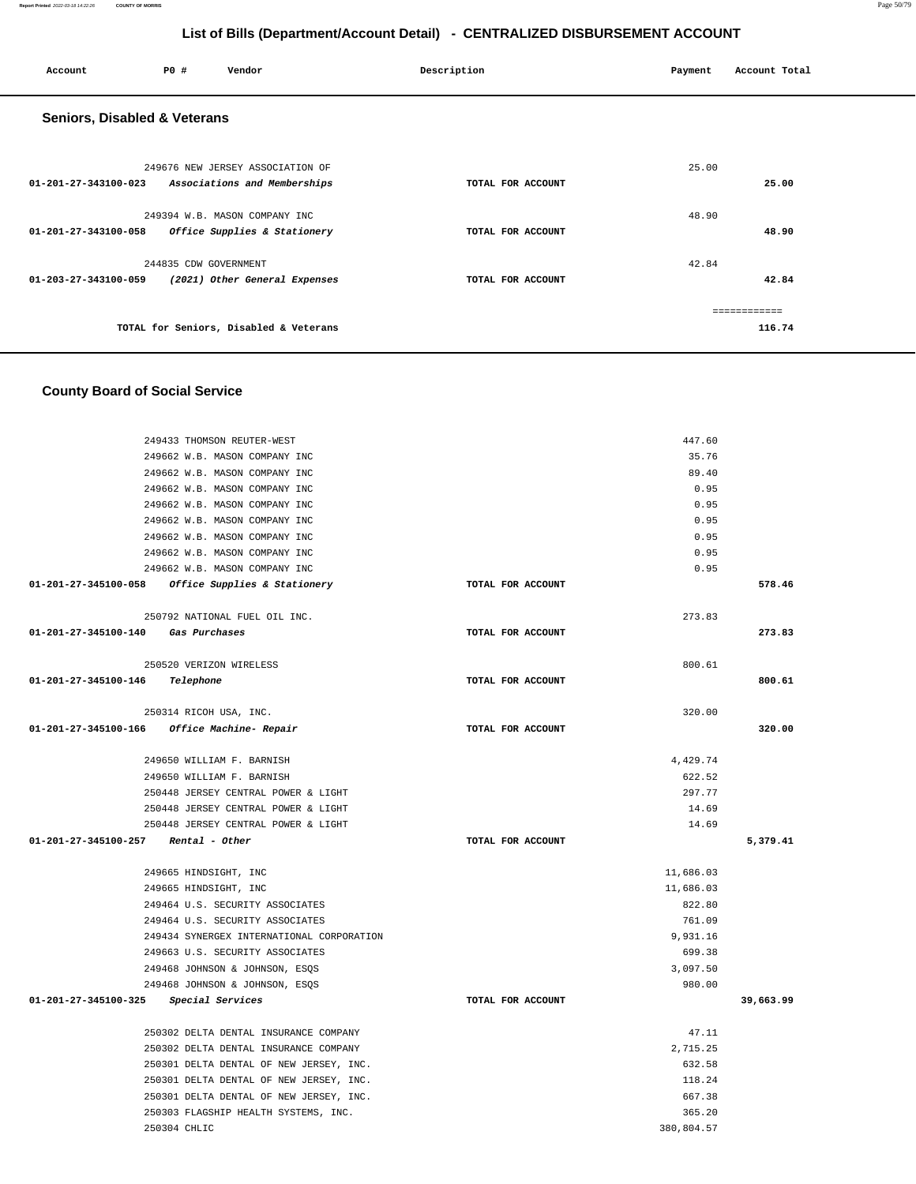| Account                                 | <b>PO #</b>           | Vendor                                                           | Description       | Payment | Account Total |
|-----------------------------------------|-----------------------|------------------------------------------------------------------|-------------------|---------|---------------|
| <b>Seniors, Disabled &amp; Veterans</b> |                       |                                                                  |                   |         |               |
| 01-201-27-343100-023                    |                       | 249676 NEW JERSEY ASSOCIATION OF<br>Associations and Memberships | TOTAL FOR ACCOUNT | 25.00   | 25.00         |
|                                         |                       | 249394 W.B. MASON COMPANY INC                                    |                   | 48.90   |               |
| 01-201-27-343100-058                    |                       | Office Supplies & Stationery                                     | TOTAL FOR ACCOUNT |         | 48.90         |
|                                         | 244835 CDW GOVERNMENT |                                                                  |                   | 42.84   |               |
| $01 - 203 - 27 - 343100 - 059$          |                       | (2021) Other General Expenses                                    | TOTAL FOR ACCOUNT |         | 42.84         |
|                                         |                       |                                                                  |                   |         | ============  |
|                                         |                       | TOTAL for Seniors, Disabled & Veterans                           |                   |         | 116.74        |

## **County Board of Social Service**

|                                    | 249433 THOMSON REUTER-WEST                        |                   | 447.60     |           |
|------------------------------------|---------------------------------------------------|-------------------|------------|-----------|
|                                    | 249662 W.B. MASON COMPANY INC                     |                   | 35.76      |           |
|                                    | 249662 W.B. MASON COMPANY INC                     |                   | 89.40      |           |
|                                    | 249662 W.B. MASON COMPANY INC                     |                   | 0.95       |           |
|                                    | 249662 W.B. MASON COMPANY INC                     |                   | 0.95       |           |
|                                    | 249662 W.B. MASON COMPANY INC                     |                   | 0.95       |           |
|                                    | 249662 W.B. MASON COMPANY INC                     |                   | 0.95       |           |
|                                    | 249662 W.B. MASON COMPANY INC                     |                   | 0.95       |           |
|                                    | 249662 W.B. MASON COMPANY INC                     |                   | 0.95       |           |
|                                    | 01-201-27-345100-058 Office Supplies & Stationery | TOTAL FOR ACCOUNT |            | 578.46    |
|                                    | 250792 NATIONAL FUEL OIL INC.                     |                   | 273.83     |           |
| 01-201-27-345100-140 Gas Purchases |                                                   | TOTAL FOR ACCOUNT |            | 273.83    |
|                                    |                                                   |                   |            |           |
|                                    | 250520 VERIZON WIRELESS                           |                   | 800.61     |           |
| 01-201-27-345100-146               | Telephone                                         | TOTAL FOR ACCOUNT |            | 800.61    |
|                                    |                                                   |                   |            |           |
|                                    | 250314 RICOH USA, INC.                            |                   | 320.00     |           |
|                                    | 01-201-27-345100-166 Office Machine- Repair       | TOTAL FOR ACCOUNT |            | 320.00    |
|                                    |                                                   |                   |            |           |
|                                    | 249650 WILLIAM F. BARNISH                         |                   | 4,429.74   |           |
|                                    | 249650 WILLIAM F. BARNISH                         |                   | 622.52     |           |
|                                    | 250448 JERSEY CENTRAL POWER & LIGHT               |                   | 297.77     |           |
|                                    | 250448 JERSEY CENTRAL POWER & LIGHT               |                   | 14.69      |           |
|                                    | 250448 JERSEY CENTRAL POWER & LIGHT               |                   | 14.69      |           |
| 01-201-27-345100-257               | Rental - Other                                    | TOTAL FOR ACCOUNT |            | 5,379.41  |
|                                    | 249665 HINDSIGHT, INC                             |                   | 11,686.03  |           |
|                                    | 249665 HINDSIGHT, INC                             |                   | 11,686.03  |           |
|                                    | 249464 U.S. SECURITY ASSOCIATES                   |                   | 822.80     |           |
|                                    | 249464 U.S. SECURITY ASSOCIATES                   |                   | 761.09     |           |
|                                    | 249434 SYNERGEX INTERNATIONAL CORPORATION         |                   | 9,931.16   |           |
|                                    | 249663 U.S. SECURITY ASSOCIATES                   |                   | 699.38     |           |
|                                    | 249468 JOHNSON & JOHNSON, ESOS                    |                   | 3,097.50   |           |
|                                    | 249468 JOHNSON & JOHNSON, ESOS                    |                   | 980.00     |           |
| 01-201-27-345100-325               | Special Services                                  | TOTAL FOR ACCOUNT |            | 39,663.99 |
|                                    | 250302 DELTA DENTAL INSURANCE COMPANY             |                   | 47.11      |           |
|                                    | 250302 DELTA DENTAL INSURANCE COMPANY             |                   | 2,715.25   |           |
|                                    | 250301 DELTA DENTAL OF NEW JERSEY, INC.           |                   | 632.58     |           |
|                                    | 250301 DELTA DENTAL OF NEW JERSEY, INC.           |                   | 118.24     |           |
|                                    | 250301 DELTA DENTAL OF NEW JERSEY, INC.           |                   | 667.38     |           |
|                                    | 250303 FLAGSHIP HEALTH SYSTEMS, INC.              |                   | 365.20     |           |
|                                    | 250304 CHLIC                                      |                   | 380,804.57 |           |
|                                    |                                                   |                   |            |           |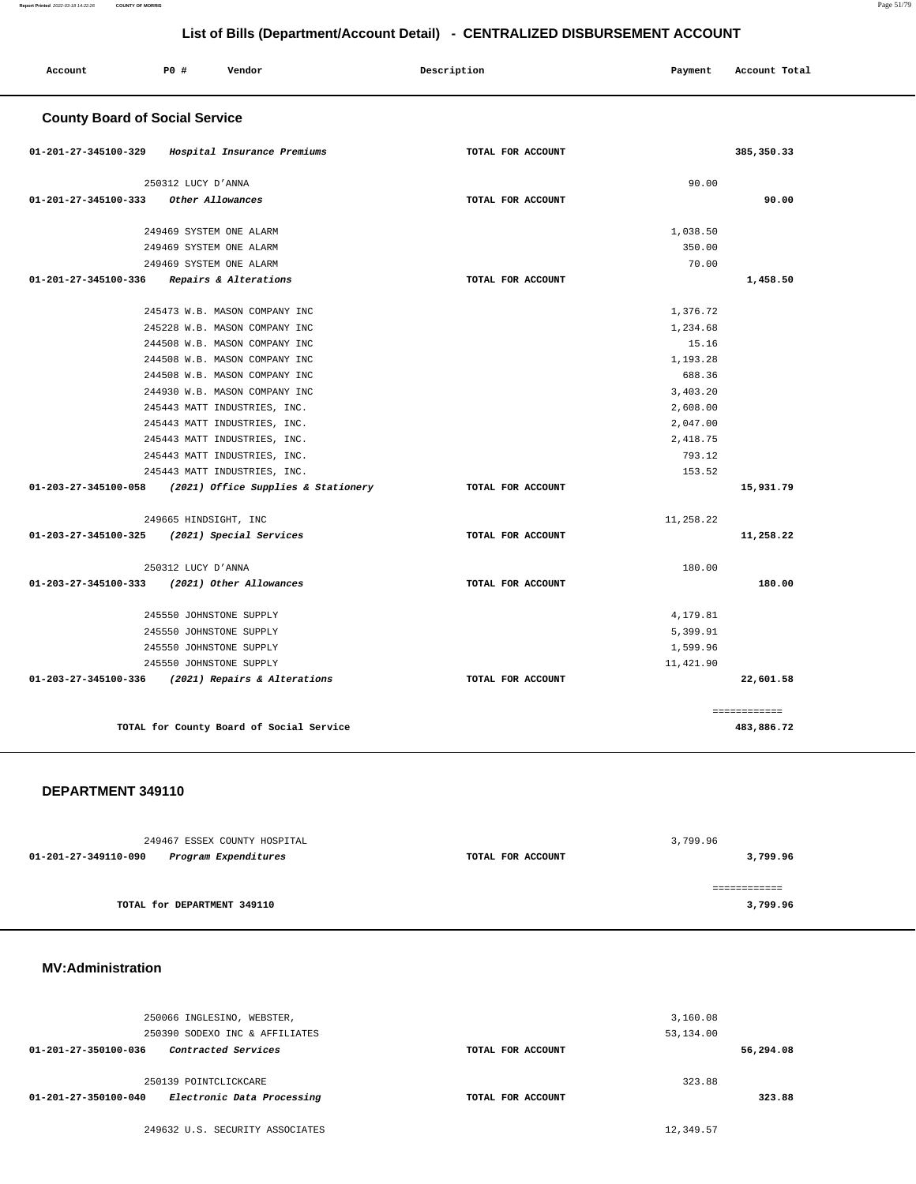| Account                               | PO#                     | Vendor                                   | Description       | Payment   | Account Total |
|---------------------------------------|-------------------------|------------------------------------------|-------------------|-----------|---------------|
| <b>County Board of Social Service</b> |                         |                                          |                   |           |               |
| 01-201-27-345100-329                  |                         | Hospital Insurance Premiums              | TOTAL FOR ACCOUNT |           | 385, 350.33   |
|                                       | 250312 LUCY D'ANNA      |                                          |                   | 90.00     |               |
| 01-201-27-345100-333                  | Other Allowances        |                                          | TOTAL FOR ACCOUNT |           | 90.00         |
|                                       | 249469 SYSTEM ONE ALARM |                                          |                   | 1,038.50  |               |
|                                       | 249469 SYSTEM ONE ALARM |                                          |                   | 350.00    |               |
|                                       | 249469 SYSTEM ONE ALARM |                                          |                   | 70.00     |               |
| 01-201-27-345100-336                  |                         | Repairs & Alterations                    | TOTAL FOR ACCOUNT |           | 1,458.50      |
|                                       |                         | 245473 W.B. MASON COMPANY INC            |                   | 1,376.72  |               |
|                                       |                         | 245228 W.B. MASON COMPANY INC            |                   | 1,234.68  |               |
|                                       |                         | 244508 W.B. MASON COMPANY INC            |                   | 15.16     |               |
|                                       |                         | 244508 W.B. MASON COMPANY INC            |                   | 1,193.28  |               |
|                                       |                         | 244508 W.B. MASON COMPANY INC            |                   | 688.36    |               |
|                                       |                         | 244930 W.B. MASON COMPANY INC            |                   | 3,403.20  |               |
|                                       |                         | 245443 MATT INDUSTRIES, INC.             |                   | 2,608.00  |               |
|                                       |                         | 245443 MATT INDUSTRIES, INC.             |                   | 2,047.00  |               |
|                                       |                         | 245443 MATT INDUSTRIES, INC.             |                   | 2,418.75  |               |
|                                       |                         | 245443 MATT INDUSTRIES, INC.             |                   | 793.12    |               |
|                                       |                         | 245443 MATT INDUSTRIES, INC.             |                   | 153.52    |               |
| 01-203-27-345100-058                  |                         | (2021) Office Supplies & Stationery      | TOTAL FOR ACCOUNT |           | 15,931.79     |
|                                       | 249665 HINDSIGHT, INC   |                                          |                   | 11,258.22 |               |
| 01-203-27-345100-325                  |                         | (2021) Special Services                  | TOTAL FOR ACCOUNT |           | 11,258.22     |
|                                       | 250312 LUCY D'ANNA      |                                          |                   | 180.00    |               |
| 01-203-27-345100-333                  |                         | (2021) Other Allowances                  | TOTAL FOR ACCOUNT |           | 180.00        |
|                                       | 245550 JOHNSTONE SUPPLY |                                          |                   | 4,179.81  |               |
|                                       | 245550 JOHNSTONE SUPPLY |                                          |                   | 5,399.91  |               |
|                                       | 245550 JOHNSTONE SUPPLY |                                          |                   | 1,599.96  |               |
|                                       | 245550 JOHNSTONE SUPPLY |                                          |                   | 11,421.90 |               |
| 01-203-27-345100-336                  |                         | (2021) Repairs & Alterations             | TOTAL FOR ACCOUNT |           | 22,601.58     |
|                                       |                         |                                          |                   |           | ============  |
|                                       |                         | TOTAL for County Board of Social Service |                   |           | 483,886.72    |

#### **DEPARTMENT 349110**

| 249467 ESSEX COUNTY HOSPITAL                 |                   | 3,799.96     |
|----------------------------------------------|-------------------|--------------|
| 01-201-27-349110-090<br>Program Expenditures | TOTAL FOR ACCOUNT | 3,799.96     |
|                                              |                   |              |
|                                              |                   | ============ |
| TOTAL for DEPARTMENT 349110                  |                   | 3,799.96     |
|                                              |                   |              |

#### **MV:Administration**

|                      | 250066 INGLESINO, WEBSTER,     |                   | 3,160.08  |           |
|----------------------|--------------------------------|-------------------|-----------|-----------|
|                      | 250390 SODEXO INC & AFFILIATES |                   | 53,134.00 |           |
| 01-201-27-350100-036 | Contracted Services            | TOTAL FOR ACCOUNT |           | 56,294.08 |
|                      |                                |                   |           |           |
|                      | 250139 POINTCLICKCARE          |                   | 323.88    |           |
| 01-201-27-350100-040 | Electronic Data Processing     | TOTAL FOR ACCOUNT |           | 323.88    |
|                      |                                |                   |           |           |

249632 U.S. SECURITY ASSOCIATES 12,349.57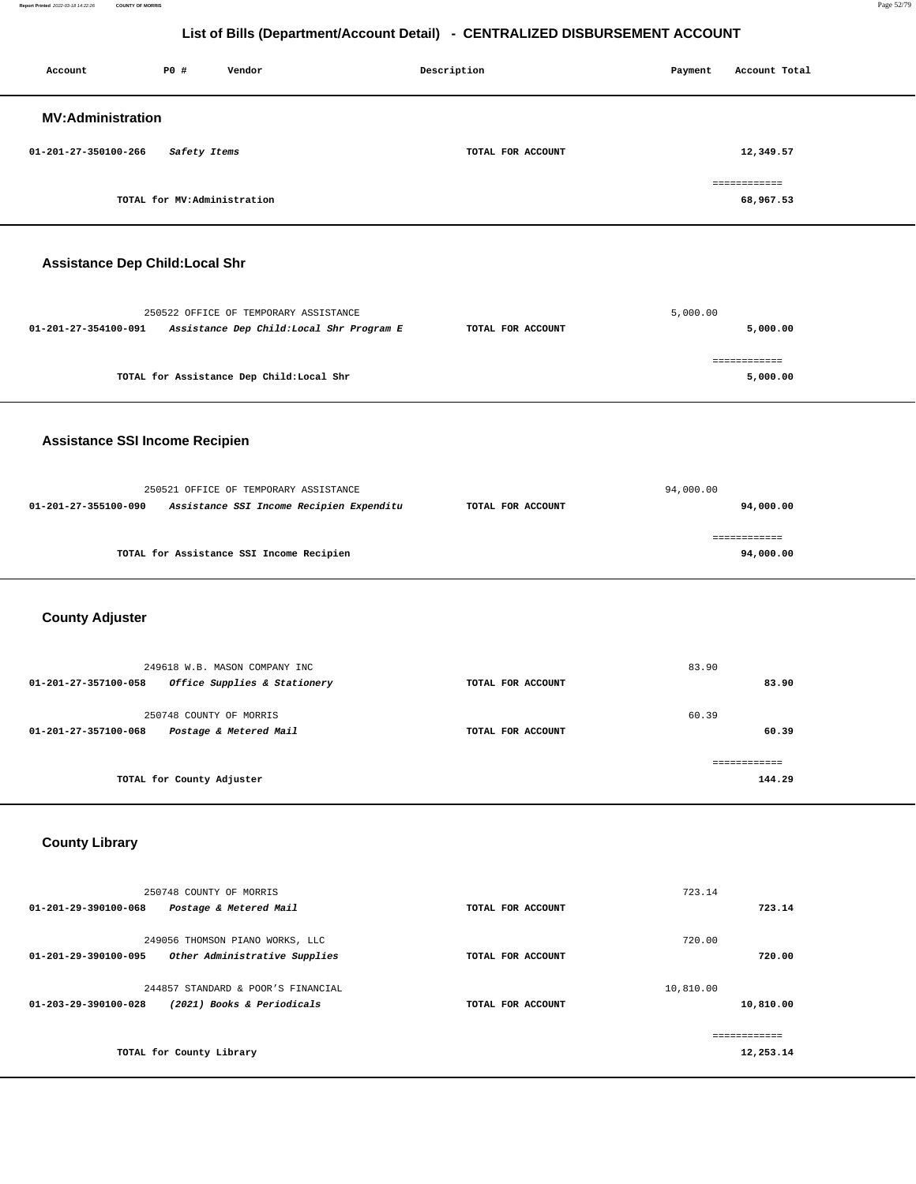**Report Printed** 2022-03-18 14:22:26 **COUNTY OF MORRIS** Page 52/79

## **List of Bills (Department/Account Detail) - CENTRALIZED DISBURSEMENT ACCOUNT**

| Account                                     | P0 #                        | Vendor                                                           | Description       | Payment   | Account Total             |  |
|---------------------------------------------|-----------------------------|------------------------------------------------------------------|-------------------|-----------|---------------------------|--|
| <b>MV:Administration</b>                    |                             |                                                                  |                   |           |                           |  |
|                                             |                             |                                                                  |                   |           |                           |  |
| 01-201-27-350100-266                        | Safety Items                |                                                                  | TOTAL FOR ACCOUNT |           | 12,349.57                 |  |
|                                             | TOTAL for MV:Administration |                                                                  |                   |           | ============<br>68,967.53 |  |
|                                             |                             |                                                                  |                   |           |                           |  |
| <b>Assistance Dep Child:Local Shr</b>       |                             |                                                                  |                   |           |                           |  |
|                                             |                             |                                                                  |                   |           |                           |  |
|                                             |                             | 250522 OFFICE OF TEMPORARY ASSISTANCE                            |                   | 5,000.00  |                           |  |
| 01-201-27-354100-091                        |                             | Assistance Dep Child: Local Shr Program E                        | TOTAL FOR ACCOUNT |           | 5,000.00                  |  |
|                                             |                             | TOTAL for Assistance Dep Child:Local Shr                         |                   |           | ============<br>5,000.00  |  |
|                                             |                             |                                                                  |                   |           |                           |  |
| <b>Assistance SSI Income Recipien</b>       |                             |                                                                  |                   |           |                           |  |
|                                             |                             |                                                                  |                   |           |                           |  |
|                                             |                             | 250521 OFFICE OF TEMPORARY ASSISTANCE                            |                   | 94,000.00 |                           |  |
| 01-201-27-355100-090                        |                             | Assistance SSI Income Recipien Expenditu                         | TOTAL FOR ACCOUNT |           | 94,000.00                 |  |
|                                             |                             | TOTAL for Assistance SSI Income Recipien                         |                   |           | ============<br>94,000.00 |  |
|                                             |                             |                                                                  |                   |           |                           |  |
| <b>County Adjuster</b>                      |                             |                                                                  |                   |           |                           |  |
|                                             |                             |                                                                  |                   |           |                           |  |
|                                             |                             | 249618 W.B. MASON COMPANY INC                                    |                   | 83.90     |                           |  |
| 01-201-27-357100-058                        |                             | Office Supplies & Stationery                                     | TOTAL FOR ACCOUNT |           | 83.90                     |  |
| 01-201-27-357100-068                        | 250748 COUNTY OF MORRIS     | Postage & Metered Mail                                           | TOTAL FOR ACCOUNT | 60.39     | 60.39                     |  |
|                                             |                             |                                                                  |                   |           | ============              |  |
|                                             | TOTAL for County Adjuster   |                                                                  |                   |           | 144.29                    |  |
|                                             |                             |                                                                  |                   |           |                           |  |
| <b>County Library</b>                       |                             |                                                                  |                   |           |                           |  |
|                                             |                             |                                                                  |                   |           |                           |  |
| 01-201-29-390100-068 Postage & Metered Mail | 250748 COUNTY OF MORRIS     |                                                                  | TOTAL FOR ACCOUNT | 723.14    | 723.14                    |  |
|                                             |                             |                                                                  |                   |           |                           |  |
| 01-201-29-390100-095                        |                             | 249056 THOMSON PIANO WORKS, LLC<br>Other Administrative Supplies | TOTAL FOR ACCOUNT | 720.00    | 720.00                    |  |
|                                             |                             | 244857 STANDARD & POOR'S FINANCIAL                               |                   | 10,810.00 |                           |  |
| 01-203-29-390100-028                        |                             | (2021) Books & Periodicals                                       | TOTAL FOR ACCOUNT |           | 10,810.00                 |  |
|                                             |                             |                                                                  |                   |           | ============              |  |
|                                             | TOTAL for County Library    |                                                                  |                   |           | 12,253.14                 |  |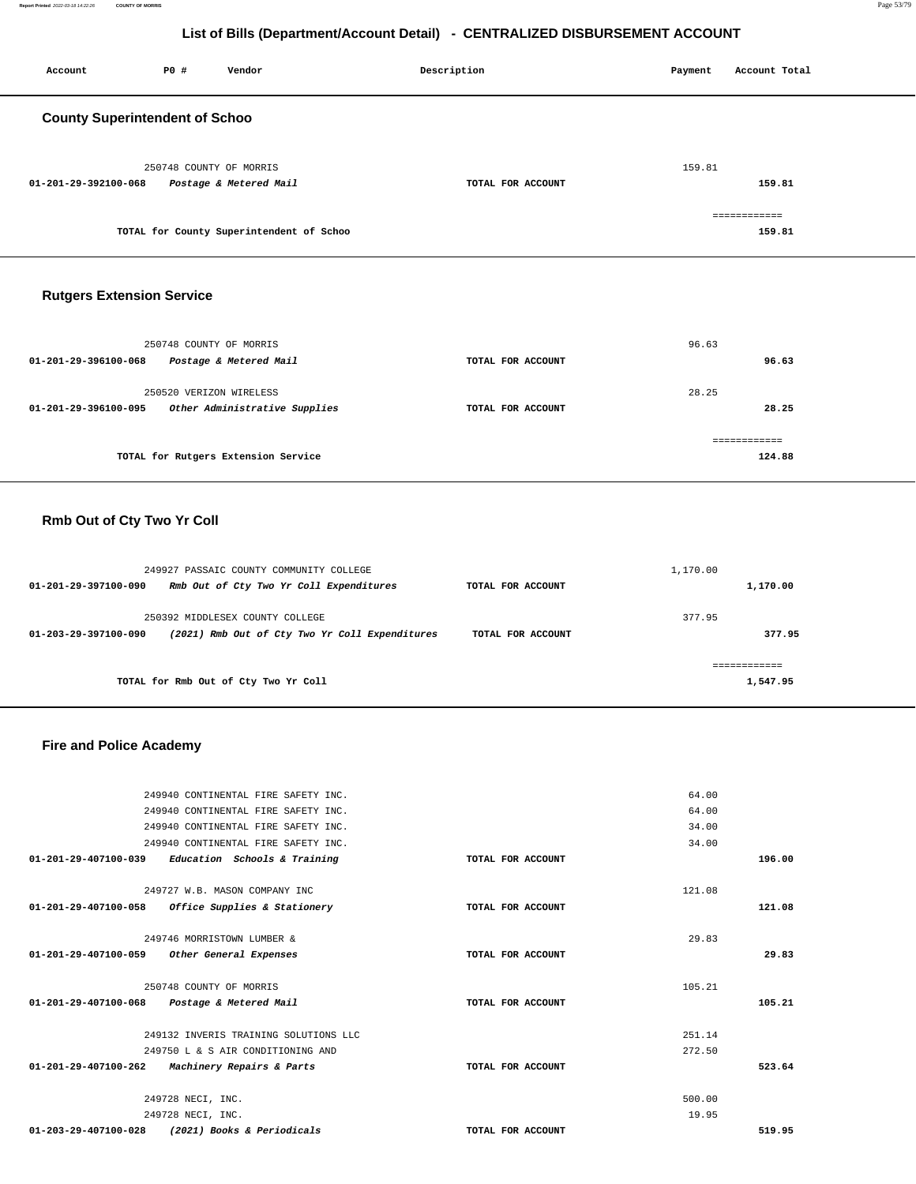| Account                               | P0 #                    | Vendor                                   | Description       | Payment | Account Total          |
|---------------------------------------|-------------------------|------------------------------------------|-------------------|---------|------------------------|
| <b>County Superintendent of Schoo</b> |                         |                                          |                   |         |                        |
| 01-201-29-392100-068                  | 250748 COUNTY OF MORRIS | Postage & Metered Mail                   | TOTAL FOR ACCOUNT | 159.81  | 159.81                 |
|                                       |                         | TOTAL for County Superintendent of Schoo |                   |         | ============<br>159.81 |
| <b>Rutgers Extension Service</b>      |                         |                                          |                   |         |                        |
| 01-201-29-396100-068                  | 250748 COUNTY OF MORRIS | Postage & Metered Mail                   | TOTAL FOR ACCOUNT | 96.63   | 96.63                  |

|                      | 250520 VERIZON WIRELESS             |                   | 28.25  |
|----------------------|-------------------------------------|-------------------|--------|
| 01-201-29-396100-095 | Other Administrative Supplies       | TOTAL FOR ACCOUNT | 28.25  |
|                      |                                     |                   |        |
|                      | TOTAL for Rutgers Extension Service |                   | 124.88 |

# **Rmb Out of Cty Two Yr Coll**

|                      | 249927 PASSAIC COUNTY COMMUNITY COLLEGE        |                   | 1,170.00 |          |
|----------------------|------------------------------------------------|-------------------|----------|----------|
| 01-201-29-397100-090 | Rmb Out of Cty Two Yr Coll Expenditures        | TOTAL FOR ACCOUNT |          | 1,170.00 |
|                      | 250392 MIDDLESEX COUNTY COLLEGE                |                   | 377.95   |          |
| 01-203-29-397100-090 | (2021) Rmb Out of Cty Two Yr Coll Expenditures | TOTAL FOR ACCOUNT |          | 377.95   |
|                      |                                                |                   |          |          |
|                      | TOTAL for Rmb Out of Cty Two Yr Coll           |                   |          | 1,547.95 |

## **Fire and Police Academy**

|                      | 249940 CONTINENTAL FIRE SAFETY INC.         |                   | 64.00  |        |
|----------------------|---------------------------------------------|-------------------|--------|--------|
|                      | 249940 CONTINENTAL FIRE SAFETY INC.         |                   | 64.00  |        |
|                      | 249940 CONTINENTAL FIRE SAFETY INC.         |                   | 34.00  |        |
|                      | 249940 CONTINENTAL FIRE SAFETY INC.         |                   | 34.00  |        |
| 01-201-29-407100-039 | Education Schools & Training                | TOTAL FOR ACCOUNT |        | 196.00 |
|                      |                                             |                   |        |        |
|                      | 249727 W.B. MASON COMPANY INC               |                   | 121.08 |        |
| 01-201-29-407100-058 | Office Supplies & Stationery                | TOTAL FOR ACCOUNT |        | 121.08 |
|                      |                                             |                   |        |        |
|                      | 249746 MORRISTOWN LUMBER &                  |                   | 29.83  |        |
| 01-201-29-407100-059 | Other General Expenses                      | TOTAL FOR ACCOUNT |        | 29.83  |
|                      |                                             |                   |        |        |
|                      | 250748 COUNTY OF MORRIS                     |                   | 105.21 |        |
|                      | 01-201-29-407100-068 Postage & Metered Mail | TOTAL FOR ACCOUNT |        | 105.21 |
|                      |                                             |                   |        |        |
|                      | 249132 INVERIS TRAINING SOLUTIONS LLC       |                   | 251.14 |        |
|                      | 249750 L & S AIR CONDITIONING AND           |                   | 272.50 |        |
| 01-201-29-407100-262 | Machinery Repairs & Parts                   | TOTAL FOR ACCOUNT |        | 523.64 |
|                      |                                             |                   |        |        |
|                      | 249728 NECI, INC.                           |                   | 500.00 |        |
|                      | 249728 NECI, INC.                           |                   | 19.95  |        |
| 01-203-29-407100-028 | (2021) Books & Periodicals                  | TOTAL FOR ACCOUNT |        | 519.95 |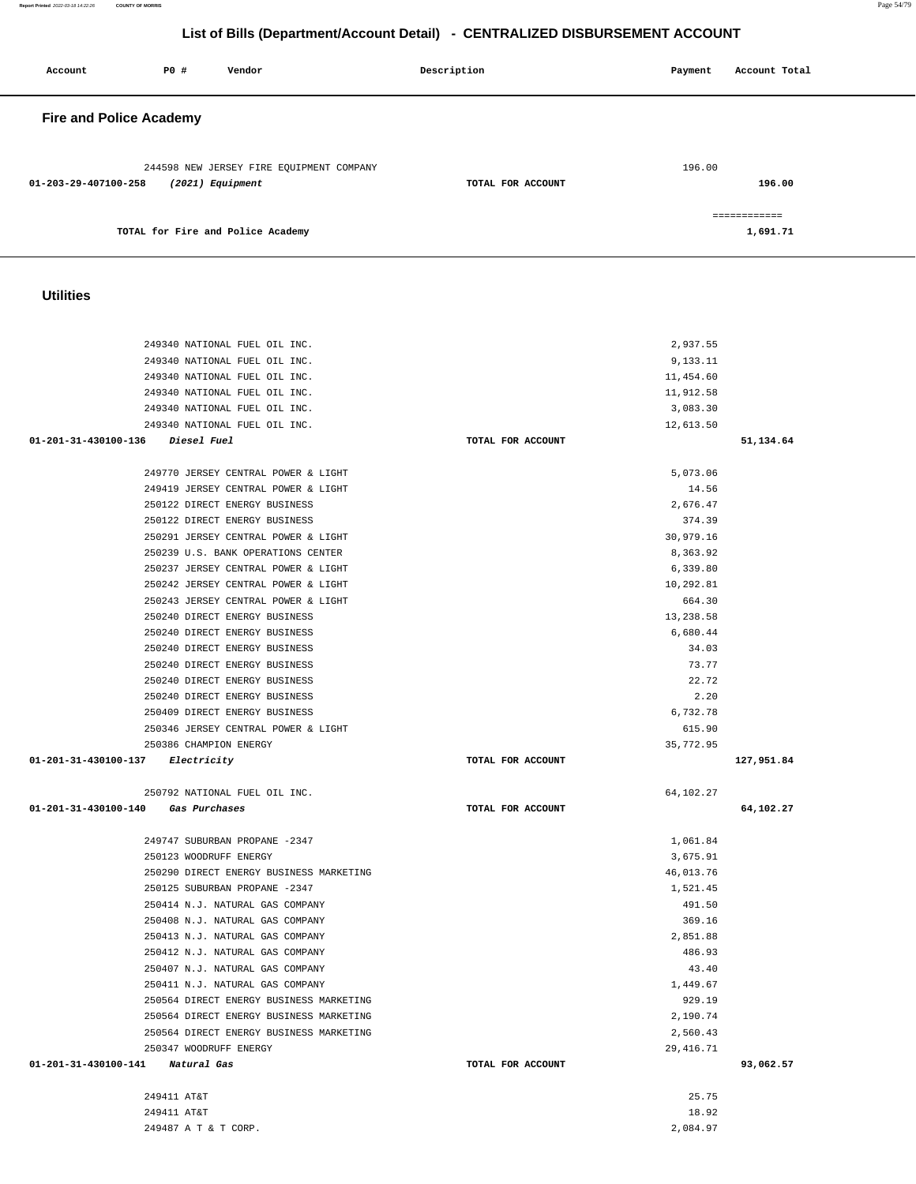|                                                                    |                   | 2,937.55         |            |
|--------------------------------------------------------------------|-------------------|------------------|------------|
| 249340 NATIONAL FUEL OIL INC.                                      |                   | 9,133.11         |            |
| 249340 NATIONAL FUEL OIL INC.                                      |                   | 11,454.60        |            |
| 249340 NATIONAL FUEL OIL INC.                                      |                   | 11,912.58        |            |
| 249340 NATIONAL FUEL OIL INC.                                      |                   | 3,083.30         |            |
| 249340 NATIONAL FUEL OIL INC.                                      |                   | 12,613.50        |            |
| 01-201-31-430100-136 Diesel Fuel                                   | TOTAL FOR ACCOUNT |                  | 51,134.64  |
|                                                                    |                   |                  |            |
| 249770 JERSEY CENTRAL POWER & LIGHT                                |                   | 5,073.06         |            |
| 249419 JERSEY CENTRAL POWER & LIGHT                                |                   | 14.56            |            |
| 250122 DIRECT ENERGY BUSINESS                                      |                   | 2,676.47         |            |
| 250122 DIRECT ENERGY BUSINESS                                      |                   | 374.39           |            |
| 250291 JERSEY CENTRAL POWER & LIGHT                                |                   | 30,979.16        |            |
| 250239 U.S. BANK OPERATIONS CENTER                                 |                   | 8,363.92         |            |
| 250237 JERSEY CENTRAL POWER & LIGHT                                |                   | 6,339.80         |            |
| 250242 JERSEY CENTRAL POWER & LIGHT                                |                   | 10,292.81        |            |
| 250243 JERSEY CENTRAL POWER & LIGHT                                |                   | 664.30           |            |
| 250240 DIRECT ENERGY BUSINESS                                      |                   | 13,238.58        |            |
| 250240 DIRECT ENERGY BUSINESS                                      |                   | 6,680.44         |            |
| 250240 DIRECT ENERGY BUSINESS                                      |                   | 34.03            |            |
| 250240 DIRECT ENERGY BUSINESS                                      |                   | 73.77            |            |
| 250240 DIRECT ENERGY BUSINESS                                      |                   | 22.72            |            |
| 250240 DIRECT ENERGY BUSINESS                                      |                   | 2.20             |            |
| 250409 DIRECT ENERGY BUSINESS                                      |                   | 6,732.78         |            |
| 250346 JERSEY CENTRAL POWER & LIGHT                                |                   | 615.90           |            |
| 250386 CHAMPION ENERGY                                             |                   | 35,772.95        |            |
| 01-201-31-430100-137 Electricity                                   | TOTAL FOR ACCOUNT |                  | 127,951.84 |
|                                                                    |                   |                  |            |
| 250792 NATIONAL FUEL OIL INC.                                      |                   | 64,102.27        |            |
| 01-201-31-430100-140 Gas Purchases                                 | TOTAL FOR ACCOUNT |                  | 64,102.27  |
|                                                                    |                   |                  |            |
| 249747 SUBURBAN PROPANE -2347                                      |                   | 1,061.84         |            |
| 250123 WOODRUFF ENERGY                                             |                   | 3,675.91         |            |
| 250290 DIRECT ENERGY BUSINESS MARKETING                            |                   | 46,013.76        |            |
| 250125 SUBURBAN PROPANE -2347                                      |                   | 1,521.45         |            |
| 250414 N.J. NATURAL GAS COMPANY<br>250408 N.J. NATURAL GAS COMPANY |                   | 491.50<br>369.16 |            |
| 250413 N.J. NATURAL GAS COMPANY                                    |                   | 2,851.88         |            |
|                                                                    |                   | 486.93           |            |
| 250412 N.J. NATURAL GAS COMPANY<br>250407 N.J. NATURAL GAS COMPANY |                   | 43.40            |            |
| 250411 N.J. NATURAL GAS COMPANY                                    |                   | 1,449.67         |            |
| 250564 DIRECT ENERGY BUSINESS MARKETING                            |                   | 929.19           |            |
| 250564 DIRECT ENERGY BUSINESS MARKETING                            |                   | 2,190.74         |            |
| 250564 DIRECT ENERGY BUSINESS MARKETING                            |                   | 2,560.43         |            |
| 250347 WOODRUFF ENERGY                                             |                   | 29, 416.71       |            |
| 01-201-31-430100-141<br>Natural Gas                                | TOTAL FOR ACCOUNT |                  | 93,062.57  |
|                                                                    |                   |                  |            |
| 249411 AT&T<br>249411 AT&T                                         |                   | 25.75<br>18.92   |            |

## **Utilities**

| <b>Fire and Police Academy</b>                                                       |                   |                           |
|--------------------------------------------------------------------------------------|-------------------|---------------------------|
| 244598 NEW JERSEY FIRE EQUIPMENT COMPANY<br>(2021) Equipment<br>01-203-29-407100-258 | TOTAL FOR ACCOUNT | 196.00<br>196.00          |
| TOTAL for Fire and Police Academy                                                    |                   | -------------<br>1,691.71 |

**List of Bills (Department/Account Detail) - CENTRALIZED DISBURSEMENT ACCOUNT**

Account **PO #** Vendor **Payment** Point Payment Account Total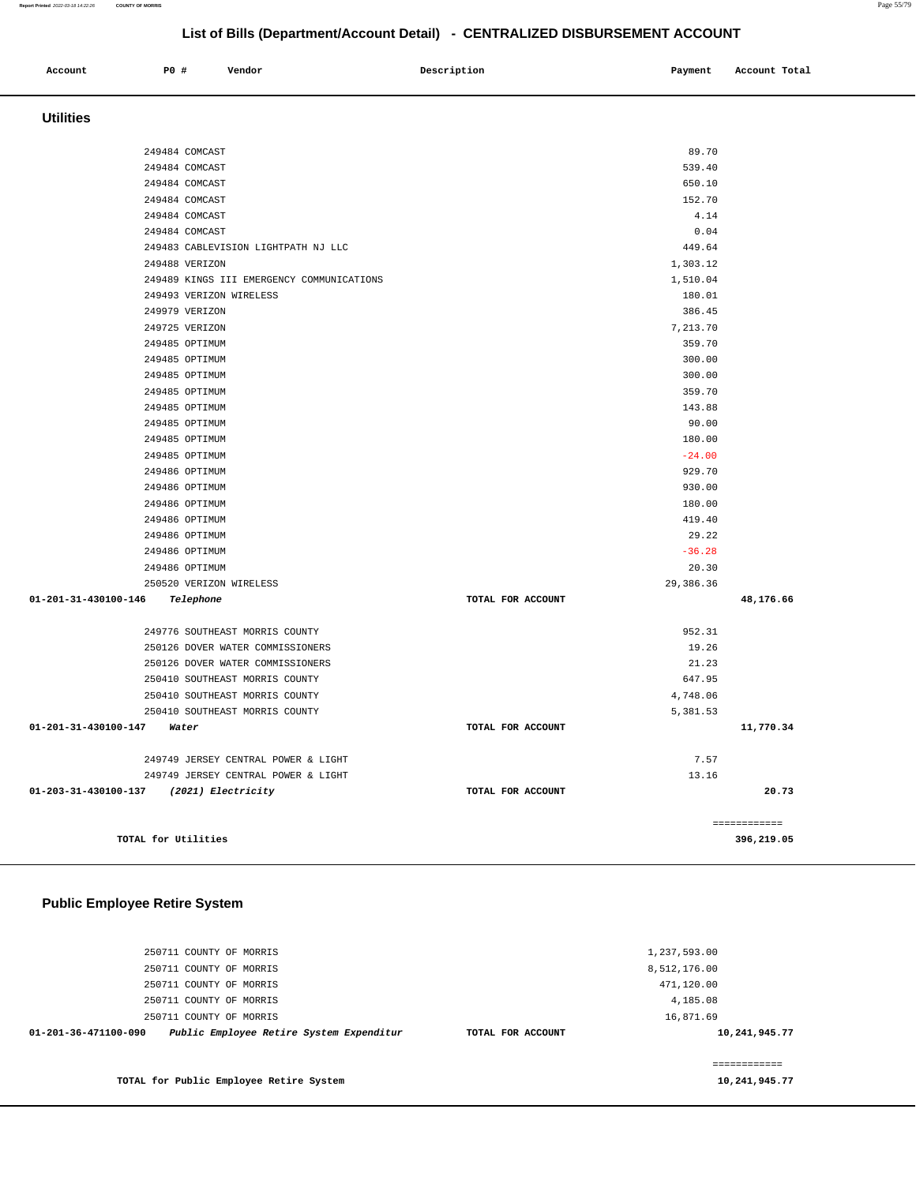| Account                              | P0 #                | Vendor                                    | Description       | Payment            | Account Total |
|--------------------------------------|---------------------|-------------------------------------------|-------------------|--------------------|---------------|
|                                      |                     |                                           |                   |                    |               |
| <b>Utilities</b>                     |                     |                                           |                   |                    |               |
|                                      |                     |                                           |                   |                    |               |
|                                      | 249484 COMCAST      |                                           |                   | 89.70              |               |
|                                      | 249484 COMCAST      |                                           |                   | 539.40             |               |
|                                      | 249484 COMCAST      |                                           |                   | 650.10             |               |
|                                      | 249484 COMCAST      |                                           |                   | 152.70             |               |
|                                      | 249484 COMCAST      |                                           |                   | 4.14               |               |
|                                      | 249484 COMCAST      |                                           |                   | 0.04               |               |
|                                      | 249488 VERIZON      | 249483 CABLEVISION LIGHTPATH NJ LLC       |                   | 449.64<br>1,303.12 |               |
|                                      |                     | 249489 KINGS III EMERGENCY COMMUNICATIONS |                   | 1,510.04           |               |
|                                      |                     | 249493 VERIZON WIRELESS                   |                   | 180.01             |               |
|                                      | 249979 VERIZON      |                                           |                   | 386.45             |               |
|                                      | 249725 VERIZON      |                                           |                   | 7,213.70           |               |
|                                      | 249485 OPTIMUM      |                                           |                   | 359.70             |               |
|                                      | 249485 OPTIMUM      |                                           |                   | 300.00             |               |
|                                      | 249485 OPTIMUM      |                                           |                   | 300.00             |               |
|                                      | 249485 OPTIMUM      |                                           |                   | 359.70             |               |
|                                      | 249485 OPTIMUM      |                                           |                   | 143.88             |               |
|                                      | 249485 OPTIMUM      |                                           |                   | 90.00              |               |
|                                      | 249485 OPTIMUM      |                                           |                   | 180.00             |               |
|                                      | 249485 OPTIMUM      |                                           |                   | $-24.00$           |               |
|                                      | 249486 OPTIMUM      |                                           |                   | 929.70             |               |
|                                      | 249486 OPTIMUM      |                                           |                   | 930.00             |               |
|                                      | 249486 OPTIMUM      |                                           |                   | 180.00             |               |
|                                      | 249486 OPTIMUM      |                                           |                   | 419.40             |               |
|                                      | 249486 OPTIMUM      |                                           |                   | 29.22              |               |
|                                      | 249486 OPTIMUM      |                                           |                   | $-36.28$           |               |
|                                      | 249486 OPTIMUM      |                                           |                   | 20.30              |               |
| 01-201-31-430100-146                 | Telephone           | 250520 VERIZON WIRELESS                   | TOTAL FOR ACCOUNT | 29,386.36          | 48,176.66     |
|                                      |                     |                                           |                   |                    |               |
|                                      |                     | 249776 SOUTHEAST MORRIS COUNTY            |                   | 952.31             |               |
|                                      |                     | 250126 DOVER WATER COMMISSIONERS          |                   | 19.26              |               |
|                                      |                     | 250126 DOVER WATER COMMISSIONERS          |                   | 21.23              |               |
|                                      |                     | 250410 SOUTHEAST MORRIS COUNTY            |                   | 647.95             |               |
|                                      |                     | 250410 SOUTHEAST MORRIS COUNTY            |                   | 4,748.06           |               |
|                                      |                     | 250410 SOUTHEAST MORRIS COUNTY            |                   | 5,381.53           |               |
| 01-201-31-430100-147                 | Water               |                                           | TOTAL FOR ACCOUNT |                    | 11,770.34     |
|                                      |                     | 249749 JERSEY CENTRAL POWER & LIGHT       |                   | 7.57               |               |
|                                      |                     | 249749 JERSEY CENTRAL POWER & LIGHT       |                   | 13.16              |               |
| 01-203-31-430100-137                 |                     | (2021) Electricity                        | TOTAL FOR ACCOUNT |                    | 20.73         |
|                                      |                     |                                           |                   |                    |               |
|                                      |                     |                                           |                   |                    | ============  |
|                                      | TOTAL for Utilities |                                           |                   |                    | 396,219.05    |
|                                      |                     |                                           |                   |                    |               |
|                                      |                     |                                           |                   |                    |               |
| <b>Public Employee Retire System</b> |                     |                                           |                   |                    |               |
|                                      |                     |                                           |                   |                    |               |
|                                      |                     |                                           |                   |                    |               |
|                                      |                     | 250711 COUNTY OF MORRIS                   |                   | 1,237,593.00       |               |
|                                      |                     | 250711 COUNTY OF MORRIS                   |                   | 8,512,176.00       |               |
|                                      |                     | 250711 COUNTY OF MORRIS                   |                   | 471,120.00         |               |
|                                      |                     | 250711 COUNTY OF MORRIS                   |                   | 4,185.08           |               |

16,871.69

**10,241,945.77**

============ **10,241,945.77** 

**TOTAL for Public Employee Retire System** 

**01-201-36-471100-090 Public Employee Retire System Expenditur TOTAL FOR ACCOUNT** 

250711 COUNTY OF MORRIS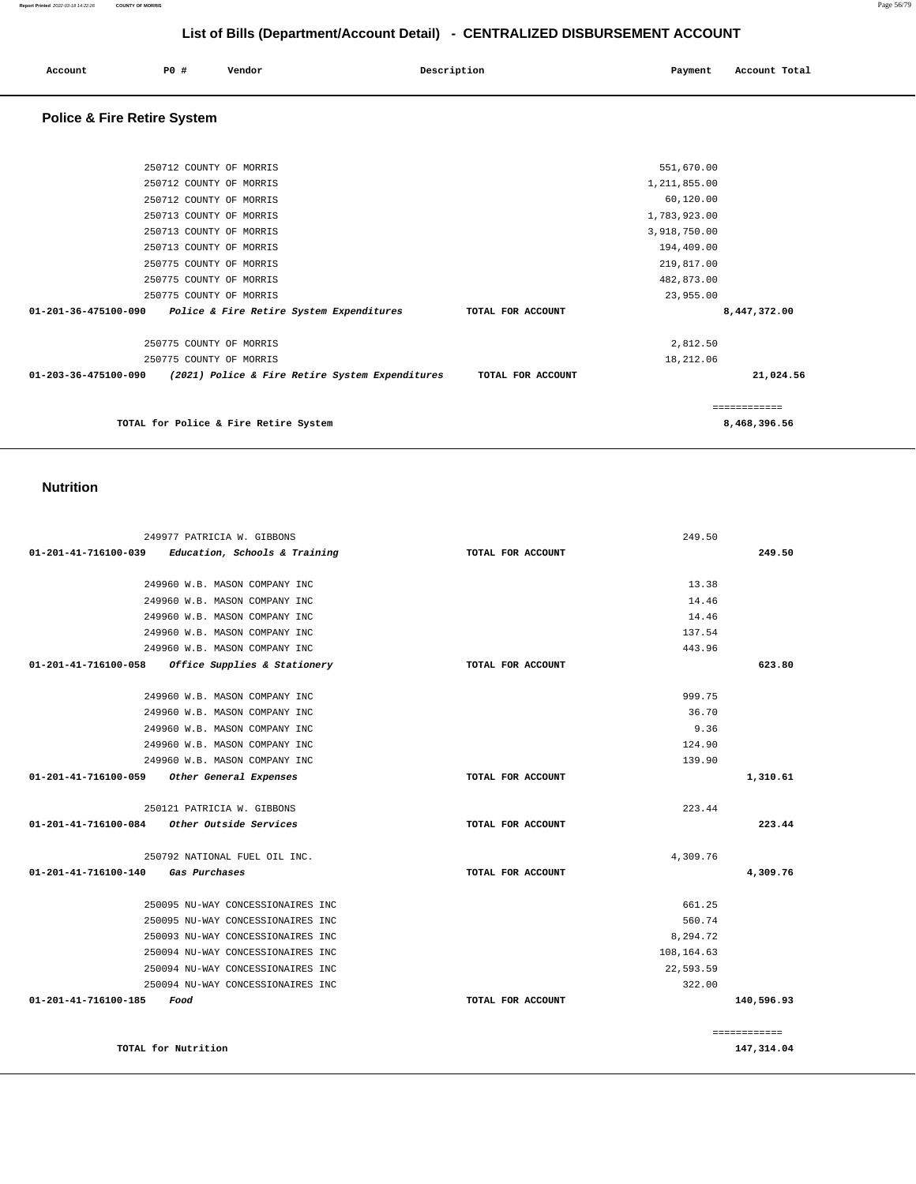| Account | PO# | Vendor | Description | Payment | Account Total |
|---------|-----|--------|-------------|---------|---------------|
|         |     |        |             |         |               |

## **Police & Fire Retire System**

| 250712 COUNTY OF MORRIS                                                               | 551,670.00        |              |
|---------------------------------------------------------------------------------------|-------------------|--------------|
| 250712 COUNTY OF MORRIS                                                               | 1,211,855.00      |              |
| 250712 COUNTY OF MORRIS                                                               | 60,120.00         |              |
| 250713 COUNTY OF MORRIS                                                               | 1,783,923.00      |              |
| 250713 COUNTY OF MORRIS                                                               | 3,918,750.00      |              |
| 250713 COUNTY OF MORRIS                                                               | 194,409.00        |              |
| 250775 COUNTY OF MORRIS                                                               | 219,817.00        |              |
| 250775 COUNTY OF MORRIS                                                               | 482,873.00        |              |
| 250775 COUNTY OF MORRIS                                                               | 23,955.00         |              |
| $01 - 201 - 36 - 475100 - 090$<br><i>Police &amp; Fire Retire System Expenditures</i> | TOTAL FOR ACCOUNT | 8,447,372.00 |
| 250775 COUNTY OF MORRIS                                                               | 2,812.50          |              |
| 250775 COUNTY OF MORRIS                                                               | 18,212.06         |              |
| $01 - 203 - 36 - 475100 - 090$<br>(2021) Police & Fire Retire System Expenditures     | TOTAL FOR ACCOUNT | 21,024.56    |
|                                                                                       |                   | ============ |
| TOTAL for Police & Fire Retire System                                                 |                   | 8,468,396.56 |
|                                                                                       |                   |              |

#### **Nutrition**

| 249977 PATRICIA W. GIBBONS                                      |                   | 249.50     |              |
|-----------------------------------------------------------------|-------------------|------------|--------------|
| $01 - 201 - 41 - 716100 - 039$<br>Education, Schools & Training | TOTAL FOR ACCOUNT |            | 249.50       |
| 249960 W.B. MASON COMPANY INC                                   |                   | 13.38      |              |
| 249960 W.B. MASON COMPANY INC                                   |                   | 14.46      |              |
| 249960 W.B. MASON COMPANY INC                                   |                   | 14.46      |              |
| 249960 W.B. MASON COMPANY INC                                   |                   | 137.54     |              |
| 249960 W.B. MASON COMPANY INC                                   |                   | 443.96     |              |
| 01-201-41-716100-058<br>Office Supplies & Stationery            | TOTAL FOR ACCOUNT |            | 623.80       |
| 249960 W.B. MASON COMPANY INC                                   |                   | 999.75     |              |
| 249960 W.B. MASON COMPANY INC                                   |                   | 36.70      |              |
| 249960 W.B. MASON COMPANY INC                                   |                   | 9.36       |              |
| 249960 W.B. MASON COMPANY INC                                   |                   | 124.90     |              |
| 249960 W.B. MASON COMPANY INC                                   |                   | 139.90     |              |
| 01-201-41-716100-059<br>Other General Expenses                  | TOTAL FOR ACCOUNT |            | 1,310.61     |
| 250121 PATRICIA W. GIBBONS                                      |                   | 223.44     |              |
| $01-201-41-716100-084$ Other Outside Services                   | TOTAL FOR ACCOUNT |            | 223.44       |
| 250792 NATIONAL FUEL OIL INC.                                   |                   | 4,309.76   |              |
| 01-201-41-716100-140<br>Gas Purchases                           | TOTAL FOR ACCOUNT |            | 4,309.76     |
| 250095 NU-WAY CONCESSIONAIRES INC                               |                   | 661.25     |              |
| 250095 NU-WAY CONCESSIONAIRES INC                               |                   | 560.74     |              |
| 250093 NU-WAY CONCESSIONAIRES INC                               |                   | 8.294.72   |              |
| 250094 NU-WAY CONCESSIONAIRES INC                               |                   | 108,164.63 |              |
| 250094 NU-WAY CONCESSIONAIRES INC                               |                   | 22,593.59  |              |
| 250094 NU-WAY CONCESSIONAIRES INC                               |                   | 322.00     |              |
| 01-201-41-716100-185<br>Food                                    | TOTAL FOR ACCOUNT |            | 140,596.93   |
|                                                                 |                   |            | ============ |
| TOTAL for Nutrition                                             |                   |            | 147,314.04   |

**147,314.04**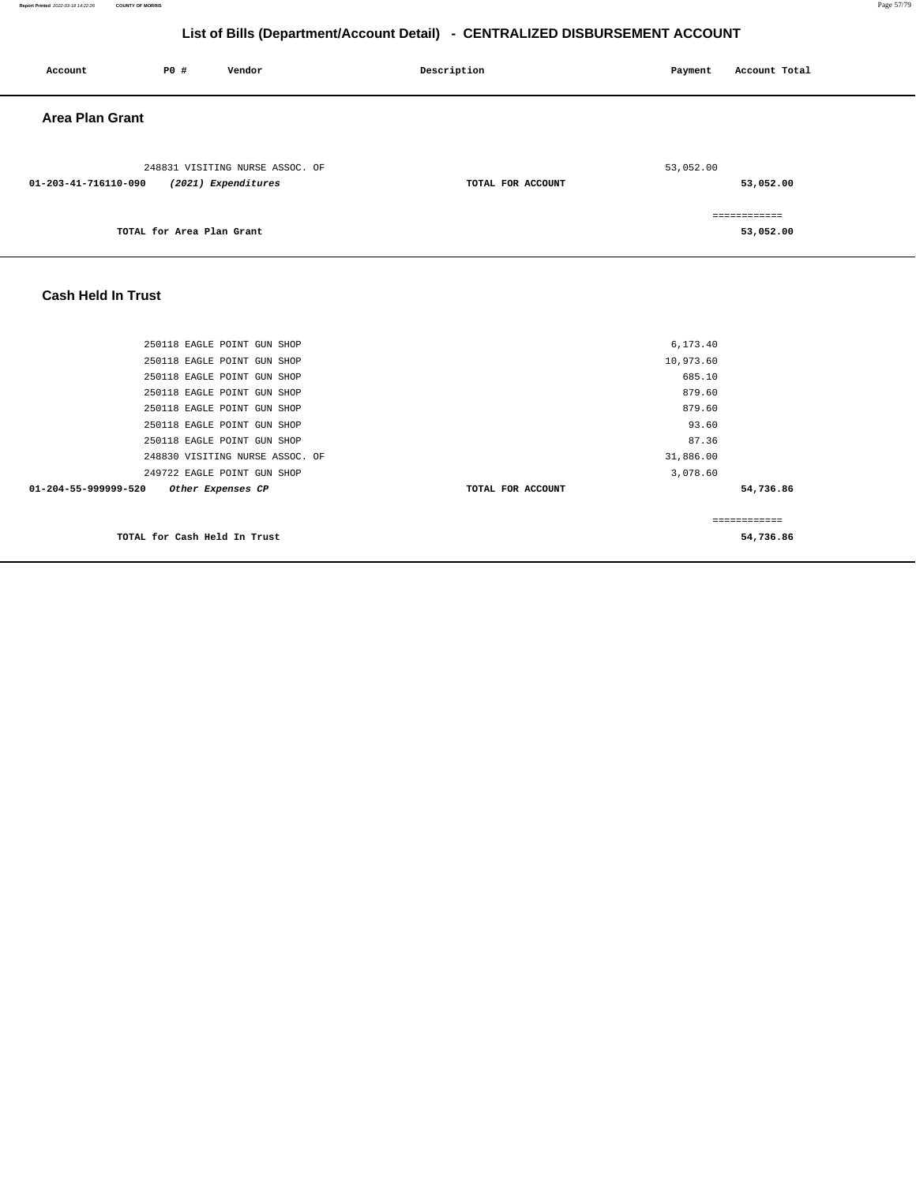| Account                | P0 #                      | Vendor                                                 | Description       | Payment   | Account Total             |
|------------------------|---------------------------|--------------------------------------------------------|-------------------|-----------|---------------------------|
| <b>Area Plan Grant</b> |                           |                                                        |                   |           |                           |
| 01-203-41-716110-090   |                           | 248831 VISITING NURSE ASSOC. OF<br>(2021) Expenditures | TOTAL FOR ACCOUNT | 53,052.00 | 53,052.00                 |
|                        | TOTAL for Area Plan Grant |                                                        |                   |           | ============<br>53,052.00 |

## **Cash Held In Trust**

| 250118 EAGLE POINT GUN SHOP               | 6,173.40          |              |
|-------------------------------------------|-------------------|--------------|
| 250118 EAGLE POINT GUN SHOP               | 10,973.60         |              |
| 250118 EAGLE POINT GUN SHOP               | 685.10            |              |
| 250118 EAGLE POINT GUN SHOP               | 879.60            |              |
| 250118 EAGLE POINT GUN SHOP               | 879.60            |              |
| 250118 EAGLE POINT GUN SHOP               | 93.60             |              |
| 250118 EAGLE POINT GUN SHOP               | 87.36             |              |
| 248830 VISITING NURSE ASSOC. OF           | 31,886.00         |              |
| 249722 EAGLE POINT GUN SHOP               | 3,078.60          |              |
| 01-204-55-999999-520<br>Other Expenses CP | TOTAL FOR ACCOUNT | 54,736.86    |
|                                           |                   | ============ |
| TOTAL for Cash Held In Trust              |                   | 54,736.86    |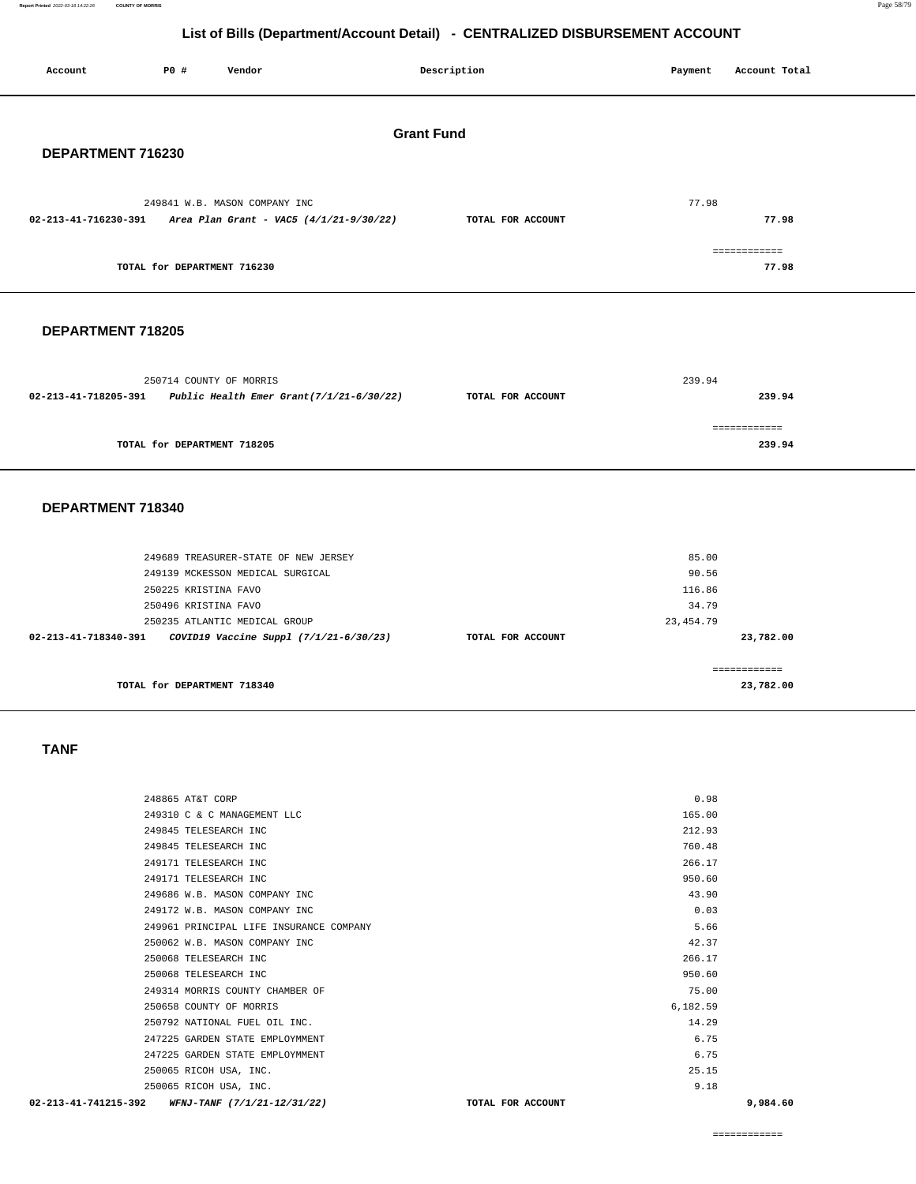**Report Printed** 2022-03-18 14:22:26 **COUNTY OF MORRIS** Page 58/79

## **List of Bills (Department/Account Detail) - CENTRALIZED DISBURSEMENT ACCOUNT**

| Account              | P0 #                                         | Vendor                                                                                            |  | Description       |  | Payment                       | Account Total             |  |
|----------------------|----------------------------------------------|---------------------------------------------------------------------------------------------------|--|-------------------|--|-------------------------------|---------------------------|--|
|                      | <b>Grant Fund</b><br>DEPARTMENT 716230       |                                                                                                   |  |                   |  |                               |                           |  |
|                      |                                              | 249841 W.B. MASON COMPANY INC<br>$02-213-41-716230-391$ Area Plan Grant - VAC5 $(4/1/21-9/30/22)$ |  | TOTAL FOR ACCOUNT |  | 77.98                         | 77.98                     |  |
|                      | TOTAL for DEPARTMENT 716230                  |                                                                                                   |  |                   |  |                               | ============<br>77.98     |  |
| DEPARTMENT 718205    |                                              |                                                                                                   |  |                   |  |                               |                           |  |
| 02-213-41-718205-391 |                                              | 250714 COUNTY OF MORRIS<br>Public Health Emer Grant(7/1/21-6/30/22)                               |  | TOTAL FOR ACCOUNT |  | 239.94                        | 239.94                    |  |
|                      | TOTAL for DEPARTMENT 718205                  |                                                                                                   |  |                   |  |                               | ============<br>239.94    |  |
| DEPARTMENT 718340    |                                              |                                                                                                   |  |                   |  |                               |                           |  |
|                      |                                              | 249689 TREASURER-STATE OF NEW JERSEY<br>249139 MCKESSON MEDICAL SURGICAL                          |  |                   |  | 85.00<br>90.56                |                           |  |
| 02-213-41-718340-391 | 250225 KRISTINA FAVO<br>250496 KRISTINA FAVO | 250235 ATLANTIC MEDICAL GROUP<br>COVID19 Vaccine Suppl (7/1/21-6/30/23)                           |  | TOTAL FOR ACCOUNT |  | 116.86<br>34.79<br>23, 454.79 | 23,782.00                 |  |
|                      | TOTAL for DEPARTMENT 718340                  |                                                                                                   |  |                   |  |                               | ============<br>23,782.00 |  |

## **TANF**

 $\overline{\phantom{0}}$ 

|          | 9,984.60 |
|----------|----------|
| 9.18     |          |
| 25.15    |          |
| 6.75     |          |
| 6.75     |          |
| 14.29    |          |
| 6,182.59 |          |
| 75.00    |          |
| 950.60   |          |
| 266.17   |          |
| 42.37    |          |
| 5.66     |          |
| 0.03     |          |
| 43.90    |          |
| 950.60   |          |
| 266.17   |          |
| 760.48   |          |
| 212.93   |          |
| 165.00   |          |
| 0.98     |          |
|          |          |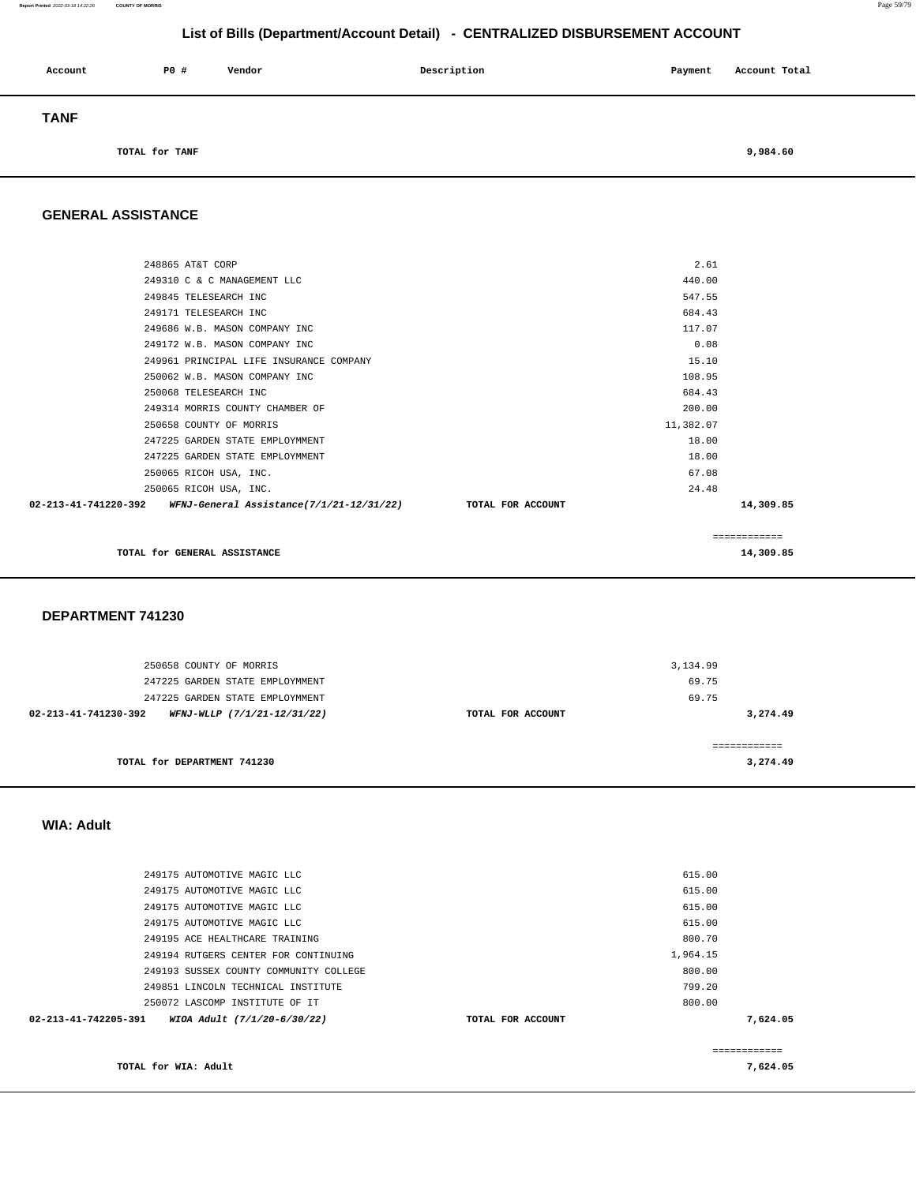#### **Report Printed** 2022-03-18 14:22:26 **COUNTY OF MORRIS** Page 59/79

## **List of Bills (Department/Account Detail) - CENTRALIZED DISBURSEMENT ACCOUNT**

| Account     | P0 #           | Vendor | Description | Payment | Account Total |
|-------------|----------------|--------|-------------|---------|---------------|
| <b>TANF</b> |                |        |             |         |               |
|             | TOTAL for TANF |        |             |         | 9,984.60      |

### **GENERAL ASSISTANCE**

| 248865 AT&T CORP                                                                | 2.61      |              |
|---------------------------------------------------------------------------------|-----------|--------------|
| 249310 C & C MANAGEMENT LLC                                                     | 440.00    |              |
| 249845 TELESEARCH INC                                                           | 547.55    |              |
| 249171 TELESEARCH INC                                                           | 684.43    |              |
| 249686 W.B. MASON COMPANY INC                                                   | 117.07    |              |
| 249172 W.B. MASON COMPANY INC                                                   | 0.08      |              |
| 249961 PRINCIPAL LIFE INSURANCE COMPANY                                         | 15.10     |              |
| 250062 W.B. MASON COMPANY INC                                                   | 108.95    |              |
| 250068 TELESEARCH INC                                                           | 684.43    |              |
| 249314 MORRIS COUNTY CHAMBER OF                                                 | 200.00    |              |
| 250658 COUNTY OF MORRIS                                                         | 11,382.07 |              |
| 247225 GARDEN STATE EMPLOYMMENT                                                 | 18.00     |              |
| 247225 GARDEN STATE EMPLOYMMENT                                                 | 18.00     |              |
| 250065 RICOH USA, INC.                                                          | 67.08     |              |
| 250065 RICOH USA, INC.                                                          | 24.48     |              |
| 02-213-41-741220-392 WFNJ-General Assistance(7/1/21-12/31/22) TOTAL FOR ACCOUNT |           | 14,309.85    |
|                                                                                 |           | ============ |
| TOTAL for GENERAL ASSISTANCE                                                    |           | 14,309.85    |

#### **DEPARTMENT 741230**

| 250658 COUNTY OF MORRIS                             |                   | 3,134.99 |
|-----------------------------------------------------|-------------------|----------|
| 247225 GARDEN STATE EMPLOYMMENT                     |                   | 69.75    |
| 247225 GARDEN STATE EMPLOYMMENT                     |                   | 69.75    |
| 02-213-41-741230-392<br>WFNJ-WLLP (7/1/21-12/31/22) | TOTAL FOR ACCOUNT | 3,274.49 |
|                                                     |                   |          |
| TOTAL for DEPARTMENT 741230                         |                   | 3,274.49 |

### **WIA: Adult**

| TOTAL for WIA: Adult                                |                   |          | 7,624.05      |
|-----------------------------------------------------|-------------------|----------|---------------|
|                                                     |                   |          | ------------- |
| 02-213-41-742205-391<br>WIOA Adult (7/1/20-6/30/22) | TOTAL FOR ACCOUNT |          | 7,624.05      |
| 250072 LASCOMP INSTITUTE OF IT                      |                   | 800.00   |               |
| 249851 LINCOLN TECHNICAL INSTITUTE                  |                   | 799.20   |               |
| 249193 SUSSEX COUNTY COMMUNITY COLLEGE              |                   | 800.00   |               |
| 249194 RUTGERS CENTER FOR CONTINUING                |                   | 1,964.15 |               |
| 249195 ACE HEALTHCARE TRAINING                      |                   | 800.70   |               |
| 249175 AUTOMOTIVE MAGIC LLC                         |                   | 615.00   |               |
| 249175 AUTOMOTIVE MAGIC LLC                         |                   | 615.00   |               |
| 249175 AUTOMOTIVE MAGIC LLC                         |                   | 615.00   |               |
| 249175 AUTOMOTIVE MAGIC LLC                         |                   | 615.00   |               |
|                                                     |                   |          |               |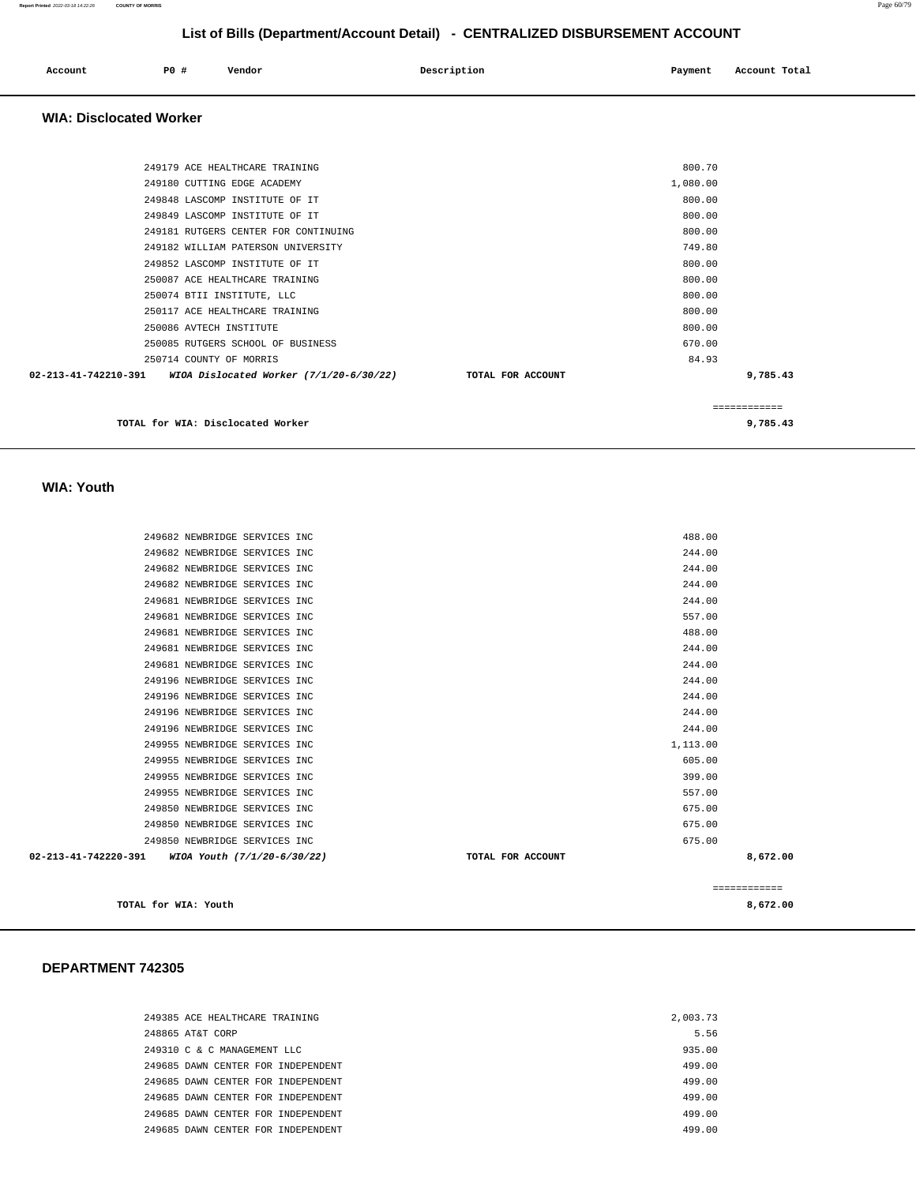| Account | P0 # | Vendor | Description | Payment | Account Total |
|---------|------|--------|-------------|---------|---------------|
|         |      |        |             |         |               |

#### **WIA: Disclocated Worker**

| TOTAL for WIA: Disclocated Worker                                 |                   |          | 9,785.43 |
|-------------------------------------------------------------------|-------------------|----------|----------|
|                                                                   |                   |          |          |
| 02-213-41-742210-391<br>WIOA Dislocated Worker $(7/1/20-6/30/22)$ | TOTAL FOR ACCOUNT |          | 9,785.43 |
| 250714 COUNTY OF MORRIS                                           |                   | 84.93    |          |
| 250085 RUTGERS SCHOOL OF BUSINESS                                 |                   | 670.00   |          |
| 250086 AVTECH INSTITUTE                                           |                   | 800.00   |          |
| 250117 ACE HEALTHCARE TRAINING                                    |                   | 800.00   |          |
| 250074 BTII INSTITUTE, LLC                                        |                   | 800.00   |          |
| 250087 ACE HEALTHCARE TRAINING                                    |                   | 800.00   |          |
| 249852 LASCOMP INSTITUTE OF IT                                    |                   | 800.00   |          |
| 249182 WILLIAM PATERSON UNIVERSITY                                |                   | 749.80   |          |
| 249181 RUTGERS CENTER FOR CONTINUING                              |                   | 800.00   |          |
| 249849 LASCOMP INSTITUTE OF IT                                    |                   | 800.00   |          |
| 249848 LASCOMP INSTITUTE OF IT                                    |                   | 800.00   |          |
| 249180 CUTTING EDGE ACADEMY                                       |                   | 1,080.00 |          |
| 249179 ACE HEALTHCARE TRAINING                                    |                   | 800.70   |          |
|                                                                   |                   |          |          |

 **WIA: Youth** 

| 249682 NEWBRIDGE SERVICES INC                       |                   | 488.00       |
|-----------------------------------------------------|-------------------|--------------|
| 249682 NEWBRIDGE SERVICES INC                       |                   | 244.00       |
| 249682 NEWBRIDGE SERVICES INC                       |                   | 244.00       |
| 249682 NEWBRIDGE SERVICES INC                       |                   | 244.00       |
| 249681 NEWBRIDGE SERVICES INC                       |                   | 244.00       |
| 249681 NEWBRIDGE SERVICES INC                       |                   | 557.00       |
| 249681 NEWBRIDGE SERVICES INC                       |                   | 488.00       |
| 249681 NEWBRIDGE SERVICES INC                       |                   | 244.00       |
| 249681 NEWBRIDGE SERVICES INC                       |                   | 244.00       |
| 249196 NEWBRIDGE SERVICES INC                       |                   | 244.00       |
| 249196 NEWBRIDGE SERVICES INC                       |                   | 244.00       |
| 249196 NEWBRIDGE SERVICES INC                       |                   | 244.00       |
| 249196 NEWBRIDGE SERVICES INC                       |                   | 244.00       |
| 249955 NEWBRIDGE SERVICES INC                       |                   | 1,113.00     |
| 249955 NEWBRIDGE SERVICES INC                       |                   | 605.00       |
| 249955 NEWBRIDGE SERVICES INC                       |                   | 399.00       |
| 249955 NEWBRIDGE SERVICES INC                       |                   | 557.00       |
| 249850 NEWBRIDGE SERVICES INC                       |                   | 675.00       |
| 249850 NEWBRIDGE SERVICES INC                       |                   | 675.00       |
| 249850 NEWBRIDGE SERVICES INC                       |                   | 675.00       |
| 02-213-41-742220-391<br>WIOA Youth (7/1/20-6/30/22) | TOTAL FOR ACCOUNT | 8,672.00     |
|                                                     |                   |              |
|                                                     |                   | ============ |
| TOTAL for WIA: Youth                                |                   | 8,672.00     |

| 249385 ACE HEALTHCARE TRAINING     | 2,003.73 |
|------------------------------------|----------|
| 248865 AT&T CORP                   | 5.56     |
| 249310 C & C MANAGEMENT LLC        | 935.00   |
| 249685 DAWN CENTER FOR INDEPENDENT | 499.00   |
| 249685 DAWN CENTER FOR INDEPENDENT | 499.00   |
| 249685 DAWN CENTER FOR INDEPENDENT | 499.00   |
| 249685 DAWN CENTER FOR INDEPENDENT | 499.00   |
| 249685 DAWN CENTER FOR INDEPENDENT | 499.00   |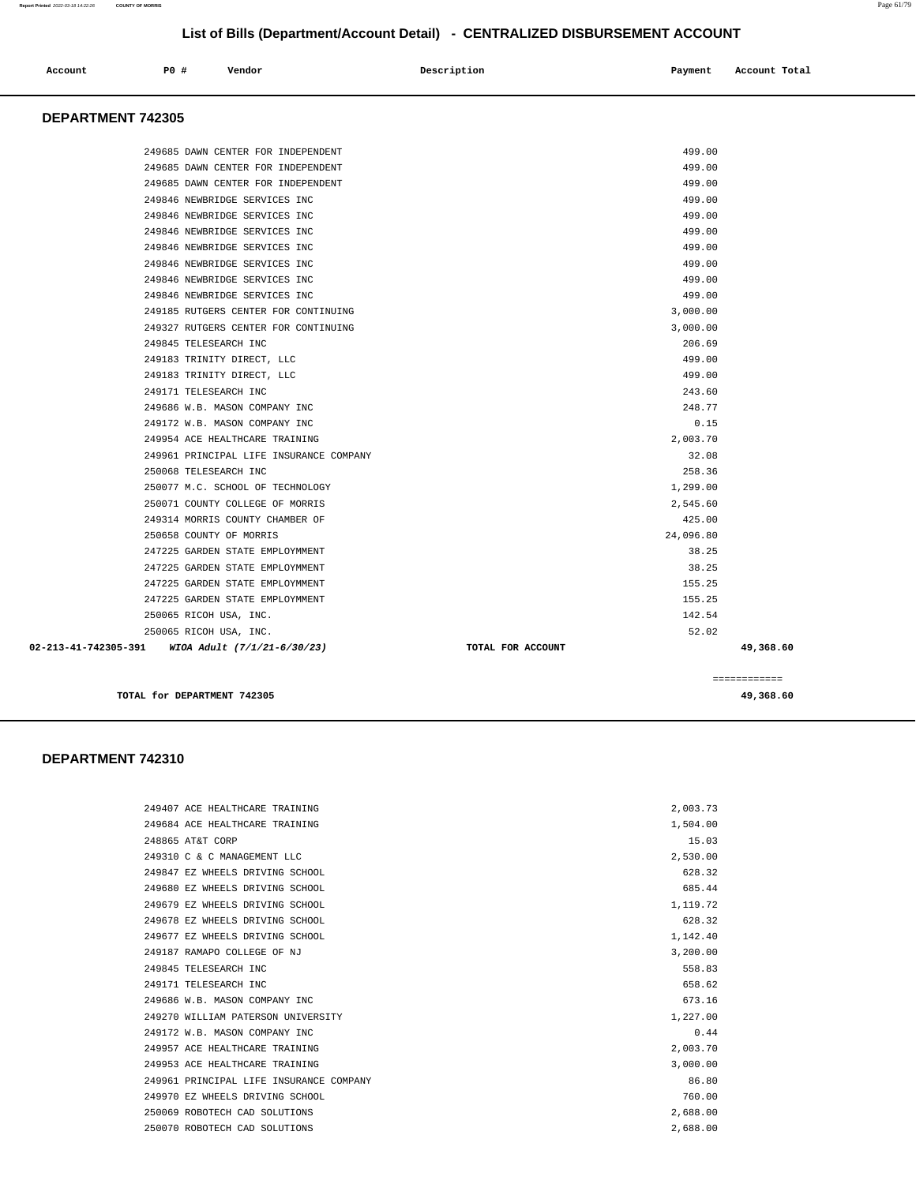| Account | P0 # | Vendor | Description | Payment | Account Total |
|---------|------|--------|-------------|---------|---------------|
|         |      |        |             |         |               |

#### **DEPARTMENT 742305**

|                                                  |                   | ============ |
|--------------------------------------------------|-------------------|--------------|
| 02-213-41-742305-391 WIOA Adult (7/1/21-6/30/23) | TOTAL FOR ACCOUNT | 49,368.60    |
| 250065 RICOH USA, INC.                           |                   | 52.02        |
| 250065 RICOH USA, INC.                           |                   | 142.54       |
| 247225 GARDEN STATE EMPLOYMMENT                  |                   | 155.25       |
| 247225 GARDEN STATE EMPLOYMMENT                  |                   | 155.25       |
| 247225 GARDEN STATE EMPLOYMMENT                  |                   | 38.25        |
| 247225 GARDEN STATE EMPLOYMMENT                  |                   | 38.25        |
| 250658 COUNTY OF MORRIS                          |                   | 24,096.80    |
| 249314 MORRIS COUNTY CHAMBER OF                  |                   | 425.00       |
| 250071 COUNTY COLLEGE OF MORRIS                  |                   | 2,545.60     |
| 250077 M.C. SCHOOL OF TECHNOLOGY                 |                   | 1,299.00     |
| 250068 TELESEARCH INC                            |                   | 258.36       |
| 249961 PRINCIPAL LIFE INSURANCE COMPANY          |                   | 32.08        |
| 249954 ACE HEALTHCARE TRAINING                   |                   | 2,003.70     |
| 249172 W.B. MASON COMPANY INC                    |                   | 0.15         |
| 249686 W.B. MASON COMPANY INC                    |                   | 248.77       |
| 249171 TELESEARCH INC                            |                   | 243.60       |
| 249183 TRINITY DIRECT, LLC                       |                   | 499.00       |
| 249183 TRINITY DIRECT, LLC                       |                   | 499.00       |
| 249845 TELESEARCH INC                            |                   | 206.69       |
| 249327 RUTGERS CENTER FOR CONTINUING             |                   | 3,000.00     |
| 249185 RUTGERS CENTER FOR CONTINUING             |                   | 3,000.00     |
| 249846 NEWBRIDGE SERVICES INC                    |                   | 499.00       |
| 249846 NEWBRIDGE SERVICES INC                    |                   | 499.00       |
| 249846 NEWBRIDGE SERVICES INC                    |                   | 499.00       |
| 249846 NEWBRIDGE SERVICES INC                    |                   | 499.00       |
| 249846 NEWBRIDGE SERVICES INC                    |                   | 499.00       |
| 249846 NEWBRIDGE SERVICES INC                    |                   | 499.00       |
| 249846 NEWBRIDGE SERVICES INC                    |                   | 499.00       |
| 249685 DAWN CENTER FOR INDEPENDENT               |                   | 499.00       |
| 249685 DAWN CENTER FOR INDEPENDENT               |                   | 499.00       |
| 249685 DAWN CENTER FOR INDEPENDENT               |                   | 499.00       |
|                                                  |                   |              |

**TOTAL for DEPARTMENT 742305 49,368.60**

| 249407 ACE HEALTHCARE TRAINING          | 2,003.73 |
|-----------------------------------------|----------|
| 249684 ACE HEALTHCARE TRAINING          | 1,504.00 |
| 248865 AT&T CORP                        | 15.03    |
| 249310 C & C MANAGEMENT LLC             | 2,530.00 |
| 249847 EZ WHEELS DRIVING SCHOOL         | 628.32   |
| 249680 EZ WHEELS DRIVING SCHOOL         | 685.44   |
| 249679 EZ WHEELS DRIVING SCHOOL         | 1,119.72 |
| 249678 EZ WHEELS DRIVING SCHOOL         | 628.32   |
| 249677 EZ WHEELS DRIVING SCHOOL         | 1,142.40 |
| 249187 RAMAPO COLLEGE OF NJ             | 3.200.00 |
| 249845 TELESEARCH INC                   | 558.83   |
| 249171 TELESEARCH INC                   | 658.62   |
| 249686 W.B. MASON COMPANY INC.          | 673.16   |
| 249270 WILLIAM PATERSON UNIVERSITY      | 1,227.00 |
| 249172 W.B. MASON COMPANY INC           | 0.44     |
| 249957 ACE HEALTHCARE TRAINING          | 2,003.70 |
| 249953 ACE HEALTHCARE TRAINING          | 3,000.00 |
| 249961 PRINCIPAL LIFE INSURANCE COMPANY | 86.80    |
| 249970 EZ WHEELS DRIVING SCHOOL         | 760.00   |
| 250069 ROBOTECH CAD SOLUTIONS           | 2,688.00 |
| 250070 ROBOTECH CAD SOLUTIONS           | 2,688.00 |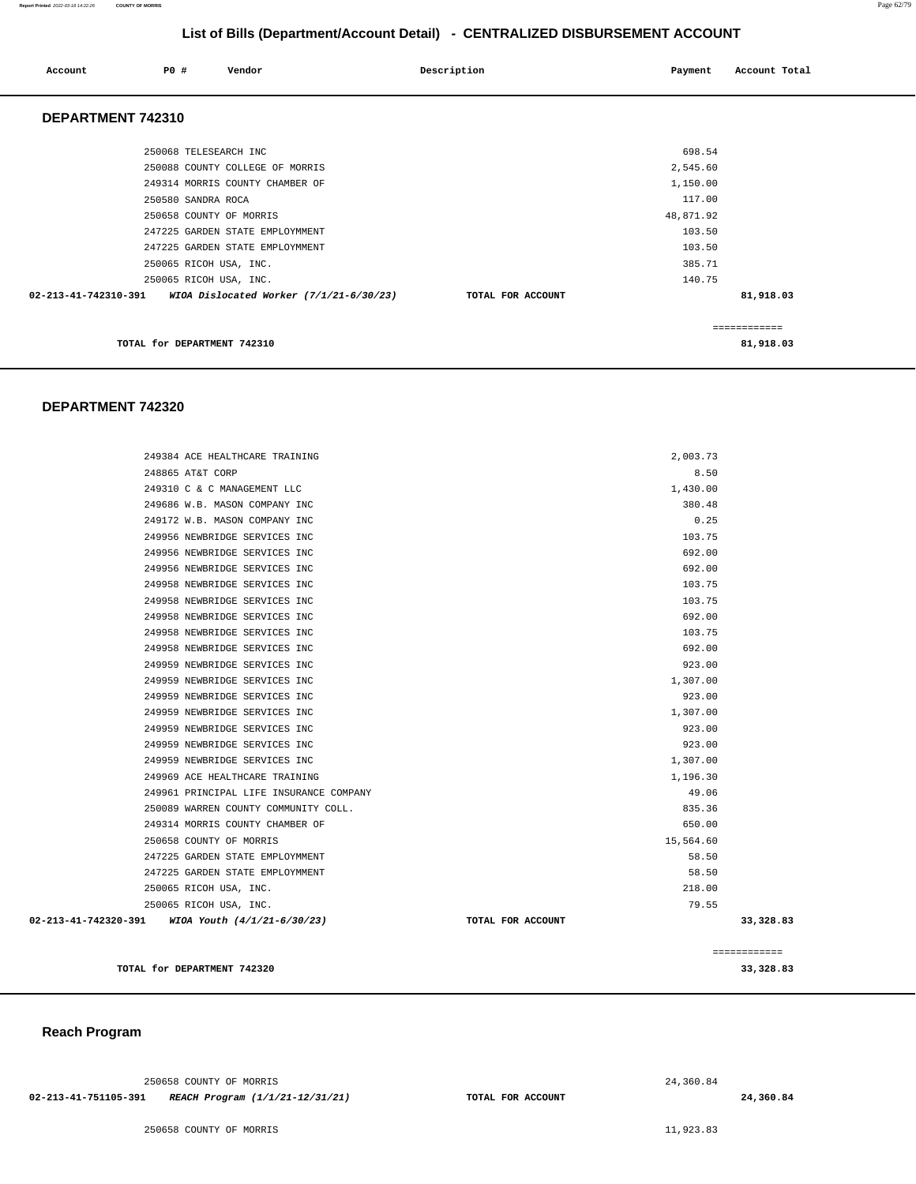#### **Report Printed** 2022-03-18 14:22:26 **COUNTY OF MORRIS** Page 62/79

**List of Bills (Department/Account Detail) - CENTRALIZED DISBURSEMENT ACCOUNT**

| Account                     | P0 #                  | Vendor                                    | Description       | Payment   | Account Total |
|-----------------------------|-----------------------|-------------------------------------------|-------------------|-----------|---------------|
| DEPARTMENT 742310           |                       |                                           |                   |           |               |
|                             | 250068 TELESEARCH INC |                                           |                   | 698.54    |               |
|                             |                       | 250088 COUNTY COLLEGE OF MORRIS           |                   | 2,545.60  |               |
|                             |                       | 249314 MORRIS COUNTY CHAMBER OF           |                   | 1,150.00  |               |
|                             | 250580 SANDRA ROCA    |                                           |                   | 117.00    |               |
|                             |                       | 250658 COUNTY OF MORRIS                   |                   | 48,871.92 |               |
|                             |                       | 247225 GARDEN STATE EMPLOYMMENT           |                   | 103.50    |               |
|                             |                       | 247225 GARDEN STATE EMPLOYMMENT           |                   | 103.50    |               |
|                             |                       | 250065 RICOH USA, INC.                    |                   | 385.71    |               |
|                             |                       | 250065 RICOH USA, INC.                    |                   | 140.75    |               |
| 02-213-41-742310-391        |                       | WIOA Dislocated Worker $(7/1/21-6/30/23)$ | TOTAL FOR ACCOUNT |           | 81,918.03     |
|                             |                       |                                           |                   |           | ============  |
| TOTAL for DEPARTMENT 742310 |                       |                                           |                   |           | 81,918.03     |

#### **DEPARTMENT 742320**

| TOTAL for DEPARTMENT 742320                      |                   |           | ============<br>33,328.83 |
|--------------------------------------------------|-------------------|-----------|---------------------------|
| 02-213-41-742320-391 WIOA Youth (4/1/21-6/30/23) | TOTAL FOR ACCOUNT |           | 33,328.83                 |
| 250065 RICOH USA, INC.                           |                   | 79.55     |                           |
| 250065 RICOH USA, INC.                           |                   | 218.00    |                           |
| 247225 GARDEN STATE EMPLOYMMENT                  |                   | 58.50     |                           |
| 247225 GARDEN STATE EMPLOYMMENT                  |                   | 58.50     |                           |
| 250658 COUNTY OF MORRIS                          |                   | 15,564.60 |                           |
| 249314 MORRIS COUNTY CHAMBER OF                  |                   | 650.00    |                           |
| 250089 WARREN COUNTY COMMUNITY COLL.             |                   | 835.36    |                           |
| 249961 PRINCIPAL LIFE INSURANCE COMPANY          |                   | 49.06     |                           |
| 249969 ACE HEALTHCARE TRAINING                   |                   | 1,196.30  |                           |
| 249959 NEWBRIDGE SERVICES INC                    |                   | 1,307.00  |                           |
| 249959 NEWBRIDGE SERVICES INC                    |                   | 923.00    |                           |
| 249959 NEWBRIDGE SERVICES INC                    |                   | 923.00    |                           |
| 249959 NEWBRIDGE SERVICES INC                    |                   | 1,307.00  |                           |
| 249959 NEWBRIDGE SERVICES INC                    |                   | 923.00    |                           |
| 249959 NEWBRIDGE SERVICES INC                    |                   | 1,307.00  |                           |
| 249959 NEWBRIDGE SERVICES INC                    |                   | 923.00    |                           |
| 249958 NEWBRIDGE SERVICES INC                    |                   | 692.00    |                           |
| 249958 NEWBRIDGE SERVICES INC                    |                   | 103.75    |                           |
| 249958 NEWBRIDGE SERVICES INC                    |                   | 692.00    |                           |
| 249958 NEWBRIDGE SERVICES INC                    |                   | 103.75    |                           |
| 249958 NEWBRIDGE SERVICES INC                    |                   | 103.75    |                           |
| 249956 NEWBRIDGE SERVICES INC                    |                   | 692.00    |                           |
| 249956 NEWBRIDGE SERVICES INC                    |                   | 692.00    |                           |
| 249956 NEWBRIDGE SERVICES INC                    |                   | 103.75    |                           |
| 249172 W.B. MASON COMPANY INC                    |                   | 0.25      |                           |
| 249686 W.B. MASON COMPANY INC                    |                   | 380.48    |                           |
| 249310 C & C MANAGEMENT LLC                      |                   | 1,430.00  |                           |
| 248865 AT&T CORP                                 |                   | 8.50      |                           |
| 249384 ACE HEALTHCARE TRAINING                   |                   | 2,003.73  |                           |

#### **Reach Program**

250658 COUNTY OF MORRIS **02-213-41-751105-391 REACH Program (1/1/21-12/31/21) TOTAL FOR ACCOUNT** 

24,360.84

250658 COUNTY OF MORRIS 11,923.83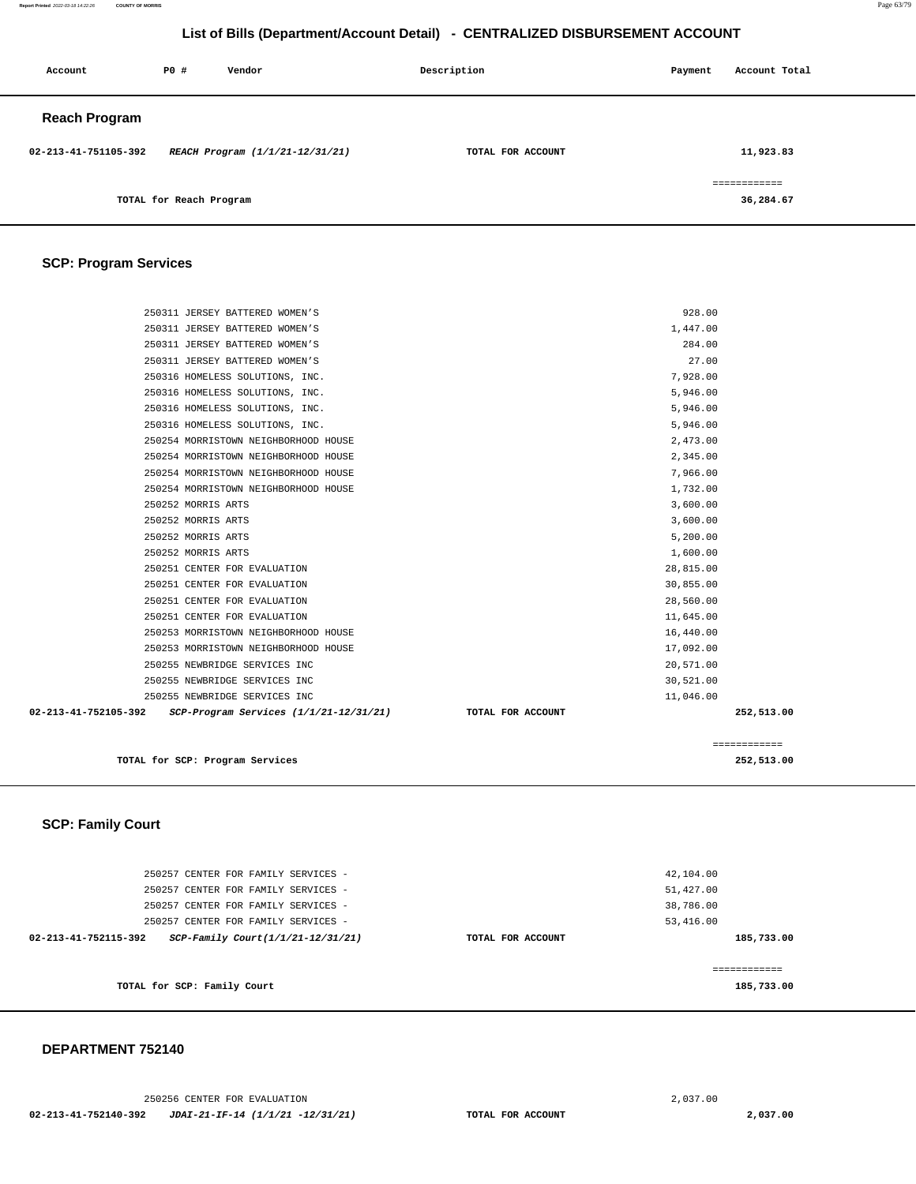#### 250256 CENTER FOR EVALUATION [2,037.00](https://2,037.00)  **02-213-41-752140-392 JDAI-21-IF-14 (1/1/21 -12/31/21) TOTAL FOR ACCOUNT [2,037.00](https://2,037.00)**

 **DEPARTMENT 752140** 

| 250257 CENTER FOR FAMILY SERVICES -                       |                   | 42,104.00  |
|-----------------------------------------------------------|-------------------|------------|
| 250257 CENTER FOR FAMILY SERVICES -                       |                   | 51,427.00  |
| 250257 CENTER FOR FAMILY SERVICES -                       |                   | 38,786.00  |
| 250257 CENTER FOR FAMILY SERVICES -                       |                   | 53,416.00  |
| SCP-Family Court(1/1/21-12/31/21)<br>02-213-41-752115-392 | TOTAL FOR ACCOUNT | 185,733.00 |
|                                                           |                   |            |
|                                                           |                   |            |
| TOTAL for SCP: Family Court                               |                   | 185,733.00 |
|                                                           |                   |            |

## **SCP: Family Court**

| 250311 JERSEY BATTERED WOMEN'S                                 |                   | 928.00       |  |
|----------------------------------------------------------------|-------------------|--------------|--|
| 250311 JERSEY BATTERED WOMEN'S                                 |                   | 1,447.00     |  |
| 250311 JERSEY BATTERED WOMEN'S                                 |                   | 284.00       |  |
| 250311 JERSEY BATTERED WOMEN'S                                 |                   | 27.00        |  |
| 250316 HOMELESS SOLUTIONS, INC.                                |                   | 7,928.00     |  |
| 250316 HOMELESS SOLUTIONS, INC.                                |                   | 5,946.00     |  |
| 250316 HOMELESS SOLUTIONS, INC.                                |                   | 5,946.00     |  |
| 250316 HOMELESS SOLUTIONS, INC.                                |                   | 5,946.00     |  |
| 250254 MORRISTOWN NEIGHBORHOOD HOUSE                           |                   | 2,473.00     |  |
| 250254 MORRISTOWN NEIGHBORHOOD HOUSE                           |                   | 2,345.00     |  |
| 250254 MORRISTOWN NEIGHBORHOOD HOUSE                           |                   | 7,966.00     |  |
| 250254 MORRISTOWN NEIGHBORHOOD HOUSE                           |                   | 1,732.00     |  |
| 250252 MORRIS ARTS                                             |                   | 3,600.00     |  |
| 250252 MORRIS ARTS                                             |                   | 3,600.00     |  |
| 250252 MORRIS ARTS                                             |                   | 5,200.00     |  |
| 250252 MORRIS ARTS                                             |                   | 1,600.00     |  |
| 250251 CENTER FOR EVALUATION                                   |                   | 28,815.00    |  |
| 250251 CENTER FOR EVALUATION                                   |                   | 30,855.00    |  |
| 250251 CENTER FOR EVALUATION                                   |                   | 28,560.00    |  |
| 250251 CENTER FOR EVALUATION                                   |                   | 11,645.00    |  |
| 250253 MORRISTOWN NEIGHBORHOOD HOUSE                           |                   | 16,440.00    |  |
| 250253 MORRISTOWN NEIGHBORHOOD HOUSE                           |                   | 17,092.00    |  |
| 250255 NEWBRIDGE SERVICES INC                                  |                   | 20,571.00    |  |
| 250255 NEWBRIDGE SERVICES INC                                  |                   | 30,521.00    |  |
| 250255 NEWBRIDGE SERVICES INC                                  |                   | 11,046.00    |  |
| 02-213-41-752105-392<br>SCP-Program Services (1/1/21-12/31/21) | TOTAL FOR ACCOUNT | 252,513.00   |  |
|                                                                |                   | ============ |  |
| TOTAL for SCP: Program Services                                |                   | 252,513.00   |  |

## **SCP: Program Services**

| Account              | P0 #                    | Vendor                          | Description       | Payment | Account Total             |
|----------------------|-------------------------|---------------------------------|-------------------|---------|---------------------------|
| <b>Reach Program</b> |                         |                                 |                   |         |                           |
| 02-213-41-751105-392 |                         | REACH Program (1/1/21-12/31/21) | TOTAL FOR ACCOUNT |         | 11,923.83                 |
|                      | TOTAL for Reach Program |                                 |                   |         | ============<br>36,284.67 |

**List of Bills (Department/Account Detail) - CENTRALIZED DISBURSEMENT ACCOUNT**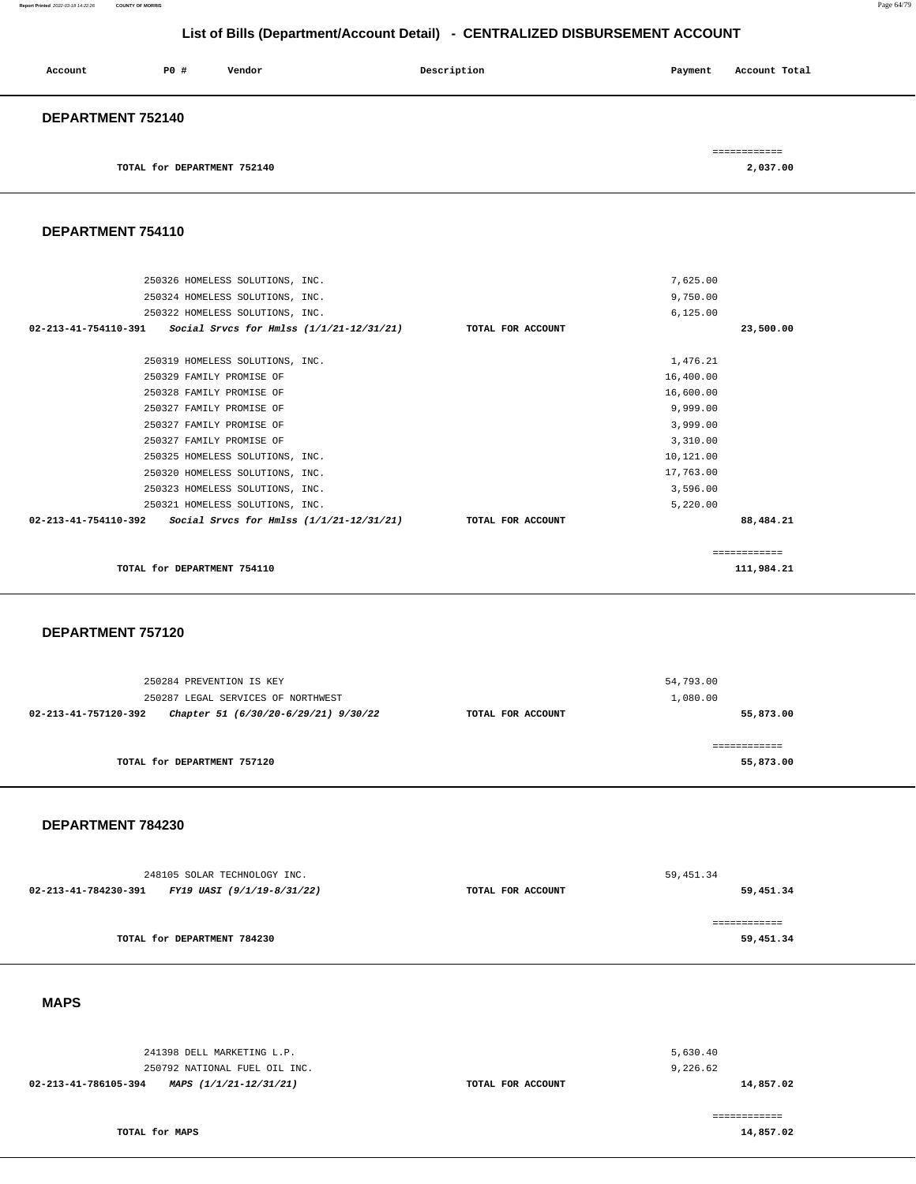**Report Printed** 2022-03-18 14:22:26 **COUNTY OF MORRIS** Page 64/79

## **List of Bills (Department/Account Detail) - CENTRALIZED DISBURSEMENT ACCOUNT**

| Account           | PO#                         | Vendor | Description | Payment | Account Total |  |
|-------------------|-----------------------------|--------|-------------|---------|---------------|--|
| DEPARTMENT 752140 |                             |        |             |         |               |  |
|                   |                             |        |             |         | ============  |  |
|                   | TOTAL for DEPARTMENT 752140 |        |             |         | 2,037.00      |  |

**DEPARTMENT 754110** 

| 250326 HOMELESS SOLUTIONS, INC.                                    | 7,625.00          |               |
|--------------------------------------------------------------------|-------------------|---------------|
| 250324 HOMELESS SOLUTIONS, INC.                                    | 9,750.00          |               |
| 250322 HOMELESS SOLUTIONS, INC.                                    | 6, 125.00         |               |
| 02-213-41-754110-391<br>Social Srvcs for Hmlss (1/1/21-12/31/21)   | TOTAL FOR ACCOUNT | 23,500.00     |
| 250319 HOMELESS SOLUTIONS, INC.                                    | 1,476.21          |               |
| 250329 FAMILY PROMISE OF                                           | 16,400.00         |               |
| 250328 FAMILY PROMISE OF                                           | 16,600.00         |               |
| 250327 FAMILY PROMISE OF                                           | 9,999.00          |               |
| 250327 FAMILY PROMISE OF                                           | 3,999.00          |               |
| 250327 FAMILY PROMISE OF                                           | 3,310.00          |               |
| 250325 HOMELESS SOLUTIONS, INC.                                    | 10,121.00         |               |
| 250320 HOMELESS SOLUTIONS, INC.                                    | 17,763.00         |               |
| 250323 HOMELESS SOLUTIONS, INC.                                    | 3,596.00          |               |
| 250321 HOMELESS SOLUTIONS, INC.                                    | 5,220.00          |               |
| 02-213-41-754110-392<br>Social Srvcs for Hmlss $(1/1/21-12/31/21)$ | TOTAL FOR ACCOUNT | 88,484.21     |
|                                                                    |                   | ------------- |

**TOTAL for DEPARTMENT 754110 111,984.21 111,984.21** 

 **DEPARTMENT 757120** 

| 250284 PREVENTION IS KEY                                     |                   | 54,793.00 |
|--------------------------------------------------------------|-------------------|-----------|
| 250287 LEGAL SERVICES OF NORTHWEST                           |                   | 1,080.00  |
| 02-213-41-757120-392<br>Chapter 51 (6/30/20-6/29/21) 9/30/22 | TOTAL FOR ACCOUNT | 55,873.00 |
|                                                              |                   |           |
|                                                              |                   |           |
| TOTAL for DEPARTMENT 757120                                  |                   | 55,873.00 |

 **DEPARTMENT 784230** 

| 248105 SOLAR TECHNOLOGY INC. |                                                 | 59, 451.34        |           |  |
|------------------------------|-------------------------------------------------|-------------------|-----------|--|
|                              | 02-213-41-784230-391 FY19 UASI (9/1/19-8/31/22) | TOTAL FOR ACCOUNT | 59,451.34 |  |
|                              |                                                 |                   |           |  |
|                              |                                                 |                   |           |  |
|                              | TOTAL for DEPARTMENT 784230                     |                   | 59,451.34 |  |
|                              |                                                 |                   |           |  |

 **MAPS** 

| 02-213-41-786105-394 | MAPS (1/1/21-12/31/21)        | TOTAL FOR ACCOUNT | 14,857.02 |
|----------------------|-------------------------------|-------------------|-----------|
|                      | 250792 NATIONAL FUEL OIL INC. |                   | 9,226.62  |
|                      | 241398 DELL MARKETING L.P.    |                   | 5,630.40  |
|                      |                               |                   |           |

**TOTAL for MAPS** 

**14,857.02**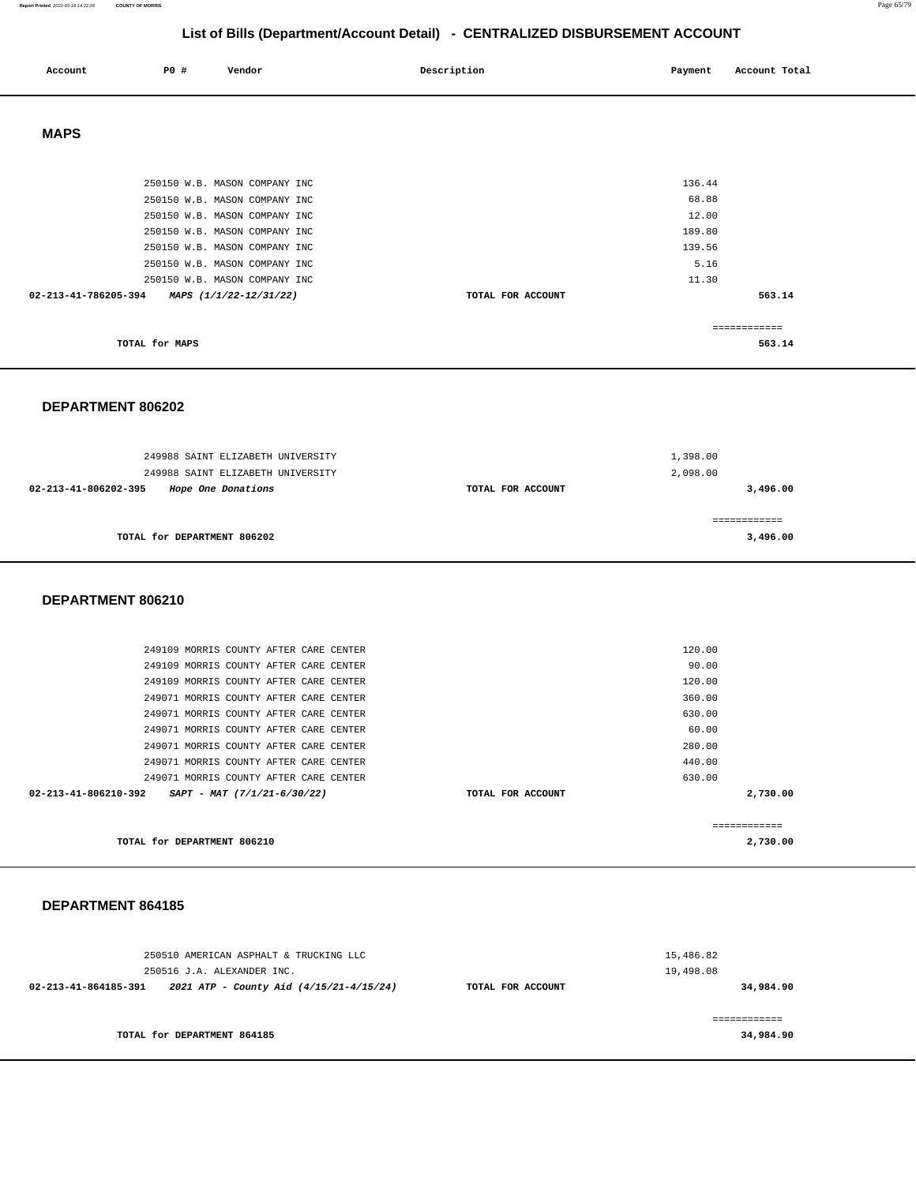| Account              | P0 #           | Vendor                        | Description       | Payment | Account Total |
|----------------------|----------------|-------------------------------|-------------------|---------|---------------|
|                      |                |                               |                   |         |               |
| <b>MAPS</b>          |                |                               |                   |         |               |
|                      |                |                               |                   |         |               |
|                      |                | 250150 W.B. MASON COMPANY INC |                   | 136.44  |               |
|                      |                | 250150 W.B. MASON COMPANY INC |                   | 68.88   |               |
|                      |                | 250150 W.B. MASON COMPANY INC |                   | 12.00   |               |
|                      |                | 250150 W.B. MASON COMPANY INC |                   | 189.80  |               |
|                      |                | 250150 W.B. MASON COMPANY INC |                   | 139.56  |               |
|                      |                | 250150 W.B. MASON COMPANY INC |                   | 5.16    |               |
|                      |                | 250150 W.B. MASON COMPANY INC |                   | 11.30   |               |
| 02-213-41-786205-394 |                | MAPS (1/1/22-12/31/22)        | TOTAL FOR ACCOUNT |         | 563.14        |
|                      |                |                               |                   |         | ===========   |
|                      | TOTAL for MAPS |                               |                   |         | 563.14        |

 **DEPARTMENT 806202** 

| 249988 SAINT ELIZABETH UNIVERSITY<br>249988 SAINT ELIZABETH UNIVERSITY |                   | 1,398.00<br>2,098.00 |
|------------------------------------------------------------------------|-------------------|----------------------|
| Hope One Donations<br>02-213-41-806202-395                             | TOTAL FOR ACCOUNT | 3,496.00             |
| TOTAL for DEPARTMENT 806202                                            |                   | 3,496.00             |

#### **DEPARTMENT 806210**

|                      | TOTAL for DEPARTMENT 806210            |  |                   |        | 2,730.00 |
|----------------------|----------------------------------------|--|-------------------|--------|----------|
| 02-213-41-806210-392 | $SAPT - MAT (7/1/21-6/30/22)$          |  | TOTAL FOR ACCOUNT |        | 2,730.00 |
|                      | 249071 MORRIS COUNTY AFTER CARE CENTER |  |                   | 630.00 |          |
|                      | 249071 MORRIS COUNTY AFTER CARE CENTER |  |                   | 440.00 |          |
|                      | 249071 MORRIS COUNTY AFTER CARE CENTER |  |                   | 280.00 |          |
|                      | 249071 MORRIS COUNTY AFTER CARE CENTER |  |                   | 60.00  |          |
|                      | 249071 MORRIS COUNTY AFTER CARE CENTER |  |                   | 630.00 |          |
|                      | 249071 MORRIS COUNTY AFTER CARE CENTER |  |                   | 360.00 |          |
|                      | 249109 MORRIS COUNTY AFTER CARE CENTER |  |                   | 120.00 |          |
|                      | 249109 MORRIS COUNTY AFTER CARE CENTER |  |                   | 90.00  |          |
|                      | 249109 MORRIS COUNTY AFTER CARE CENTER |  |                   | 120.00 |          |
|                      |                                        |  |                   |        |          |

#### **DEPARTMENT 864185**

| 250510 AMERICAN ASPHALT & TRUCKING LLC<br>250516 J.A. ALEXANDER INC. |                   | 15,486.82<br>19,498.08 |
|----------------------------------------------------------------------|-------------------|------------------------|
| 2021 ATP - County Aid (4/15/21-4/15/24)<br>02-213-41-864185-391      | TOTAL FOR ACCOUNT | 34,984.90              |
|                                                                      |                   |                        |
| TOTAL for DEPARTMENT 864185                                          |                   | 34,984.90              |

**Report Printed** 2022-03-18 14:22:26 **COUNTY OF MORRIS** Page 65/79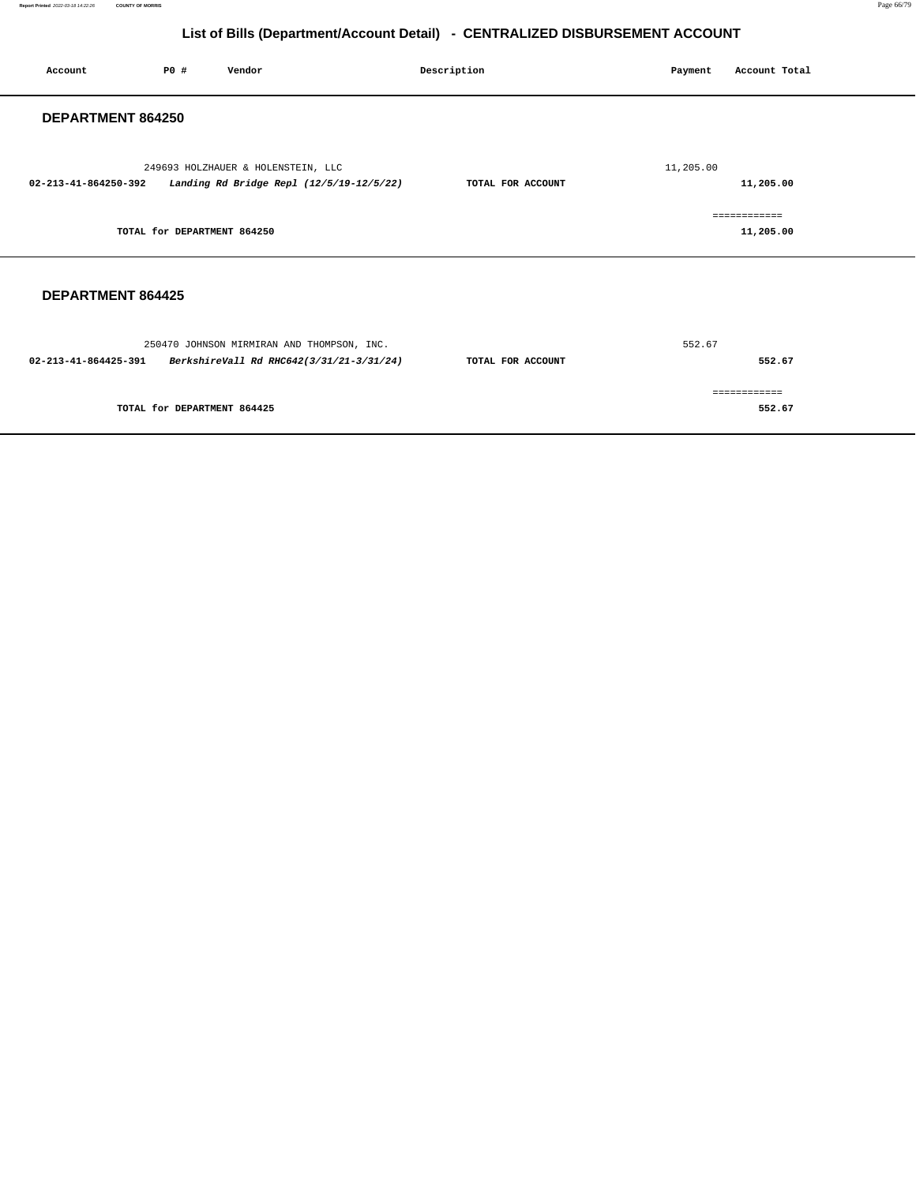| Account                  | P0 #                        | Vendor                                                                                 | Description       | Payment   | Account Total             |
|--------------------------|-----------------------------|----------------------------------------------------------------------------------------|-------------------|-----------|---------------------------|
| <b>DEPARTMENT 864250</b> |                             |                                                                                        |                   |           |                           |
| 02-213-41-864250-392     |                             | 249693 HOLZHAUER & HOLENSTEIN, LLC<br>Landing Rd Bridge Repl (12/5/19-12/5/22)         | TOTAL FOR ACCOUNT | 11,205.00 | 11,205.00                 |
|                          | TOTAL for DEPARTMENT 864250 |                                                                                        |                   |           | ============<br>11,205.00 |
| <b>DEPARTMENT 864425</b> |                             |                                                                                        |                   |           |                           |
| 02-213-41-864425-391     |                             | 250470 JOHNSON MIRMIRAN AND THOMPSON, INC.<br>BerkshireVall Rd RHC642(3/31/21-3/31/24) | TOTAL FOR ACCOUNT | 552.67    | 552.67                    |
|                          | TOTAL for DEPARTMENT 864425 |                                                                                        |                   |           | ============<br>552.67    |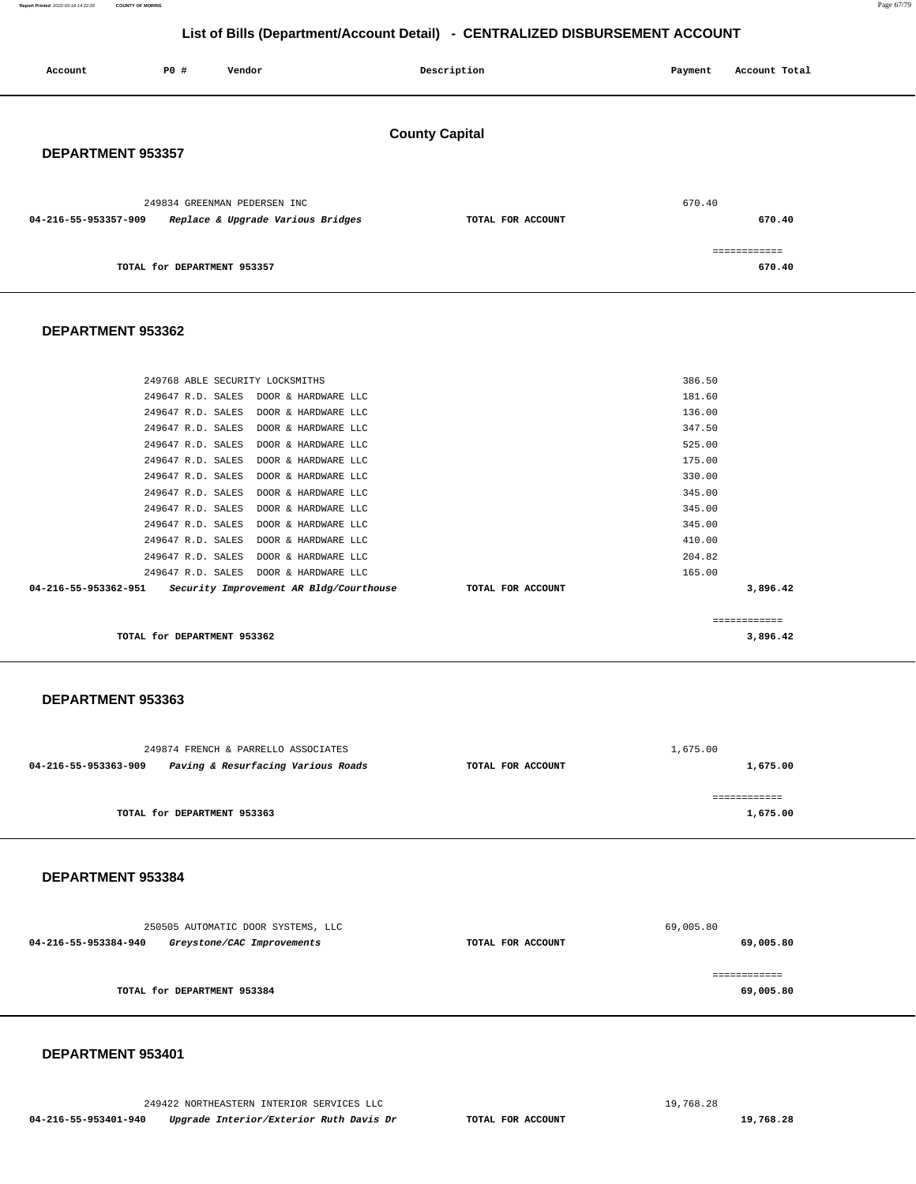249422 NORTHEASTERN INTERIOR SERVICES LLC [19,768.28](https://19,768.28)  **04-216-55-953401-940 Upgrade Interior/Exterior Ruth Davis Dr TOTAL FOR ACCOUNT [19,768.28](https://19,768.28)** 

 **DEPARTMENT 953401** 

| 250505 AUTOMATIC DOOR SYSTEMS, LLC                 |                   | 69,005.80 |
|----------------------------------------------------|-------------------|-----------|
| 04-216-55-953384-940<br>Greystone/CAC Improvements | TOTAL FOR ACCOUNT | 69,005.80 |
|                                                    |                   |           |
| TOTAL for DEPARTMENT 953384                        |                   | 69,005.80 |

### **DEPARTMENT 953384**

|                      | 249874 FRENCH & PARRELLO ASSOCIATES |                   | 1,675.00 |
|----------------------|-------------------------------------|-------------------|----------|
| 04-216-55-953363-909 | Paving & Resurfacing Various Roads  | TOTAL FOR ACCOUNT | 1,675.00 |
|                      | TOTAL for DEPARTMENT 953363         |                   | 1,675.00 |

#### **DEPARTMENT 953363**

| TOTAL for DEPARTMENT 953362 |                                         |                   | 3,896.42    |  |
|-----------------------------|-----------------------------------------|-------------------|-------------|--|
|                             |                                         |                   | =========== |  |
| 04-216-55-953362-951        | Security Improvement AR Bldg/Courthouse | TOTAL FOR ACCOUNT | 3,896.42    |  |
|                             | 249647 R.D. SALES DOOR & HARDWARE LLC   |                   | 165.00      |  |
| 249647 R.D. SALES           | DOOR & HARDWARE LLC                     |                   | 204.82      |  |
| 249647 R.D. SALES           | DOOR & HARDWARE LLC                     |                   | 410.00      |  |
|                             | 249647 R.D. SALES DOOR & HARDWARE LLC   |                   | 345.00      |  |
| 249647 R.D. SALES           | DOOR & HARDWARE LLC                     |                   | 345.00      |  |
|                             | 249647 R.D. SALES DOOR & HARDWARE LLC   |                   | 345.00      |  |
|                             | 249647 R.D. SALES DOOR & HARDWARE LLC   |                   | 330.00      |  |
|                             | 249647 R.D. SALES DOOR & HARDWARE LLC   |                   | 175.00      |  |
| 249647 R.D. SALES           | DOOR & HARDWARE LLC                     |                   | 525.00      |  |
| 249647 R.D. SALES           | DOOR & HARDWARE LLC                     |                   | 347.50      |  |
|                             | 249647 R.D. SALES DOOR & HARDWARE LLC   |                   | 136.00      |  |
|                             | 249647 R.D. SALES DOOR & HARDWARE LLC   |                   | 181.60      |  |
|                             |                                         |                   |             |  |

249768 ABLE SECURITY LOCKSMITHS 386.50

## **DEPARTMENT 953362**

| DEPARIMENI 953357                                         |                   |              |  |
|-----------------------------------------------------------|-------------------|--------------|--|
| 249834 GREENMAN PEDERSEN INC                              |                   | 670.40       |  |
| Replace & Upgrade Various Bridges<br>04-216-55-953357-909 | TOTAL FOR ACCOUNT | 670.40       |  |
|                                                           |                   | ============ |  |
| TOTAL for DEPARTMENT 953357                               |                   | 670.40       |  |

#### **DEPARTMENT 953357**

| <b>DEFARIMENT 333337</b>                                  |                   |        |  |  |  |  |  |
|-----------------------------------------------------------|-------------------|--------|--|--|--|--|--|
| 249834 GREENMAN PEDERSEN INC                              |                   | 670.40 |  |  |  |  |  |
| Replace & Upgrade Various Bridges<br>04-216-55-953357-909 | TOTAL FOR ACCOUNT | 670.40 |  |  |  |  |  |
|                                                           |                   |        |  |  |  |  |  |
| TOTAL for DEPARTMENT 953357                               |                   | 670.40 |  |  |  |  |  |

**County Capital** 

**List of Bills (Department/Account Detail) - CENTRALIZED DISBURSEMENT ACCOUNT**

 **Account P0 # Vendor Description Payment Account Total**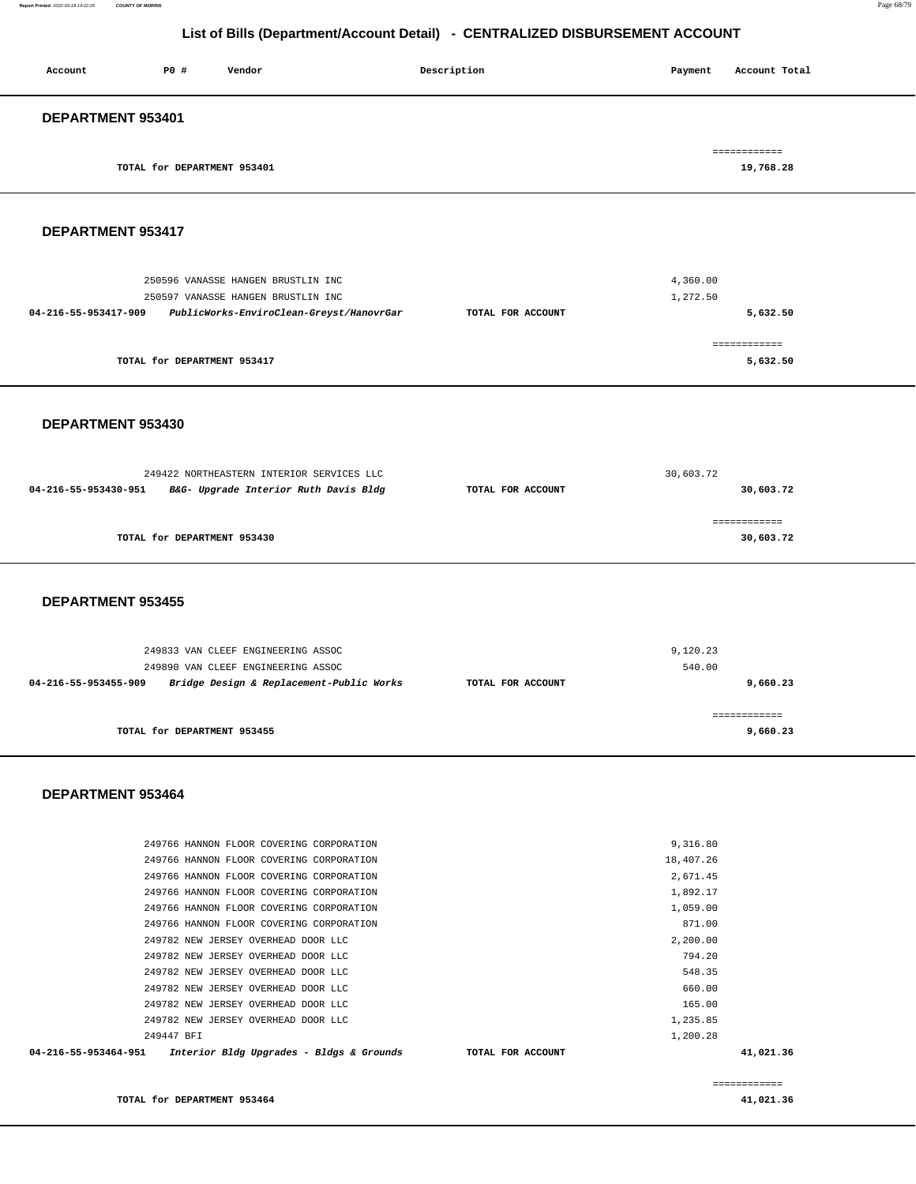| Account           | P0#                         | Vendor | Description | Payment | Account Total |
|-------------------|-----------------------------|--------|-------------|---------|---------------|
| DEPARTMENT 953401 |                             |        |             |         |               |
|                   |                             |        |             |         | ============  |
|                   | TOTAL for DEPARTMENT 953401 |        |             |         | 19,768.28     |

#### **DEPARTMENT 953417**

| 250596 VANASSE HANGEN BRUSTLIN INC                               |                   | 4,360.00     |
|------------------------------------------------------------------|-------------------|--------------|
| 250597 VANASSE HANGEN BRUSTLIN INC                               |                   | 1,272.50     |
| PublicWorks-EnviroClean-Greyst/HanovrGar<br>04-216-55-953417-909 | TOTAL FOR ACCOUNT | 5,632.50     |
|                                                                  |                   |              |
|                                                                  |                   | ============ |
| TOTAL for DEPARTMENT 953417                                      |                   | 5,632.50     |

#### **DEPARTMENT 953430**

|                      | 249422 NORTHEASTERN INTERIOR SERVICES LLC | 30,603.72         |           |  |
|----------------------|-------------------------------------------|-------------------|-----------|--|
| 04-216-55-953430-951 | B&G- Upgrade Interior Ruth Davis Bldg     | TOTAL FOR ACCOUNT | 30,603.72 |  |
|                      |                                           |                   |           |  |
|                      |                                           |                   |           |  |
|                      | TOTAL for DEPARTMENT 953430               |                   | 30,603.72 |  |
|                      |                                           |                   |           |  |

#### **DEPARTMENT 953455**

| 249833 VAN CLEEF ENGINEERING ASSOC                               |                   | 9,120.23 |
|------------------------------------------------------------------|-------------------|----------|
| 249890 VAN CLEEF ENGINEERING ASSOC                               |                   | 540.00   |
| Bridge Design & Replacement-Public Works<br>04-216-55-953455-909 | TOTAL FOR ACCOUNT | 9,660.23 |
|                                                                  |                   |          |
| TOTAL for DEPARTMENT 953455                                      |                   | 9,660.23 |
|                                                                  |                   |          |

#### **DEPARTMENT 953464**

| 04-216-55-953464-951<br>Interior Bldg Upgrades - Bldgs & Grounds TOTAL FOR ACCOUNT |           | 41,021.36 |
|------------------------------------------------------------------------------------|-----------|-----------|
| 249447 BFI                                                                         | 1,200.28  |           |
| 249782 NEW JERSEY OVERHEAD DOOR LLC                                                | 1,235.85  |           |
| 249782 NEW JERSEY OVERHEAD DOOR LLC                                                | 165.00    |           |
| 249782 NEW JERSEY OVERHEAD DOOR LLC                                                | 660.00    |           |
| 249782 NEW JERSEY OVERHEAD DOOR LLC                                                | 548.35    |           |
| 249782 NEW JERSEY OVERHEAD DOOR LLC                                                | 794.20    |           |
| 249782 NEW JERSEY OVERHEAD DOOR LLC                                                | 2,200.00  |           |
| 249766 HANNON FLOOR COVERING CORPORATION                                           | 871.00    |           |
| 249766 HANNON FLOOR COVERING CORPORATION                                           | 1,059.00  |           |
| 249766 HANNON FLOOR COVERING CORPORATION                                           | 1,892.17  |           |
| 249766 HANNON FLOOR COVERING CORPORATION                                           | 2,671.45  |           |
| 249766 HANNON FLOOR COVERING CORPORATION                                           | 18,407.26 |           |
| 249766 HANNON FLOOR COVERING CORPORATION                                           | 9,316.80  |           |
|                                                                                    |           |           |

============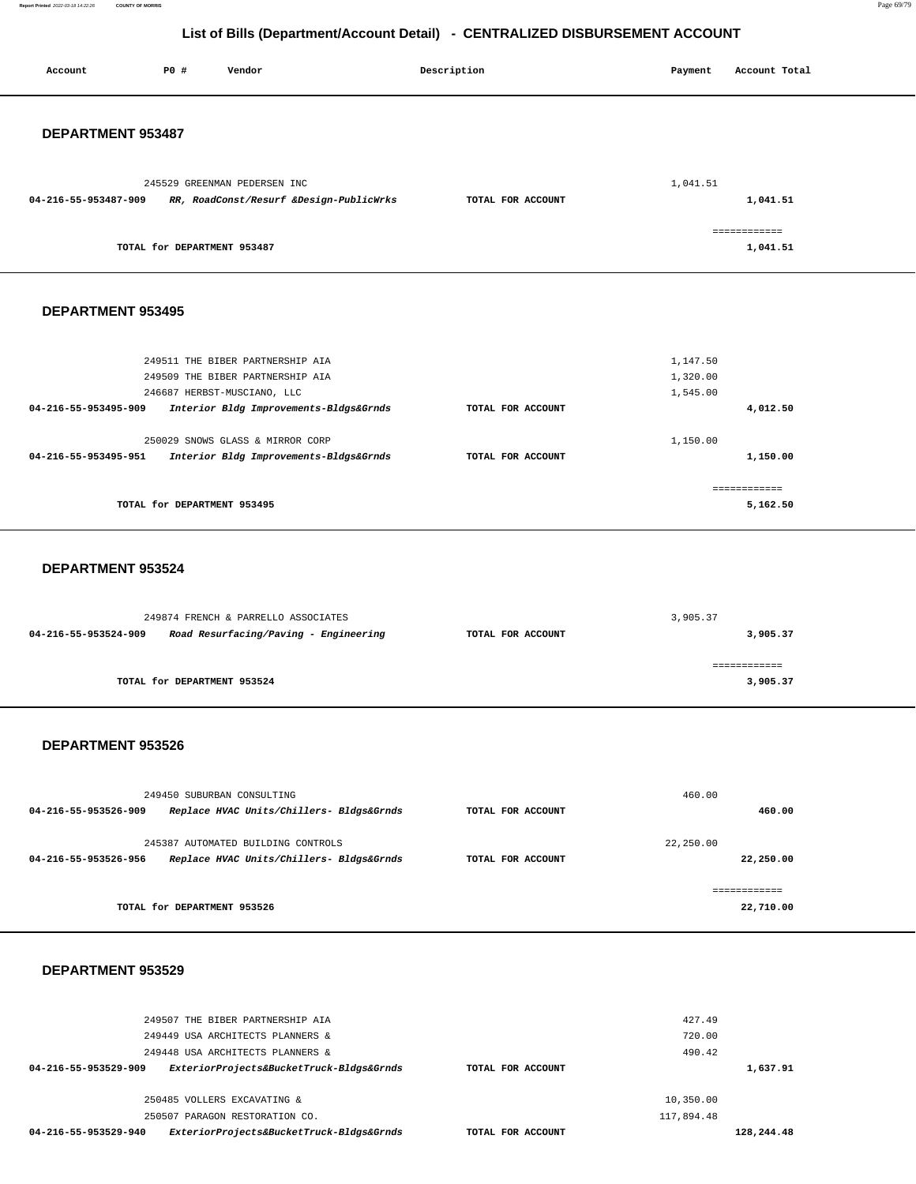**Report Printed** 2022-03-18 14:22:26 **COUNTY OF MORRIS** Page 69/79

## **List of Bills (Department/Account Detail) - CENTRALIZED DISBURSEMENT ACCOUNT**

| Account              | P0 #                        | Vendor                                                                       |                                          | Description       | Payment   | Account Total             |  |
|----------------------|-----------------------------|------------------------------------------------------------------------------|------------------------------------------|-------------------|-----------|---------------------------|--|
|                      |                             |                                                                              |                                          |                   |           |                           |  |
|                      |                             |                                                                              |                                          |                   |           |                           |  |
| DEPARTMENT 953487    |                             |                                                                              |                                          |                   |           |                           |  |
|                      |                             |                                                                              |                                          |                   |           |                           |  |
| 04-216-55-953487-909 |                             | 245529 GREENMAN PEDERSEN INC                                                 | RR, RoadConst/Resurf &Design-PublicWrks  | TOTAL FOR ACCOUNT | 1,041.51  | 1,041.51                  |  |
|                      |                             |                                                                              |                                          |                   |           |                           |  |
|                      | TOTAL for DEPARTMENT 953487 |                                                                              |                                          |                   |           | ============<br>1,041.51  |  |
|                      |                             |                                                                              |                                          |                   |           |                           |  |
|                      |                             |                                                                              |                                          |                   |           |                           |  |
| DEPARTMENT 953495    |                             |                                                                              |                                          |                   |           |                           |  |
|                      |                             |                                                                              |                                          |                   |           |                           |  |
|                      |                             | 249511 THE BIBER PARTNERSHIP AIA                                             |                                          |                   | 1,147.50  |                           |  |
|                      |                             | 249509 THE BIBER PARTNERSHIP AIA                                             |                                          |                   | 1,320.00  |                           |  |
| 04-216-55-953495-909 |                             | 246687 HERBST-MUSCIANO, LLC                                                  |                                          | TOTAL FOR ACCOUNT | 1,545.00  |                           |  |
|                      |                             | Interior Bldg Improvements-Bldgs&Grnds                                       |                                          |                   |           | 4,012.50                  |  |
|                      |                             | 250029 SNOWS GLASS & MIRROR CORP                                             |                                          |                   | 1,150.00  |                           |  |
| 04-216-55-953495-951 |                             | Interior Bldg Improvements-Bldgs&Grnds                                       |                                          | TOTAL FOR ACCOUNT |           | 1,150.00                  |  |
|                      |                             |                                                                              |                                          |                   |           | ============              |  |
|                      | TOTAL for DEPARTMENT 953495 |                                                                              |                                          |                   |           | 5,162.50                  |  |
|                      |                             |                                                                              |                                          |                   |           |                           |  |
| DEPARTMENT 953524    |                             |                                                                              |                                          |                   |           |                           |  |
|                      |                             |                                                                              |                                          |                   |           |                           |  |
|                      |                             |                                                                              |                                          |                   |           |                           |  |
| 04-216-55-953524-909 |                             | 249874 FRENCH & PARRELLO ASSOCIATES<br>Road Resurfacing/Paving - Engineering |                                          | TOTAL FOR ACCOUNT | 3,905.37  | 3,905.37                  |  |
|                      |                             |                                                                              |                                          |                   |           |                           |  |
|                      | TOTAL for DEPARTMENT 953524 |                                                                              |                                          |                   |           | ------------<br>3,905.37  |  |
|                      |                             |                                                                              |                                          |                   |           |                           |  |
|                      |                             |                                                                              |                                          |                   |           |                           |  |
| DEPARTMENT 953526    |                             |                                                                              |                                          |                   |           |                           |  |
|                      |                             |                                                                              |                                          |                   |           |                           |  |
|                      |                             | 249450 SUBURBAN CONSULTING                                                   |                                          |                   | 460.00    |                           |  |
| 04-216-55-953526-909 |                             |                                                                              | Replace HVAC Units/Chillers- Bldgs&Grnds | TOTAL FOR ACCOUNT |           | 460.00                    |  |
|                      |                             |                                                                              |                                          |                   | 22,250.00 |                           |  |
| 04-216-55-953526-956 |                             | 245387 AUTOMATED BUILDING CONTROLS                                           | Replace HVAC Units/Chillers- Bldgs&Grnds | TOTAL FOR ACCOUNT |           | 22,250.00                 |  |
|                      |                             |                                                                              |                                          |                   |           |                           |  |
|                      | TOTAL for DEPARTMENT 953526 |                                                                              |                                          |                   |           | ------------<br>22,710.00 |  |
|                      |                             |                                                                              |                                          |                   |           |                           |  |
|                      |                             |                                                                              |                                          |                   |           |                           |  |
|                      |                             |                                                                              |                                          |                   |           |                           |  |

| 249507 THE BIBER PARTNERSHIP AIA<br>249449 USA ARCHITECTS PLANNERS & |                   | 427.49<br>720.00 |            |
|----------------------------------------------------------------------|-------------------|------------------|------------|
| 249448 USA ARCHITECTS PLANNERS &                                     |                   | 490.42           |            |
| ExteriorProjects&BucketTruck-Bldgs&Grnds<br>04-216-55-953529-909     | TOTAL FOR ACCOUNT |                  | 1,637.91   |
| 250485 VOLLERS EXCAVATING &                                          |                   | 10,350.00        |            |
| 250507 PARAGON RESTORATION CO.                                       |                   | 117,894.48       |            |
| ExteriorProjects&BucketTruck-Bldgs&Grnds<br>04-216-55-953529-940     | TOTAL FOR ACCOUNT |                  | 128,244.48 |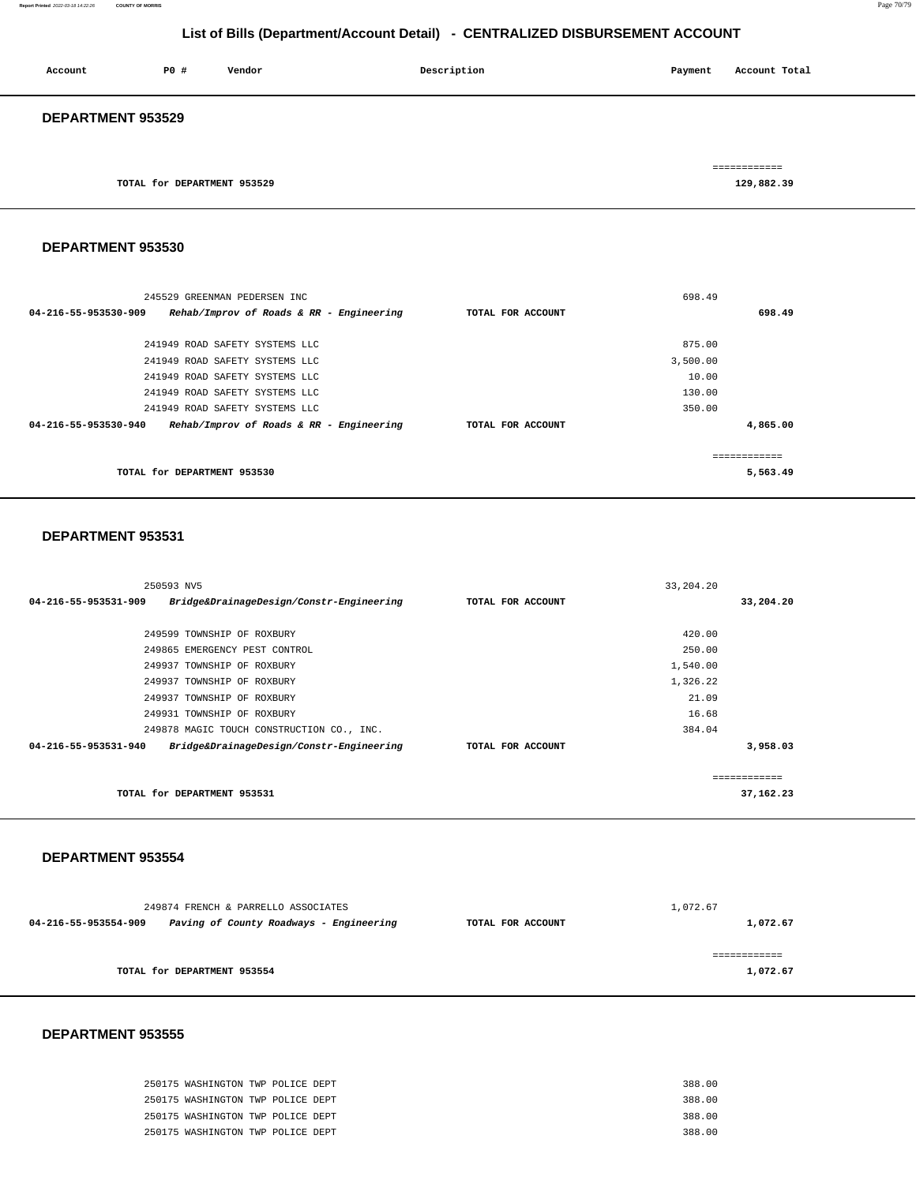#### **Report Printed** 2022-03-18 14:22:26 **COUNTY OF MORRIS** Page 70/79

## **List of Bills (Department/Account Detail) - CENTRALIZED DISBURSEMENT ACCOUNT**

| Account                  | P0 #                        | Vendor | Description | Payment | Account Total              |  |
|--------------------------|-----------------------------|--------|-------------|---------|----------------------------|--|
| <b>DEPARTMENT 953529</b> |                             |        |             |         |                            |  |
|                          | TOTAL for DEPARTMENT 953529 |        |             |         | ============<br>129,882.39 |  |

#### **DEPARTMENT 953530**

| 245529 GREENMAN PEDERSEN INC                                     |                   | 698.49   |
|------------------------------------------------------------------|-------------------|----------|
| 04-216-55-953530-909<br>Rehab/Improv of Roads & RR - Engineering | TOTAL FOR ACCOUNT | 698.49   |
|                                                                  |                   |          |
| 241949 ROAD SAFETY SYSTEMS LLC                                   |                   | 875.00   |
| 241949 ROAD SAFETY SYSTEMS LLC                                   |                   | 3,500.00 |
| 241949 ROAD SAFETY SYSTEMS LLC                                   |                   | 10.00    |
| 241949 ROAD SAFETY SYSTEMS LLC                                   |                   | 130.00   |
| 241949 ROAD SAFETY SYSTEMS LLC                                   |                   | 350.00   |
| Rehab/Improv of Roads & RR - Engineering<br>04-216-55-953530-940 | TOTAL FOR ACCOUNT | 4,865.00 |
|                                                                  |                   |          |
|                                                                  |                   |          |
| TOTAL for DEPARTMENT 953530                                      |                   | 5,563.49 |
|                                                                  |                   |          |

#### **DEPARTMENT 953531**

| 250593 NV5                                                                 |                   | 33, 204. 20 |           |
|----------------------------------------------------------------------------|-------------------|-------------|-----------|
| Bridge&DrainageDesign/Constr-Engineering<br>$04 - 216 - 55 - 953531 - 909$ | TOTAL FOR ACCOUNT |             | 33,204.20 |
|                                                                            |                   |             |           |
| 249599 TOWNSHIP OF ROXBURY                                                 |                   | 420.00      |           |
| 249865 EMERGENCY PEST CONTROL                                              |                   | 250.00      |           |
| 249937 TOWNSHIP OF ROXBURY                                                 |                   | 1,540.00    |           |
| 249937 TOWNSHIP OF ROXBURY                                                 |                   | 1,326.22    |           |
| 249937 TOWNSHIP OF ROXBURY                                                 |                   | 21.09       |           |
| 249931 TOWNSHIP OF ROXBURY                                                 |                   | 16.68       |           |
| 249878 MAGIC TOUCH CONSTRUCTION CO., INC.                                  |                   | 384.04      |           |
| $04 - 216 - 55 - 953531 - 940$<br>Bridge&DrainageDesign/Constr-Engineering | TOTAL FOR ACCOUNT |             | 3,958.03  |
|                                                                            |                   |             |           |
|                                                                            |                   |             |           |
| TOTAL for DEPARTMENT 953531                                                |                   |             | 37,162.23 |
|                                                                            |                   |             |           |

#### **DEPARTMENT 953554**

|                                                                 | 249874 FRENCH & PARRELLO ASSOCIATES |                   | 1,072.67 |
|-----------------------------------------------------------------|-------------------------------------|-------------------|----------|
| 04-216-55-953554-909<br>Paving of County Roadways - Engineering |                                     | TOTAL FOR ACCOUNT | 1,072.67 |
| TOTAL for DEPARTMENT 953554                                     |                                     |                   | 1,072.67 |
|                                                                 |                                     |                   |          |

| 250175 WASHINGTON TWP POLICE DEPT |  | 388.00 |
|-----------------------------------|--|--------|
| 250175 WASHINGTON TWP POLICE DEPT |  | 388.00 |
| 250175 WASHINGTON TWP POLICE DEPT |  | 388.00 |
| 250175 WASHINGTON TWP POLICE DEPT |  | 388.00 |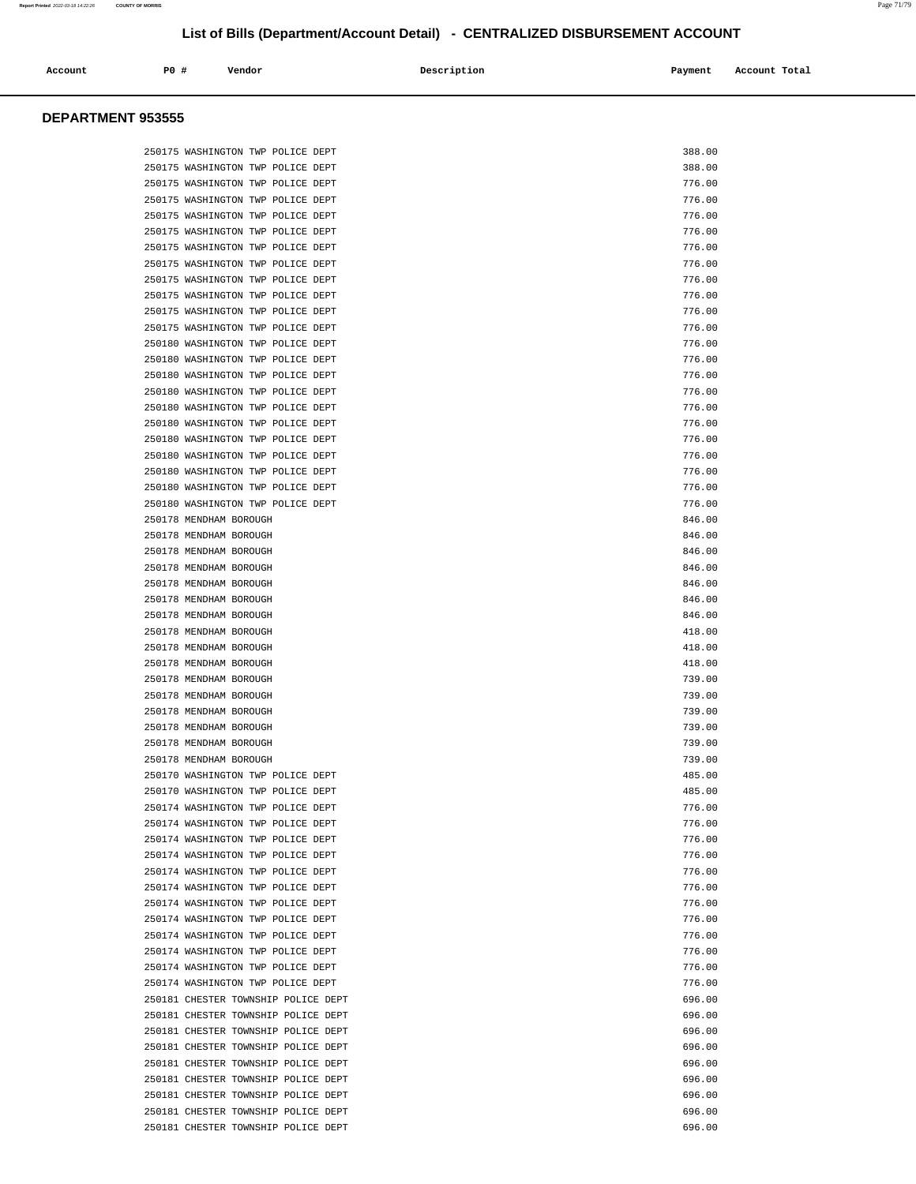| Account | P0 # | Vendor | Description | Payment | Account Total |
|---------|------|--------|-------------|---------|---------------|
|         |      |        |             |         |               |

| 250175 WASHINGTON TWP POLICE DEPT   | 388.00 |
|-------------------------------------|--------|
| 250175 WASHINGTON TWP POLICE DEPT   | 388.00 |
| 250175 WASHINGTON TWP POLICE DEPT   | 776.00 |
| 250175 WASHINGTON TWP POLICE DEPT   | 776.00 |
| 250175 WASHINGTON TWP POLICE DEPT   | 776.00 |
| 250175 WASHINGTON TWP POLICE DEPT   | 776.00 |
| 250175 WASHINGTON TWP POLICE DEPT   | 776.00 |
| 250175 WASHINGTON TWP POLICE DEPT   | 776.00 |
| 250175 WASHINGTON TWP POLICE DEPT   | 776.00 |
| 250175 WASHINGTON TWP POLICE DEPT   | 776.00 |
| 250175 WASHINGTON TWP POLICE DEPT   | 776.00 |
| 250175 WASHINGTON TWP POLICE DEPT   | 776.00 |
| 250180 WASHINGTON TWP POLICE DEPT   | 776.00 |
| 250180 WASHINGTON TWP POLICE DEPT   | 776.00 |
| 250180 WASHINGTON TWP POLICE DEPT   | 776.00 |
| 250180 WASHINGTON TWP POLICE DEPT   | 776.00 |
| 250180 WASHINGTON TWP POLICE DEPT   | 776.00 |
| 250180 WASHINGTON TWP POLICE DEPT   | 776.00 |
| 250180 WASHINGTON TWP POLICE DEPT   | 776.00 |
| 250180 WASHINGTON TWP POLICE DEPT   | 776.00 |
| 250180 WASHINGTON TWP POLICE DEPT   | 776.00 |
| 250180 WASHINGTON TWP POLICE DEPT   | 776.00 |
| 250180 WASHINGTON TWP POLICE DEPT   | 776.00 |
| 250178 MENDHAM BOROUGH              | 846.00 |
| 250178 MENDHAM BOROUGH              | 846.00 |
| 250178 MENDHAM BOROUGH              | 846.00 |
| 250178 MENDHAM BOROUGH              | 846.00 |
| 250178 MENDHAM BOROUGH              | 846.00 |
| 250178 MENDHAM BOROUGH              | 846.00 |
| 250178 MENDHAM BOROUGH              | 846.00 |
| 250178 MENDHAM BOROUGH              | 418.00 |
| 250178 MENDHAM BOROUGH              | 418.00 |
| 250178 MENDHAM BOROUGH              | 418.00 |
| 250178 MENDHAM BOROUGH              | 739.00 |
| 250178 MENDHAM BOROUGH              | 739.00 |
| 250178 MENDHAM BOROUGH              | 739.00 |
| 250178 MENDHAM BOROUGH              | 739.00 |
| 250178 MENDHAM BOROUGH              | 739.00 |
| 250178 MENDHAM BOROUGH              | 739.00 |
| 250170 WASHINGTON TWP POLICE DEPT   | 485.00 |
| 250170 WASHINGTON TWP POLICE DEPT   | 485.00 |
| 250174 WASHINGTON TWP POLICE DEPT   | 776.00 |
| 250174 WASHINGTON TWP POLICE DEPT   | 776.00 |
| 250174 WASHINGTON TWP POLICE DEPT   | 776.00 |
| 250174 WASHINGTON TWP POLICE DEPT   | 776.00 |
| 250174 WASHINGTON TWP POLICE DEPT   | 776.00 |
| 250174 WASHINGTON TWP POLICE DEPT   | 776.00 |
| 250174 WASHINGTON TWP POLICE DEPT   | 776.00 |
| 250174 WASHINGTON TWP POLICE DEPT   | 776.00 |
| 250174 WASHINGTON TWP POLICE DEPT   | 776.00 |
| 250174 WASHINGTON TWP POLICE DEPT   | 776.00 |
| 250174 WASHINGTON TWP POLICE DEPT   | 776.00 |
| 250174 WASHINGTON TWP POLICE DEPT   | 776.00 |
| 250181 CHESTER TOWNSHIP POLICE DEPT | 696.00 |
| 250181 CHESTER TOWNSHIP POLICE DEPT | 696.00 |
| 250181 CHESTER TOWNSHIP POLICE DEPT | 696.00 |
| 250181 CHESTER TOWNSHIP POLICE DEPT | 696.00 |
| 250181 CHESTER TOWNSHIP POLICE DEPT | 696.00 |
| 250181 CHESTER TOWNSHIP POLICE DEPT | 696.00 |
| 250181 CHESTER TOWNSHIP POLICE DEPT | 696.00 |
| 250181 CHESTER TOWNSHIP POLICE DEPT | 696.00 |
| 250181 CHESTER TOWNSHIP POLICE DEPT | 696.00 |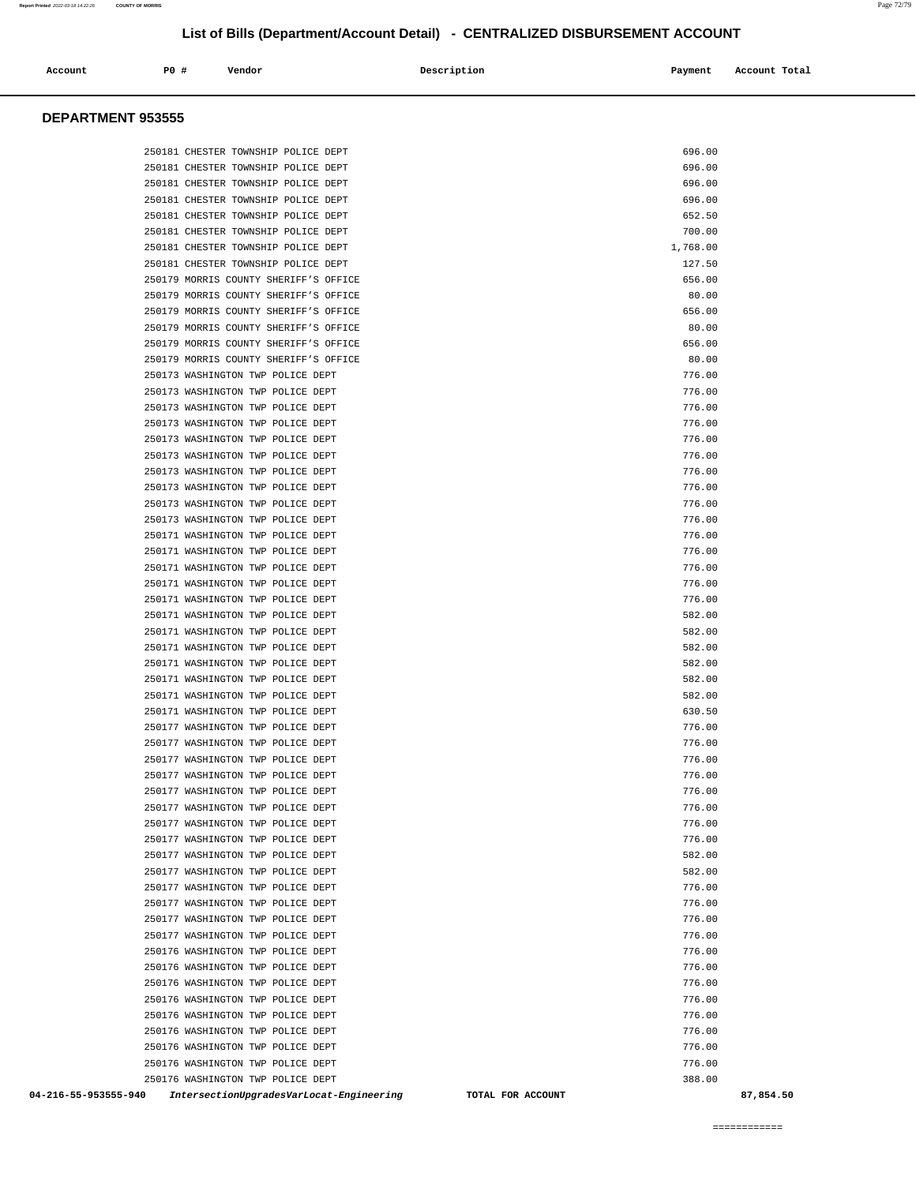| Account | P0 # | Vendor | Description | Payment | Account Total |
|---------|------|--------|-------------|---------|---------------|
|         |      |        |             |         |               |
|         |      |        |             |         |               |

#### **DEPARTMENT 953555**

| 250181 CHESTER TOWNSHIP POLICE DEPT                                                   | 696.00           |
|---------------------------------------------------------------------------------------|------------------|
| 250181 CHESTER TOWNSHIP POLICE DEPT                                                   | 696.00           |
| 250181 CHESTER TOWNSHIP POLICE DEPT                                                   | 696.00           |
| 250181 CHESTER TOWNSHIP POLICE DEPT                                                   | 696.00           |
| 250181 CHESTER TOWNSHIP POLICE DEPT                                                   | 652.50           |
| 250181 CHESTER TOWNSHIP POLICE DEPT                                                   | 700.00           |
| 250181 CHESTER TOWNSHIP POLICE DEPT                                                   | 1,768.00         |
| 250181 CHESTER TOWNSHIP POLICE DEPT                                                   | 127.50           |
| 250179 MORRIS COUNTY SHERIFF'S OFFICE                                                 | 656.00           |
| 250179 MORRIS COUNTY SHERIFF'S OFFICE                                                 | 80.00            |
| 250179 MORRIS COUNTY SHERIFF'S OFFICE                                                 | 656.00           |
| 250179 MORRIS COUNTY SHERIFF'S OFFICE                                                 | 80.00            |
| 250179 MORRIS COUNTY SHERIFF'S OFFICE                                                 | 656.00           |
| 250179 MORRIS COUNTY SHERIFF'S OFFICE                                                 | 80.00            |
| 250173 WASHINGTON TWP POLICE DEPT                                                     | 776.00           |
| 250173 WASHINGTON TWP POLICE DEPT                                                     | 776.00           |
| 250173 WASHINGTON TWP POLICE DEPT                                                     | 776.00           |
| 250173 WASHINGTON TWP POLICE DEPT                                                     | 776.00           |
| 250173 WASHINGTON TWP POLICE DEPT                                                     | 776.00           |
| 250173 WASHINGTON TWP POLICE DEPT                                                     | 776.00           |
| 250173 WASHINGTON TWP POLICE DEPT                                                     | 776.00           |
| 250173 WASHINGTON TWP POLICE DEPT                                                     | 776.00           |
| 250173 WASHINGTON TWP POLICE DEPT                                                     | 776.00           |
| 250173 WASHINGTON TWP POLICE DEPT                                                     | 776.00           |
| 250171 WASHINGTON TWP POLICE DEPT                                                     | 776.00           |
| 250171 WASHINGTON TWP POLICE DEPT                                                     | 776.00           |
| 250171 WASHINGTON TWP POLICE DEPT                                                     | 776.00           |
| 250171 WASHINGTON TWP POLICE DEPT                                                     | 776.00           |
| 250171 WASHINGTON TWP POLICE DEPT                                                     | 776.00           |
| 250171 WASHINGTON TWP POLICE DEPT                                                     | 582.00           |
| 250171 WASHINGTON TWP POLICE DEPT                                                     | 582.00           |
| 250171 WASHINGTON TWP POLICE DEPT                                                     | 582.00           |
| 250171 WASHINGTON TWP POLICE DEPT                                                     | 582.00           |
| 250171 WASHINGTON TWP POLICE DEPT                                                     | 582.00           |
| 250171 WASHINGTON TWP POLICE DEPT                                                     | 582.00           |
| 250171 WASHINGTON TWP POLICE DEPT<br>250177 WASHINGTON TWP POLICE DEPT                | 630.50           |
|                                                                                       | 776.00<br>776.00 |
| 250177 WASHINGTON TWP POLICE DEPT<br>250177 WASHINGTON TWP POLICE DEPT                | 776.00           |
| 250177 WASHINGTON TWP POLICE DEPT                                                     | 776.00           |
| 250177 WASHINGTON TWP POLICE DEPT                                                     | 776.00           |
| 250177 WASHINGTON TWP POLICE DEPT                                                     | 776.00           |
| 250177 WASHINGTON TWP POLICE DEPT                                                     | 776.00           |
| 250177 WASHINGTON TWP POLICE DEPT                                                     | 776.00           |
| 250177 WASHINGTON TWP POLICE DEPT                                                     | 582.00           |
| 250177 WASHINGTON TWP POLICE DEPT                                                     | 582.00           |
| 250177 WASHINGTON TWP POLICE DEPT                                                     | 776.00           |
| 250177 WASHINGTON TWP POLICE DEPT                                                     | 776.00           |
| 250177 WASHINGTON TWP POLICE DEPT                                                     | 776.00           |
| 250177 WASHINGTON TWP POLICE DEPT                                                     | 776.00           |
| 250176 WASHINGTON TWP POLICE DEPT                                                     | 776.00           |
| 250176 WASHINGTON TWP POLICE DEPT                                                     | 776.00           |
| 250176 WASHINGTON TWP POLICE DEPT                                                     | 776.00           |
| 250176 WASHINGTON TWP POLICE DEPT                                                     | 776.00           |
| 250176 WASHINGTON TWP POLICE DEPT                                                     | 776.00           |
| 250176 WASHINGTON TWP POLICE DEPT                                                     | 776.00           |
| 250176 WASHINGTON TWP POLICE DEPT                                                     | 776.00           |
| 250176 WASHINGTON TWP POLICE DEPT                                                     | 776.00           |
| 250176 WASHINGTON TWP POLICE DEPT                                                     | 388.00           |
| 04-216-55-953555-940<br>IntersectionUpgradesVarLocat-Engineering<br>TOTAL FOR ACCOUNT | 87,854.50        |

============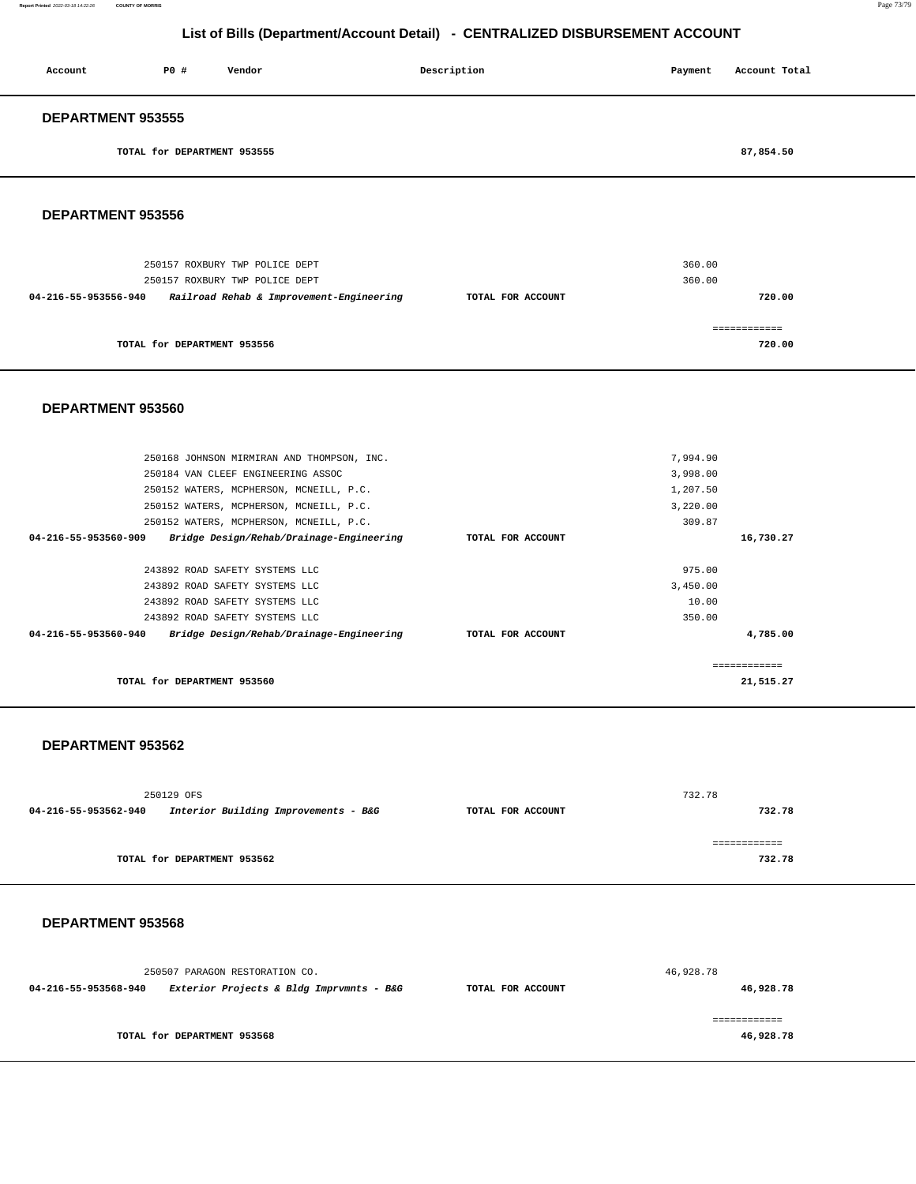#### **Report Printed** 2022-03-18 14:22:26 **COUNTY OF MORRIS** Page 73/79

# **List of Bills (Department/Account Detail) - CENTRALIZED DISBURSEMENT ACCOUNT**

| Account                  | P0 #                        | Vendor                                   | Description       | Payment | Account Total |
|--------------------------|-----------------------------|------------------------------------------|-------------------|---------|---------------|
| <b>DEPARTMENT 953555</b> |                             |                                          |                   |         |               |
|                          | TOTAL for DEPARTMENT 953555 |                                          |                   |         | 87,854.50     |
| <b>DEPARTMENT 953556</b> |                             |                                          |                   |         |               |
|                          |                             | 250157 ROXBURY TWP POLICE DEPT           |                   | 360.00  |               |
|                          |                             | 250157 ROXBURY TWP POLICE DEPT           |                   | 360.00  |               |
| 04-216-55-953556-940     |                             | Railroad Rehab & Improvement-Engineering | TOTAL FOR ACCOUNT |         | 720.00        |
|                          |                             |                                          |                   |         | ============  |
|                          | TOTAL for DEPARTMENT 953556 |                                          |                   |         | 720.00        |

#### **DEPARTMENT 953560**

| 250168 JOHNSON MIRMIRAN AND THOMPSON, INC.                       |                   | 7,994.90  |
|------------------------------------------------------------------|-------------------|-----------|
| 250184 VAN CLEEF ENGINEERING ASSOC                               |                   | 3,998.00  |
| 250152 WATERS, MCPHERSON, MCNEILL, P.C.                          |                   | 1,207.50  |
| 250152 WATERS, MCPHERSON, MCNEILL, P.C.                          |                   | 3,220.00  |
| 250152 WATERS, MCPHERSON, MCNEILL, P.C.                          |                   | 309.87    |
| 04-216-55-953560-909<br>Bridge Design/Rehab/Drainage-Engineering | TOTAL FOR ACCOUNT | 16,730.27 |
|                                                                  |                   |           |
| 243892 ROAD SAFETY SYSTEMS LLC                                   |                   | 975.00    |
| 243892 ROAD SAFETY SYSTEMS LLC                                   |                   | 3,450.00  |
| 243892 ROAD SAFETY SYSTEMS LLC                                   |                   | 10.00     |
| 243892 ROAD SAFETY SYSTEMS LLC                                   |                   | 350.00    |
| Bridge Design/Rehab/Drainage-Engineering<br>04-216-55-953560-940 | TOTAL FOR ACCOUNT | 4,785.00  |
|                                                                  |                   |           |
|                                                                  |                   |           |
| TOTAL for DEPARTMENT 953560                                      |                   | 21,515.27 |
|                                                                  |                   |           |

#### **DEPARTMENT 953562**

|                      | 250129 OFS                           |                   | 732.78 |
|----------------------|--------------------------------------|-------------------|--------|
| 04-216-55-953562-940 | Interior Building Improvements - B&G | TOTAL FOR ACCOUNT | 732.78 |
|                      |                                      |                   |        |
|                      |                                      |                   |        |
|                      | TOTAL for DEPARTMENT 953562          |                   | 732.78 |

|                      | 250507 PARAGON RESTORATION CO.           |                   | 46,928.78 |
|----------------------|------------------------------------------|-------------------|-----------|
| 04-216-55-953568-940 | Exterior Projects & Bldg Imprvmnts - B&G | TOTAL FOR ACCOUNT | 46,928.78 |
|                      | TOTAL for DEPARTMENT 953568              |                   | 46,928.78 |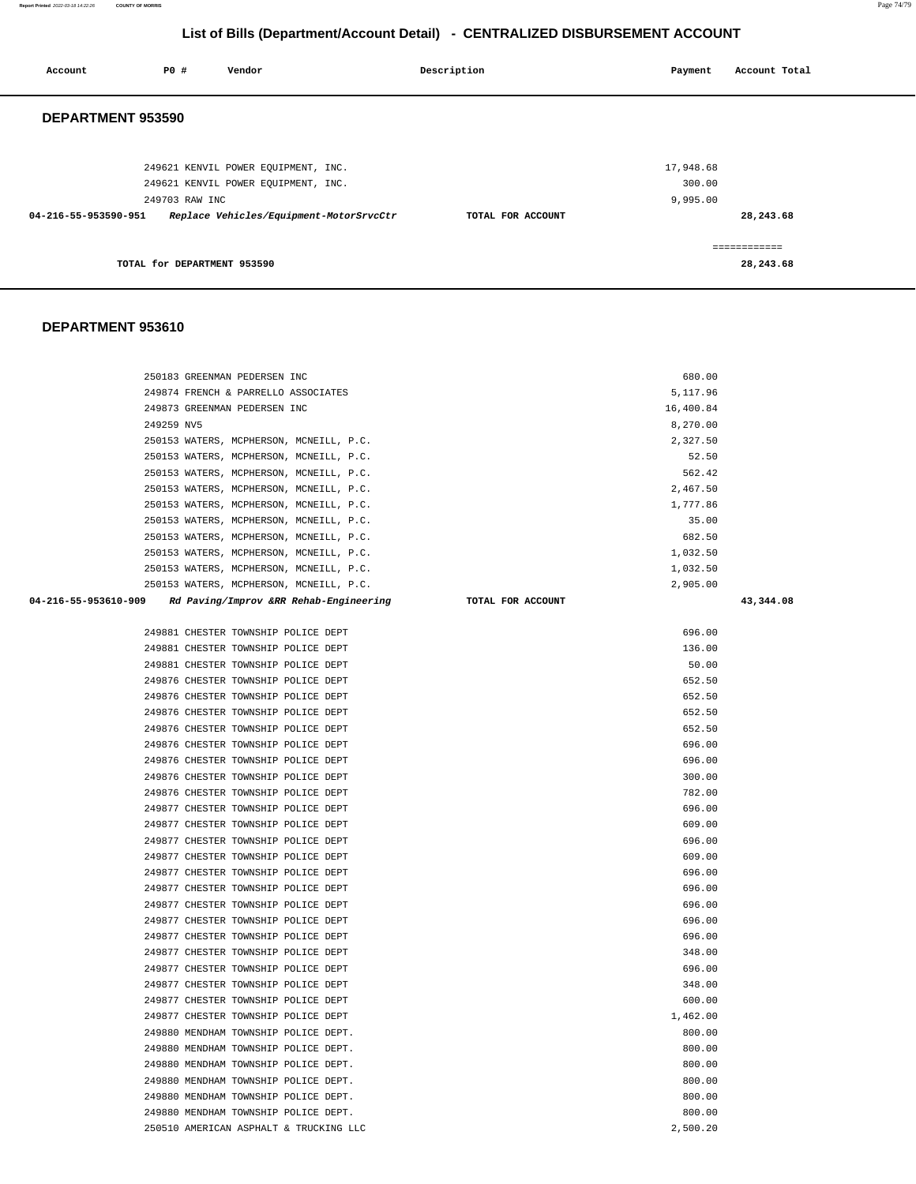**Report Printed** 2022-03-18 14:22:26 **COUNTY OF MORRIS** Page 74/79

# **List of Bills (Department/Account Detail) - CENTRALIZED DISBURSEMENT ACCOUNT**

| Account              | P0 #                        | Vendor                                  | Description       | Payment   | Account Total |
|----------------------|-----------------------------|-----------------------------------------|-------------------|-----------|---------------|
| DEPARTMENT 953590    |                             |                                         |                   |           |               |
|                      |                             |                                         |                   |           |               |
|                      |                             | 249621 KENVIL POWER EQUIPMENT, INC.     |                   | 17,948.68 |               |
|                      |                             | 249621 KENVIL POWER EOUIPMENT, INC.     |                   | 300.00    |               |
|                      | 249703 RAW INC              |                                         |                   | 9,995.00  |               |
| 04-216-55-953590-951 |                             | Replace Vehicles/Equipment-MotorSrvcCtr | TOTAL FOR ACCOUNT |           | 28,243.68     |
|                      |                             |                                         |                   |           | ============  |
|                      | TOTAL for DEPARTMENT 953590 |                                         |                   |           | 28,243.68     |

| 250183 GREENMAN PEDERSEN INC                                   | 680.00            |           |
|----------------------------------------------------------------|-------------------|-----------|
| 249874 FRENCH & PARRELLO ASSOCIATES                            | 5,117.96          |           |
| 249873 GREENMAN PEDERSEN INC                                   | 16,400.84         |           |
| 249259 NV5                                                     | 8,270.00          |           |
| 250153 WATERS, MCPHERSON, MCNEILL, P.C.                        | 2,327.50          |           |
| 250153 WATERS, MCPHERSON, MCNEILL, P.C.                        | 52.50             |           |
| 250153 WATERS, MCPHERSON, MCNEILL, P.C.                        | 562.42            |           |
| 250153 WATERS, MCPHERSON, MCNEILL, P.C.                        | 2,467.50          |           |
| 250153 WATERS, MCPHERSON, MCNEILL, P.C.                        | 1,777.86          |           |
| 250153 WATERS, MCPHERSON, MCNEILL, P.C.                        | 35.00             |           |
| 250153 WATERS, MCPHERSON, MCNEILL, P.C.                        | 682.50            |           |
| 250153 WATERS, MCPHERSON, MCNEILL, P.C.                        | 1,032.50          |           |
| 250153 WATERS, MCPHERSON, MCNEILL, P.C.                        | 1,032.50          |           |
| 250153 WATERS, MCPHERSON, MCNEILL, P.C.                        | 2,905.00          |           |
| 04-216-55-953610-909<br>Rd Paving/Improv &RR Rehab-Engineering | TOTAL FOR ACCOUNT | 43,344.08 |
|                                                                |                   |           |
| 249881 CHESTER TOWNSHIP POLICE DEPT                            | 696.00            |           |
| 249881 CHESTER TOWNSHIP POLICE DEPT                            | 136.00            |           |
| 249881 CHESTER TOWNSHIP POLICE DEPT                            | 50.00             |           |
| 249876 CHESTER TOWNSHIP POLICE DEPT                            | 652.50            |           |
| 249876 CHESTER TOWNSHIP POLICE DEPT                            | 652.50            |           |
| 249876 CHESTER TOWNSHIP POLICE DEPT                            | 652.50            |           |
| 249876 CHESTER TOWNSHIP POLICE DEPT                            | 652.50            |           |
| 249876 CHESTER TOWNSHIP POLICE DEPT                            | 696.00            |           |
| 249876 CHESTER TOWNSHIP POLICE DEPT                            | 696.00            |           |
| 249876 CHESTER TOWNSHIP POLICE DEPT                            | 300.00            |           |
| 249876 CHESTER TOWNSHIP POLICE DEPT                            | 782.00            |           |
| 249877 CHESTER TOWNSHIP POLICE DEPT                            | 696.00            |           |
| 249877 CHESTER TOWNSHIP POLICE DEPT                            | 609.00            |           |
| 249877 CHESTER TOWNSHIP POLICE DEPT                            | 696.00            |           |
| 249877 CHESTER TOWNSHIP POLICE DEPT                            | 609.00            |           |
| 249877 CHESTER TOWNSHIP POLICE DEPT                            | 696.00            |           |
| 249877 CHESTER TOWNSHIP POLICE DEPT                            | 696.00            |           |
| 249877 CHESTER TOWNSHIP POLICE DEPT                            | 696.00            |           |
| 249877 CHESTER TOWNSHIP POLICE DEPT                            | 696.00            |           |
| 249877 CHESTER TOWNSHIP POLICE DEPT                            | 696.00            |           |
| 249877 CHESTER TOWNSHIP POLICE DEPT                            | 348.00            |           |
| 249877 CHESTER TOWNSHIP POLICE DEPT                            | 696.00            |           |
| 249877 CHESTER TOWNSHIP POLICE DEPT                            | 348.00            |           |
| 249877 CHESTER TOWNSHIP POLICE DEPT                            | 600.00            |           |
| 249877 CHESTER TOWNSHIP POLICE DEPT                            | 1,462.00          |           |
| 249880 MENDHAM TOWNSHIP POLICE DEPT.                           | 800.00            |           |
| 249880 MENDHAM TOWNSHIP POLICE DEPT.                           | 800.00            |           |
| 249880 MENDHAM TOWNSHIP POLICE DEPT.                           | 800.00            |           |
| 249880 MENDHAM TOWNSHIP POLICE DEPT.                           | 800.00            |           |
| 249880 MENDHAM TOWNSHIP POLICE DEPT.                           | 800.00            |           |
| 249880 MENDHAM TOWNSHIP POLICE DEPT.                           | 800.00            |           |
| 250510 AMERICAN ASPHALT & TRUCKING LLC                         | 2,500.20          |           |
|                                                                |                   |           |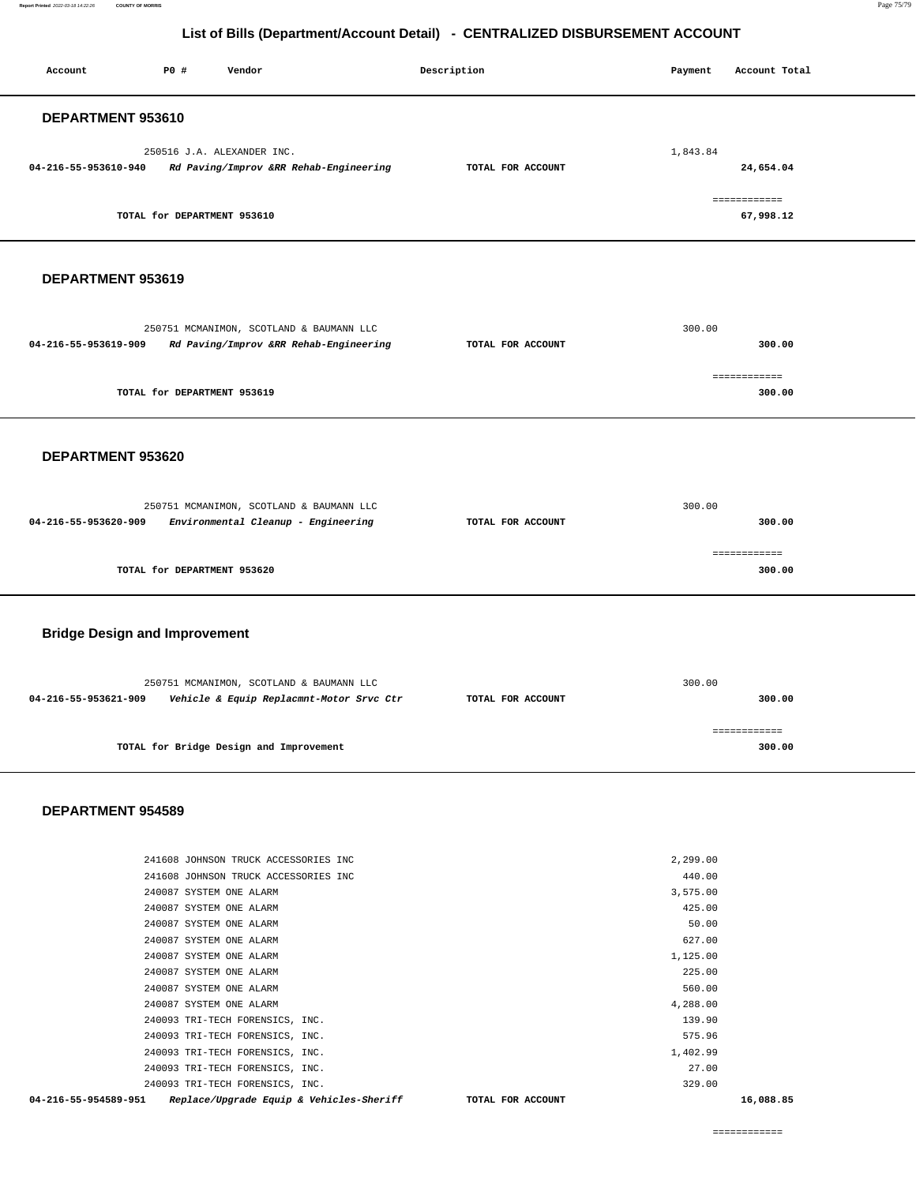**Report Printed** 2022-03-18 14:22:26 **COUNTY OF MORRIS** Page 75/79

### **List of Bills (Department/Account Detail) - CENTRALIZED DISBURSEMENT ACCOUNT**

| Account<br>P0 #<br>Vendor                                        | Description       | Account Total<br>Payment  |  |  |  |  |  |
|------------------------------------------------------------------|-------------------|---------------------------|--|--|--|--|--|
| DEPARTMENT 953610                                                |                   |                           |  |  |  |  |  |
| 250516 J.A. ALEXANDER INC.                                       |                   | 1,843.84                  |  |  |  |  |  |
| 04-216-55-953610-940<br>Rd Paving/Improv &RR Rehab-Engineering   | TOTAL FOR ACCOUNT | 24,654.04                 |  |  |  |  |  |
| TOTAL for DEPARTMENT 953610                                      |                   | ============<br>67,998.12 |  |  |  |  |  |
|                                                                  |                   |                           |  |  |  |  |  |
| DEPARTMENT 953619                                                |                   |                           |  |  |  |  |  |
| 250751 MCMANIMON, SCOTLAND & BAUMANN LLC                         |                   | 300.00                    |  |  |  |  |  |
| 04-216-55-953619-909<br>Rd Paving/Improv &RR Rehab-Engineering   | TOTAL FOR ACCOUNT | 300.00                    |  |  |  |  |  |
| TOTAL for DEPARTMENT 953619                                      |                   | ============<br>300.00    |  |  |  |  |  |
|                                                                  |                   |                           |  |  |  |  |  |
| DEPARTMENT 953620                                                |                   |                           |  |  |  |  |  |
|                                                                  |                   |                           |  |  |  |  |  |
| 250751 MCMANIMON, SCOTLAND & BAUMANN LLC                         |                   | 300.00                    |  |  |  |  |  |
| 04-216-55-953620-909<br>Environmental Cleanup - Engineering      | TOTAL FOR ACCOUNT | 300.00                    |  |  |  |  |  |
|                                                                  |                   |                           |  |  |  |  |  |
| TOTAL for DEPARTMENT 953620                                      |                   | ============<br>300.00    |  |  |  |  |  |
| <b>Bridge Design and Improvement</b>                             |                   |                           |  |  |  |  |  |
|                                                                  |                   |                           |  |  |  |  |  |
| 250751 MCMANIMON, SCOTLAND & BAUMANN LLC                         |                   | 300.00                    |  |  |  |  |  |
| 04-216-55-953621-909<br>Vehicle & Equip Replacmnt-Motor Srvc Ctr | TOTAL FOR ACCOUNT | 300.00                    |  |  |  |  |  |
| TOTAL for Bridge Design and Improvement                          |                   | ============<br>300.00    |  |  |  |  |  |
| DEPARTMENT 954589                                                |                   |                           |  |  |  |  |  |
|                                                                  |                   |                           |  |  |  |  |  |
| 241608 JOHNSON TRUCK ACCESSORIES INC                             |                   | 2,299.00                  |  |  |  |  |  |
| 241608 JOHNSON TRUCK ACCESSORIES INC<br>240087 SYSTEM ONE ALARM  |                   | 440.00<br>3,575.00        |  |  |  |  |  |
| 240087 SYSTEM ONE ALARM                                          |                   | 425.00                    |  |  |  |  |  |
| 240087 SYSTEM ONE ALARM                                          |                   | 50.00                     |  |  |  |  |  |
| 240087 SYSTEM ONE ALARM                                          |                   | 627.00                    |  |  |  |  |  |
| 240087 SYSTEM ONE ALARM                                          |                   | 1,125.00                  |  |  |  |  |  |
| 240087 SYSTEM ONE ALARM                                          |                   | 225.00                    |  |  |  |  |  |
| 240087 SYSTEM ONE ALARM                                          |                   | 560.00                    |  |  |  |  |  |
| 240087 SYSTEM ONE ALARM<br>240093 TRI-TECH FORENSICS, INC.       |                   | 4,288.00<br>139.90        |  |  |  |  |  |

 240093 TRI-TECH FORENSICS, INC. 1,402.99 240093 TRI-TECH FORENSICS, INC. 27.00

 240093 TRI-TECH FORENSICS, INC. 329.00  **04-216-55-954589-951 Replace/Upgrade Equip & Vehicles-Sheriff TOTAL FOR ACCOUNT 16,088.85**

============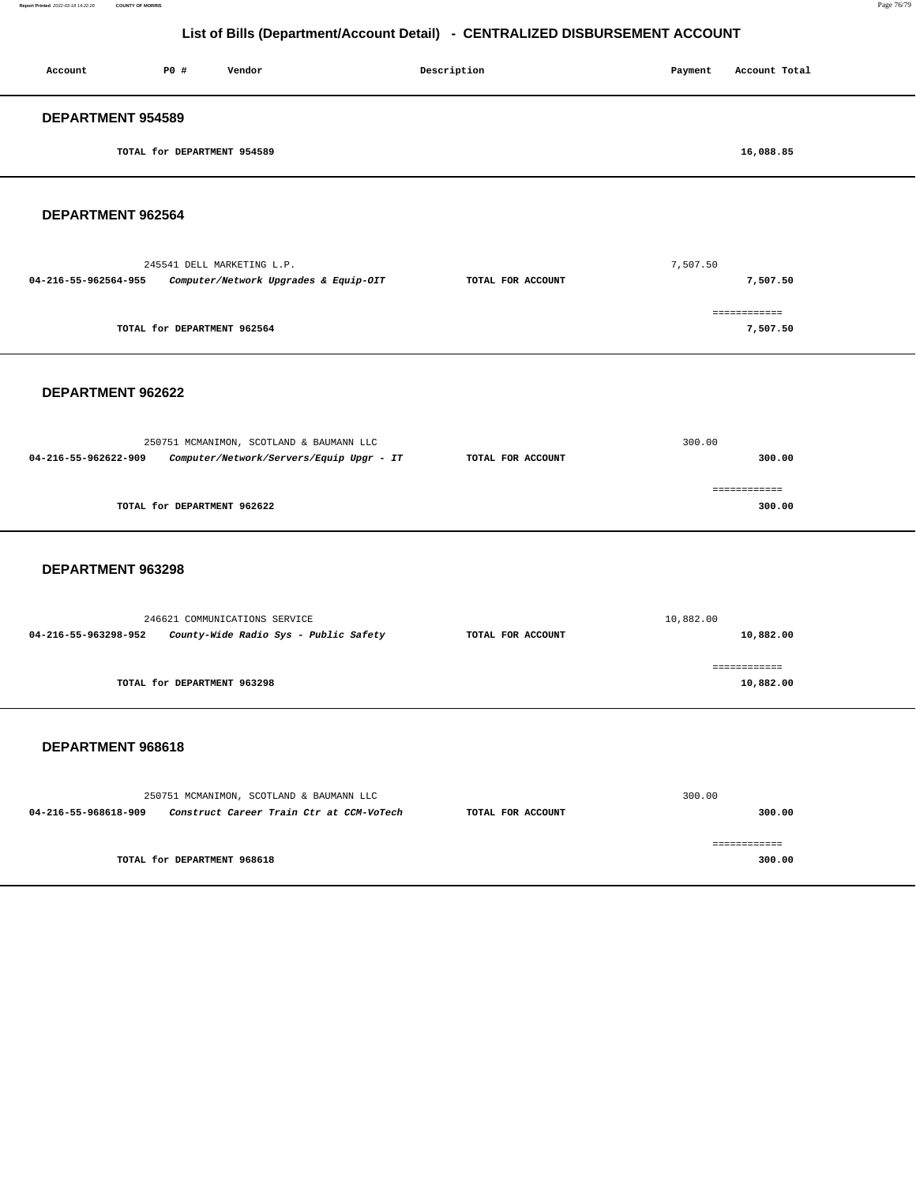#### **Report Printed** 2022-03-18 14:22:26 **COUNTY OF MORRIS** Page 76/79

# **List of Bills (Department/Account Detail) - CENTRALIZED DISBURSEMENT ACCOUNT**

| Account                  | P0 #                        | Vendor | Description | Payment | Account Total |
|--------------------------|-----------------------------|--------|-------------|---------|---------------|
| <b>DEPARTMENT 954589</b> |                             |        |             |         |               |
|                          | TOTAL for DEPARTMENT 954589 |        |             |         | 16,088.85     |
|                          |                             |        |             |         |               |

**DEPARTMENT 962564** 

| 245541 DELL MARKETING L.P.                                    |                   | 7,507.50     |  |  |
|---------------------------------------------------------------|-------------------|--------------|--|--|
| Computer/Network Upgrades & Equip-OIT<br>04-216-55-962564-955 | TOTAL FOR ACCOUNT | 7,507.50     |  |  |
|                                                               |                   |              |  |  |
|                                                               |                   | ------------ |  |  |
| TOTAL for DEPARTMENT 962564                                   |                   | 7,507.50     |  |  |
|                                                               |                   |              |  |  |

#### **DEPARTMENT 962622**

|                             | 250751 MCMANIMON, SCOTLAND & BAUMANN LLC | 300.00            |        |
|-----------------------------|------------------------------------------|-------------------|--------|
| 04-216-55-962622-909        | Computer/Network/Servers/Equip Upgr - IT | TOTAL FOR ACCOUNT | 300.00 |
|                             |                                          |                   |        |
|                             |                                          |                   |        |
| TOTAL for DEPARTMENT 962622 |                                          |                   | 300.00 |
|                             |                                          |                   |        |

#### **DEPARTMENT 963298**

|                      | 246621 COMMUNICATIONS SERVICE         | 10,882.00         |           |
|----------------------|---------------------------------------|-------------------|-----------|
| 04-216-55-963298-952 | County-Wide Radio Sys - Public Safety | TOTAL FOR ACCOUNT | 10,882.00 |
|                      |                                       |                   |           |
|                      |                                       |                   |           |
|                      | TOTAL for DEPARTMENT 963298           |                   | 10,882.00 |

| 250751 MCMANIMON, SCOTLAND & BAUMANN LLC                         |                   | 300.00 |
|------------------------------------------------------------------|-------------------|--------|
| Construct Career Train Ctr at CCM-VoTech<br>04-216-55-968618-909 | TOTAL FOR ACCOUNT | 300.00 |
|                                                                  |                   |        |
|                                                                  |                   |        |
| TOTAL for DEPARTMENT 968618                                      |                   | 300.00 |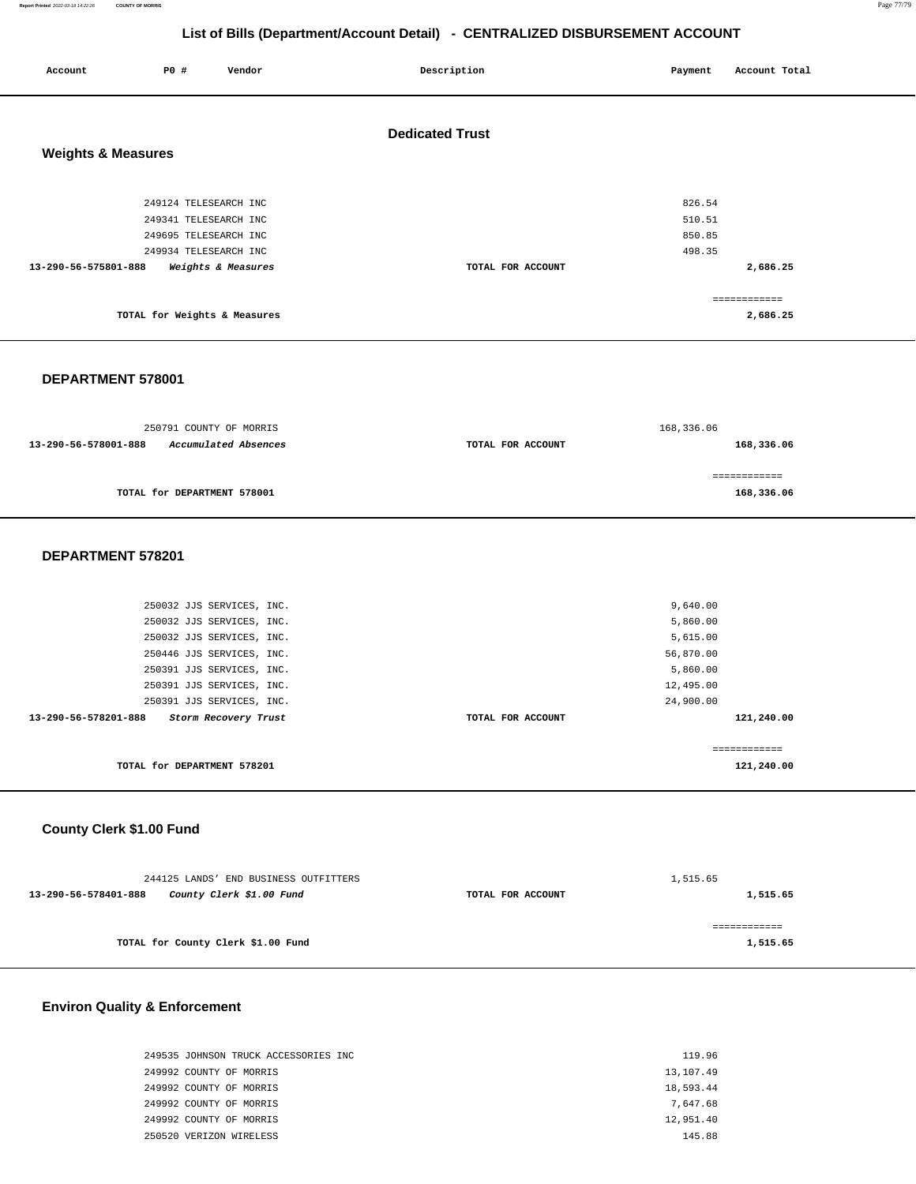**Report Printed** 2022-03-18 14:22:26 **COUNTY OF MORRIS** Page 77/79

# **List of Bills (Department/Account Detail) - CENTRALIZED DISBURSEMENT ACCOUNT**

| Account                       | P0 #                         | Vendor             | Description            | Payment | Account Total            |
|-------------------------------|------------------------------|--------------------|------------------------|---------|--------------------------|
|                               |                              |                    | <b>Dedicated Trust</b> |         |                          |
| <b>Weights &amp; Measures</b> |                              |                    |                        |         |                          |
|                               | 249124 TELESEARCH INC        |                    |                        | 826.54  |                          |
|                               | 249341 TELESEARCH INC        |                    |                        | 510.51  |                          |
|                               | 249695 TELESEARCH INC        |                    |                        | 850.85  |                          |
|                               | 249934 TELESEARCH INC        |                    |                        | 498.35  |                          |
| 13-290-56-575801-888          |                              | Weights & Measures | TOTAL FOR ACCOUNT      |         | 2,686.25                 |
|                               |                              |                    |                        |         |                          |
|                               | TOTAL for Weights & Measures |                    |                        |         | ============<br>2,686.25 |

#### **DEPARTMENT 578001**

| 250791 COUNTY OF MORRIS                      |                   | 168,336.06   |  |  |
|----------------------------------------------|-------------------|--------------|--|--|
| Accumulated Absences<br>13-290-56-578001-888 | TOTAL FOR ACCOUNT | 168,336.06   |  |  |
|                                              |                   |              |  |  |
|                                              |                   | .=========== |  |  |
| TOTAL for DEPARTMENT 578001                  |                   | 168,336.06   |  |  |

#### **DEPARTMENT 578201**

| 13-290-56-578201-888<br>Storm Recovery Trust<br>TOTAL for DEPARTMENT 578201 | TOTAL FOR ACCOUNT | 121,240.00<br>121,240.00 |
|-----------------------------------------------------------------------------|-------------------|--------------------------|
| 250391 JJS SERVICES, INC.                                                   |                   | 24,900.00                |
| 250391 JJS SERVICES, INC.                                                   |                   | 12,495.00                |
| 250391 JJS SERVICES, INC.                                                   |                   | 5,860.00                 |
| 250446 JJS SERVICES, INC.                                                   |                   | 56,870.00                |
| 250032 JJS SERVICES, INC.                                                   |                   | 5,615.00                 |
| 250032 JJS SERVICES, INC.                                                   |                   | 5,860.00                 |
| 250032 JJS SERVICES, INC.                                                   |                   | 9,640.00                 |
|                                                                             |                   |                          |

# **County Clerk \$1.00 Fund**

| 244125 LANDS' END BUSINESS OUTFITTERS            |                   | 1,515.65 |  |  |
|--------------------------------------------------|-------------------|----------|--|--|
| County Clerk \$1.00 Fund<br>13-290-56-578401-888 | TOTAL FOR ACCOUNT | 1,515.65 |  |  |
|                                                  |                   |          |  |  |
|                                                  |                   |          |  |  |
| TOTAL for County Clerk \$1.00 Fund               |                   | 1,515.65 |  |  |
|                                                  |                   |          |  |  |

# **Environ Quality & Enforcement**

| 249535 JOHNSON TRUCK ACCESSORIES INC | 119.96    |
|--------------------------------------|-----------|
| 249992 COUNTY OF MORRIS              | 13,107.49 |
| 249992 COUNTY OF MORRIS              | 18,593.44 |
| 249992 COUNTY OF MORRIS              | 7.647.68  |
| 249992 COUNTY OF MORRIS              | 12,951.40 |
| 250520 VERIZON WIRELESS              | 145.88    |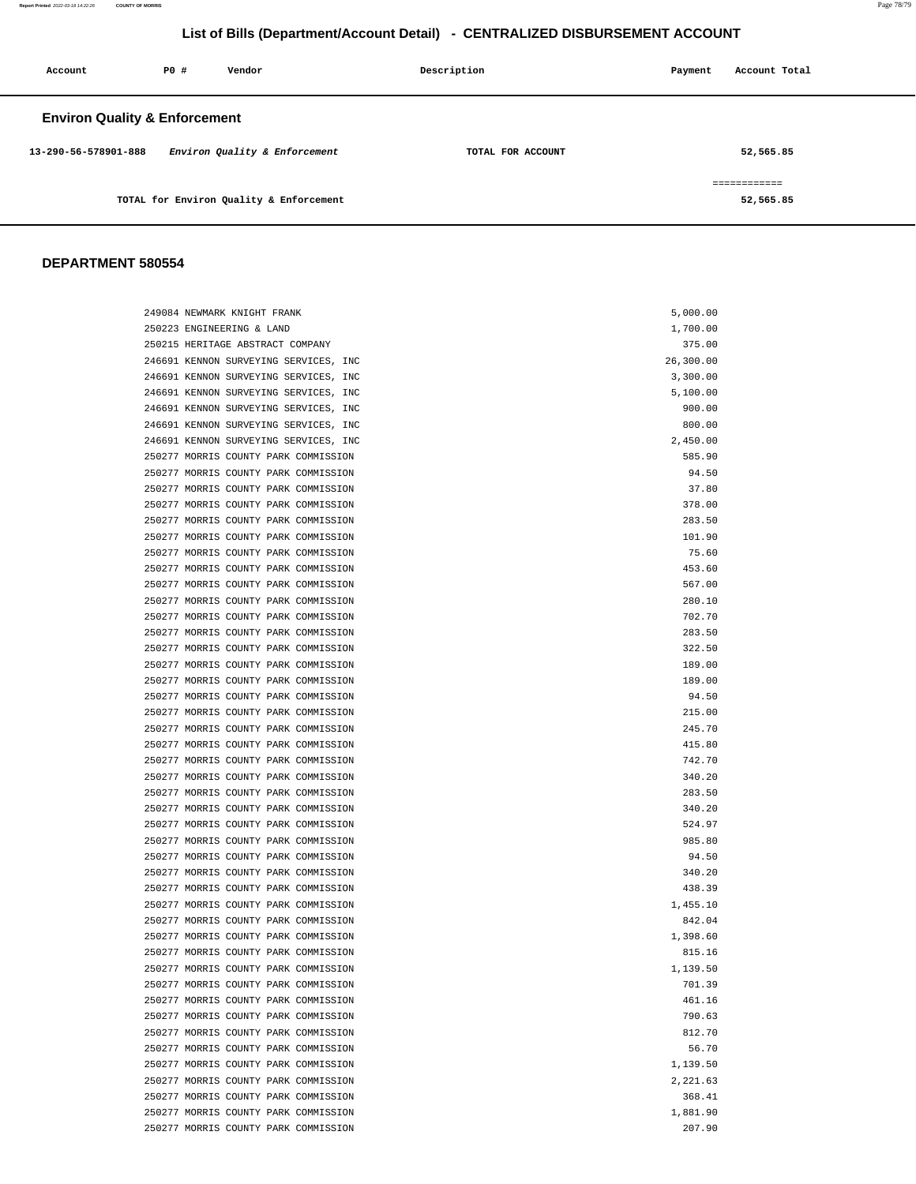# **List of Bills (Department/Account Detail) - CENTRALIZED DISBURSEMENT ACCOUNT**

| Account                                  | PO# | Vendor                                  | Description       | Payment | Account Total             |
|------------------------------------------|-----|-----------------------------------------|-------------------|---------|---------------------------|
| <b>Environ Quality &amp; Enforcement</b> |     |                                         |                   |         |                           |
| 13-290-56-578901-888                     |     | Environ Quality & Enforcement           | TOTAL FOR ACCOUNT |         | 52,565.85                 |
|                                          |     | TOTAL for Environ Quality & Enforcement |                   |         | ============<br>52,565.85 |

| 249084 NEWMARK KNIGHT FRANK           | 5,000.00  |
|---------------------------------------|-----------|
| 250223 ENGINEERING & LAND             | 1,700.00  |
| 250215 HERITAGE ABSTRACT COMPANY      | 375.00    |
| 246691 KENNON SURVEYING SERVICES, INC | 26,300.00 |
| 246691 KENNON SURVEYING SERVICES, INC | 3,300.00  |
| 246691 KENNON SURVEYING SERVICES, INC | 5,100.00  |
| 246691 KENNON SURVEYING SERVICES, INC | 900.00    |
| 246691 KENNON SURVEYING SERVICES, INC | 800.00    |
| 246691 KENNON SURVEYING SERVICES, INC | 2,450.00  |
| 250277 MORRIS COUNTY PARK COMMISSION  | 585.90    |
| 250277 MORRIS COUNTY PARK COMMISSION  | 94.50     |
| 250277 MORRIS COUNTY PARK COMMISSION  | 37.80     |
| 250277 MORRIS COUNTY PARK COMMISSION  | 378.00    |
| 250277 MORRIS COUNTY PARK COMMISSION  | 283.50    |
| 250277 MORRIS COUNTY PARK COMMISSION  | 101.90    |
| 250277 MORRIS COUNTY PARK COMMISSION  | 75.60     |
| 250277 MORRIS COUNTY PARK COMMISSION  | 453.60    |
| 250277 MORRIS COUNTY PARK COMMISSION  | 567.00    |
| 250277 MORRIS COUNTY PARK COMMISSION  | 280.10    |
| 250277 MORRIS COUNTY PARK COMMISSION  | 702.70    |
| 250277 MORRIS COUNTY PARK COMMISSION  | 283.50    |
| 250277 MORRIS COUNTY PARK COMMISSION  | 322.50    |
| 250277 MORRIS COUNTY PARK COMMISSION  | 189.00    |
| 250277 MORRIS COUNTY PARK COMMISSION  | 189.00    |
| 250277 MORRIS COUNTY PARK COMMISSION  | 94.50     |
| 250277 MORRIS COUNTY PARK COMMISSION  | 215.00    |
| 250277 MORRIS COUNTY PARK COMMISSION  | 245.70    |
| 250277 MORRIS COUNTY PARK COMMISSION  | 415.80    |
| 250277 MORRIS COUNTY PARK COMMISSION  | 742.70    |
| 250277 MORRIS COUNTY PARK COMMISSION  | 340.20    |
| 250277 MORRIS COUNTY PARK COMMISSION  | 283.50    |
| 250277 MORRIS COUNTY PARK COMMISSION  | 340.20    |
| 250277 MORRIS COUNTY PARK COMMISSION  | 524.97    |
| 250277 MORRIS COUNTY PARK COMMISSION  | 985.80    |
| 250277 MORRIS COUNTY PARK COMMISSION  | 94.50     |
| 250277 MORRIS COUNTY PARK COMMISSION  | 340.20    |
| 250277 MORRIS COUNTY PARK COMMISSION  | 438.39    |
| 250277 MORRIS COUNTY PARK COMMISSION  | 1,455.10  |
| 250277 MORRIS COUNTY PARK COMMISSION  | 842.04    |
| 250277 MORRIS COUNTY PARK COMMISSION  | 1,398.60  |
| 250277 MORRIS COUNTY PARK COMMISSION  | 815.16    |
| 250277 MORRIS COUNTY PARK COMMISSION  | 1,139.50  |
| 250277 MORRIS COUNTY PARK COMMISSION  | 701.39    |
| 250277 MORRIS COUNTY PARK COMMISSION  | 461.16    |
| 250277 MORRIS COUNTY PARK COMMISSION  | 790.63    |
| 250277 MORRIS COUNTY PARK COMMISSION  | 812.70    |
| 250277 MORRIS COUNTY PARK COMMISSION  | 56.70     |
| 250277 MORRIS COUNTY PARK COMMISSION  | 1,139.50  |
| 250277 MORRIS COUNTY PARK COMMISSION  | 2,221.63  |
| 250277 MORRIS COUNTY PARK COMMISSION  | 368.41    |
| 250277 MORRIS COUNTY PARK COMMISSION  | 1,881.90  |
| 250277 MORRIS COUNTY PARK COMMISSION  | 207.90    |
|                                       |           |